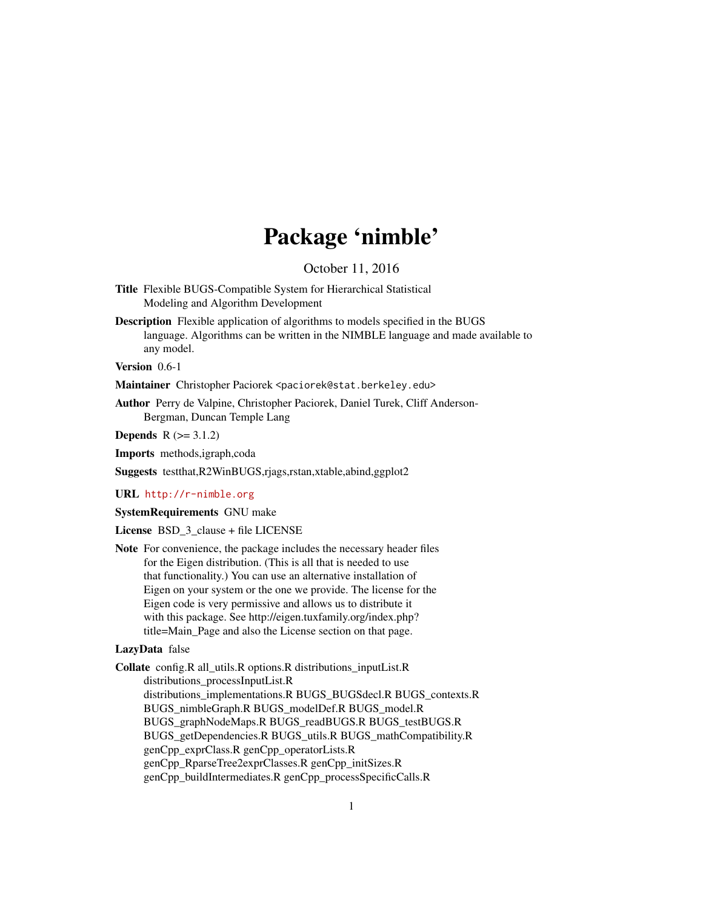# Package 'nimble'

October 11, 2016

- <span id="page-0-0"></span>Title Flexible BUGS-Compatible System for Hierarchical Statistical Modeling and Algorithm Development
- Description Flexible application of algorithms to models specified in the BUGS language. Algorithms can be written in the NIMBLE language and made available to any model.

Version 0.6-1

Maintainer Christopher Paciorek <paciorek@stat.berkeley.edu>

Author Perry de Valpine, Christopher Paciorek, Daniel Turek, Cliff Anderson-Bergman, Duncan Temple Lang

**Depends**  $R$  ( $> = 3.1.2$ )

Imports methods,igraph,coda

Suggests testthat,R2WinBUGS,rjags,rstan,xtable,abind,ggplot2

URL <http://r-nimble.org>

SystemRequirements GNU make

License BSD\_3\_clause + file LICENSE

Note For convenience, the package includes the necessary header files for the Eigen distribution. (This is all that is needed to use that functionality.) You can use an alternative installation of Eigen on your system or the one we provide. The license for the Eigen code is very permissive and allows us to distribute it with this package. See http://eigen.tuxfamily.org/index.php? title=Main\_Page and also the License section on that page.

#### LazyData false

Collate config.R all\_utils.R options.R distributions\_inputList.R distributions\_processInputList.R distributions\_implementations.R BUGS\_BUGSdecl.R BUGS\_contexts.R BUGS\_nimbleGraph.R BUGS\_modelDef.R BUGS\_model.R BUGS\_graphNodeMaps.R BUGS\_readBUGS.R BUGS\_testBUGS.R BUGS\_getDependencies.R BUGS\_utils.R BUGS\_mathCompatibility.R genCpp\_exprClass.R genCpp\_operatorLists.R genCpp\_RparseTree2exprClasses.R genCpp\_initSizes.R genCpp\_buildIntermediates.R genCpp\_processSpecificCalls.R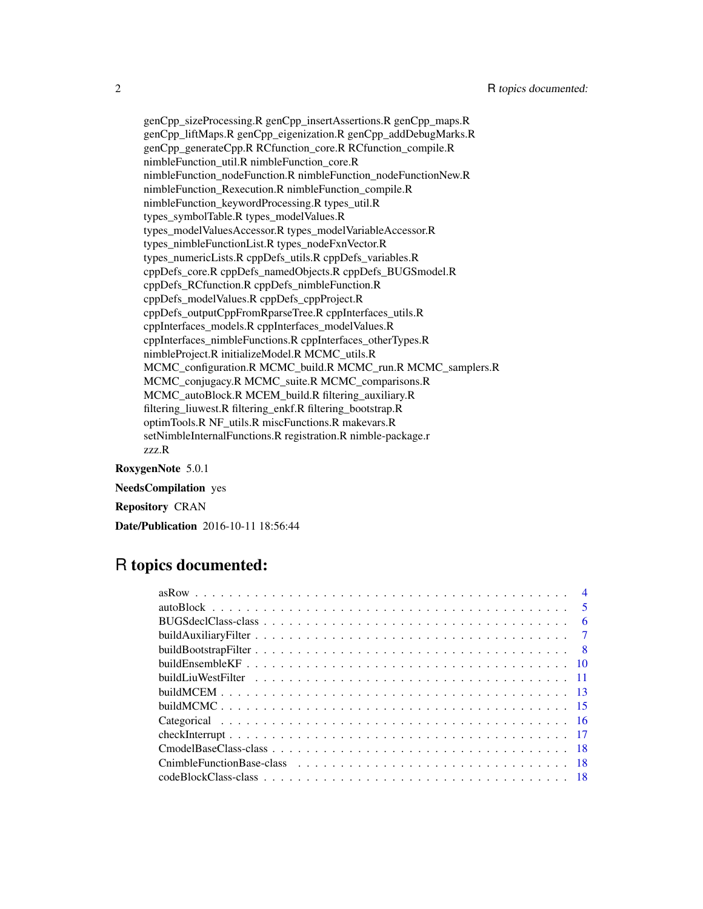genCpp\_sizeProcessing.R genCpp\_insertAssertions.R genCpp\_maps.R genCpp\_liftMaps.R genCpp\_eigenization.R genCpp\_addDebugMarks.R genCpp\_generateCpp.R RCfunction\_core.R RCfunction\_compile.R nimbleFunction\_util.R nimbleFunction\_core.R nimbleFunction\_nodeFunction.R nimbleFunction\_nodeFunctionNew.R nimbleFunction\_Rexecution.R nimbleFunction\_compile.R nimbleFunction\_keywordProcessing.R types\_util.R types\_symbolTable.R types\_modelValues.R types\_modelValuesAccessor.R types\_modelVariableAccessor.R types\_nimbleFunctionList.R types\_nodeFxnVector.R types\_numericLists.R cppDefs\_utils.R cppDefs\_variables.R cppDefs\_core.R cppDefs\_namedObjects.R cppDefs\_BUGSmodel.R cppDefs\_RCfunction.R cppDefs\_nimbleFunction.R cppDefs\_modelValues.R cppDefs\_cppProject.R cppDefs\_outputCppFromRparseTree.R cppInterfaces\_utils.R cppInterfaces\_models.R cppInterfaces\_modelValues.R cppInterfaces\_nimbleFunctions.R cppInterfaces\_otherTypes.R nimbleProject.R initializeModel.R MCMC\_utils.R MCMC\_configuration.R MCMC\_build.R MCMC\_run.R MCMC\_samplers.R MCMC\_conjugacy.R MCMC\_suite.R MCMC\_comparisons.R MCMC\_autoBlock.R MCEM\_build.R filtering\_auxiliary.R filtering\_liuwest.R filtering\_enkf.R filtering\_bootstrap.R optimTools.R NF\_utils.R miscFunctions.R makevars.R setNimbleInternalFunctions.R registration.R nimble-package.r zzz.R

#### RoxygenNote 5.0.1

NeedsCompilation yes

Repository CRAN

Date/Publication 2016-10-11 18:56:44

# R topics documented: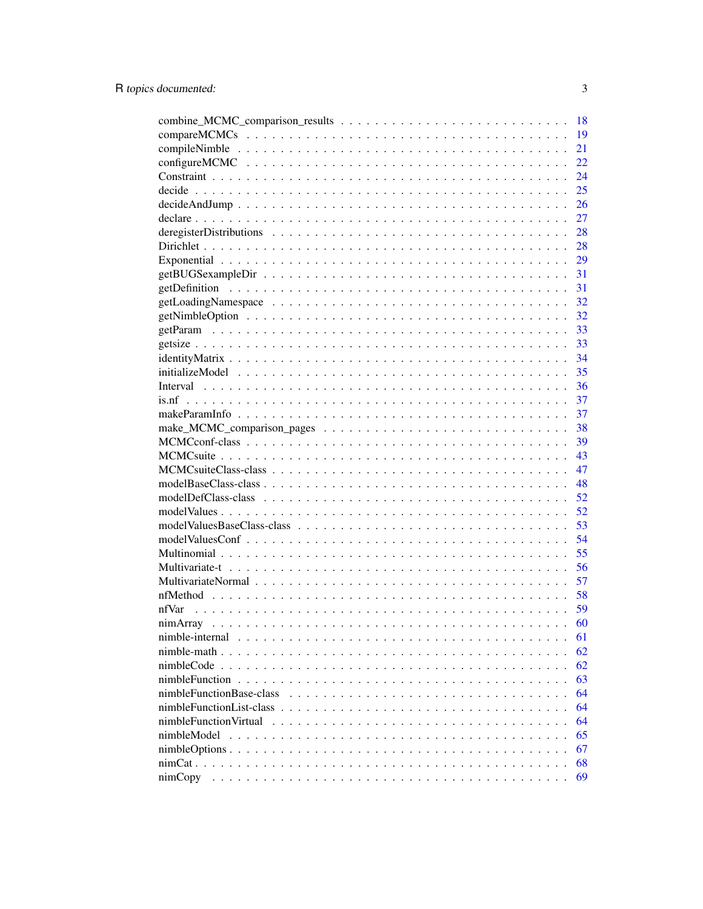|                          | 18       |
|--------------------------|----------|
|                          | 19       |
|                          | 21       |
|                          | 22       |
|                          | 24       |
|                          | 25       |
|                          | 26       |
|                          | 27       |
|                          | 28       |
|                          | 28       |
|                          | 29       |
|                          | 31       |
|                          | 31       |
|                          | 32       |
|                          | 32       |
|                          | 33       |
|                          | 33       |
|                          | 34       |
|                          | 35       |
|                          | 36       |
|                          | 37       |
|                          | 37       |
|                          | 38       |
|                          | 39       |
|                          | 43       |
|                          | 47       |
|                          | 48       |
|                          | 52       |
|                          | 52       |
|                          | 53       |
|                          | 54       |
|                          | 55       |
|                          | 56       |
|                          | 57       |
|                          | 58       |
| nfVar                    | 59       |
|                          | 60       |
| nimble-internal          | 61       |
|                          | 62       |
|                          | 62       |
| nimbleFunction           | 63       |
| nimbleFunctionBase-class | 64       |
|                          | 64       |
| nimbleFunctionVirtual    | 64       |
| nimbleModel              | 65       |
|                          | 67       |
|                          |          |
| nimCopy                  | 68<br>69 |
|                          |          |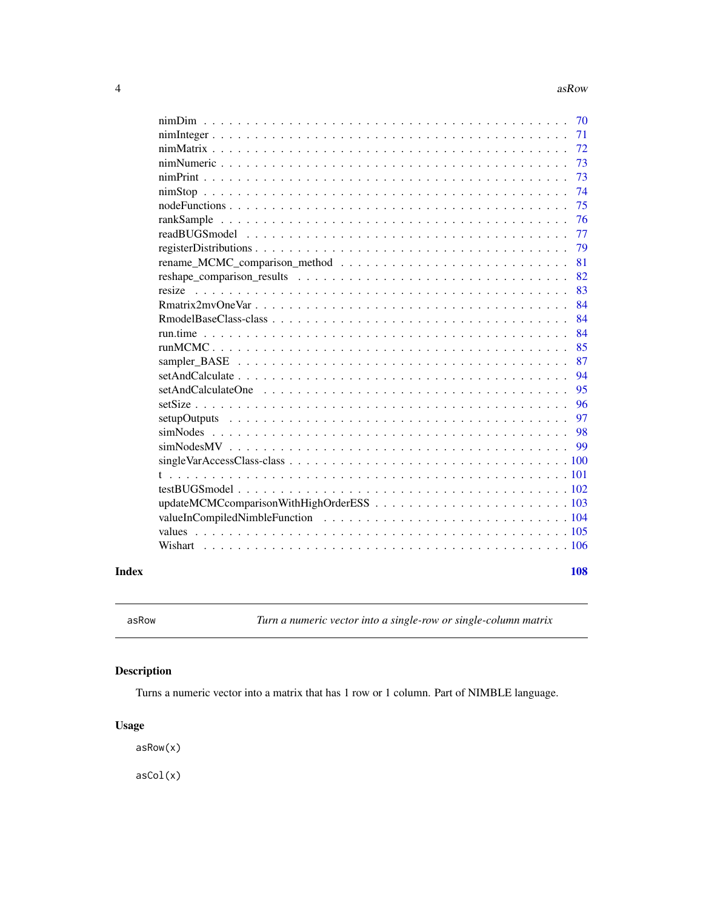<span id="page-3-0"></span>

| Index |                                                                                                                        |  |  | 108      |
|-------|------------------------------------------------------------------------------------------------------------------------|--|--|----------|
|       |                                                                                                                        |  |  |          |
|       |                                                                                                                        |  |  |          |
|       |                                                                                                                        |  |  |          |
|       |                                                                                                                        |  |  |          |
|       |                                                                                                                        |  |  |          |
|       |                                                                                                                        |  |  |          |
|       |                                                                                                                        |  |  |          |
|       |                                                                                                                        |  |  |          |
|       |                                                                                                                        |  |  | 99       |
|       | $simNodes \dots \dots \dots \dots \dots \dots \dots \dots \dots \dots \dots \dots \dots \dots \dots \dots \dots \dots$ |  |  | 98       |
|       | setupOutputs                                                                                                           |  |  | 97       |
|       |                                                                                                                        |  |  | 96       |
|       | setAndCalculateOne                                                                                                     |  |  | 95       |
|       |                                                                                                                        |  |  | 94       |
|       |                                                                                                                        |  |  | 87       |
|       |                                                                                                                        |  |  | 85       |
|       |                                                                                                                        |  |  | 84       |
|       |                                                                                                                        |  |  | 84       |
|       |                                                                                                                        |  |  | 84       |
|       | $reshape_{\text{comparison_{}}\text{results} \dots \dots \dots \dots \dots \dots \dots \dots \dots \dots \dots \dots$  |  |  | 82<br>83 |
|       |                                                                                                                        |  |  | 81       |
|       |                                                                                                                        |  |  | 79       |
|       |                                                                                                                        |  |  | 77       |
|       |                                                                                                                        |  |  | 76       |
|       |                                                                                                                        |  |  | 75       |
|       |                                                                                                                        |  |  | 74       |
|       | $nimPrint \ldots \ldots$                                                                                               |  |  | 73       |
|       |                                                                                                                        |  |  | 73       |
|       |                                                                                                                        |  |  | 72       |
|       |                                                                                                                        |  |  | 71       |
|       |                                                                                                                        |  |  | 70       |
|       |                                                                                                                        |  |  |          |

asRow *Turn a numeric vector into a single-row or single-column matrix*

# Description

Turns a numeric vector into a matrix that has 1 row or 1 column. Part of NIMBLE language.

# Usage

asRow(x)

asCol(x)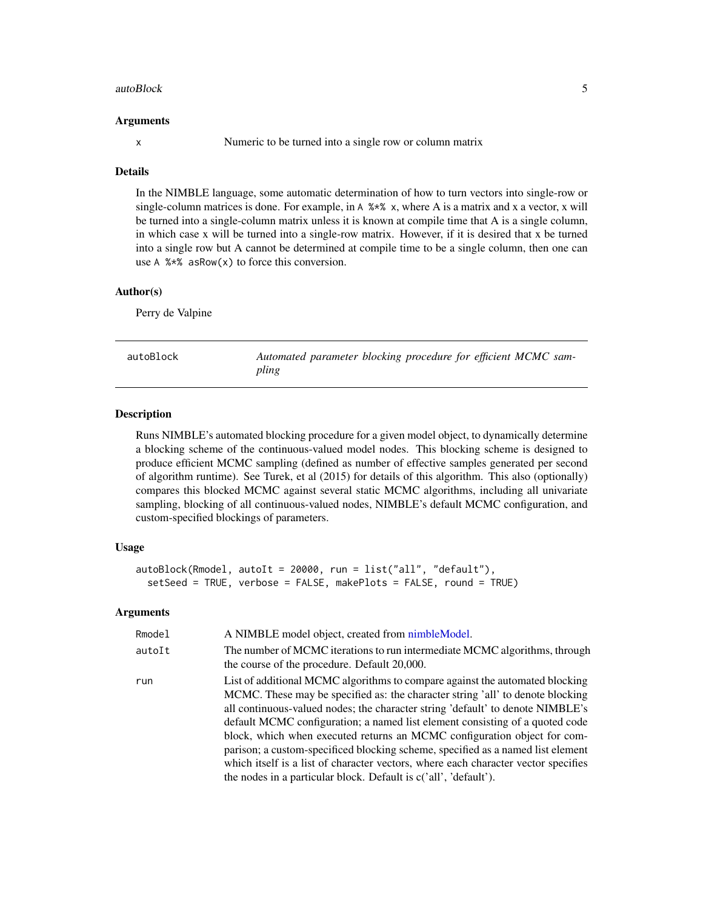#### <span id="page-4-0"></span>autoBlock 5

#### Arguments

x Numeric to be turned into a single row or column matrix

#### Details

In the NIMBLE language, some automatic determination of how to turn vectors into single-row or single-column matrices is done. For example, in A %\* % x, where A is a matrix and x a vector, x will be turned into a single-column matrix unless it is known at compile time that A is a single column, in which case x will be turned into a single-row matrix. However, if it is desired that x be turned into a single row but A cannot be determined at compile time to be a single column, then one can use A  $%$  \*% asRow(x) to force this conversion.

#### Author(s)

Perry de Valpine

| autoBlock | Automated parameter blocking procedure for efficient MCMC sam- |  |  |  |
|-----------|----------------------------------------------------------------|--|--|--|
|           | pling                                                          |  |  |  |

#### Description

Runs NIMBLE's automated blocking procedure for a given model object, to dynamically determine a blocking scheme of the continuous-valued model nodes. This blocking scheme is designed to produce efficient MCMC sampling (defined as number of effective samples generated per second of algorithm runtime). See Turek, et al (2015) for details of this algorithm. This also (optionally) compares this blocked MCMC against several static MCMC algorithms, including all univariate sampling, blocking of all continuous-valued nodes, NIMBLE's default MCMC configuration, and custom-specified blockings of parameters.

#### Usage

```
autoBlock(Rmodel, autoIt = 20000, run = list("all", "default"),
  setSeed = TRUE, verbose = FALSE, makePlots = FALSE, round = TRUE)
```

| Rmodel | A NIMBLE model object, created from nimbleModel.                                                                                                                                                                                                                                                                                                                                                                                                                                                                                                                                                                                                          |
|--------|-----------------------------------------------------------------------------------------------------------------------------------------------------------------------------------------------------------------------------------------------------------------------------------------------------------------------------------------------------------------------------------------------------------------------------------------------------------------------------------------------------------------------------------------------------------------------------------------------------------------------------------------------------------|
| autoIt | The number of MCMC iterations to run intermediate MCMC algorithms, through<br>the course of the procedure. Default 20,000.                                                                                                                                                                                                                                                                                                                                                                                                                                                                                                                                |
| run    | List of additional MCMC algorithms to compare against the automated blocking<br>MCMC. These may be specified as: the character string 'all' to denote blocking<br>all continuous-valued nodes; the character string 'default' to denote NIMBLE's<br>default MCMC configuration; a named list element consisting of a quoted code<br>block, which when executed returns an MCMC configuration object for com-<br>parison; a custom-specificed blocking scheme, specified as a named list element<br>which itself is a list of character vectors, where each character vector specifies<br>the nodes in a particular block. Default is c('all', 'default'). |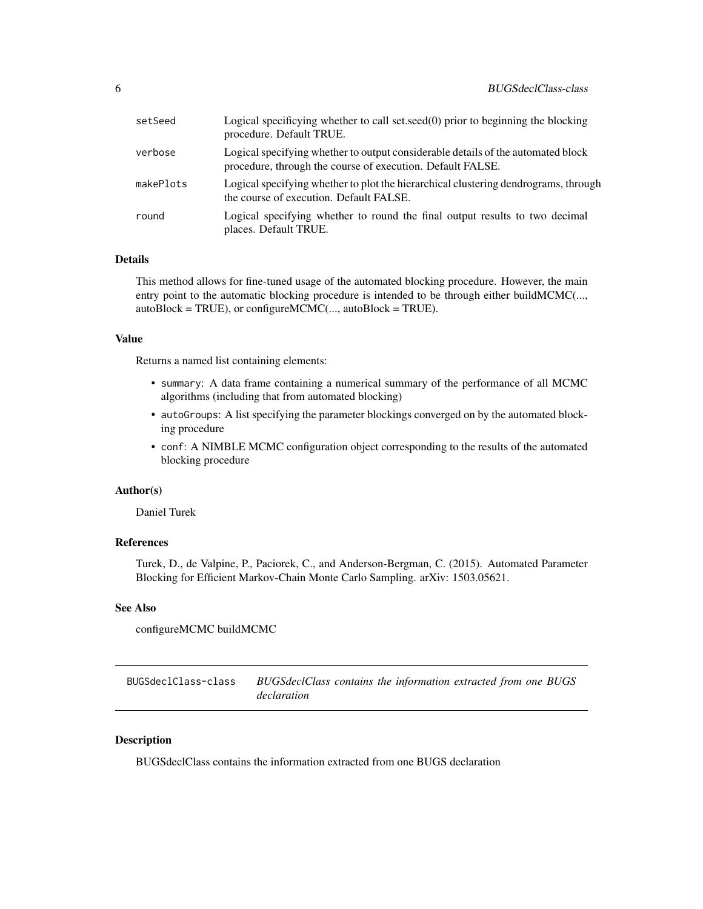<span id="page-5-0"></span>

| setSeed   | Logical specificying whether to call set.seed $(0)$ prior to beginning the blocking<br>procedure. Default TRUE.                                |
|-----------|------------------------------------------------------------------------------------------------------------------------------------------------|
| verbose   | Logical specifying whether to output considerable details of the automated block<br>procedure, through the course of execution. Default FALSE. |
| makePlots | Logical specifying whether to plot the hierarchical clustering dendrograms, through<br>the course of execution. Default FALSE.                 |
| round     | Logical specifying whether to round the final output results to two decimal<br>places. Default TRUE.                                           |

#### Details

This method allows for fine-tuned usage of the automated blocking procedure. However, the main entry point to the automatic blocking procedure is intended to be through either buildMCMC(...,  $autoBlock = TRUE$ ), or configure $MCMC$ (...,  $autoBlock = TRUE$ ).

# Value

Returns a named list containing elements:

- summary: A data frame containing a numerical summary of the performance of all MCMC algorithms (including that from automated blocking)
- autoGroups: A list specifying the parameter blockings converged on by the automated blocking procedure
- conf: A NIMBLE MCMC configuration object corresponding to the results of the automated blocking procedure

#### Author(s)

Daniel Turek

# References

Turek, D., de Valpine, P., Paciorek, C., and Anderson-Bergman, C. (2015). Automated Parameter Blocking for Efficient Markov-Chain Monte Carlo Sampling. arXiv: 1503.05621.

#### See Also

configureMCMC buildMCMC

BUGSdeclClass-class *BUGSdeclClass contains the information extracted from one BUGS declaration*

# Description

BUGSdeclClass contains the information extracted from one BUGS declaration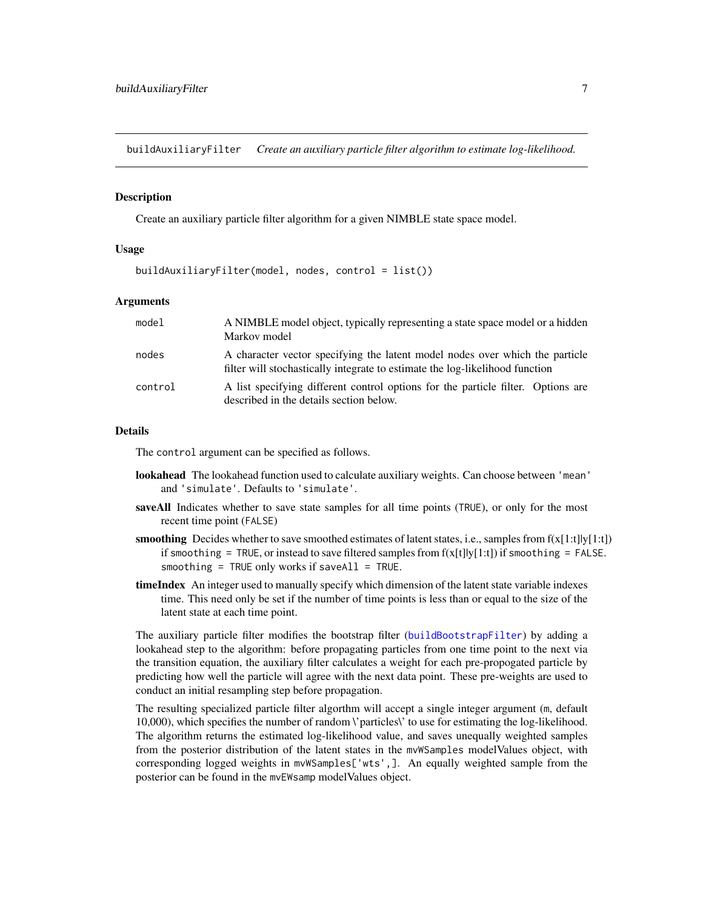<span id="page-6-1"></span><span id="page-6-0"></span>buildAuxiliaryFilter *Create an auxiliary particle filter algorithm to estimate log-likelihood.*

#### Description

Create an auxiliary particle filter algorithm for a given NIMBLE state space model.

#### Usage

buildAuxiliaryFilter(model, nodes, control = list())

#### Arguments

| model   | A NIMBLE model object, typically representing a state space model or a hidden<br>Markov model                                                                |
|---------|--------------------------------------------------------------------------------------------------------------------------------------------------------------|
| nodes   | A character vector specifying the latent model nodes over which the particle<br>filter will stochastically integrate to estimate the log-likelihood function |
| control | A list specifying different control options for the particle filter. Options are<br>described in the details section below.                                  |

#### Details

The control argument can be specified as follows.

- lookahead The lookahead function used to calculate auxiliary weights. Can choose between 'mean' and 'simulate'. Defaults to 'simulate'.
- saveAll Indicates whether to save state samples for all time points (TRUE), or only for the most recent time point (FALSE)
- **smoothing** Decides whether to save smoothed estimates of latent states, i.e., samples from  $f(x[1:t]|y[1:t])$ if smoothing = TRUE, or instead to save filtered samples from  $f(x[t] | y[1:t])$  if smoothing = FALSE. smoothing = TRUE only works if saveAll = TRUE.
- timeIndex An integer used to manually specify which dimension of the latent state variable indexes time. This need only be set if the number of time points is less than or equal to the size of the latent state at each time point.

The auxiliary particle filter modifies the bootstrap filter ([buildBootstrapFilter](#page-7-1)) by adding a lookahead step to the algorithm: before propagating particles from one time point to the next via the transition equation, the auxiliary filter calculates a weight for each pre-propogated particle by predicting how well the particle will agree with the next data point. These pre-weights are used to conduct an initial resampling step before propagation.

The resulting specialized particle filter algorthm will accept a single integer argument (m, default 10,000), which specifies the number of random \'particles\' to use for estimating the log-likelihood. The algorithm returns the estimated log-likelihood value, and saves unequally weighted samples from the posterior distribution of the latent states in the mvWSamples modelValues object, with corresponding logged weights in mvWSamples['wts',]. An equally weighted sample from the posterior can be found in the mvEWsamp modelValues object.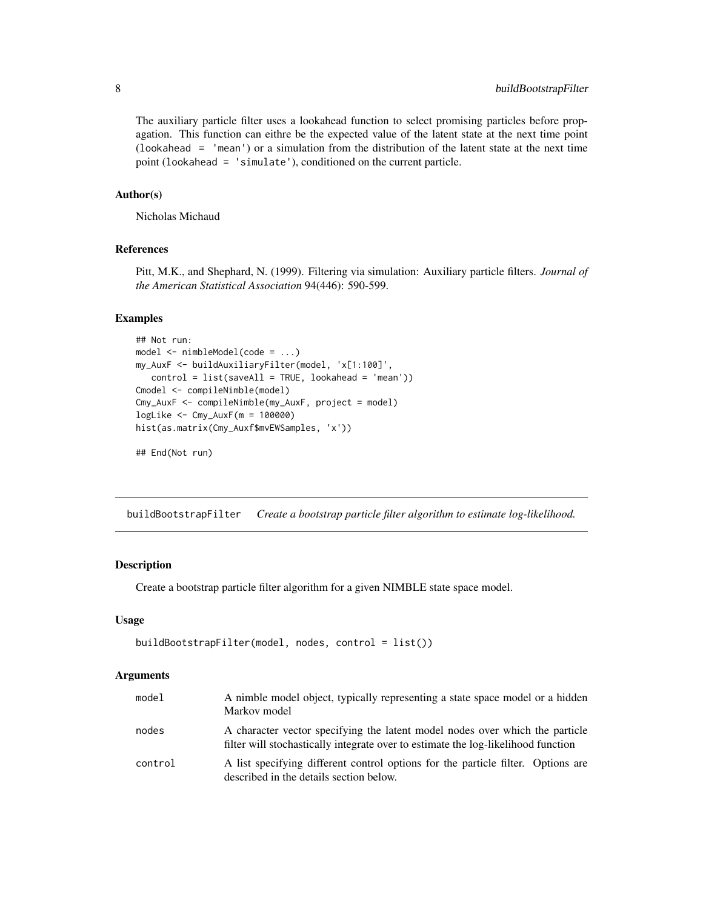The auxiliary particle filter uses a lookahead function to select promising particles before propagation. This function can eithre be the expected value of the latent state at the next time point (lookahead = 'mean') or a simulation from the distribution of the latent state at the next time point (lookahead = 'simulate'), conditioned on the current particle.

#### Author(s)

Nicholas Michaud

# References

Pitt, M.K., and Shephard, N. (1999). Filtering via simulation: Auxiliary particle filters. *Journal of the American Statistical Association* 94(446): 590-599.

#### Examples

```
## Not run:
model <- nimbleModel(code = ...)
my_AuxF <- buildAuxiliaryFilter(model, 'x[1:100]',
   control = list(saveAll = TRUE, lookahead = 'mean'))
Cmodel <- compileNimble(model)
Cmy_AuxF <- compileNimble(my_AuxF, project = model)
logLike <- Cmy_AuxF(m = 100000)
hist(as.matrix(Cmy_Auxf$mvEWSamples, 'x'))
```
## End(Not run)

<span id="page-7-1"></span>buildBootstrapFilter *Create a bootstrap particle filter algorithm to estimate log-likelihood.*

# Description

Create a bootstrap particle filter algorithm for a given NIMBLE state space model.

#### Usage

```
buildBootstrapFilter(model, nodes, control = list())
```

| model   | A nimble model object, typically representing a state space model or a hidden<br>Markov model                                                                     |
|---------|-------------------------------------------------------------------------------------------------------------------------------------------------------------------|
| nodes   | A character vector specifying the latent model nodes over which the particle<br>filter will stochastically integrate over to estimate the log-likelihood function |
| control | A list specifying different control options for the particle filter. Options are<br>described in the details section below.                                       |

<span id="page-7-0"></span>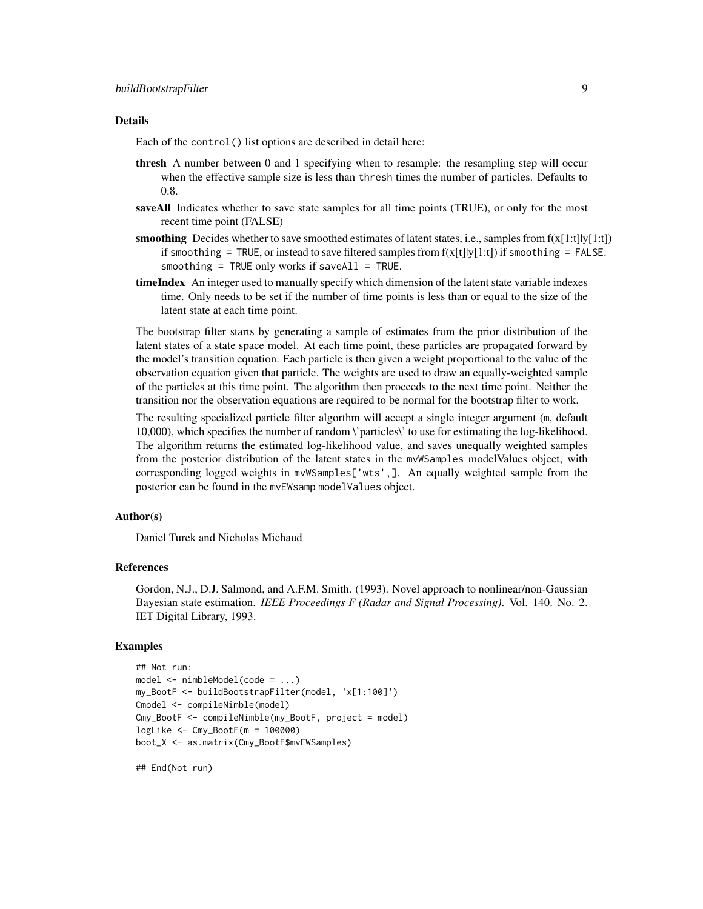#### Details

Each of the control() list options are described in detail here:

- thresh A number between 0 and 1 specifying when to resample: the resampling step will occur when the effective sample size is less than thresh times the number of particles. Defaults to 0.8.
- saveAll Indicates whether to save state samples for all time points (TRUE), or only for the most recent time point (FALSE)
- **smoothing** Decides whether to save smoothed estimates of latent states, i.e., samples from  $f(x[1:t]|y[1:t])$ if smoothing = TRUE, or instead to save filtered samples from  $f(x[t] | y[1:t])$  if smoothing = FALSE. smoothing = TRUE only works if saveAll = TRUE.
- timeIndex An integer used to manually specify which dimension of the latent state variable indexes time. Only needs to be set if the number of time points is less than or equal to the size of the latent state at each time point.

The bootstrap filter starts by generating a sample of estimates from the prior distribution of the latent states of a state space model. At each time point, these particles are propagated forward by the model's transition equation. Each particle is then given a weight proportional to the value of the observation equation given that particle. The weights are used to draw an equally-weighted sample of the particles at this time point. The algorithm then proceeds to the next time point. Neither the transition nor the observation equations are required to be normal for the bootstrap filter to work.

The resulting specialized particle filter algorthm will accept a single integer argument (m, default 10,000), which specifies the number of random \'particles\' to use for estimating the log-likelihood. The algorithm returns the estimated log-likelihood value, and saves unequally weighted samples from the posterior distribution of the latent states in the mvWSamples modelValues object, with corresponding logged weights in mvWSamples['wts',]. An equally weighted sample from the posterior can be found in the mvEWsamp modelValues object.

## Author(s)

Daniel Turek and Nicholas Michaud

#### References

Gordon, N.J., D.J. Salmond, and A.F.M. Smith. (1993). Novel approach to nonlinear/non-Gaussian Bayesian state estimation. *IEEE Proceedings F (Radar and Signal Processing)*. Vol. 140. No. 2. IET Digital Library, 1993.

#### Examples

```
## Not run:
model <- nimbleModel(code = ...)
my_BootF <- buildBootstrapFilter(model, 'x[1:100]')
Cmodel <- compileNimble(model)
Cmy_BootF <- compileNimble(my_BootF, project = model)
logLike <- Cmy_BootF(m = 100000)
boot_X <- as.matrix(Cmy_BootF$mvEWSamples)
```
## End(Not run)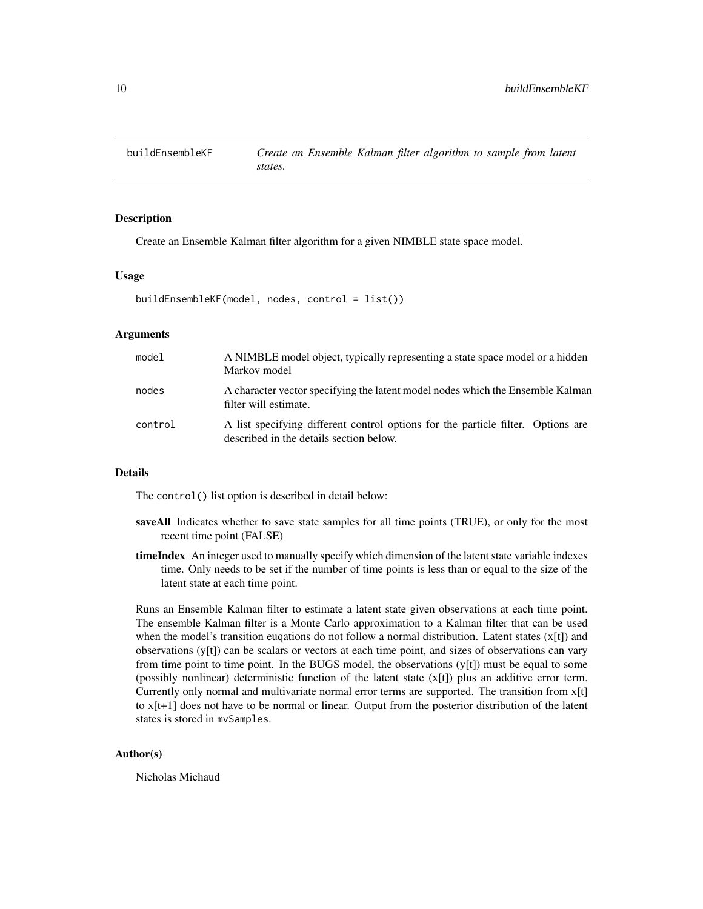<span id="page-9-0"></span>

Create an Ensemble Kalman filter algorithm for a given NIMBLE state space model.

#### Usage

buildEnsembleKF(model, nodes, control = list())

# Arguments

| model   | A NIMBLE model object, typically representing a state space model or a hidden<br>Markov model                               |
|---------|-----------------------------------------------------------------------------------------------------------------------------|
| nodes   | A character vector specifying the latent model nodes which the Ensemble Kalman<br>filter will estimate.                     |
| control | A list specifying different control options for the particle filter. Options are<br>described in the details section below. |

#### Details

The control() list option is described in detail below:

- saveAll Indicates whether to save state samples for all time points (TRUE), or only for the most recent time point (FALSE)
- timeIndex An integer used to manually specify which dimension of the latent state variable indexes time. Only needs to be set if the number of time points is less than or equal to the size of the latent state at each time point.

Runs an Ensemble Kalman filter to estimate a latent state given observations at each time point. The ensemble Kalman filter is a Monte Carlo approximation to a Kalman filter that can be used when the model's transition eugations do not follow a normal distribution. Latent states  $(x[t])$  and observations (y[t]) can be scalars or vectors at each time point, and sizes of observations can vary from time point to time point. In the BUGS model, the observations  $(y[t])$  must be equal to some (possibly nonlinear) deterministic function of the latent state (x[t]) plus an additive error term. Currently only normal and multivariate normal error terms are supported. The transition from x[t] to x[t+1] does not have to be normal or linear. Output from the posterior distribution of the latent states is stored in mvSamples.

#### Author(s)

Nicholas Michaud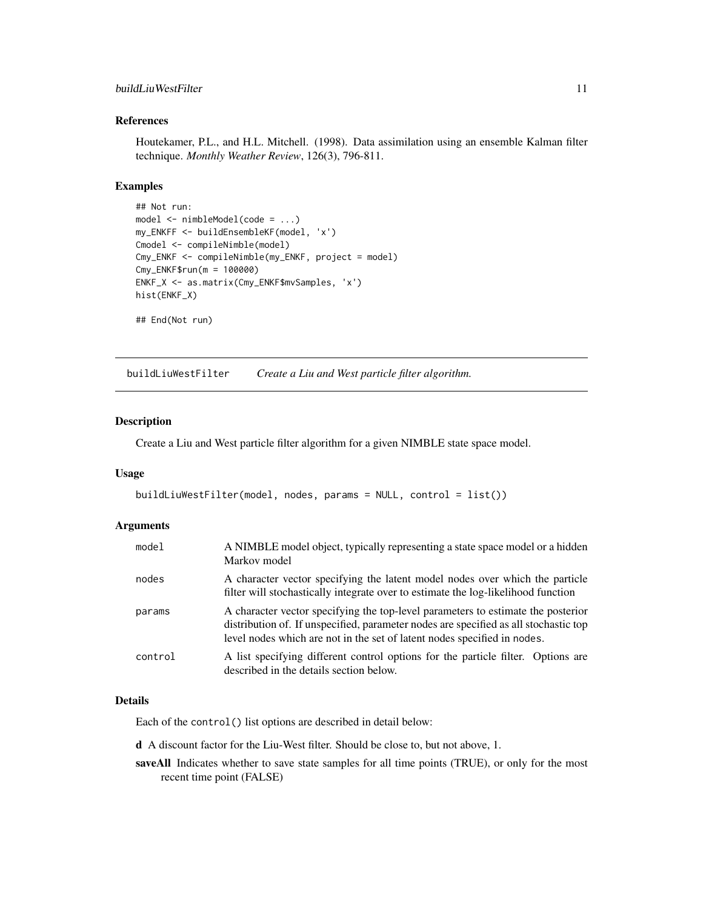# <span id="page-10-0"></span>buildLiuWestFilter 11

# References

Houtekamer, P.L., and H.L. Mitchell. (1998). Data assimilation using an ensemble Kalman filter technique. *Monthly Weather Review*, 126(3), 796-811.

#### Examples

```
## Not run:
model <- nimbleModel(code = ...)
my_ENKFF <- buildEnsembleKF(model, 'x')
Cmodel <- compileNimble(model)
Cmy_ENKF <- compileNimble(my_ENKF, project = model)
Cmy_ENKF$run(m = 100000)
ENKF_X <- as.matrix(Cmy_ENKF$mvSamples, 'x')
hist(ENKF_X)
## End(Not run)
```
buildLiuWestFilter *Create a Liu and West particle filter algorithm.*

#### Description

Create a Liu and West particle filter algorithm for a given NIMBLE state space model.

# Usage

```
buildLiuWestFilter(model, nodes, params = NULL, control = list())
```
#### Arguments

| model   | A NIMBLE model object, typically representing a state space model or a hidden<br>Markov model                                                                                                                                                        |
|---------|------------------------------------------------------------------------------------------------------------------------------------------------------------------------------------------------------------------------------------------------------|
| nodes   | A character vector specifying the latent model nodes over which the particle<br>filter will stochastically integrate over to estimate the log-likelihood function                                                                                    |
| params  | A character vector specifying the top-level parameters to estimate the posterior<br>distribution of. If unspecified, parameter nodes are specified as all stochastic top<br>level nodes which are not in the set of latent nodes specified in nodes. |
| control | A list specifying different control options for the particle filter. Options are<br>described in the details section below.                                                                                                                          |

### Details

Each of the control() list options are described in detail below:

d A discount factor for the Liu-West filter. Should be close to, but not above, 1.

saveAll Indicates whether to save state samples for all time points (TRUE), or only for the most recent time point (FALSE)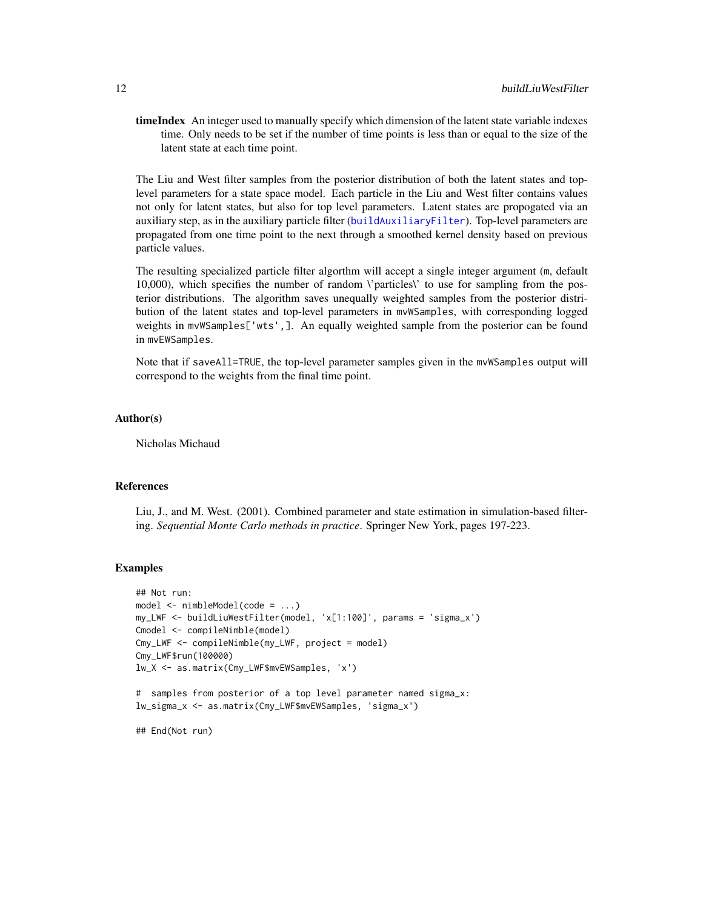timeIndex An integer used to manually specify which dimension of the latent state variable indexes time. Only needs to be set if the number of time points is less than or equal to the size of the latent state at each time point.

The Liu and West filter samples from the posterior distribution of both the latent states and toplevel parameters for a state space model. Each particle in the Liu and West filter contains values not only for latent states, but also for top level parameters. Latent states are propogated via an auxiliary step, as in the auxiliary particle filter ([buildAuxiliaryFilter](#page-6-1)). Top-level parameters are propagated from one time point to the next through a smoothed kernel density based on previous particle values.

The resulting specialized particle filter algorthm will accept a single integer argument (m, default 10,000), which specifies the number of random \'particles\' to use for sampling from the posterior distributions. The algorithm saves unequally weighted samples from the posterior distribution of the latent states and top-level parameters in mvWSamples, with corresponding logged weights in mvWSamples['wts',]. An equally weighted sample from the posterior can be found in mvEWSamples.

Note that if saveAll=TRUE, the top-level parameter samples given in the mvWSamples output will correspond to the weights from the final time point.

#### Author(s)

Nicholas Michaud

# References

Liu, J., and M. West. (2001). Combined parameter and state estimation in simulation-based filtering. *Sequential Monte Carlo methods in practice*. Springer New York, pages 197-223.

# Examples

```
## Not run:
model <- nimbleModel(code = ...)
my_LWF <- buildLiuWestFilter(model, 'x[1:100]', params = 'sigma_x')
Cmodel <- compileNimble(model)
Cmy_LWF <- compileNimble(my_LWF, project = model)
Cmy_LWF$run(100000)
lw_X <- as.matrix(Cmy_LWF$mvEWSamples, 'x')
# samples from posterior of a top level parameter named sigma_x:
```

```
lw_sigma_x <- as.matrix(Cmy_LWF$mvEWSamples, 'sigma_x')
```
## End(Not run)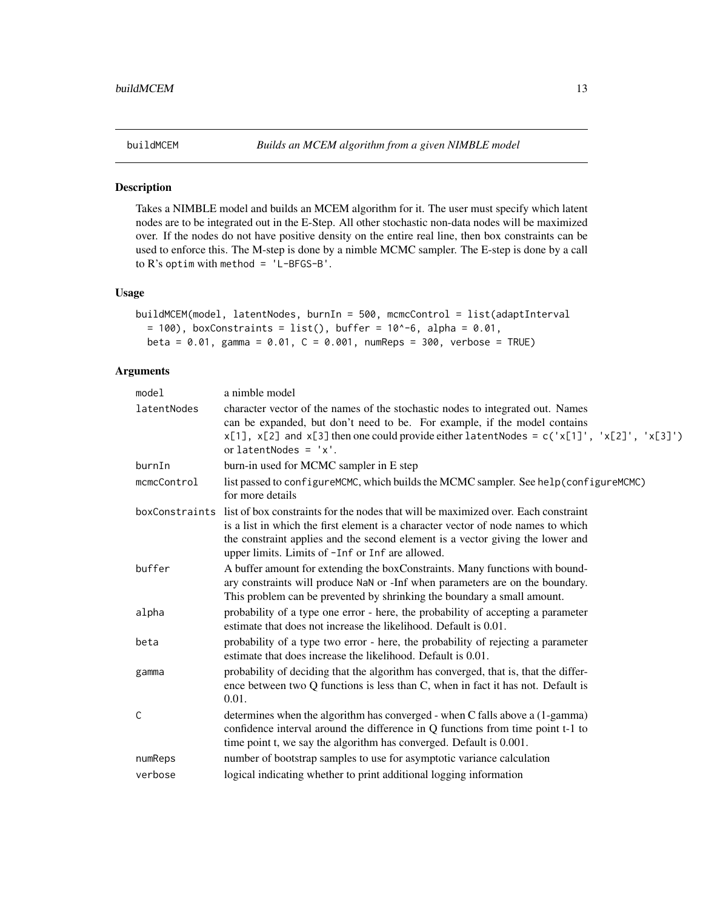<span id="page-12-0"></span>

Takes a NIMBLE model and builds an MCEM algorithm for it. The user must specify which latent nodes are to be integrated out in the E-Step. All other stochastic non-data nodes will be maximized over. If the nodes do not have positive density on the entire real line, then box constraints can be used to enforce this. The M-step is done by a nimble MCMC sampler. The E-step is done by a call to R's optim with method = 'L-BFGS-B'.

#### Usage

```
buildMCEM(model, latentNodes, burnIn = 500, mcmcControl = list(adaptInterval
  = 100), boxConstraints = list(), buffer = 10^{\circ}-6, alpha = 0.01,
 beta = 0.01, gamma = 0.01, C = 0.001, numReps = 300, verbose = TRUE)
```

| model        | a nimble model                                                                                                                                                                                                                                                                                                               |
|--------------|------------------------------------------------------------------------------------------------------------------------------------------------------------------------------------------------------------------------------------------------------------------------------------------------------------------------------|
| latentNodes  | character vector of the names of the stochastic nodes to integrated out. Names<br>can be expanded, but don't need to be. For example, if the model contains<br>$x[1]$ , $x[2]$ and $x[3]$ then one could provide either latentNodes = c('x[1]', 'x[2]', 'x[3]')<br>or latentNodes = $'x'.$                                   |
| burnIn       | burn-in used for MCMC sampler in E step                                                                                                                                                                                                                                                                                      |
| mcmcControl  | list passed to configure MCMC, which builds the MCMC sampler. See help(configure MCMC)<br>for more details                                                                                                                                                                                                                   |
|              | boxConstraints list of box constraints for the nodes that will be maximized over. Each constraint<br>is a list in which the first element is a character vector of node names to which<br>the constraint applies and the second element is a vector giving the lower and<br>upper limits. Limits of -Inf or Inf are allowed. |
| buffer       | A buffer amount for extending the boxConstraints. Many functions with bound-<br>ary constraints will produce NaN or -Inf when parameters are on the boundary.<br>This problem can be prevented by shrinking the boundary a small amount.                                                                                     |
| alpha        | probability of a type one error - here, the probability of accepting a parameter<br>estimate that does not increase the likelihood. Default is 0.01.                                                                                                                                                                         |
| beta         | probability of a type two error - here, the probability of rejecting a parameter<br>estimate that does increase the likelihood. Default is 0.01.                                                                                                                                                                             |
| gamma        | probability of deciding that the algorithm has converged, that is, that the differ-<br>ence between two Q functions is less than C, when in fact it has not. Default is<br>0.01.                                                                                                                                             |
| $\mathsf{C}$ | determines when the algorithm has converged - when C falls above a (1-gamma)<br>confidence interval around the difference in Q functions from time point t-1 to<br>time point t, we say the algorithm has converged. Default is 0.001.                                                                                       |
| numReps      | number of bootstrap samples to use for asymptotic variance calculation                                                                                                                                                                                                                                                       |
| verbose      | logical indicating whether to print additional logging information                                                                                                                                                                                                                                                           |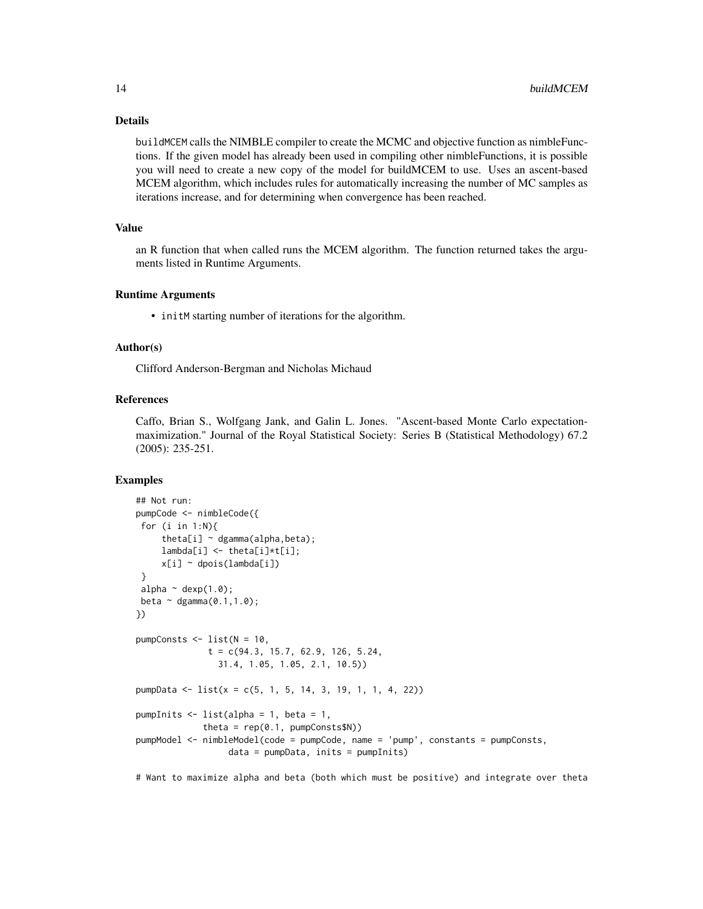#### Details

buildMCEM calls the NIMBLE compiler to create the MCMC and objective function as nimbleFunctions. If the given model has already been used in compiling other nimbleFunctions, it is possible you will need to create a new copy of the model for buildMCEM to use. Uses an ascent-based MCEM algorithm, which includes rules for automatically increasing the number of MC samples as iterations increase, and for determining when convergence has been reached.

# Value

an R function that when called runs the MCEM algorithm. The function returned takes the arguments listed in Runtime Arguments.

#### Runtime Arguments

• initM starting number of iterations for the algorithm.

#### Author(s)

Clifford Anderson-Bergman and Nicholas Michaud

#### References

Caffo, Brian S., Wolfgang Jank, and Galin L. Jones. "Ascent-based Monte Carlo expectationmaximization." Journal of the Royal Statistical Society: Series B (Statistical Methodology) 67.2 (2005): 235-251.

# Examples

```
## Not run:
pumpCode <- nimbleCode({
for (i in 1:N){
     theta[i] \sim dgamma(alpha, beta);
     lambda[i] < -theta[i]*t[i];x[i] ~ dpois(lambda[i])
 }
alpha \sim dexp(1.0);
beta \sim dgamma(0.1, 1.0);
})
pumpConsts \leq - list(N = 10,
              t = c(94.3, 15.7, 62.9, 126, 5.24,31.4, 1.05, 1.05, 2.1, 10.5))
pumpData <- list(x = c(5, 1, 5, 14, 3, 19, 1, 1, 4, 22))
pumpInits \leq list(alpha = 1, beta = 1,
             theta = rep(0.1, pumpConsts(N))pumpModel <- nimbleModel(code = pumpCode, name = 'pump', constants = pumpConsts,
                  data = pumpData, inits = pumpInits)
```
# Want to maximize alpha and beta (both which must be positive) and integrate over theta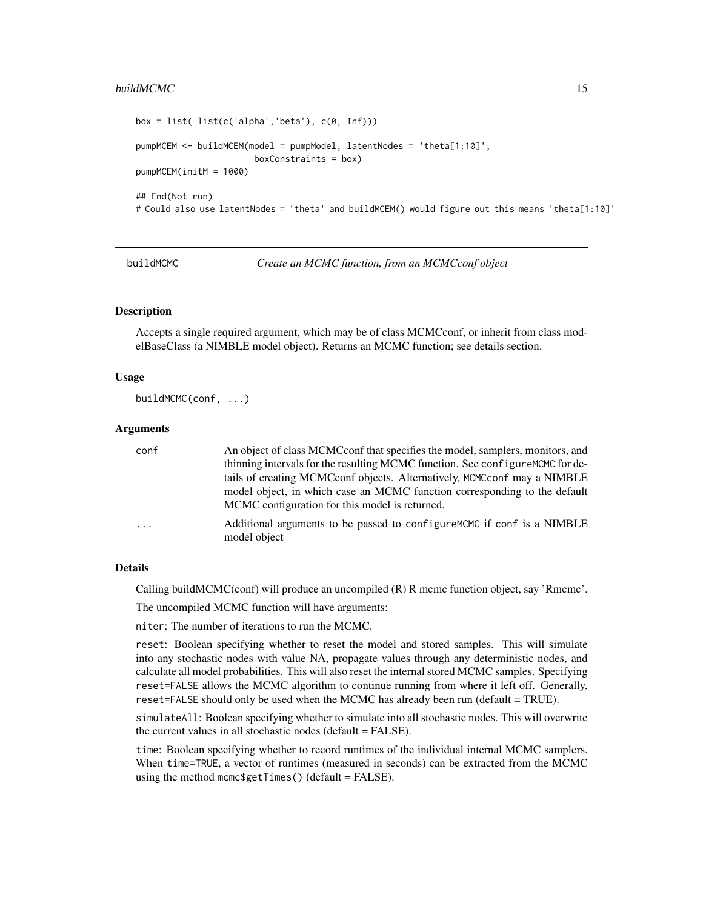#### <span id="page-14-0"></span>buildMCMC 15

```
box = list( list(c('alpha', 'beta'), c(0, Inf)))pumpMCEM <- buildMCEM(model = pumpModel, latentNodes = 'theta[1:10]',
                       boxConstraints = box)
pumpMCEM(initM = 1000)
## End(Not run)
# Could also use latentNodes = 'theta' and buildMCEM() would figure out this means 'theta[1:10]'
```
<span id="page-14-1"></span>buildMCMC *Create an MCMC function, from an MCMCconf object*

#### Description

Accepts a single required argument, which may be of class MCMCconf, or inherit from class modelBaseClass (a NIMBLE model object). Returns an MCMC function; see details section.

#### Usage

buildMCMC(conf, ...)

#### Arguments

| conf | An object of class MCMCconf that specifies the model, samplers, monitors, and           |
|------|-----------------------------------------------------------------------------------------|
|      | thinning intervals for the resulting MCMC function. See configure MCMC for de-          |
|      | tails of creating MCMCconf objects. Alternatively, MCMCconf may a NIMBLE                |
|      | model object, in which case an MCMC function corresponding to the default               |
|      | MCMC configuration for this model is returned.                                          |
| .    | Additional arguments to be passed to configure MCMC if conf is a NIMBLE<br>model object |
|      |                                                                                         |

# Details

Calling buildMCMC(conf) will produce an uncompiled (R) R mcmc function object, say 'Rmcmc'.

The uncompiled MCMC function will have arguments:

niter: The number of iterations to run the MCMC.

reset: Boolean specifying whether to reset the model and stored samples. This will simulate into any stochastic nodes with value NA, propagate values through any deterministic nodes, and calculate all model probabilities. This will also reset the internal stored MCMC samples. Specifying reset=FALSE allows the MCMC algorithm to continue running from where it left off. Generally, reset=FALSE should only be used when the MCMC has already been run (default = TRUE).

simulateAll: Boolean specifying whether to simulate into all stochastic nodes. This will overwrite the current values in all stochastic nodes (default = FALSE).

time: Boolean specifying whether to record runtimes of the individual internal MCMC samplers. When time=TRUE, a vector of runtimes (measured in seconds) can be extracted from the MCMC using the method mcmc\$getTimes() (default = FALSE).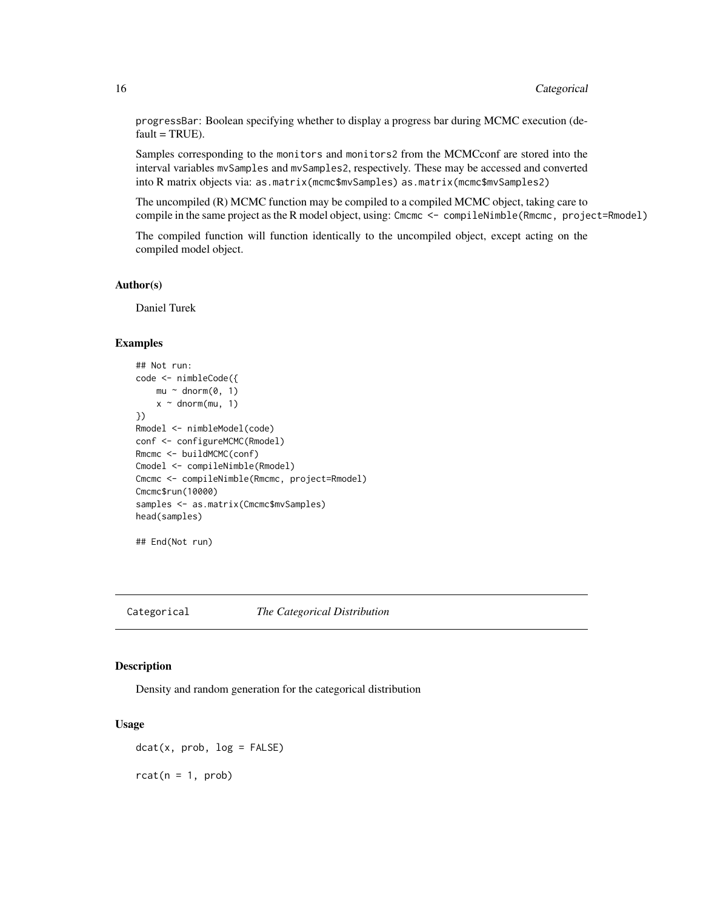progressBar: Boolean specifying whether to display a progress bar during MCMC execution (de $fault = TRUE$ ).

Samples corresponding to the monitors and monitors2 from the MCMCconf are stored into the interval variables mvSamples and mvSamples2, respectively. These may be accessed and converted into R matrix objects via: as.matrix(mcmc\$mvSamples) as.matrix(mcmc\$mvSamples2)

The uncompiled (R) MCMC function may be compiled to a compiled MCMC object, taking care to compile in the same project as the R model object, using: Cmcmc <- compileNimble(Rmcmc, project=Rmodel)

The compiled function will function identically to the uncompiled object, except acting on the compiled model object.

#### Author(s)

Daniel Turek

#### Examples

```
## Not run:
code <- nimbleCode({
   mu ~ ~ dnorm(0, 1)
   x \sim dnorm(mu, 1)
})
Rmodel <- nimbleModel(code)
conf <- configureMCMC(Rmodel)
Rmcmc <- buildMCMC(conf)
Cmodel <- compileNimble(Rmodel)
Cmcmc <- compileNimble(Rmcmc, project=Rmodel)
Cmcmc$run(10000)
samples <- as.matrix(Cmcmc$mvSamples)
head(samples)
## End(Not run)
```
Categorical *The Categorical Distribution*

#### **Description**

Density and random generation for the categorical distribution

#### Usage

 $dot(x, prob, log = FALSE)$ 

 $rcat(n = 1, prob)$ 

<span id="page-15-0"></span>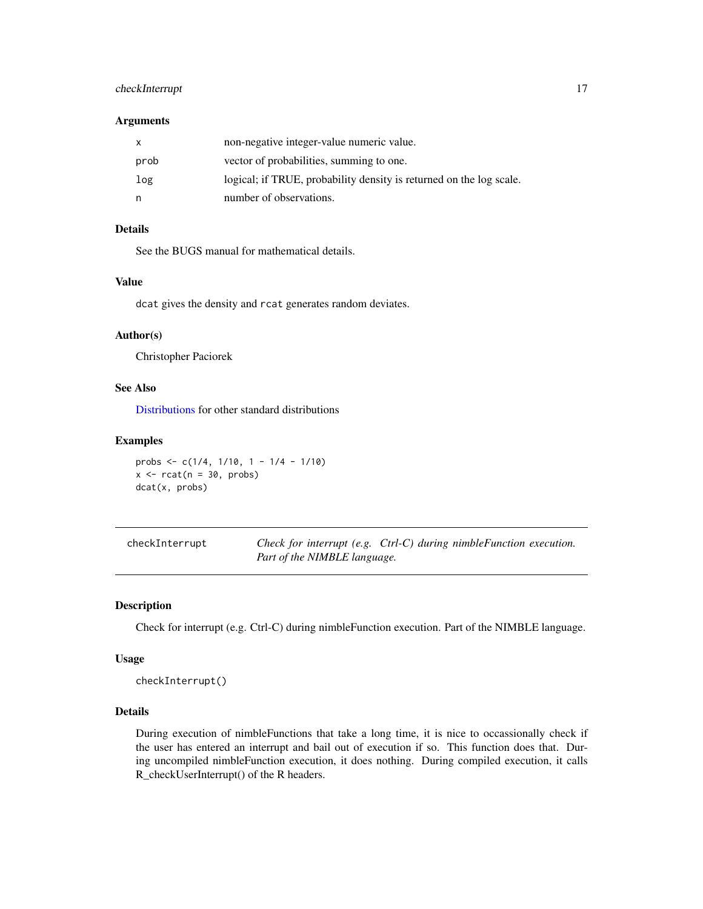# <span id="page-16-0"></span>checkInterrupt 17

#### Arguments

| X    | non-negative integer-value numeric value.                           |
|------|---------------------------------------------------------------------|
| prob | vector of probabilities, summing to one.                            |
| log  | logical; if TRUE, probability density is returned on the log scale. |
| n.   | number of observations.                                             |

# Details

See the BUGS manual for mathematical details.

#### Value

dcat gives the density and rcat generates random deviates.

#### Author(s)

Christopher Paciorek

#### See Also

[Distributions](#page-0-0) for other standard distributions

# Examples

```
probs \leq c(1/4, 1/10, 1 - 1/4 - 1/10)
x \le - rcat(n = 30, probs)
dcat(x, probs)
```

| checkInterrupt |                              |  | Check for interrupt (e.g. $Ctrl-C$ ) during nimble Function execution. |  |
|----------------|------------------------------|--|------------------------------------------------------------------------|--|
|                | Part of the NIMBLE language. |  |                                                                        |  |

# Description

Check for interrupt (e.g. Ctrl-C) during nimbleFunction execution. Part of the NIMBLE language.

## Usage

checkInterrupt()

#### Details

During execution of nimbleFunctions that take a long time, it is nice to occassionally check if the user has entered an interrupt and bail out of execution if so. This function does that. During uncompiled nimbleFunction execution, it does nothing. During compiled execution, it calls R\_checkUserInterrupt() of the R headers.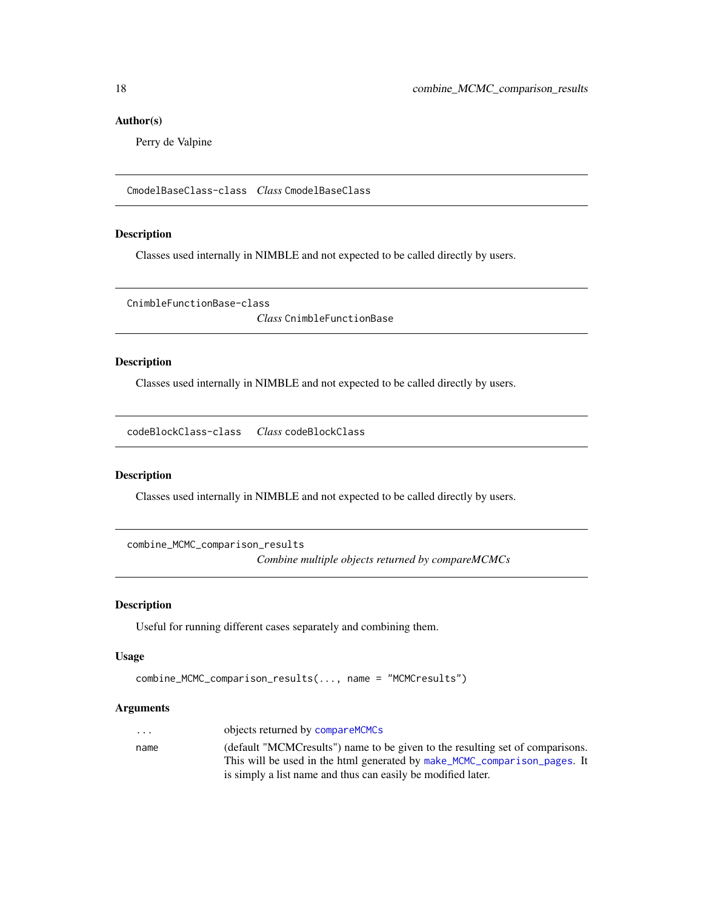# Author(s)

Perry de Valpine

CmodelBaseClass-class *Class* CmodelBaseClass

# Description

Classes used internally in NIMBLE and not expected to be called directly by users.

CnimbleFunctionBase-class

*Class* CnimbleFunctionBase

#### Description

Classes used internally in NIMBLE and not expected to be called directly by users.

codeBlockClass-class *Class* codeBlockClass

## Description

Classes used internally in NIMBLE and not expected to be called directly by users.

<span id="page-17-1"></span>combine\_MCMC\_comparison\_results

*Combine multiple objects returned by compareMCMCs*

# Description

Useful for running different cases separately and combining them.

#### Usage

```
combine_MCMC_comparison_results(..., name = "MCMCresults")
```

| $\cdot$ $\cdot$ $\cdot$ | objects returned by compareMCMCs                                              |
|-------------------------|-------------------------------------------------------------------------------|
| name                    | (default "MCMCresults") name to be given to the resulting set of comparisons. |
|                         | This will be used in the html generated by make_MCMC_comparison_pages. It     |
|                         | is simply a list name and thus can easily be modified later.                  |

<span id="page-17-0"></span>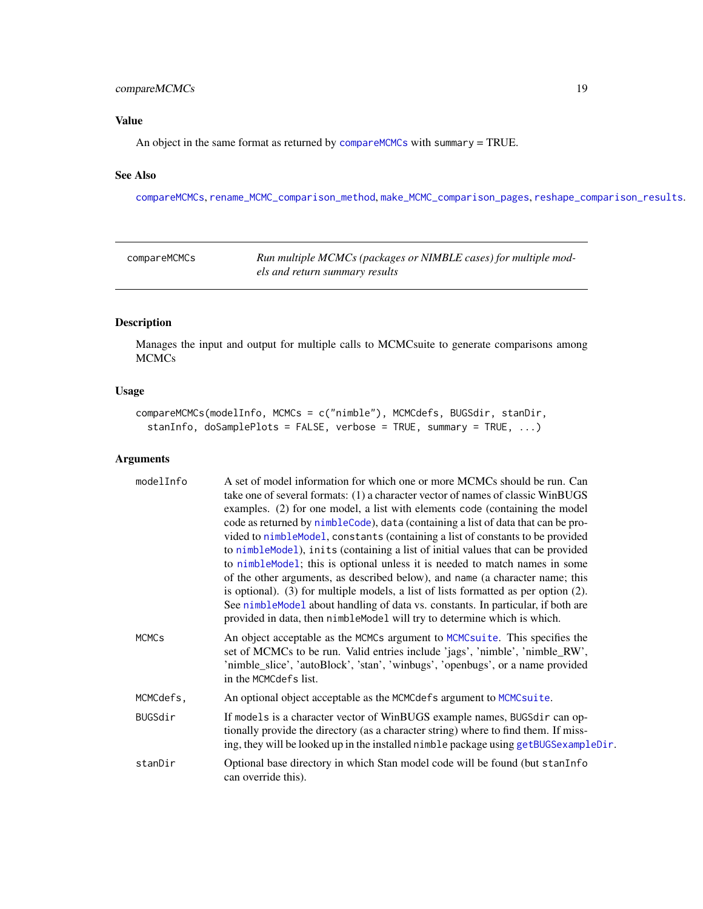# <span id="page-18-0"></span>compareMCMCs 19

# Value

An object in the same format as returned by [compareMCMCs](#page-18-1) with summary = TRUE.

#### See Also

[compareMCMCs](#page-18-1), [rename\\_MCMC\\_comparison\\_method](#page-80-1), [make\\_MCMC\\_comparison\\_pages](#page-37-1), [reshape\\_comparison\\_results](#page-81-1).

<span id="page-18-1"></span>

| compareMCMCs | Run multiple MCMCs (packages or NIMBLE cases) for multiple mod- |
|--------------|-----------------------------------------------------------------|
|              | els and return summary results                                  |

# Description

Manages the input and output for multiple calls to MCMCsuite to generate comparisons among MCMCs

# Usage

```
compareMCMCs(modelInfo, MCMCs = c("nimble"), MCMCdefs, BUGSdir, stanDir,
  stanInfo, doSamplePlots = FALSE, verbose = TRUE, summary = TRUE, ...)
```

| modelInfo    | A set of model information for which one or more MCMCs should be run. Can<br>take one of several formats: (1) a character vector of names of classic WinBUGS<br>examples. (2) for one model, a list with elements code (containing the model<br>code as returned by nimbleCode), data (containing a list of data that can be pro-<br>vided to nimbleModel, constants (containing a list of constants to be provided<br>to nimbleModel), inits (containing a list of initial values that can be provided<br>to nimble Model; this is optional unless it is needed to match names in some<br>of the other arguments, as described below), and name (a character name; this<br>is optional). (3) for multiple models, a list of lists formatted as per option (2).<br>See nimbleModel about handling of data vs. constants. In particular, if both are<br>provided in data, then nimble Model will try to determine which is which. |
|--------------|----------------------------------------------------------------------------------------------------------------------------------------------------------------------------------------------------------------------------------------------------------------------------------------------------------------------------------------------------------------------------------------------------------------------------------------------------------------------------------------------------------------------------------------------------------------------------------------------------------------------------------------------------------------------------------------------------------------------------------------------------------------------------------------------------------------------------------------------------------------------------------------------------------------------------------|
| <b>MCMCs</b> | An object acceptable as the MCMCs argument to MCMCsuite. This specifies the<br>set of MCMCs to be run. Valid entries include 'jags', 'nimble', 'nimble_RW',<br>'nimble_slice', 'autoBlock', 'stan', 'winbugs', 'openbugs', or a name provided<br>in the MCMCdefs list.                                                                                                                                                                                                                                                                                                                                                                                                                                                                                                                                                                                                                                                           |
| MCMCdefs,    | An optional object acceptable as the MCMCdefs argument to MCMCsuite.                                                                                                                                                                                                                                                                                                                                                                                                                                                                                                                                                                                                                                                                                                                                                                                                                                                             |
| BUGSdir      | If models is a character vector of WinBUGS example names, BUGSdir can op-<br>tionally provide the directory (as a character string) where to find them. If miss-<br>ing, they will be looked up in the installed nimble package using getBUGSexampleDir.                                                                                                                                                                                                                                                                                                                                                                                                                                                                                                                                                                                                                                                                         |
| stanDir      | Optional base directory in which Stan model code will be found (but stanInfo<br>can override this).                                                                                                                                                                                                                                                                                                                                                                                                                                                                                                                                                                                                                                                                                                                                                                                                                              |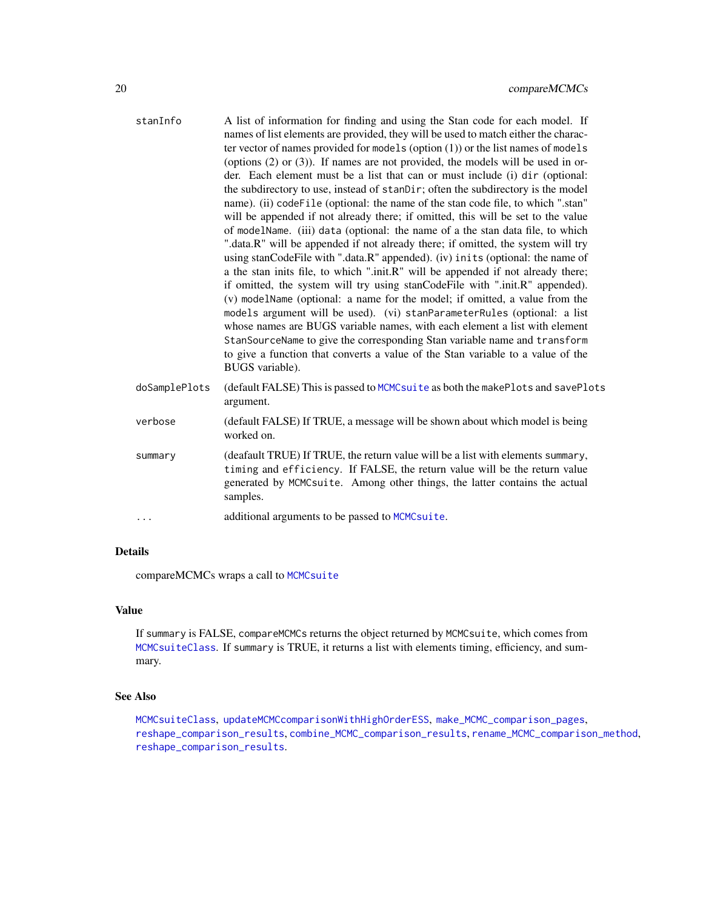| stanInfo      | A list of information for finding and using the Stan code for each model. If<br>names of list elements are provided, they will be used to match either the charac-<br>ter vector of names provided for models (option $(1)$ ) or the list names of models<br>(options $(2)$ or $(3)$ ). If names are not provided, the models will be used in or-<br>der. Each element must be a list that can or must include (i) dir (optional:<br>the subdirectory to use, instead of stanDir; often the subdirectory is the model<br>name). (ii) codeFile (optional: the name of the stan code file, to which ".stan"<br>will be appended if not already there; if omitted, this will be set to the value<br>of modelName. (iii) data (optional: the name of a the stan data file, to which<br>".data.R" will be appended if not already there; if omitted, the system will try<br>using stanCodeFile with ".data.R" appended). (iv) inits (optional: the name of<br>a the stan inits file, to which ".init.R" will be appended if not already there;<br>if omitted, the system will try using stanCodeFile with ".init.R" appended).<br>(v) modelName (optional: a name for the model; if omitted, a value from the<br>models argument will be used). (vi) stanParameterRules (optional: a list<br>whose names are BUGS variable names, with each element a list with element<br>StanSourceName to give the corresponding Stan variable name and transform<br>to give a function that converts a value of the Stan variable to a value of the<br>BUGS variable). |
|---------------|-------------------------------------------------------------------------------------------------------------------------------------------------------------------------------------------------------------------------------------------------------------------------------------------------------------------------------------------------------------------------------------------------------------------------------------------------------------------------------------------------------------------------------------------------------------------------------------------------------------------------------------------------------------------------------------------------------------------------------------------------------------------------------------------------------------------------------------------------------------------------------------------------------------------------------------------------------------------------------------------------------------------------------------------------------------------------------------------------------------------------------------------------------------------------------------------------------------------------------------------------------------------------------------------------------------------------------------------------------------------------------------------------------------------------------------------------------------------------------------------------------------------------------------------------------|
| doSamplePlots | (default FALSE) This is passed to MCMC suite as both the makePlots and savePlots<br>argument.                                                                                                                                                                                                                                                                                                                                                                                                                                                                                                                                                                                                                                                                                                                                                                                                                                                                                                                                                                                                                                                                                                                                                                                                                                                                                                                                                                                                                                                         |
| verbose       | (default FALSE) If TRUE, a message will be shown about which model is being<br>worked on.                                                                                                                                                                                                                                                                                                                                                                                                                                                                                                                                                                                                                                                                                                                                                                                                                                                                                                                                                                                                                                                                                                                                                                                                                                                                                                                                                                                                                                                             |
| summary       | (deafault TRUE) If TRUE, the return value will be a list with elements summary,<br>timing and efficiency. If FALSE, the return value will be the return value<br>generated by MCMCsuite. Among other things, the latter contains the actual<br>samples.                                                                                                                                                                                                                                                                                                                                                                                                                                                                                                                                                                                                                                                                                                                                                                                                                                                                                                                                                                                                                                                                                                                                                                                                                                                                                               |
| .             | additional arguments to be passed to MCMCsuite.                                                                                                                                                                                                                                                                                                                                                                                                                                                                                                                                                                                                                                                                                                                                                                                                                                                                                                                                                                                                                                                                                                                                                                                                                                                                                                                                                                                                                                                                                                       |

# Details

compareMCMCs wraps a call to [MCMCsuite](#page-42-1)

# Value

If summary is FALSE, compareMCMCs returns the object returned by MCMCsuite, which comes from [MCMCsuiteClass](#page-46-1). If summary is TRUE, it returns a list with elements timing, efficiency, and summary.

# See Also

[MCMCsuiteClass](#page-46-1), [updateMCMCcomparisonWithHighOrderESS](#page-102-1), [make\\_MCMC\\_comparison\\_pages](#page-37-1), [reshape\\_comparison\\_results](#page-81-1), [combine\\_MCMC\\_comparison\\_results](#page-17-1), [rename\\_MCMC\\_comparison\\_method](#page-80-1), [reshape\\_comparison\\_results](#page-81-1).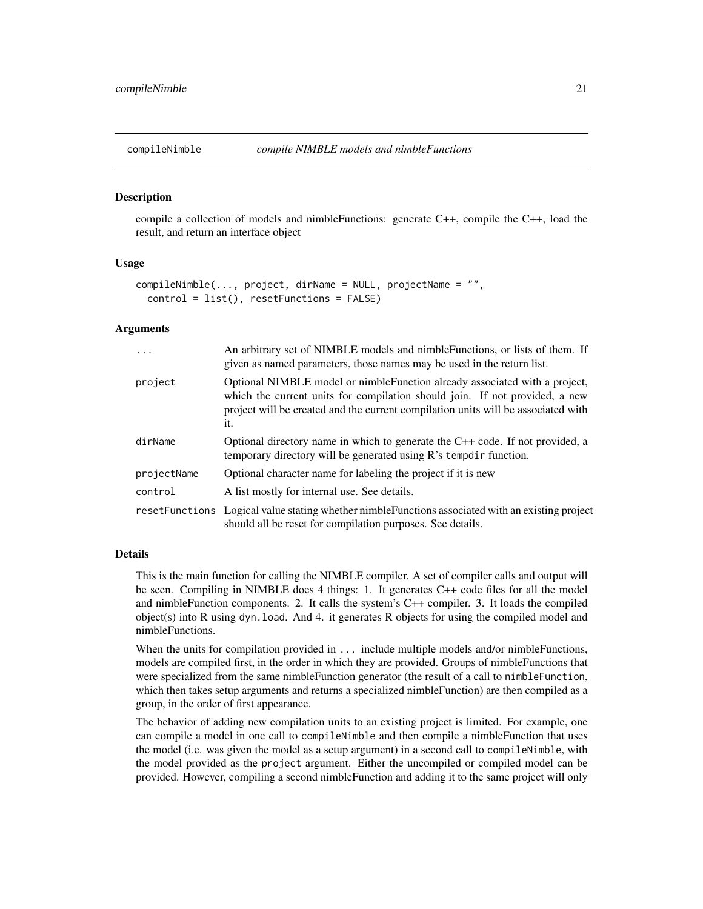<span id="page-20-0"></span>

compile a collection of models and nimbleFunctions: generate C++, compile the C++, load the result, and return an interface object

#### Usage

```
compileNimble(..., project, dirName = NULL, projectName = "",
  control = list(), resetFunctions = FALSE)
```
#### Arguments

| $\cdots$    | An arbitrary set of NIMBLE models and nimbleFunctions, or lists of them. If<br>given as named parameters, those names may be used in the return list.                                                                                                  |
|-------------|--------------------------------------------------------------------------------------------------------------------------------------------------------------------------------------------------------------------------------------------------------|
| project     | Optional NIMBLE model or nimble Function already associated with a project,<br>which the current units for compilation should join. If not provided, a new<br>project will be created and the current compilation units will be associated with<br>it. |
| dirName     | Optional directory name in which to generate the $C++$ code. If not provided, a<br>temporary directory will be generated using R's tempdir function.                                                                                                   |
| projectName | Optional character name for labeling the project if it is new                                                                                                                                                                                          |
| control     | A list mostly for internal use. See details.                                                                                                                                                                                                           |
|             | resetFunctions Logical value stating whether nimble Functions associated with an existing project<br>should all be reset for compilation purposes. See details.                                                                                        |

#### Details

This is the main function for calling the NIMBLE compiler. A set of compiler calls and output will be seen. Compiling in NIMBLE does 4 things: 1. It generates C++ code files for all the model and nimbleFunction components. 2. It calls the system's C++ compiler. 3. It loads the compiled object(s) into R using dyn.load. And 4. it generates R objects for using the compiled model and nimbleFunctions.

When the units for compilation provided in ... include multiple models and/or nimbleFunctions, models are compiled first, in the order in which they are provided. Groups of nimbleFunctions that were specialized from the same nimbleFunction generator (the result of a call to nimbleFunction, which then takes setup arguments and returns a specialized nimbleFunction) are then compiled as a group, in the order of first appearance.

The behavior of adding new compilation units to an existing project is limited. For example, one can compile a model in one call to compileNimble and then compile a nimbleFunction that uses the model (i.e. was given the model as a setup argument) in a second call to compileNimble, with the model provided as the project argument. Either the uncompiled or compiled model can be provided. However, compiling a second nimbleFunction and adding it to the same project will only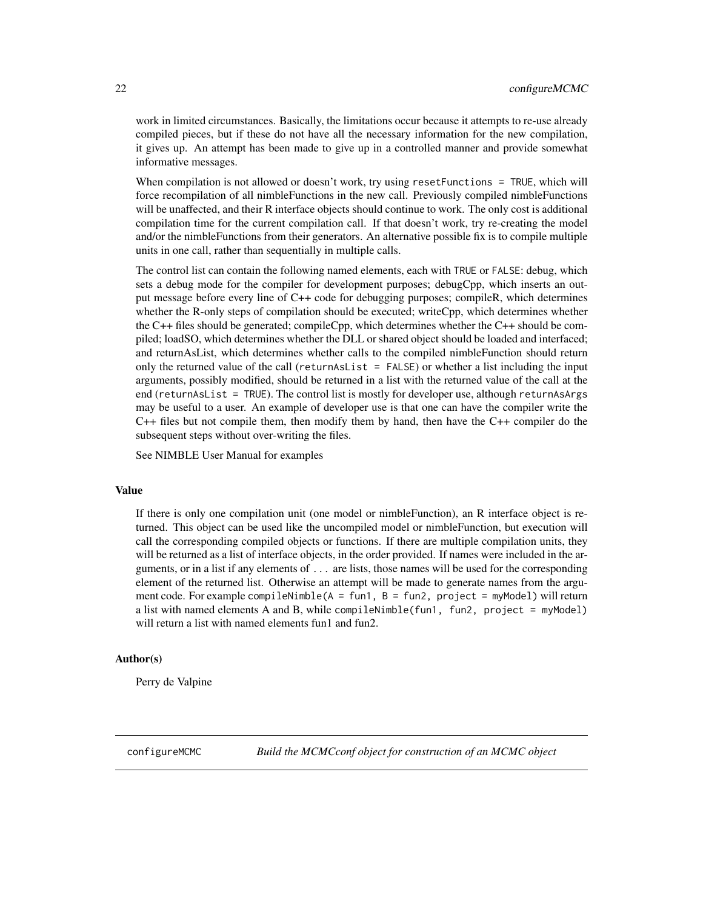<span id="page-21-0"></span>work in limited circumstances. Basically, the limitations occur because it attempts to re-use already compiled pieces, but if these do not have all the necessary information for the new compilation, it gives up. An attempt has been made to give up in a controlled manner and provide somewhat informative messages.

When compilation is not allowed or doesn't work, try using resetFunctions = TRUE, which will force recompilation of all nimbleFunctions in the new call. Previously compiled nimbleFunctions will be unaffected, and their R interface objects should continue to work. The only cost is additional compilation time for the current compilation call. If that doesn't work, try re-creating the model and/or the nimbleFunctions from their generators. An alternative possible fix is to compile multiple units in one call, rather than sequentially in multiple calls.

The control list can contain the following named elements, each with TRUE or FALSE: debug, which sets a debug mode for the compiler for development purposes; debugCpp, which inserts an output message before every line of C++ code for debugging purposes; compileR, which determines whether the R-only steps of compilation should be executed; writeCpp, which determines whether the C++ files should be generated; compileCpp, which determines whether the C++ should be compiled; loadSO, which determines whether the DLL or shared object should be loaded and interfaced; and returnAsList, which determines whether calls to the compiled nimbleFunction should return only the returned value of the call (returnAsList = FALSE) or whether a list including the input arguments, possibly modified, should be returned in a list with the returned value of the call at the end (returnAsList = TRUE). The control list is mostly for developer use, although returnAsArgs may be useful to a user. An example of developer use is that one can have the compiler write the C++ files but not compile them, then modify them by hand, then have the C++ compiler do the subsequent steps without over-writing the files.

See NIMBLE User Manual for examples

#### Value

If there is only one compilation unit (one model or nimbleFunction), an R interface object is returned. This object can be used like the uncompiled model or nimbleFunction, but execution will call the corresponding compiled objects or functions. If there are multiple compilation units, they will be returned as a list of interface objects, in the order provided. If names were included in the arguments, or in a list if any elements of ... are lists, those names will be used for the corresponding element of the returned list. Otherwise an attempt will be made to generate names from the argument code. For example compileNimble( $A = fun1$ ,  $B = fun2$ , project = myModel) will return a list with named elements A and B, while compileNimble(fun1, fun2, project = myModel) will return a list with named elements fun1 and fun2.

#### Author(s)

Perry de Valpine

configureMCMC *Build the MCMCconf object for construction of an MCMC object*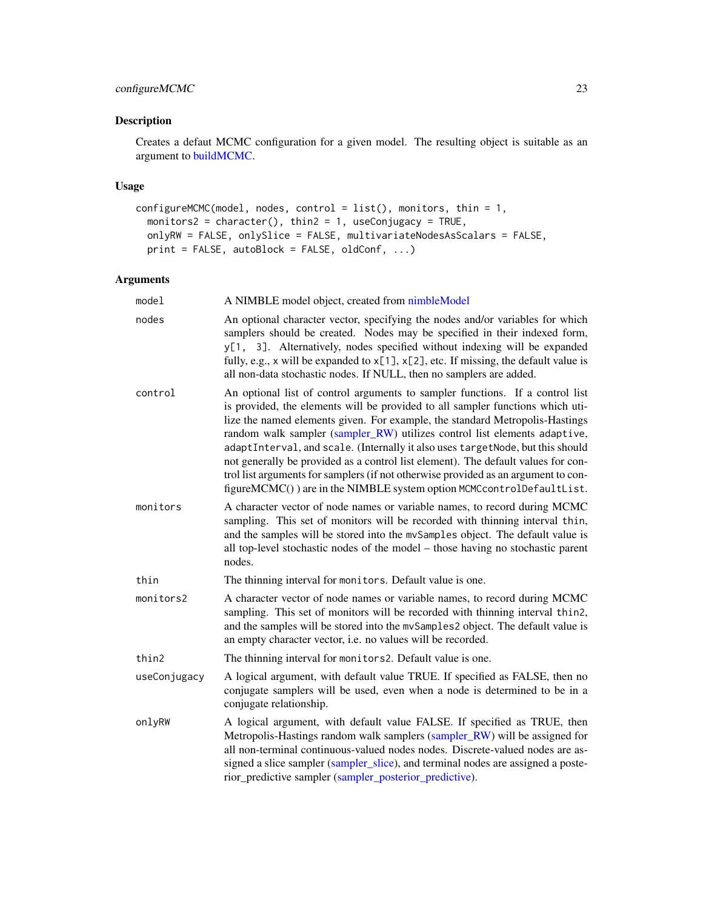# configureMCMC 23

# Description

Creates a defaut MCMC configuration for a given model. The resulting object is suitable as an argument to [buildMCMC.](#page-14-1)

# Usage

```
configureMCMC(model, nodes, control = list(), monitors, thin = 1,
 monitors2 = character(), thin2 = 1, useConjugacy = TRUE,
 onlyRW = FALSE, onlySlice = FALSE, multivariateNodesAsScalars = FALSE,
 print = FALSE, autoBlock = FALSE, oldConf, ...)
```

| model        | A NIMBLE model object, created from nimbleModel                                                                                                                                                                                                                                                                                                                                                                                                                                                                                                                                                                                                                    |
|--------------|--------------------------------------------------------------------------------------------------------------------------------------------------------------------------------------------------------------------------------------------------------------------------------------------------------------------------------------------------------------------------------------------------------------------------------------------------------------------------------------------------------------------------------------------------------------------------------------------------------------------------------------------------------------------|
| nodes        | An optional character vector, specifying the nodes and/or variables for which<br>samplers should be created. Nodes may be specified in their indexed form,<br>y[1, 3]. Alternatively, nodes specified without indexing will be expanded<br>fully, e.g., x will be expanded to $x[1]$ , $x[2]$ , etc. If missing, the default value is<br>all non-data stochastic nodes. If NULL, then no samplers are added.                                                                                                                                                                                                                                                       |
| control      | An optional list of control arguments to sampler functions. If a control list<br>is provided, the elements will be provided to all sampler functions which uti-<br>lize the named elements given. For example, the standard Metropolis-Hastings<br>random walk sampler (sampler_RW) utilizes control list elements adaptive,<br>adaptInterval, and scale. (Internally it also uses targetNode, but this should<br>not generally be provided as a control list element). The default values for con-<br>trol list arguments for samplers (if not otherwise provided as an argument to con-<br>figureMCMC()) are in the NIMBLE system option MCMCcontrolDefaultList. |
| monitors     | A character vector of node names or variable names, to record during MCMC<br>sampling. This set of monitors will be recorded with thinning interval thin,<br>and the samples will be stored into the mvSamples object. The default value is<br>all top-level stochastic nodes of the model – those having no stochastic parent<br>nodes.                                                                                                                                                                                                                                                                                                                           |
| thin         | The thinning interval for monitors. Default value is one.                                                                                                                                                                                                                                                                                                                                                                                                                                                                                                                                                                                                          |
| monitors2    | A character vector of node names or variable names, to record during MCMC<br>sampling. This set of monitors will be recorded with thinning interval thin2,<br>and the samples will be stored into the mvSamples2 object. The default value is<br>an empty character vector, i.e. no values will be recorded.                                                                                                                                                                                                                                                                                                                                                       |
| thin2        | The thinning interval for monitors2. Default value is one.                                                                                                                                                                                                                                                                                                                                                                                                                                                                                                                                                                                                         |
| useConjugacy | A logical argument, with default value TRUE. If specified as FALSE, then no<br>conjugate samplers will be used, even when a node is determined to be in a<br>conjugate relationship.                                                                                                                                                                                                                                                                                                                                                                                                                                                                               |
| onlyRW       | A logical argument, with default value FALSE. If specified as TRUE, then<br>Metropolis-Hastings random walk samplers (sampler_RW) will be assigned for<br>all non-terminal continuous-valued nodes nodes. Discrete-valued nodes are as-<br>signed a slice sampler (sampler_slice), and terminal nodes are assigned a poste-<br>rior_predictive sampler (sampler_posterior_predictive).                                                                                                                                                                                                                                                                             |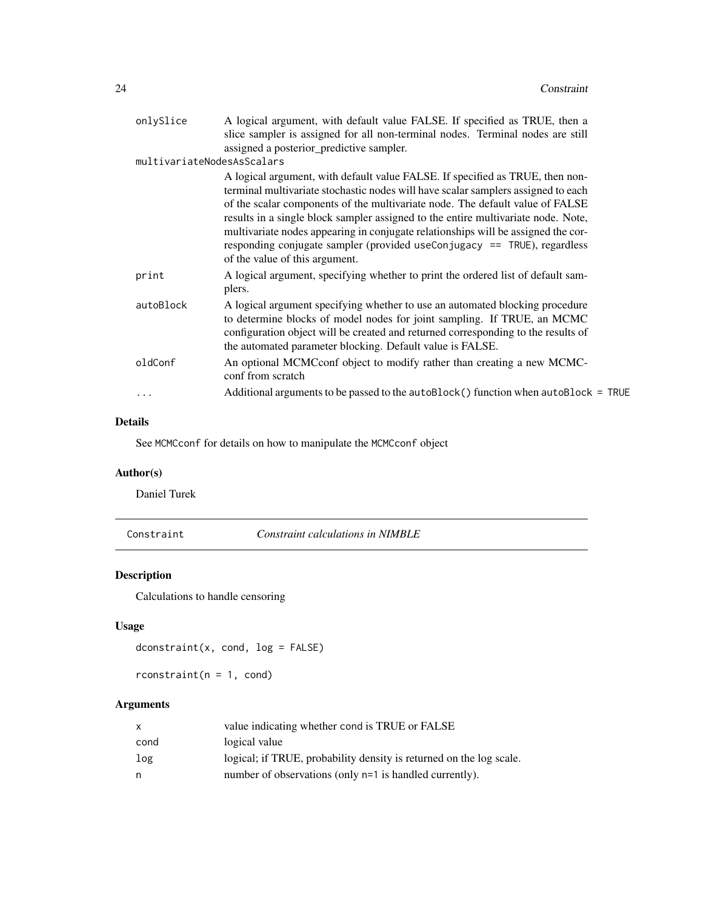<span id="page-23-0"></span>

| onlySlice                  | A logical argument, with default value FALSE. If specified as TRUE, then a                                                                                                                                                                                                                                |
|----------------------------|-----------------------------------------------------------------------------------------------------------------------------------------------------------------------------------------------------------------------------------------------------------------------------------------------------------|
|                            | slice sampler is assigned for all non-terminal nodes. Terminal nodes are still                                                                                                                                                                                                                            |
|                            | assigned a posterior_predictive sampler.                                                                                                                                                                                                                                                                  |
| multivariateNodesAsScalars |                                                                                                                                                                                                                                                                                                           |
|                            | A logical argument, with default value FALSE. If specified as TRUE, then non-<br>terminal multivariate stochastic nodes will have scalar samplers assigned to each<br>of the scalar components of the multivariate node. The default value of FALSE                                                       |
|                            | results in a single block sampler assigned to the entire multivariate node. Note,<br>multivariate nodes appearing in conjugate relationships will be assigned the cor-<br>responding conjugate sampler (provided useConjugacy == TRUE), regardless<br>of the value of this argument.                      |
| print                      | A logical argument, specifying whether to print the ordered list of default sam-<br>plers.                                                                                                                                                                                                                |
| autoBlock                  | A logical argument specifying whether to use an automated blocking procedure<br>to determine blocks of model nodes for joint sampling. If TRUE, an MCMC<br>configuration object will be created and returned corresponding to the results of<br>the automated parameter blocking. Default value is FALSE. |
| oldConf                    | An optional MCMCconf object to modify rather than creating a new MCMC-<br>conf from scratch                                                                                                                                                                                                               |
|                            | Additional arguments to be passed to the autoBlock() function when autoBlock = TRUE                                                                                                                                                                                                                       |
|                            |                                                                                                                                                                                                                                                                                                           |

# Details

See MCMCconf for details on how to manipulate the MCMCconf object

# Author(s)

Daniel Turek

Constraint *Constraint calculations in NIMBLE*

# Description

Calculations to handle censoring

# Usage

```
dconstraint(x, cond, log = FALSE)
```

```
rconstant(n = 1, cond)
```

| X    | value indicating whether cond is TRUE or FALSE                      |
|------|---------------------------------------------------------------------|
| cond | logical value                                                       |
| log  | logical; if TRUE, probability density is returned on the log scale. |
| n    | number of observations (only n=1 is handled currently).             |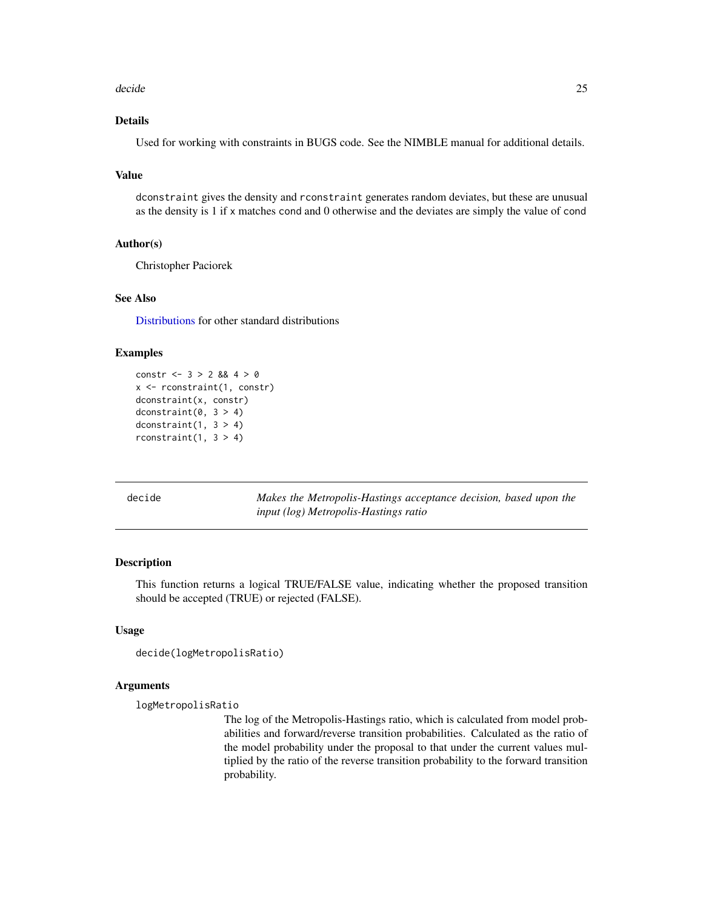#### <span id="page-24-0"></span>decide 25

# Details

Used for working with constraints in BUGS code. See the NIMBLE manual for additional details.

#### Value

dconstraint gives the density and rconstraint generates random deviates, but these are unusual as the density is 1 if x matches cond and 0 otherwise and the deviates are simply the value of cond

#### Author(s)

Christopher Paciorek

# See Also

[Distributions](#page-0-0) for other standard distributions

#### Examples

```
constr <- 3 > 2 && 4 > 0x <- rconstraint(1, constr)
dconstraint(x, constr)
dconstraint(0, 3 > 4)dconstraint(1, 3 > 4)rconstraint(1, 3 > 4)
```
decide *Makes the Metropolis-Hastings acceptance decision, based upon the input (log) Metropolis-Hastings ratio*

#### Description

This function returns a logical TRUE/FALSE value, indicating whether the proposed transition should be accepted (TRUE) or rejected (FALSE).

# Usage

```
decide(logMetropolisRatio)
```
### Arguments

logMetropolisRatio

The log of the Metropolis-Hastings ratio, which is calculated from model probabilities and forward/reverse transition probabilities. Calculated as the ratio of the model probability under the proposal to that under the current values multiplied by the ratio of the reverse transition probability to the forward transition probability.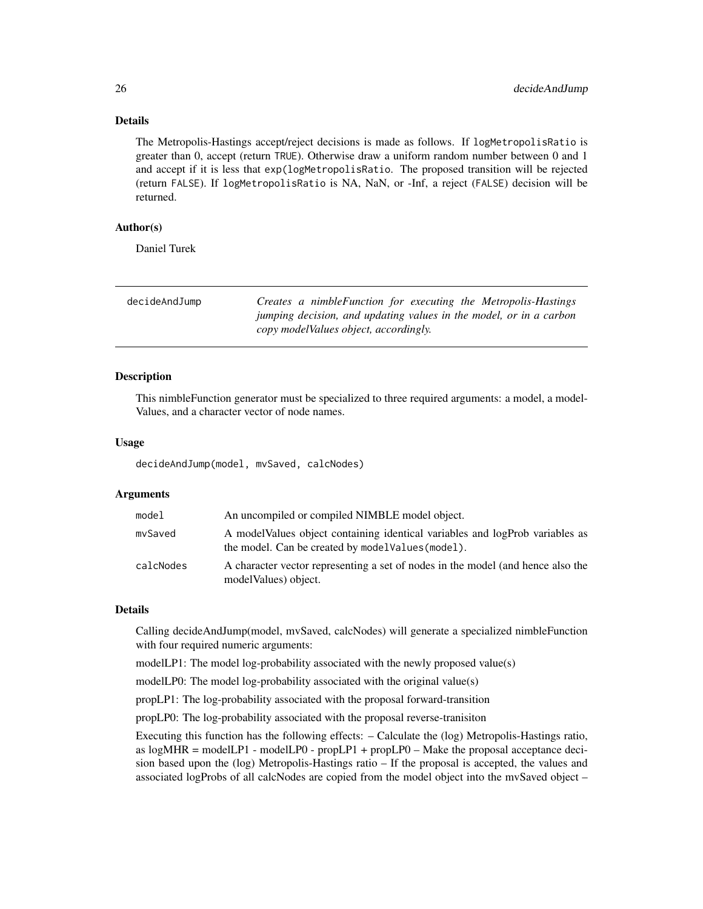#### <span id="page-25-0"></span>Details

The Metropolis-Hastings accept/reject decisions is made as follows. If logMetropolisRatio is greater than 0, accept (return TRUE). Otherwise draw a uniform random number between 0 and 1 and accept if it is less that exp(logMetropolisRatio. The proposed transition will be rejected (return FALSE). If logMetropolisRatio is NA, NaN, or -Inf, a reject (FALSE) decision will be returned.

#### Author(s)

Daniel Turek

| decideAndJump | Creates a nimble Function for executing the Metropolis-Hastings    |
|---------------|--------------------------------------------------------------------|
|               | jumping decision, and updating values in the model, or in a carbon |
|               | copy modelValues object, accordingly.                              |

#### Description

This nimbleFunction generator must be specialized to three required arguments: a model, a model-Values, and a character vector of node names.

#### Usage

decideAndJump(model, mvSaved, calcNodes)

#### Arguments

| model     | An uncompiled or compiled NIMBLE model object.                                                                                    |
|-----------|-----------------------------------------------------------------------------------------------------------------------------------|
| mvSaved   | A modelValues object containing identical variables and logProb variables as<br>the model. Can be created by modelValues (model). |
| calcNodes | A character vector representing a set of nodes in the model (and hence also the<br>model Values) object.                          |

#### Details

Calling decideAndJump(model, mvSaved, calcNodes) will generate a specialized nimbleFunction with four required numeric arguments:

modelLP1: The model log-probability associated with the newly proposed value(s)

modelLP0: The model log-probability associated with the original value(s)

propLP1: The log-probability associated with the proposal forward-transition

propLP0: The log-probability associated with the proposal reverse-tranisiton

Executing this function has the following effects: – Calculate the (log) Metropolis-Hastings ratio, as  $log MHR = modellPI - modellP0 - propLP1 + propLP0 - Make the proposal acceptance deci$ sion based upon the (log) Metropolis-Hastings ratio – If the proposal is accepted, the values and associated logProbs of all calcNodes are copied from the model object into the mvSaved object –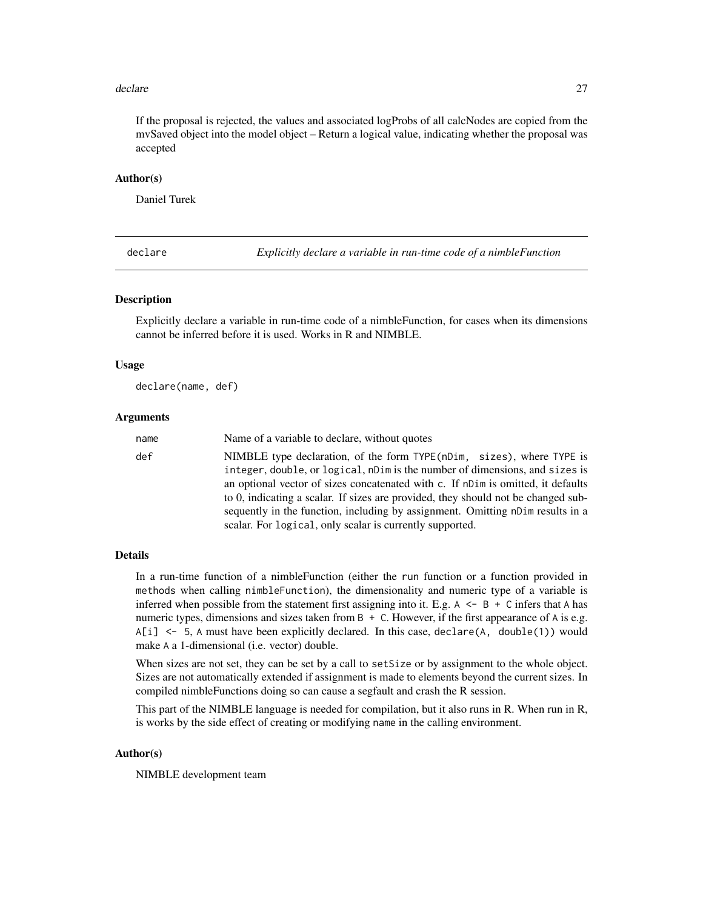#### <span id="page-26-0"></span>declare 27

If the proposal is rejected, the values and associated logProbs of all calcNodes are copied from the mvSaved object into the model object – Return a logical value, indicating whether the proposal was accepted

#### Author(s)

Daniel Turek

declare *Explicitly declare a variable in run-time code of a nimbleFunction*

#### **Description**

Explicitly declare a variable in run-time code of a nimbleFunction, for cases when its dimensions cannot be inferred before it is used. Works in R and NIMBLE.

#### Usage

declare(name, def)

#### Arguments

| name | Name of a variable to declare, without quotes                                                                                                                                                                                                                                                                                                                                                                                                                                |
|------|------------------------------------------------------------------------------------------------------------------------------------------------------------------------------------------------------------------------------------------------------------------------------------------------------------------------------------------------------------------------------------------------------------------------------------------------------------------------------|
| def  | NIMBLE type declaration, of the form TYPE (nDim, sizes), where TYPE is<br>integer, double, or logical, nDim is the number of dimensions, and sizes is<br>an optional vector of sizes concatenated with c. If nDim is omitted, it defaults<br>to 0, indicating a scalar. If sizes are provided, they should not be changed sub-<br>sequently in the function, including by assignment. Omitting nDim results in a<br>scalar. For logical, only scalar is currently supported. |

# Details

In a run-time function of a nimbleFunction (either the run function or a function provided in methods when calling nimbleFunction), the dimensionality and numeric type of a variable is inferred when possible from the statement first assigning into it. E.g.  $A \leq B + C$  infers that A has numeric types, dimensions and sizes taken from  $B + C$ . However, if the first appearance of A is e.g.  $A[i]$  <- 5, A must have been explicitly declared. In this case, declare(A, double(1)) would make A a 1-dimensional (i.e. vector) double.

When sizes are not set, they can be set by a call to set Size or by assignment to the whole object. Sizes are not automatically extended if assignment is made to elements beyond the current sizes. In compiled nimbleFunctions doing so can cause a segfault and crash the R session.

This part of the NIMBLE language is needed for compilation, but it also runs in R. When run in R, is works by the side effect of creating or modifying name in the calling environment.

#### Author(s)

NIMBLE development team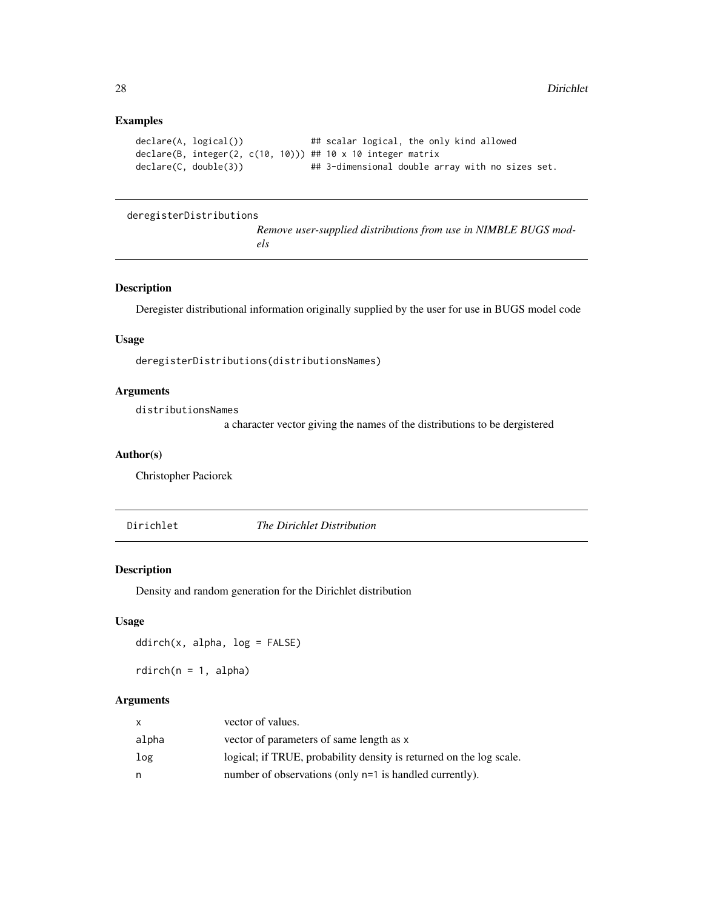# Examples

```
declare(A, logical()) ## scalar logical, the only kind allowed
declare(B, integer(2, c(10, 10))) ## 10 x 10 integer matrix
declare(C, double(3)) \# 3-dimensional double array with no sizes set.
```
#### deregisterDistributions

```
Remove user-supplied distributions from use in NIMBLE BUGS mod-
els
```
#### Description

Deregister distributional information originally supplied by the user for use in BUGS model code

#### Usage

```
deregisterDistributions(distributionsNames)
```
# Arguments

distributionsNames

a character vector giving the names of the distributions to be dergistered

#### Author(s)

Christopher Paciorek

Dirichlet *The Dirichlet Distribution*

#### Description

Density and random generation for the Dirichlet distribution

#### Usage

ddirch(x, alpha, log = FALSE)

```
rdirch(n = 1, alpha)
```

| x     | vector of values.                                                   |
|-------|---------------------------------------------------------------------|
| alpha | vector of parameters of same length as x                            |
| log   | logical; if TRUE, probability density is returned on the log scale. |
| n     | number of observations (only n=1 is handled currently).             |

<span id="page-27-0"></span>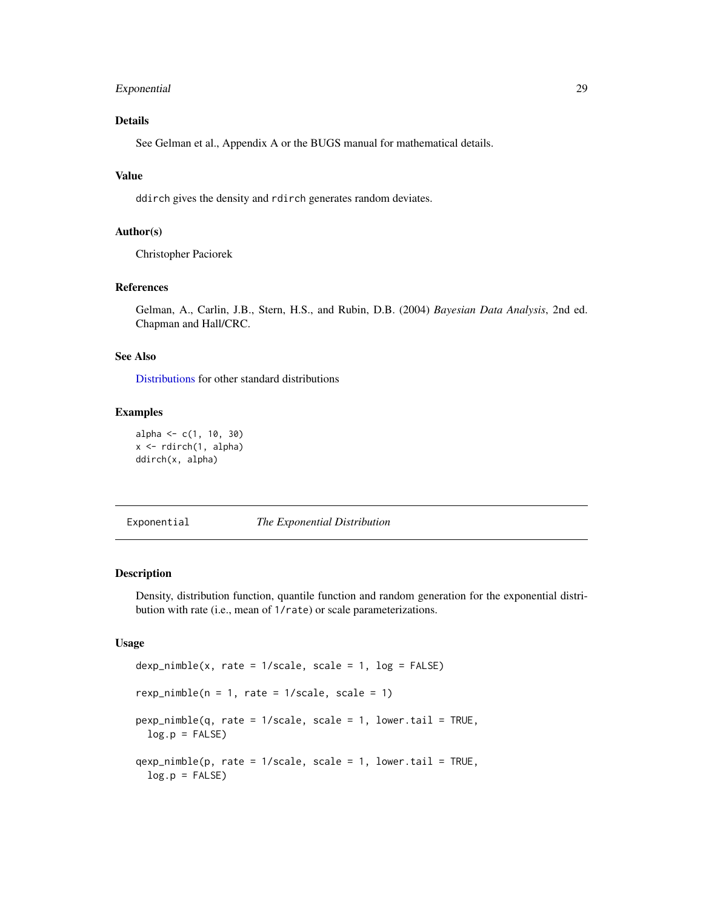# <span id="page-28-0"></span>Exponential 29

# Details

See Gelman et al., Appendix A or the BUGS manual for mathematical details.

# Value

ddirch gives the density and rdirch generates random deviates.

## Author(s)

Christopher Paciorek

#### References

Gelman, A., Carlin, J.B., Stern, H.S., and Rubin, D.B. (2004) *Bayesian Data Analysis*, 2nd ed. Chapman and Hall/CRC.

#### See Also

[Distributions](#page-0-0) for other standard distributions

#### Examples

alpha <- c(1, 10, 30) x <- rdirch(1, alpha) ddirch(x, alpha)

Exponential *The Exponential Distribution*

#### Description

Density, distribution function, quantile function and random generation for the exponential distribution with rate (i.e., mean of 1/rate) or scale parameterizations.

# Usage

```
dexp_nimble(x, rate = 1/scale, scale = 1, log = FALSE)
rexp_nimble(n = 1, rate = 1/scale, scale = 1)pexp\_nimble(q, rate = 1/scale, scale = 1, lowertail = TRUE,log.p = FALSE)qexp_nimble(p, rate = 1/scale, scale = 1, lower.tail = TRUE,
 log.p = FALSE
```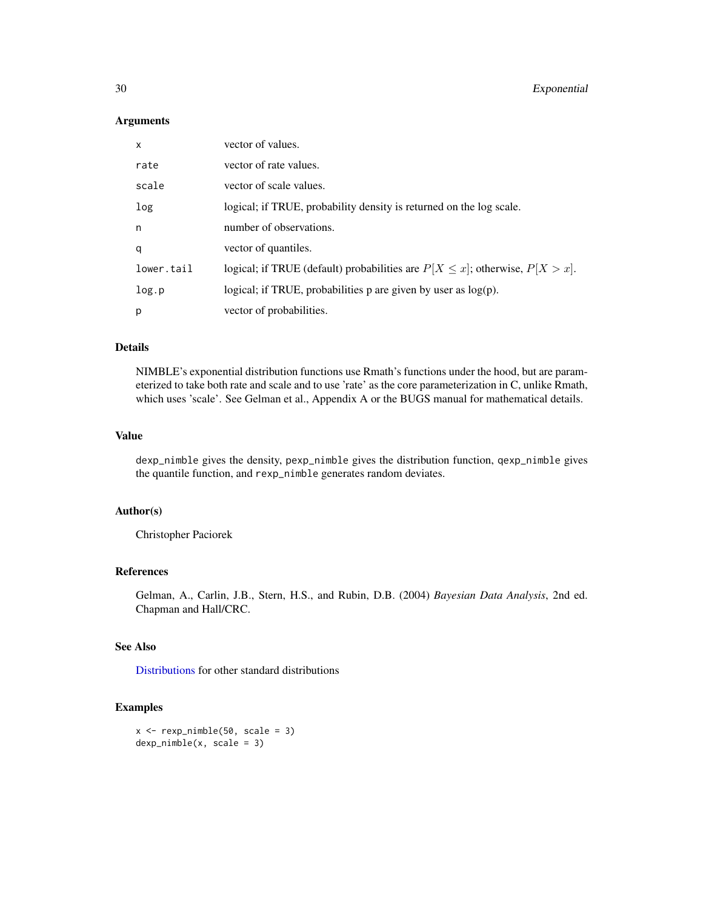#### Arguments

| $\mathsf{x}$ | vector of values.                                                                    |
|--------------|--------------------------------------------------------------------------------------|
| rate         | vector of rate values.                                                               |
| scale        | vector of scale values.                                                              |
| log          | logical; if TRUE, probability density is returned on the log scale.                  |
| n            | number of observations.                                                              |
| q            | vector of quantiles.                                                                 |
| lower.tail   | logical; if TRUE (default) probabilities are $P[X \leq x]$ ; otherwise, $P[X > x]$ . |
| log.p        | logical; if TRUE, probabilities $p$ are given by user as $log(p)$ .                  |
| p            | vector of probabilities.                                                             |

# Details

NIMBLE's exponential distribution functions use Rmath's functions under the hood, but are parameterized to take both rate and scale and to use 'rate' as the core parameterization in C, unlike Rmath, which uses 'scale'. See Gelman et al., Appendix A or the BUGS manual for mathematical details.

#### Value

dexp\_nimble gives the density, pexp\_nimble gives the distribution function, qexp\_nimble gives the quantile function, and rexp\_nimble generates random deviates.

#### Author(s)

Christopher Paciorek

#### References

Gelman, A., Carlin, J.B., Stern, H.S., and Rubin, D.B. (2004) *Bayesian Data Analysis*, 2nd ed. Chapman and Hall/CRC.

# See Also

[Distributions](#page-0-0) for other standard distributions

# Examples

```
x \leq - rexp_nimble(50, scale = 3)
dexp_nimble(x, scale = 3)
```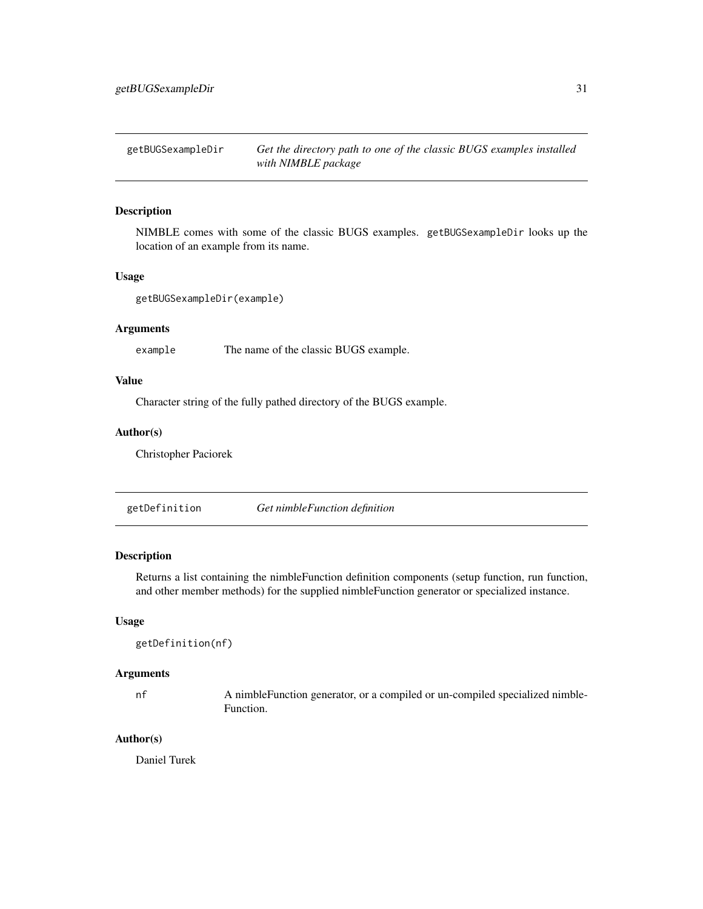<span id="page-30-1"></span><span id="page-30-0"></span>

NIMBLE comes with some of the classic BUGS examples. getBUGSexampleDir looks up the location of an example from its name.

# Usage

```
getBUGSexampleDir(example)
```
# Arguments

example The name of the classic BUGS example.

# Value

Character string of the fully pathed directory of the BUGS example.

#### Author(s)

Christopher Paciorek

getDefinition *Get nimbleFunction definition*

# Description

Returns a list containing the nimbleFunction definition components (setup function, run function, and other member methods) for the supplied nimbleFunction generator or specialized instance.

#### Usage

```
getDefinition(nf)
```
#### Arguments

nf A nimbleFunction generator, or a compiled or un-compiled specialized nimble-Function.

# Author(s)

Daniel Turek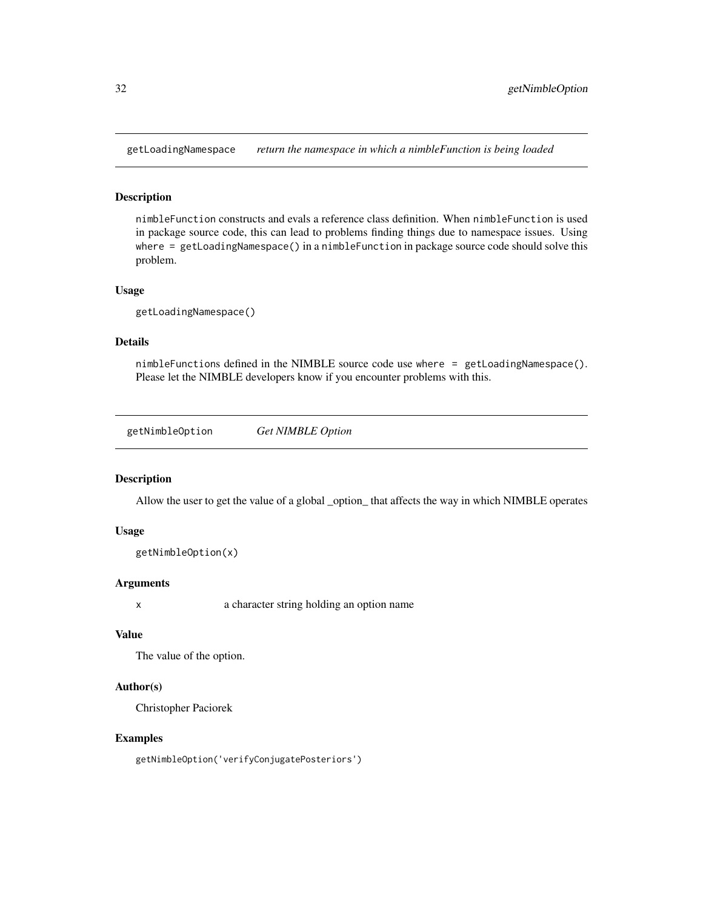<span id="page-31-0"></span>getLoadingNamespace *return the namespace in which a nimbleFunction is being loaded*

# Description

nimbleFunction constructs and evals a reference class definition. When nimbleFunction is used in package source code, this can lead to problems finding things due to namespace issues. Using where = getLoadingNamespace() in a nimbleFunction in package source code should solve this problem.

# Usage

getLoadingNamespace()

#### Details

nimbleFunctions defined in the NIMBLE source code use where = getLoadingNamespace(). Please let the NIMBLE developers know if you encounter problems with this.

getNimbleOption *Get NIMBLE Option*

# Description

Allow the user to get the value of a global \_option\_ that affects the way in which NIMBLE operates

## Usage

```
getNimbleOption(x)
```
#### Arguments

x a character string holding an option name

#### Value

The value of the option.

#### Author(s)

Christopher Paciorek

#### Examples

getNimbleOption('verifyConjugatePosteriors')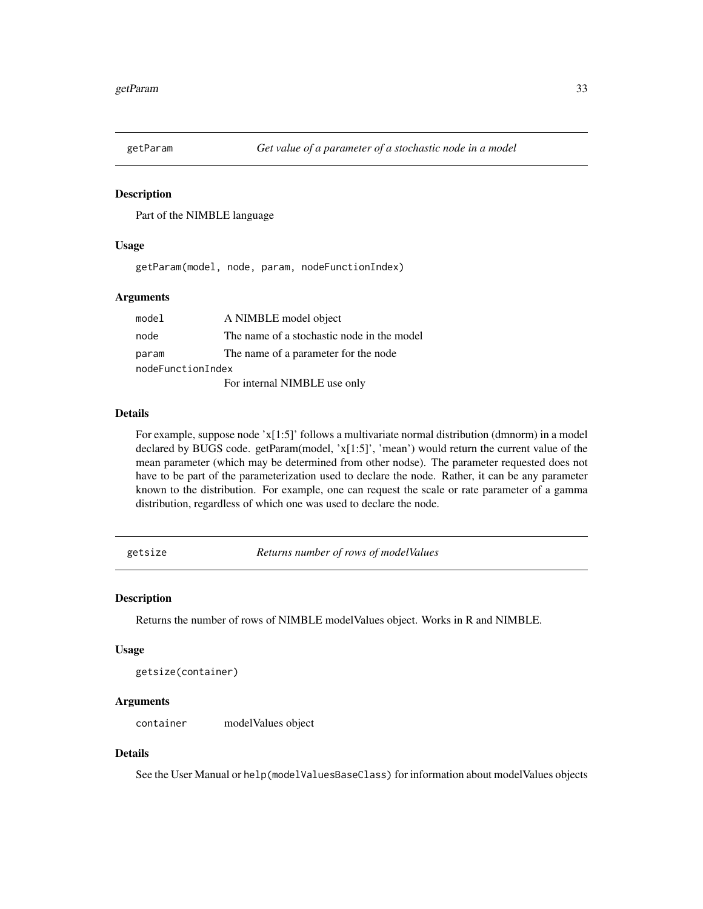<span id="page-32-0"></span>

Part of the NIMBLE language

#### Usage

getParam(model, node, param, nodeFunctionIndex)

#### **Arguments**

| model             | A NIMBLE model object                      |  |
|-------------------|--------------------------------------------|--|
| node              | The name of a stochastic node in the model |  |
| param             | The name of a parameter for the node       |  |
| nodeFunctionIndex |                                            |  |
|                   | For internal NIMBLE use only               |  |

#### Details

For example, suppose node 'x[1:5]' follows a multivariate normal distribution (dmnorm) in a model declared by BUGS code. getParam(model, 'x[1:5]', 'mean') would return the current value of the mean parameter (which may be determined from other nodse). The parameter requested does not have to be part of the parameterization used to declare the node. Rather, it can be any parameter known to the distribution. For example, one can request the scale or rate parameter of a gamma distribution, regardless of which one was used to declare the node.

getsize *Returns number of rows of modelValues*

#### Description

Returns the number of rows of NIMBLE modelValues object. Works in R and NIMBLE.

#### Usage

```
getsize(container)
```
# Arguments

container modelValues object

# Details

See the User Manual or help(modelValuesBaseClass) for information about modelValues objects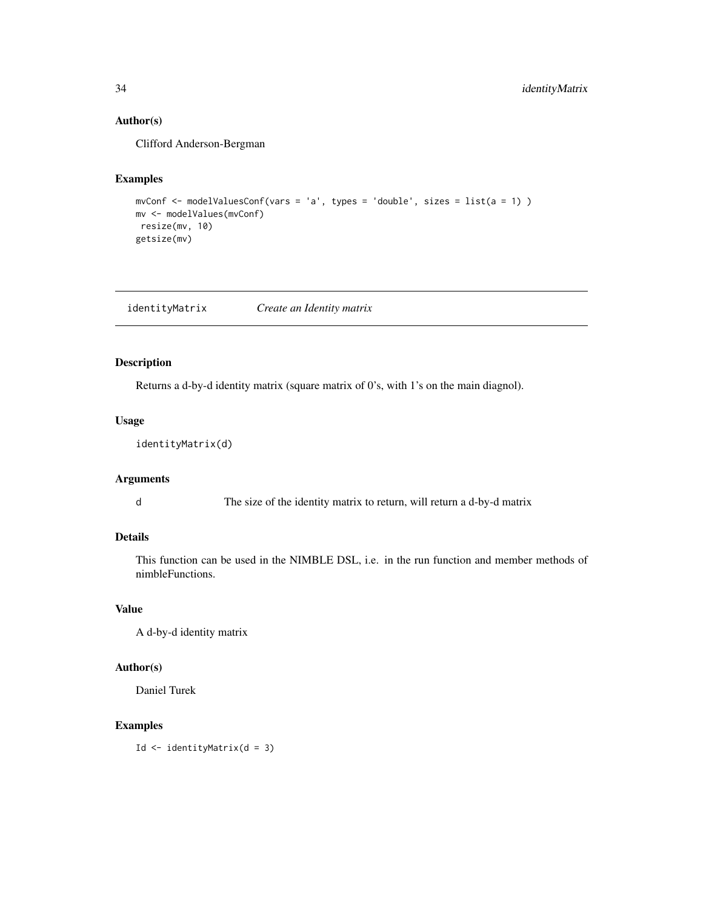# Author(s)

Clifford Anderson-Bergman

# Examples

```
mvConf <- modelValuesConf(vars = 'a', types = 'double', sizes = list(a = 1) )
mv <- modelValues(mvConf)
resize(mv, 10)
getsize(mv)
```
identityMatrix *Create an Identity matrix*

# Description

Returns a d-by-d identity matrix (square matrix of 0's, with 1's on the main diagnol).

#### Usage

```
identityMatrix(d)
```
# Arguments

d The size of the identity matrix to return, will return a d-by-d matrix

# Details

This function can be used in the NIMBLE DSL, i.e. in the run function and member methods of nimbleFunctions.

#### Value

A d-by-d identity matrix

# Author(s)

Daniel Turek

# Examples

Id  $\le$  identityMatrix(d = 3)

<span id="page-33-0"></span>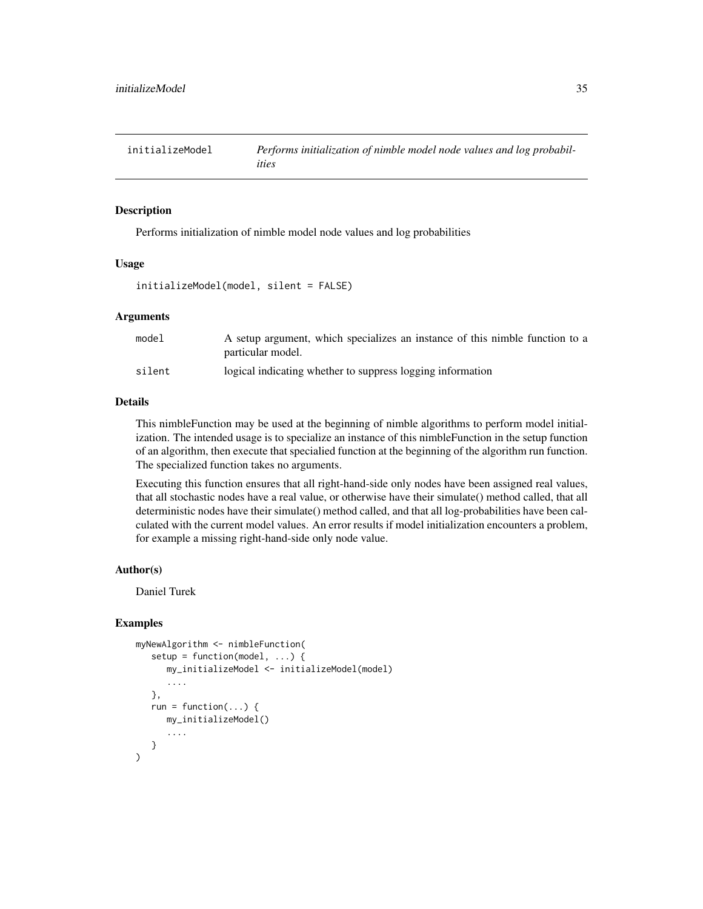<span id="page-34-0"></span>

Performs initialization of nimble model node values and log probabilities

#### Usage

```
initializeModel(model, silent = FALSE)
```
#### Arguments

| model  | A setup argument, which specializes an instance of this nimble function to a<br>particular model. |
|--------|---------------------------------------------------------------------------------------------------|
| silent | logical indicating whether to suppress logging information                                        |

#### Details

This nimbleFunction may be used at the beginning of nimble algorithms to perform model initialization. The intended usage is to specialize an instance of this nimbleFunction in the setup function of an algorithm, then execute that specialied function at the beginning of the algorithm run function. The specialized function takes no arguments.

Executing this function ensures that all right-hand-side only nodes have been assigned real values, that all stochastic nodes have a real value, or otherwise have their simulate() method called, that all deterministic nodes have their simulate() method called, and that all log-probabilities have been calculated with the current model values. An error results if model initialization encounters a problem, for example a missing right-hand-side only node value.

#### Author(s)

Daniel Turek

#### Examples

```
myNewAlgorithm <- nimbleFunction(
  setup = function(model, ...) {
      my_initializeModel <- initializeModel(model)
      ....
  },
  run = function(...) {
      my_initializeModel()
      ....
   }
)
```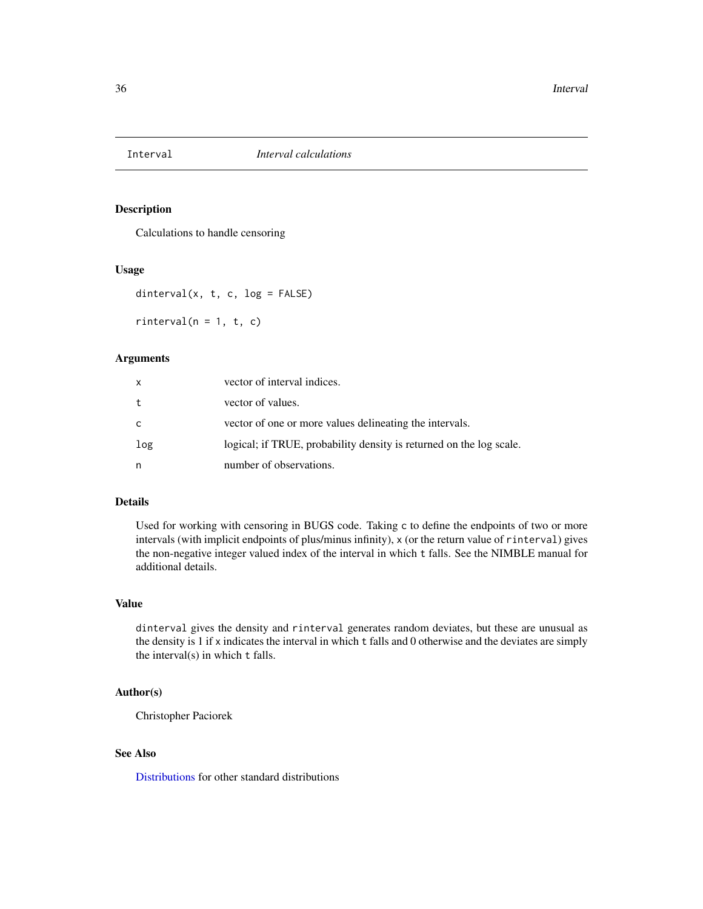<span id="page-35-0"></span>

Calculations to handle censoring

# Usage

dinterval(x, t, c, log = FALSE)

 $rinterval(n = 1, t, c)$ 

# Arguments

| X   | vector of interval indices.                                         |
|-----|---------------------------------------------------------------------|
| t   | vector of values.                                                   |
| C   | vector of one or more values delineating the intervals.             |
| log | logical; if TRUE, probability density is returned on the log scale. |
| n   | number of observations.                                             |

#### Details

Used for working with censoring in BUGS code. Taking c to define the endpoints of two or more intervals (with implicit endpoints of plus/minus infinity), x (or the return value of rinterval) gives the non-negative integer valued index of the interval in which t falls. See the NIMBLE manual for additional details.

# Value

dinterval gives the density and rinterval generates random deviates, but these are unusual as the density is 1 if x indicates the interval in which t falls and 0 otherwise and the deviates are simply the interval(s) in which t falls.

#### Author(s)

Christopher Paciorek

# See Also

[Distributions](#page-0-0) for other standard distributions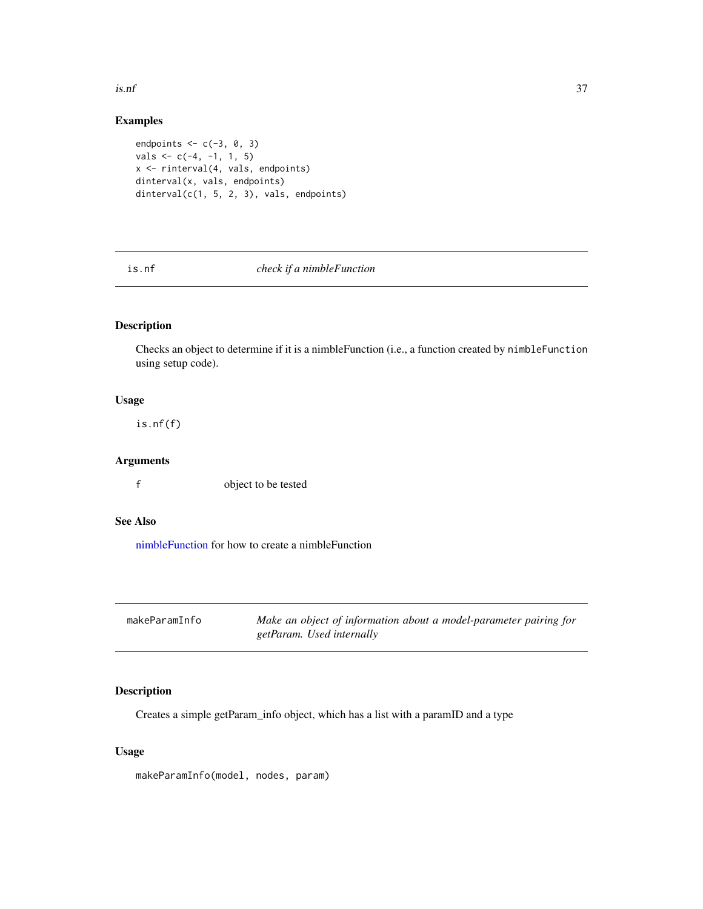#### $i$ s.nf  $37$

# Examples

```
endpoints <-c(-3, 0, 3)vals < -c(-4, -1, 1, 5)x <- rinterval(4, vals, endpoints)
dinterval(x, vals, endpoints)
dinterval(c(1, 5, 2, 3), vals, endpoints)
```
is.nf *check if a nimbleFunction*

# Description

Checks an object to determine if it is a nimbleFunction (i.e., a function created by nimbleFunction using setup code).

# Usage

is.nf(f)

# Arguments

f object to be tested

### See Also

[nimbleFunction](#page-62-0) for how to create a nimbleFunction

| makeParamInfo | Make an object of information about a model-parameter pairing for |
|---------------|-------------------------------------------------------------------|
|               | getParam. Used internally                                         |

# Description

Creates a simple getParam\_info object, which has a list with a paramID and a type

# Usage

makeParamInfo(model, nodes, param)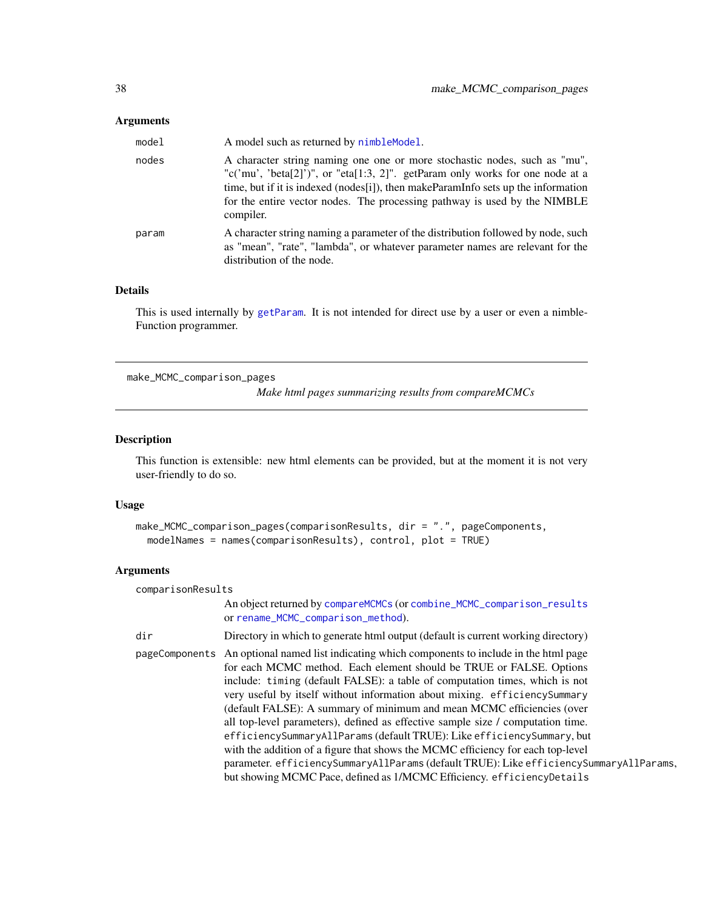# Arguments

| model | A model such as returned by nimble Model.                                                                                                                                                                                                                                                                                                 |  |
|-------|-------------------------------------------------------------------------------------------------------------------------------------------------------------------------------------------------------------------------------------------------------------------------------------------------------------------------------------------|--|
| nodes | A character string naming one one or more stochastic nodes, such as "mu",<br>"c('mu', 'beta[2]')", or "eta[1:3, 2]". getParam only works for one node at a<br>time, but if it is indexed (nodes[i]), then makeParamInfo sets up the information<br>for the entire vector nodes. The processing pathway is used by the NIMBLE<br>compiler. |  |
| param | A character string naming a parameter of the distribution followed by node, such<br>as "mean", "rate", "lambda", or whatever parameter names are relevant for the<br>distribution of the node.                                                                                                                                            |  |

# Details

This is used internally by [getParam](#page-32-0). It is not intended for direct use by a user or even a nimble-Function programmer.

make\_MCMC\_comparison\_pages

*Make html pages summarizing results from compareMCMCs*

# Description

This function is extensible: new html elements can be provided, but at the moment it is not very user-friendly to do so.

### Usage

```
make_MCMC_comparison_pages(comparisonResults, dir = ".", pageComponents,
 modelNames = names(comparisonResults), control, plot = TRUE)
```
## Arguments

| comparisonResults |                                                                                                                                                                                                                                                                                                                                                                                                                                                                                                                                                                                                                                                                                                                                                                                                                                |
|-------------------|--------------------------------------------------------------------------------------------------------------------------------------------------------------------------------------------------------------------------------------------------------------------------------------------------------------------------------------------------------------------------------------------------------------------------------------------------------------------------------------------------------------------------------------------------------------------------------------------------------------------------------------------------------------------------------------------------------------------------------------------------------------------------------------------------------------------------------|
|                   | An object returned by compareMCMCs (or combine_MCMC_comparison_results<br>or rename_MCMC_comparison_method).                                                                                                                                                                                                                                                                                                                                                                                                                                                                                                                                                                                                                                                                                                                   |
| dir               | Directory in which to generate html output (default is current working directory)                                                                                                                                                                                                                                                                                                                                                                                                                                                                                                                                                                                                                                                                                                                                              |
|                   | pageComponents An optional named list indicating which components to include in the html page<br>for each MCMC method. Each element should be TRUE or FALSE. Options<br>include: timing (default FALSE): a table of computation times, which is not<br>very useful by itself without information about mixing. efficiencySummary<br>(default FALSE): A summary of minimum and mean MCMC efficiencies (over<br>all top-level parameters), defined as effective sample size / computation time.<br>efficiencySummaryAllParams (default TRUE): Like efficiencySummary, but<br>with the addition of a figure that shows the MCMC efficiency for each top-level<br>parameter. efficiencySummaryAllParams (default TRUE): Like efficiencySummaryAllParams,<br>but showing MCMC Pace, defined as 1/MCMC Efficiency. efficiencyDetails |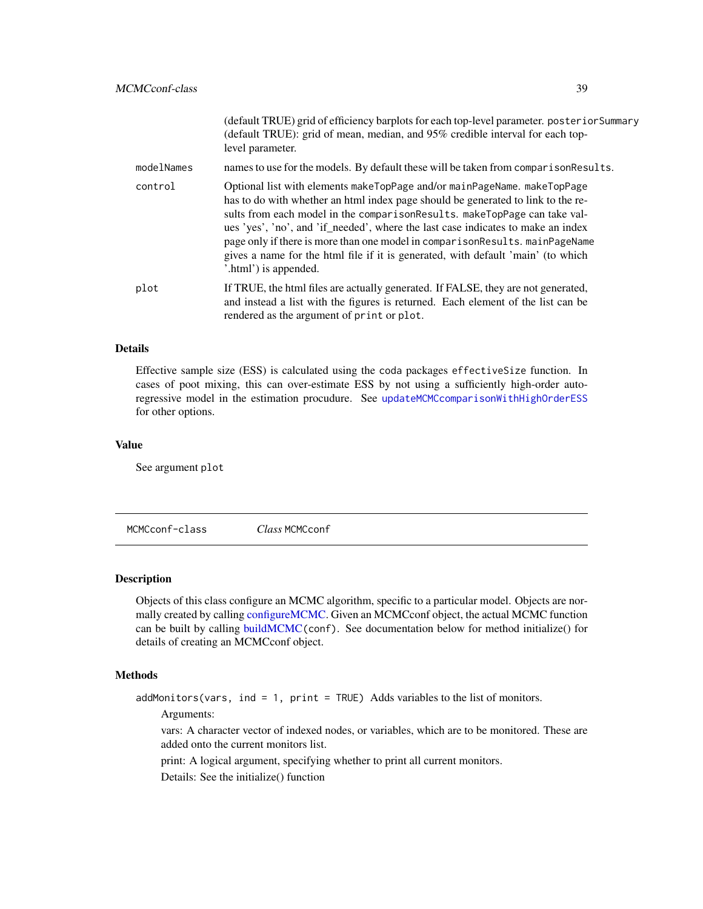|            | (default TRUE) grid of efficiency barplots for each top-level parameter. posterior Summary<br>(default TRUE): grid of mean, median, and 95% credible interval for each top-<br>level parameter.                                                                                                                                                                                                                                                                                                                               |
|------------|-------------------------------------------------------------------------------------------------------------------------------------------------------------------------------------------------------------------------------------------------------------------------------------------------------------------------------------------------------------------------------------------------------------------------------------------------------------------------------------------------------------------------------|
| modelNames | names to use for the models. By default these will be taken from comparison Results.                                                                                                                                                                                                                                                                                                                                                                                                                                          |
| control    | Optional list with elements makeTopPage and/or mainPageName. makeTopPage<br>has to do with whether an html index page should be generated to link to the re-<br>sults from each model in the comparison Results. make TopPage can take val-<br>ues 'yes', 'no', and 'if_needed', where the last case indicates to make an index<br>page only if there is more than one model in comparison Results. mainPageName<br>gives a name for the html file if it is generated, with default 'main' (to which<br>'.html') is appended. |
| plot       | If TRUE, the html files are actually generated. If FALSE, they are not generated,<br>and instead a list with the figures is returned. Each element of the list can be<br>rendered as the argument of print or plot.                                                                                                                                                                                                                                                                                                           |

# Details

Effective sample size (ESS) is calculated using the coda packages effectiveSize function. In cases of poot mixing, this can over-estimate ESS by not using a sufficiently high-order autoregressive model in the estimation procudure. See [updateMCMCcomparisonWithHighOrderESS](#page-102-0) for other options.

#### Value

See argument plot

MCMCconf-class *Class* MCMCconf

#### Description

Objects of this class configure an MCMC algorithm, specific to a particular model. Objects are normally created by calling [configureMCMC.](#page-21-0) Given an MCMCconf object, the actual MCMC function can be built by calling [buildMCMC](#page-14-0)(conf). See documentation below for method initialize() for details of creating an MCMCconf object.

# Methods

addMonitors(vars, ind = 1, print = TRUE) Adds variables to the list of monitors.

Arguments:

vars: A character vector of indexed nodes, or variables, which are to be monitored. These are added onto the current monitors list.

print: A logical argument, specifying whether to print all current monitors.

Details: See the initialize() function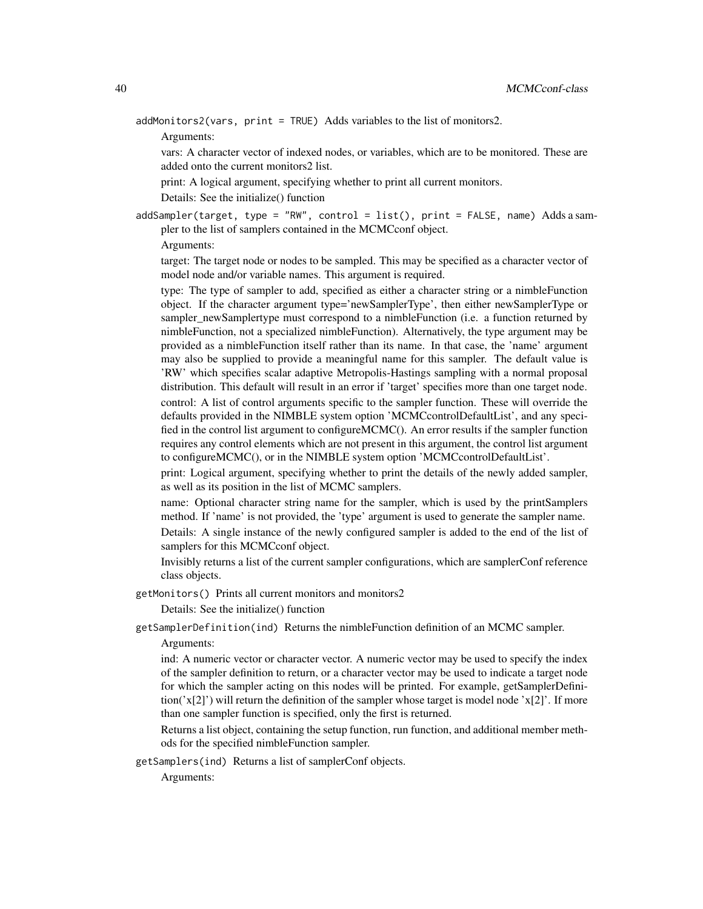addMonitors2(vars, print = TRUE) Adds variables to the list of monitors2.

Arguments:

vars: A character vector of indexed nodes, or variables, which are to be monitored. These are added onto the current monitors2 list.

print: A logical argument, specifying whether to print all current monitors.

Details: See the initialize() function

addSampler(target, type = "RW", control = list(), print = FALSE, name) Adds a sampler to the list of samplers contained in the MCMCconf object.

Arguments:

target: The target node or nodes to be sampled. This may be specified as a character vector of model node and/or variable names. This argument is required.

type: The type of sampler to add, specified as either a character string or a nimbleFunction object. If the character argument type='newSamplerType', then either newSamplerType or sampler\_newSamplertype must correspond to a nimbleFunction (i.e. a function returned by nimbleFunction, not a specialized nimbleFunction). Alternatively, the type argument may be provided as a nimbleFunction itself rather than its name. In that case, the 'name' argument may also be supplied to provide a meaningful name for this sampler. The default value is 'RW' which specifies scalar adaptive Metropolis-Hastings sampling with a normal proposal distribution. This default will result in an error if 'target' specifies more than one target node.

control: A list of control arguments specific to the sampler function. These will override the defaults provided in the NIMBLE system option 'MCMCcontrolDefaultList', and any specified in the control list argument to configureMCMC(). An error results if the sampler function requires any control elements which are not present in this argument, the control list argument to configureMCMC(), or in the NIMBLE system option 'MCMCcontrolDefaultList'.

print: Logical argument, specifying whether to print the details of the newly added sampler, as well as its position in the list of MCMC samplers.

name: Optional character string name for the sampler, which is used by the printSamplers method. If 'name' is not provided, the 'type' argument is used to generate the sampler name.

Details: A single instance of the newly configured sampler is added to the end of the list of samplers for this MCMCconf object.

Invisibly returns a list of the current sampler configurations, which are samplerConf reference class objects.

getMonitors() Prints all current monitors and monitors2

Details: See the initialize() function

getSamplerDefinition(ind) Returns the nimbleFunction definition of an MCMC sampler. Arguments:

ind: A numeric vector or character vector. A numeric vector may be used to specify the index of the sampler definition to return, or a character vector may be used to indicate a target node for which the sampler acting on this nodes will be printed. For example, getSamplerDefinition('x[2]') will return the definition of the sampler whose target is model node 'x[2]'. If more than one sampler function is specified, only the first is returned.

Returns a list object, containing the setup function, run function, and additional member methods for the specified nimbleFunction sampler.

getSamplers(ind) Returns a list of samplerConf objects.

Arguments: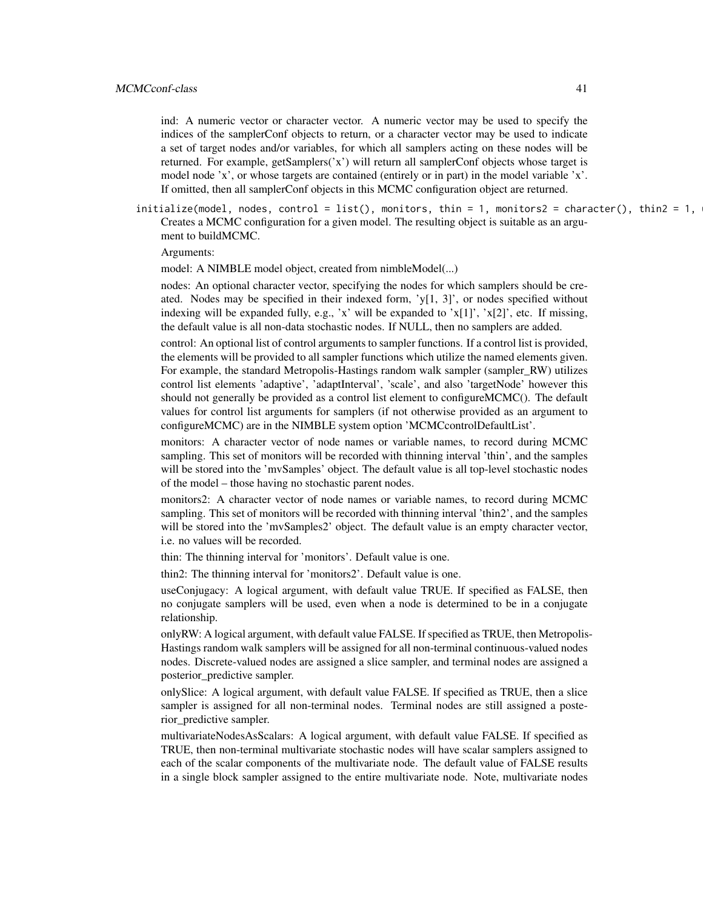ind: A numeric vector or character vector. A numeric vector may be used to specify the indices of the samplerConf objects to return, or a character vector may be used to indicate a set of target nodes and/or variables, for which all samplers acting on these nodes will be returned. For example, getSamplers('x') will return all samplerConf objects whose target is model node 'x', or whose targets are contained (entirely or in part) in the model variable 'x'. If omitted, then all samplerConf objects in this MCMC configuration object are returned.

initialize(model, nodes, control = list(), monitors, thin = 1, monitors2 = character(), thin2 = 1, Creates a MCMC configuration for a given model. The resulting object is suitable as an argument to buildMCMC.

Arguments:

model: A NIMBLE model object, created from nimbleModel(...)

nodes: An optional character vector, specifying the nodes for which samplers should be created. Nodes may be specified in their indexed form,  $\gamma$ [1, 3]', or nodes specified without indexing will be expanded fully, e.g., 'x' will be expanded to 'x[1]', 'x[2]', etc. If missing, the default value is all non-data stochastic nodes. If NULL, then no samplers are added.

control: An optional list of control arguments to sampler functions. If a control list is provided, the elements will be provided to all sampler functions which utilize the named elements given. For example, the standard Metropolis-Hastings random walk sampler (sampler\_RW) utilizes control list elements 'adaptive', 'adaptInterval', 'scale', and also 'targetNode' however this should not generally be provided as a control list element to configureMCMC(). The default values for control list arguments for samplers (if not otherwise provided as an argument to configureMCMC) are in the NIMBLE system option 'MCMCcontrolDefaultList'.

monitors: A character vector of node names or variable names, to record during MCMC sampling. This set of monitors will be recorded with thinning interval 'thin', and the samples will be stored into the 'mvSamples' object. The default value is all top-level stochastic nodes of the model – those having no stochastic parent nodes.

monitors2: A character vector of node names or variable names, to record during MCMC sampling. This set of monitors will be recorded with thinning interval 'thin2', and the samples will be stored into the 'mvSamples2' object. The default value is an empty character vector, i.e. no values will be recorded.

thin: The thinning interval for 'monitors'. Default value is one.

thin2: The thinning interval for 'monitors2'. Default value is one.

useConjugacy: A logical argument, with default value TRUE. If specified as FALSE, then no conjugate samplers will be used, even when a node is determined to be in a conjugate relationship.

onlyRW: A logical argument, with default value FALSE. If specified as TRUE, then Metropolis-Hastings random walk samplers will be assigned for all non-terminal continuous-valued nodes nodes. Discrete-valued nodes are assigned a slice sampler, and terminal nodes are assigned a posterior\_predictive sampler.

onlySlice: A logical argument, with default value FALSE. If specified as TRUE, then a slice sampler is assigned for all non-terminal nodes. Terminal nodes are still assigned a posterior\_predictive sampler.

multivariateNodesAsScalars: A logical argument, with default value FALSE. If specified as TRUE, then non-terminal multivariate stochastic nodes will have scalar samplers assigned to each of the scalar components of the multivariate node. The default value of FALSE results in a single block sampler assigned to the entire multivariate node. Note, multivariate nodes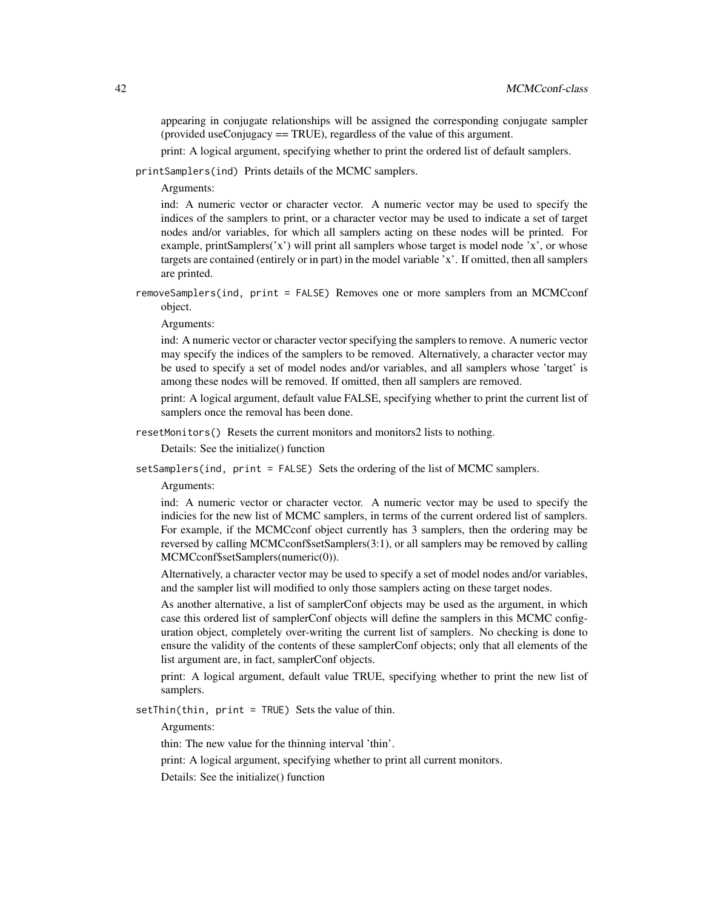appearing in conjugate relationships will be assigned the corresponding conjugate sampler (provided useConjugacy == TRUE), regardless of the value of this argument.

print: A logical argument, specifying whether to print the ordered list of default samplers.

printSamplers(ind) Prints details of the MCMC samplers.

Arguments:

ind: A numeric vector or character vector. A numeric vector may be used to specify the indices of the samplers to print, or a character vector may be used to indicate a set of target nodes and/or variables, for which all samplers acting on these nodes will be printed. For example, printSamplers('x') will print all samplers whose target is model node 'x', or whose targets are contained (entirely or in part) in the model variable 'x'. If omitted, then all samplers are printed.

removeSamplers(ind, print = FALSE) Removes one or more samplers from an MCMCconf object.

Arguments:

ind: A numeric vector or character vector specifying the samplers to remove. A numeric vector may specify the indices of the samplers to be removed. Alternatively, a character vector may be used to specify a set of model nodes and/or variables, and all samplers whose 'target' is among these nodes will be removed. If omitted, then all samplers are removed.

print: A logical argument, default value FALSE, specifying whether to print the current list of samplers once the removal has been done.

resetMonitors() Resets the current monitors and monitors2 lists to nothing.

Details: See the initialize() function

setSamplers(ind, print = FALSE) Sets the ordering of the list of MCMC samplers.

Arguments:

ind: A numeric vector or character vector. A numeric vector may be used to specify the indicies for the new list of MCMC samplers, in terms of the current ordered list of samplers. For example, if the MCMCconf object currently has 3 samplers, then the ordering may be reversed by calling MCMCconf\$setSamplers(3:1), or all samplers may be removed by calling MCMCconf\$setSamplers(numeric(0)).

Alternatively, a character vector may be used to specify a set of model nodes and/or variables, and the sampler list will modified to only those samplers acting on these target nodes.

As another alternative, a list of samplerConf objects may be used as the argument, in which case this ordered list of samplerConf objects will define the samplers in this MCMC configuration object, completely over-writing the current list of samplers. No checking is done to ensure the validity of the contents of these samplerConf objects; only that all elements of the list argument are, in fact, samplerConf objects.

print: A logical argument, default value TRUE, specifying whether to print the new list of samplers.

setThin(thin, print = TRUE) Sets the value of thin.

Arguments:

thin: The new value for the thinning interval 'thin'.

print: A logical argument, specifying whether to print all current monitors.

Details: See the initialize() function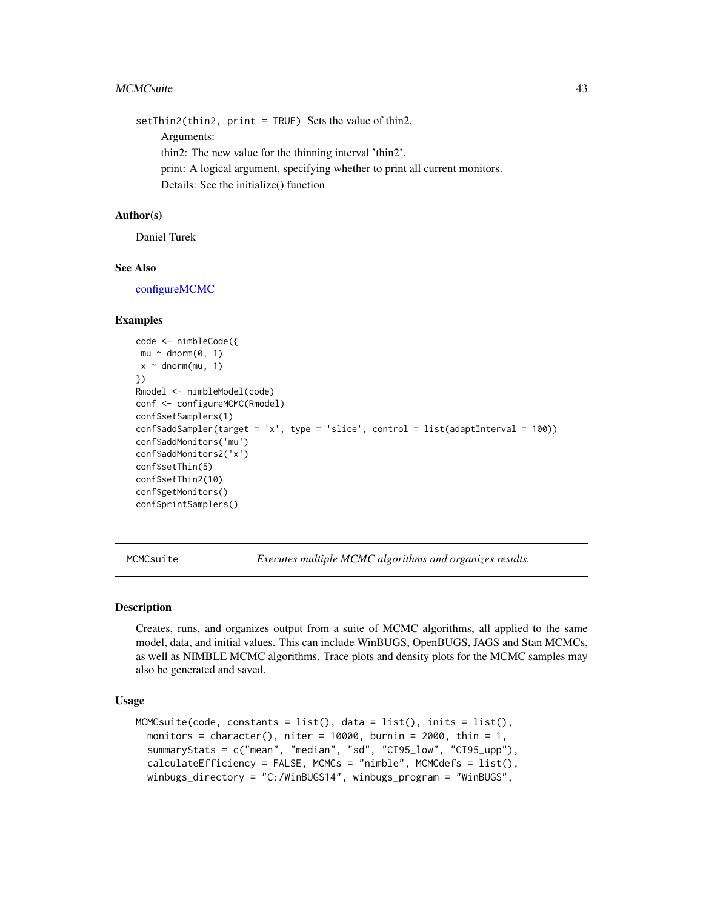#### $MCMC$ suite  $43$

setThin2(thin2, print = TRUE) Sets the value of thin2. Arguments: thin2: The new value for the thinning interval 'thin2'. print: A logical argument, specifying whether to print all current monitors. Details: See the initialize() function

# Author(s)

Daniel Turek

## See Also

[configureMCMC](#page-21-0)

## Examples

```
code <- nimbleCode({
mu ~ ~ dnorm(0, 1)
x \sim dnorm(mu, 1)
})
Rmodel <- nimbleModel(code)
conf <- configureMCMC(Rmodel)
conf$setSamplers(1)
conf$addSampler(target = 'x', type = 'slice', control = list(adaptInterval = 100))
conf$addMonitors('mu')
conf$addMonitors2('x')
conf$setThin(5)
conf$setThin2(10)
conf$getMonitors()
conf$printSamplers()
```
<span id="page-42-0"></span>MCMCsuite *Executes multiple MCMC algorithms and organizes results.*

## Description

Creates, runs, and organizes output from a suite of MCMC algorithms, all applied to the same model, data, and initial values. This can include WinBUGS, OpenBUGS, JAGS and Stan MCMCs, as well as NIMBLE MCMC algorithms. Trace plots and density plots for the MCMC samples may also be generated and saved.

### Usage

```
MCMCsuite(code, constants = list(), data = list(), inits = list(),
 monitors = character(), niter = 10000, burnin = 2000, thin = 1,
  summaryStats = c("mean", "median", "sd", "CI95_low", "CI95_upp"),
  calculateEfficiency = FALSE, MCMCs = "nimble", MCMCdefs = list(),
  winbugs_directory = "C:/WinBUGS14", winbugs_program = "WinBUGS",
```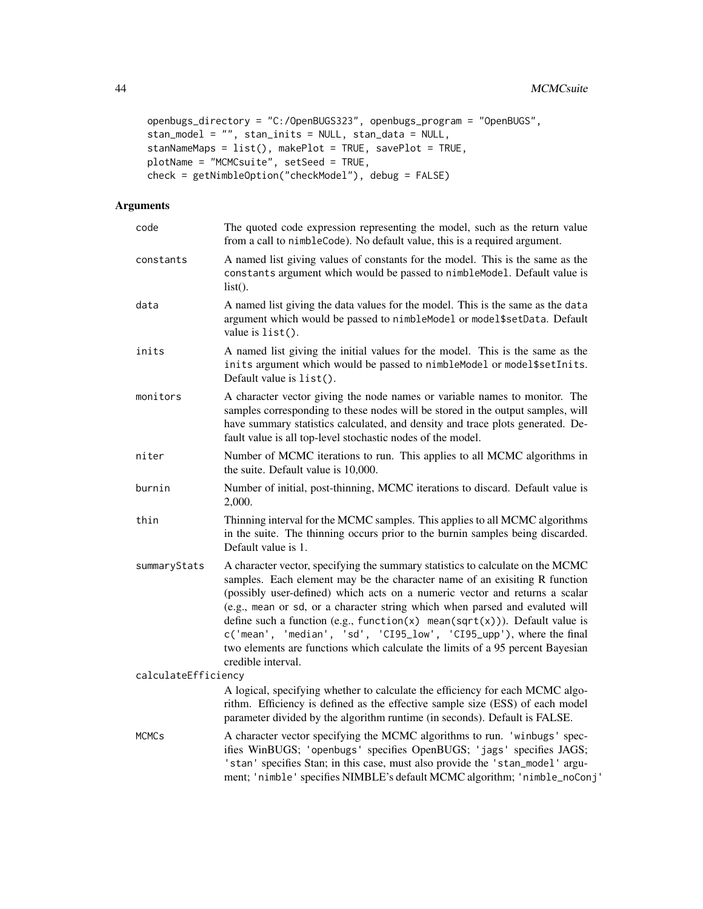```
openbugs_directory = "C:/OpenBUGS323", openbugs_program = "OpenBUGS",
stan_model = "", stan_inits = NULL, stan_data = NULL,
stanNameMaps = list(), makePlot = TRUE, savePlot = TRUE,
plotName = "MCMCsuite", setSeed = TRUE,
check = getNimbleOption("checkModel"), debug = FALSE)
```
# Arguments

| code                | The quoted code expression representing the model, such as the return value<br>from a call to nimbleCode). No default value, this is a required argument.                                                                                                                                                                                                                                                                                                                                                                                                                               |  |
|---------------------|-----------------------------------------------------------------------------------------------------------------------------------------------------------------------------------------------------------------------------------------------------------------------------------------------------------------------------------------------------------------------------------------------------------------------------------------------------------------------------------------------------------------------------------------------------------------------------------------|--|
| constants           | A named list giving values of constants for the model. This is the same as the<br>constants argument which would be passed to nimbleModel. Default value is<br>$list()$ .                                                                                                                                                                                                                                                                                                                                                                                                               |  |
| data                | A named list giving the data values for the model. This is the same as the data<br>argument which would be passed to nimbleModel or model\$setData. Default<br>value is $list()$ .                                                                                                                                                                                                                                                                                                                                                                                                      |  |
| inits               | A named list giving the initial values for the model. This is the same as the<br>inits argument which would be passed to nimbleModel or model\$setInits.<br>Default value is $list()$ .                                                                                                                                                                                                                                                                                                                                                                                                 |  |
| monitors            | A character vector giving the node names or variable names to monitor. The<br>samples corresponding to these nodes will be stored in the output samples, will<br>have summary statistics calculated, and density and trace plots generated. De-<br>fault value is all top-level stochastic nodes of the model.                                                                                                                                                                                                                                                                          |  |
| niter               | Number of MCMC iterations to run. This applies to all MCMC algorithms in<br>the suite. Default value is 10,000.                                                                                                                                                                                                                                                                                                                                                                                                                                                                         |  |
| burnin              | Number of initial, post-thinning, MCMC iterations to discard. Default value is<br>2,000.                                                                                                                                                                                                                                                                                                                                                                                                                                                                                                |  |
| thin                | Thinning interval for the MCMC samples. This applies to all MCMC algorithms<br>in the suite. The thinning occurs prior to the burnin samples being discarded.<br>Default value is 1.                                                                                                                                                                                                                                                                                                                                                                                                    |  |
| summaryStats        | A character vector, specifying the summary statistics to calculate on the MCMC<br>samples. Each element may be the character name of an exisiting R function<br>(possibly user-defined) which acts on a numeric vector and returns a scalar<br>(e.g., mean or sd, or a character string which when parsed and evaluted will<br>define such a function (e.g., function(x) mean(sqrt(x))). Default value is<br>c('mean', 'median', 'sd', 'CI95_low', 'CI95_upp'), where the final<br>two elements are functions which calculate the limits of a 95 percent Bayesian<br>credible interval. |  |
| calculateEfficiency |                                                                                                                                                                                                                                                                                                                                                                                                                                                                                                                                                                                         |  |
|                     | A logical, specifying whether to calculate the efficiency for each MCMC algo-<br>rithm. Efficiency is defined as the effective sample size (ESS) of each model<br>parameter divided by the algorithm runtime (in seconds). Default is FALSE.                                                                                                                                                                                                                                                                                                                                            |  |
| <b>MCMCs</b>        | A character vector specifying the MCMC algorithms to run. 'winbugs' spec-<br>ifies WinBUGS; 'openbugs' specifies OpenBUGS; 'jags' specifies JAGS;<br>'stan' specifies Stan; in this case, must also provide the 'stan_model' argu-<br>ment; 'nimble' specifies NIMBLE's default MCMC algorithm; 'nimble_noConj'                                                                                                                                                                                                                                                                         |  |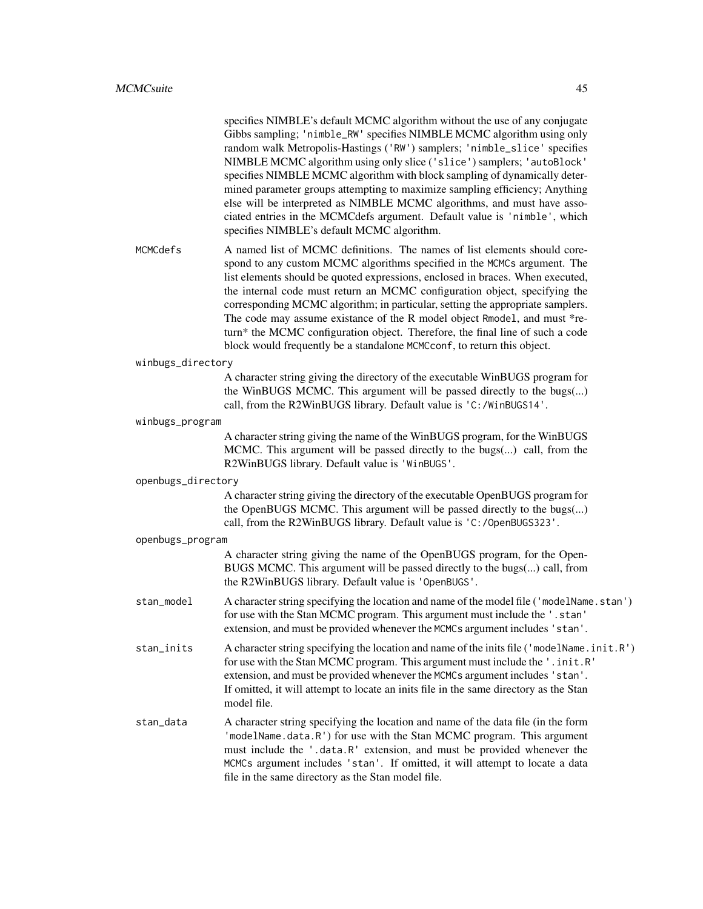specifies NIMBLE's default MCMC algorithm without the use of any conjugate Gibbs sampling; 'nimble\_RW' specifies NIMBLE MCMC algorithm using only random walk Metropolis-Hastings ('RW') samplers; 'nimble\_slice' specifies NIMBLE MCMC algorithm using only slice ('slice') samplers; 'autoBlock' specifies NIMBLE MCMC algorithm with block sampling of dynamically determined parameter groups attempting to maximize sampling efficiency; Anything else will be interpreted as NIMBLE MCMC algorithms, and must have associated entries in the MCMCdefs argument. Default value is 'nimble', which specifies NIMBLE's default MCMC algorithm.

MCMCdefs A named list of MCMC definitions. The names of list elements should corespond to any custom MCMC algorithms specified in the MCMCs argument. The list elements should be quoted expressions, enclosed in braces. When executed, the internal code must return an MCMC configuration object, specifying the corresponding MCMC algorithm; in particular, setting the appropriate samplers. The code may assume existance of the R model object Rmodel, and must \*return\* the MCMC configuration object. Therefore, the final line of such a code block would frequently be a standalone MCMCconf, to return this object.

winbugs\_directory

A character string giving the directory of the executable WinBUGS program for the WinBUGS MCMC. This argument will be passed directly to the bugs(...) call, from the R2WinBUGS library. Default value is 'C:/WinBUGS14'.

winbugs\_program

A character string giving the name of the WinBUGS program, for the WinBUGS MCMC. This argument will be passed directly to the bugs(...) call, from the R2WinBUGS library. Default value is 'WinBUGS'.

#### openbugs\_directory

A character string giving the directory of the executable OpenBUGS program for the OpenBUGS MCMC. This argument will be passed directly to the bugs(...) call, from the R2WinBUGS library. Default value is 'C:/OpenBUGS323'.

#### openbugs\_program

A character string giving the name of the OpenBUGS program, for the Open-BUGS MCMC. This argument will be passed directly to the bugs(...) call, from the R2WinBUGS library. Default value is 'OpenBUGS'.

stan\_model A character string specifying the location and name of the model file ('modelName.stan') for use with the Stan MCMC program. This argument must include the '.stan' extension, and must be provided whenever the MCMCs argument includes 'stan'.

stan\_inits A character string specifying the location and name of the inits file ('modelName.init.R') for use with the Stan MCMC program. This argument must include the '.init.R' extension, and must be provided whenever the MCMCs argument includes 'stan'. If omitted, it will attempt to locate an inits file in the same directory as the Stan model file.

stan\_data A character string specifying the location and name of the data file (in the form  $'modelName.data.R')$  for use with the Stan MCMC program. This argument must include the '.data.R' extension, and must be provided whenever the MCMCs argument includes 'stan'. If omitted, it will attempt to locate a data file in the same directory as the Stan model file.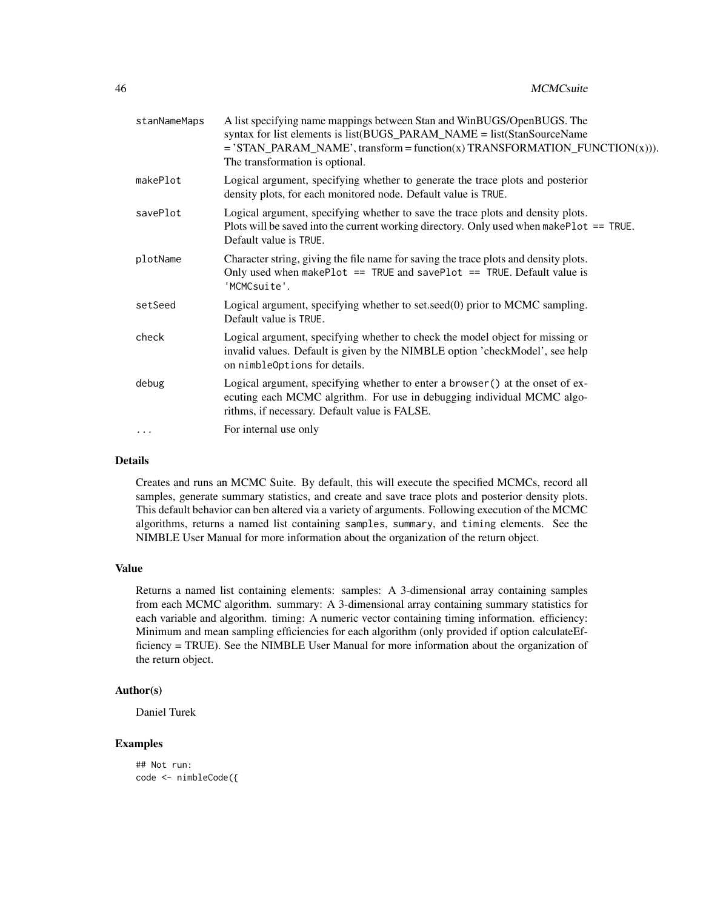| stanNameMaps | A list specifying name mappings between Stan and WinBUGS/OpenBUGS. The<br>syntax for list elements is list(BUGS_PARAM_NAME = list(StanSourceName)<br>$=$ 'STAN_PARAM_NAME', transform = function(x) TRANSFORMATION_FUNCTION(x))).<br>The transformation is optional. |  |
|--------------|----------------------------------------------------------------------------------------------------------------------------------------------------------------------------------------------------------------------------------------------------------------------|--|
| makePlot     | Logical argument, specifying whether to generate the trace plots and posterior<br>density plots, for each monitored node. Default value is TRUE.                                                                                                                     |  |
| savePlot     | Logical argument, specifying whether to save the trace plots and density plots.<br>Plots will be saved into the current working directory. Only used when makePlot == TRUE.<br>Default value is TRUE.                                                                |  |
| plotName     | Character string, giving the file name for saving the trace plots and density plots.<br>Only used when makePlot == TRUE and savePlot == TRUE. Default value is<br>'MCMCsuite'.                                                                                       |  |
| setSeed      | Logical argument, specifying whether to set.seed(0) prior to MCMC sampling.<br>Default value is TRUE.                                                                                                                                                                |  |
| check        | Logical argument, specifying whether to check the model object for missing or<br>invalid values. Default is given by the NIMBLE option 'checkModel', see help<br>on nimbleOptions for details.                                                                       |  |
| debug        | Logical argument, specifying whether to enter a browser () at the onset of ex-<br>ecuting each MCMC algrithm. For use in debugging individual MCMC algo-<br>rithms, if necessary. Default value is FALSE.                                                            |  |
|              | For internal use only                                                                                                                                                                                                                                                |  |

## Details

Creates and runs an MCMC Suite. By default, this will execute the specified MCMCs, record all samples, generate summary statistics, and create and save trace plots and posterior density plots. This default behavior can ben altered via a variety of arguments. Following execution of the MCMC algorithms, returns a named list containing samples, summary, and timing elements. See the NIMBLE User Manual for more information about the organization of the return object.

## Value

Returns a named list containing elements: samples: A 3-dimensional array containing samples from each MCMC algorithm. summary: A 3-dimensional array containing summary statistics for each variable and algorithm. timing: A numeric vector containing timing information. efficiency: Minimum and mean sampling efficiencies for each algorithm (only provided if option calculateEfficiency = TRUE). See the NIMBLE User Manual for more information about the organization of the return object.

#### Author(s)

Daniel Turek

# Examples

## Not run: code <- nimbleCode({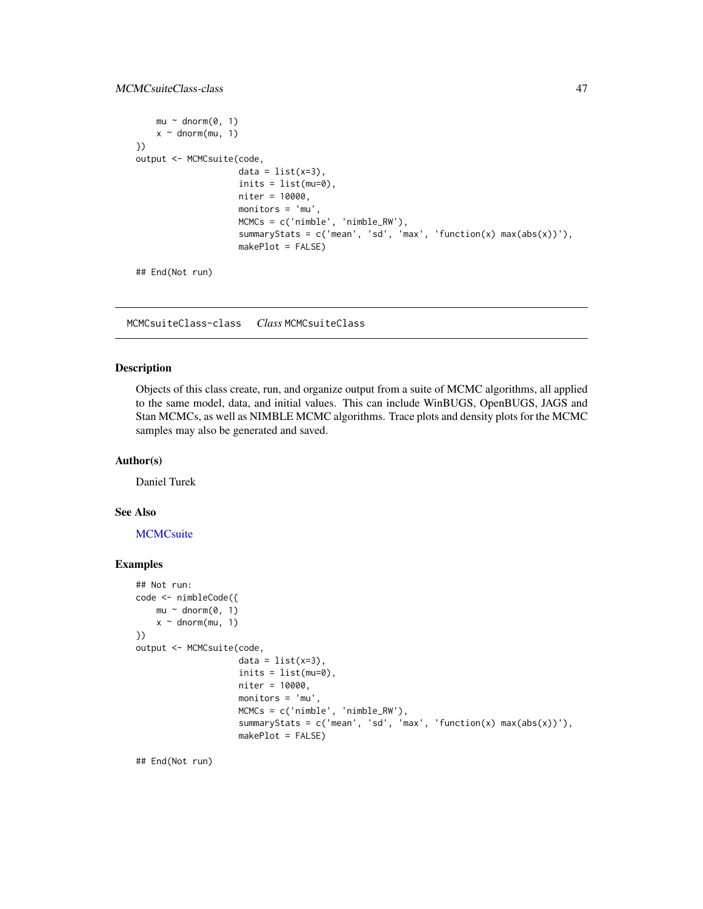```
mu ~ ~ dnorm(0, 1)
    x \sim dnorm(mu, 1)
})
output <- MCMCsuite(code,
                     data = list(x=3),
                     inits = list(mu=0),
                    niter = 10000,
                    monitors = 'mu',
                    MCMCs = c('nimble', 'nimble_RW'),
                     summaryStats = c('mean', 'sd', 'max', 'function(x) max(abs(x))')),
                    makePlot = FALSE)
```
## End(Not run)

MCMCsuiteClass-class *Class* MCMCsuiteClass

#### Description

Objects of this class create, run, and organize output from a suite of MCMC algorithms, all applied to the same model, data, and initial values. This can include WinBUGS, OpenBUGS, JAGS and Stan MCMCs, as well as NIMBLE MCMC algorithms. Trace plots and density plots for the MCMC samples may also be generated and saved.

# Author(s)

Daniel Turek

## See Also

**[MCMCsuite](#page-42-0)** 

## Examples

```
## Not run:
code <- nimbleCode({
   mu ~ ~ dnorm(0, 1)
   x \sim dnorm(mu, 1)
})
output <- MCMCsuite(code,
                    data = list(x=3),
                    inits = list(mu=0),
                    niter = 10000,
                    monitors = 'mu',
                    MCMCs = c('nimble', 'nimble_RW'),
                    summaryStats = c('mean', 'sd', 'max', 'function(x) max(abs(x))')),
                    makePlot = FALSE)
```
## End(Not run)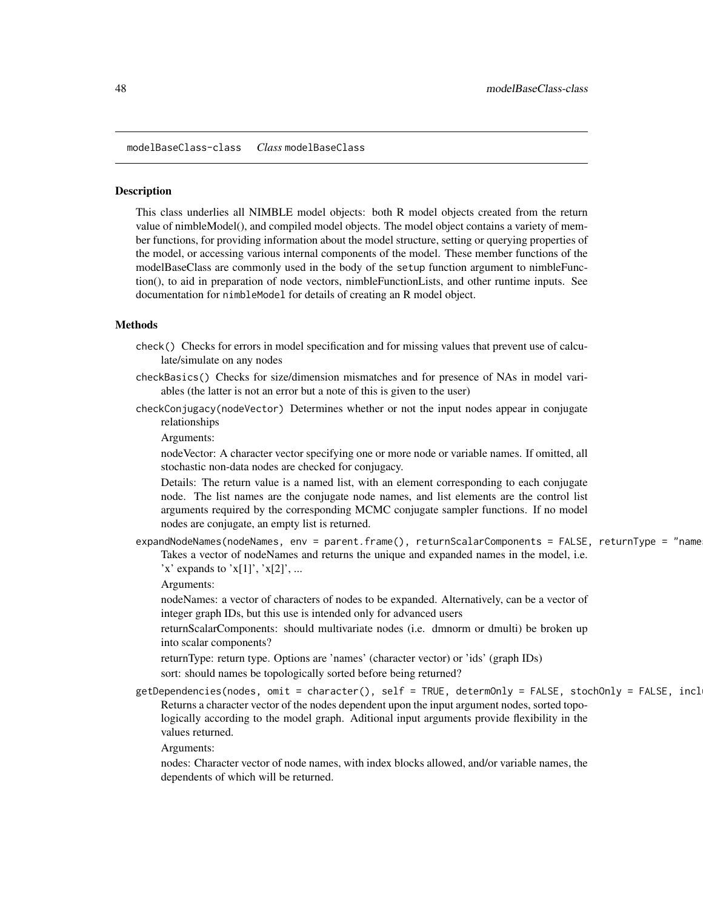modelBaseClass-class *Class* modelBaseClass

#### **Description**

This class underlies all NIMBLE model objects: both R model objects created from the return value of nimbleModel(), and compiled model objects. The model object contains a variety of member functions, for providing information about the model structure, setting or querying properties of the model, or accessing various internal components of the model. These member functions of the modelBaseClass are commonly used in the body of the setup function argument to nimbleFunction(), to aid in preparation of node vectors, nimbleFunctionLists, and other runtime inputs. See documentation for nimbleModel for details of creating an R model object.

### Methods

- check() Checks for errors in model specification and for missing values that prevent use of calculate/simulate on any nodes
- checkBasics() Checks for size/dimension mismatches and for presence of NAs in model variables (the latter is not an error but a note of this is given to the user)
- checkConjugacy(nodeVector) Determines whether or not the input nodes appear in conjugate relationships

Arguments:

nodeVector: A character vector specifying one or more node or variable names. If omitted, all stochastic non-data nodes are checked for conjugacy.

Details: The return value is a named list, with an element corresponding to each conjugate node. The list names are the conjugate node names, and list elements are the control list arguments required by the corresponding MCMC conjugate sampler functions. If no model nodes are conjugate, an empty list is returned.

expandNodeNames(nodeNames, env = parent.frame(), returnScalarComponents = FALSE, returnType = "name Takes a vector of nodeNames and returns the unique and expanded names in the model, i.e.  $x'$  expands to  $x[1]'$ ,  $x[2]'$ , ...

Arguments:

nodeNames: a vector of characters of nodes to be expanded. Alternatively, can be a vector of integer graph IDs, but this use is intended only for advanced users

returnScalarComponents: should multivariate nodes (i.e. dmnorm or dmulti) be broken up into scalar components?

returnType: return type. Options are 'names' (character vector) or 'ids' (graph IDs) sort: should names be topologically sorted before being returned?

getDependencies(nodes, omit = character(), self = TRUE, determOnly = FALSE, stochOnly = FALSE, incl Returns a character vector of the nodes dependent upon the input argument nodes, sorted topologically according to the model graph. Aditional input arguments provide flexibility in the values returned.

Arguments:

nodes: Character vector of node names, with index blocks allowed, and/or variable names, the dependents of which will be returned.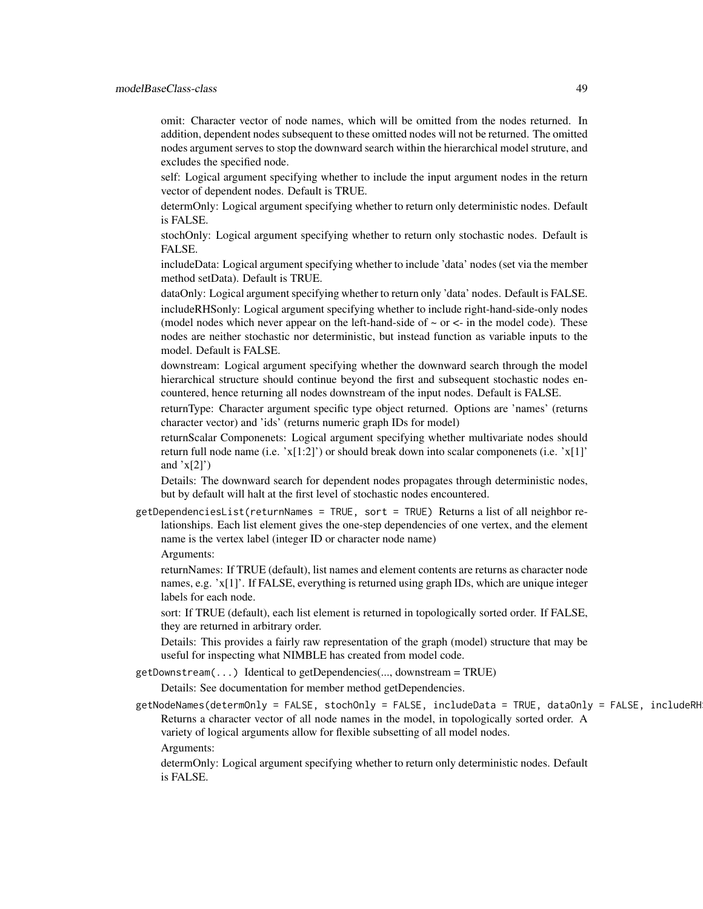omit: Character vector of node names, which will be omitted from the nodes returned. In addition, dependent nodes subsequent to these omitted nodes will not be returned. The omitted nodes argument serves to stop the downward search within the hierarchical model struture, and excludes the specified node.

self: Logical argument specifying whether to include the input argument nodes in the return vector of dependent nodes. Default is TRUE.

determOnly: Logical argument specifying whether to return only deterministic nodes. Default is FALSE.

stochOnly: Logical argument specifying whether to return only stochastic nodes. Default is FALSE.

includeData: Logical argument specifying whether to include 'data' nodes (set via the member method setData). Default is TRUE.

dataOnly: Logical argument specifying whether to return only 'data' nodes. Default is FALSE. includeRHSonly: Logical argument specifying whether to include right-hand-side-only nodes (model nodes which never appear on the left-hand-side of  $\sim$  or  $\lt$ - in the model code). These nodes are neither stochastic nor deterministic, but instead function as variable inputs to the model. Default is FALSE.

downstream: Logical argument specifying whether the downward search through the model hierarchical structure should continue beyond the first and subsequent stochastic nodes encountered, hence returning all nodes downstream of the input nodes. Default is FALSE.

returnType: Character argument specific type object returned. Options are 'names' (returns character vector) and 'ids' (returns numeric graph IDs for model)

returnScalar Componenets: Logical argument specifying whether multivariate nodes should return full node name (i.e.  $x[1:2]$ ) or should break down into scalar componenets (i.e.  $x[1]$ ) and  $x[2]$ <sup>'</sup>)

Details: The downward search for dependent nodes propagates through deterministic nodes, but by default will halt at the first level of stochastic nodes encountered.

getDependenciesList(returnNames = TRUE, sort = TRUE) Returns a list of all neighbor relationships. Each list element gives the one-step dependencies of one vertex, and the element name is the vertex label (integer ID or character node name)

Arguments:

returnNames: If TRUE (default), list names and element contents are returns as character node names, e.g. 'x[1]'. If FALSE, everything is returned using graph IDs, which are unique integer labels for each node.

sort: If TRUE (default), each list element is returned in topologically sorted order. If FALSE, they are returned in arbitrary order.

Details: This provides a fairly raw representation of the graph (model) structure that may be useful for inspecting what NIMBLE has created from model code.

getDownstream(...) Identical to getDependencies(..., downstream = TRUE)

Details: See documentation for member method getDependencies.

getNodeNames(determOnly = FALSE, stochOnly = FALSE, includeData = TRUE, dataOnly = FALSE, includeRH Returns a character vector of all node names in the model, in topologically sorted order. A variety of logical arguments allow for flexible subsetting of all model nodes. Arguments:

determOnly: Logical argument specifying whether to return only deterministic nodes. Default is FALSE.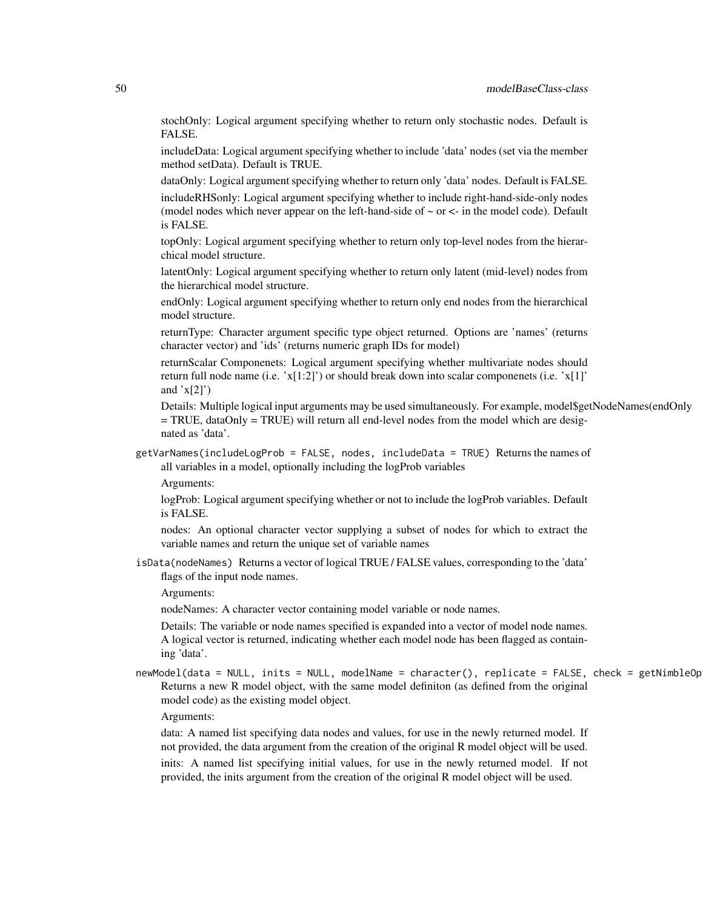stochOnly: Logical argument specifying whether to return only stochastic nodes. Default is FALSE.

includeData: Logical argument specifying whether to include 'data' nodes (set via the member method setData). Default is TRUE.

dataOnly: Logical argument specifying whether to return only 'data' nodes. Default is FALSE.

includeRHSonly: Logical argument specifying whether to include right-hand-side-only nodes (model nodes which never appear on the left-hand-side of  $\sim$  or  $\lt$ - in the model code). Default is FALSE.

topOnly: Logical argument specifying whether to return only top-level nodes from the hierarchical model structure.

latentOnly: Logical argument specifying whether to return only latent (mid-level) nodes from the hierarchical model structure.

endOnly: Logical argument specifying whether to return only end nodes from the hierarchical model structure.

returnType: Character argument specific type object returned. Options are 'names' (returns character vector) and 'ids' (returns numeric graph IDs for model)

returnScalar Componenets: Logical argument specifying whether multivariate nodes should return full node name (i.e.  $x[1:2]$ ) or should break down into scalar componenets (i.e.  $x[1]$ ) and  $x[2]$ <sup>'</sup>)

Details: Multiple logical input arguments may be used simultaneously. For example, model\$getNodeNames(endOnly  $=$  TRUE, dataOnly  $=$  TRUE) will return all end-level nodes from the model which are designated as 'data'.

getVarNames(includeLogProb = FALSE, nodes, includeData = TRUE) Returns the names of all variables in a model, optionally including the logProb variables

Arguments:

logProb: Logical argument specifying whether or not to include the logProb variables. Default is FALSE.

nodes: An optional character vector supplying a subset of nodes for which to extract the variable names and return the unique set of variable names

isData(nodeNames) Returns a vector of logical TRUE / FALSE values, corresponding to the 'data' flags of the input node names.

Arguments:

nodeNames: A character vector containing model variable or node names.

Details: The variable or node names specified is expanded into a vector of model node names. A logical vector is returned, indicating whether each model node has been flagged as containing 'data'.

newModel(data = NULL, inits = NULL, modelName = character(), replicate = FALSE, check = getNimbleOp Returns a new R model object, with the same model definiton (as defined from the original model code) as the existing model object.

Arguments:

data: A named list specifying data nodes and values, for use in the newly returned model. If not provided, the data argument from the creation of the original R model object will be used. inits: A named list specifying initial values, for use in the newly returned model. If not provided, the inits argument from the creation of the original R model object will be used.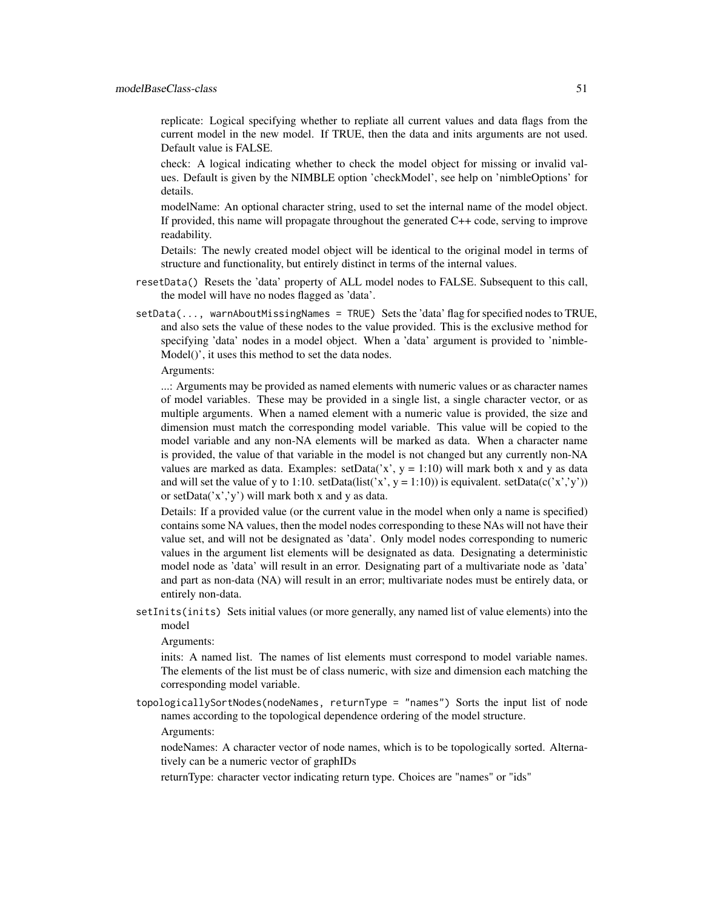replicate: Logical specifying whether to repliate all current values and data flags from the current model in the new model. If TRUE, then the data and inits arguments are not used. Default value is FALSE.

check: A logical indicating whether to check the model object for missing or invalid values. Default is given by the NIMBLE option 'checkModel', see help on 'nimbleOptions' for details.

modelName: An optional character string, used to set the internal name of the model object. If provided, this name will propagate throughout the generated C++ code, serving to improve readability.

Details: The newly created model object will be identical to the original model in terms of structure and functionality, but entirely distinct in terms of the internal values.

- resetData() Resets the 'data' property of ALL model nodes to FALSE. Subsequent to this call, the model will have no nodes flagged as 'data'.
- setData(..., warnAboutMissingNames = TRUE) Sets the 'data' flag for specified nodes to TRUE, and also sets the value of these nodes to the value provided. This is the exclusive method for specifying 'data' nodes in a model object. When a 'data' argument is provided to 'nimble-Model()', it uses this method to set the data nodes.

#### Arguments:

...: Arguments may be provided as named elements with numeric values or as character names of model variables. These may be provided in a single list, a single character vector, or as multiple arguments. When a named element with a numeric value is provided, the size and dimension must match the corresponding model variable. This value will be copied to the model variable and any non-NA elements will be marked as data. When a character name is provided, the value of that variable in the model is not changed but any currently non-NA values are marked as data. Examples: setData('x',  $y = 1:10$ ) will mark both x and y as data and will set the value of y to 1:10. setData(list('x', y = 1:10)) is equivalent. setData(c('x','y')) or setData $('x', 'y')$  will mark both x and y as data.

Details: If a provided value (or the current value in the model when only a name is specified) contains some NA values, then the model nodes corresponding to these NAs will not have their value set, and will not be designated as 'data'. Only model nodes corresponding to numeric values in the argument list elements will be designated as data. Designating a deterministic model node as 'data' will result in an error. Designating part of a multivariate node as 'data' and part as non-data (NA) will result in an error; multivariate nodes must be entirely data, or entirely non-data.

setInits(inits) Sets initial values (or more generally, any named list of value elements) into the model

Arguments:

inits: A named list. The names of list elements must correspond to model variable names. The elements of the list must be of class numeric, with size and dimension each matching the corresponding model variable.

topologicallySortNodes(nodeNames, returnType = "names") Sorts the input list of node names according to the topological dependence ordering of the model structure.

Arguments:

nodeNames: A character vector of node names, which is to be topologically sorted. Alternatively can be a numeric vector of graphIDs

returnType: character vector indicating return type. Choices are "names" or "ids"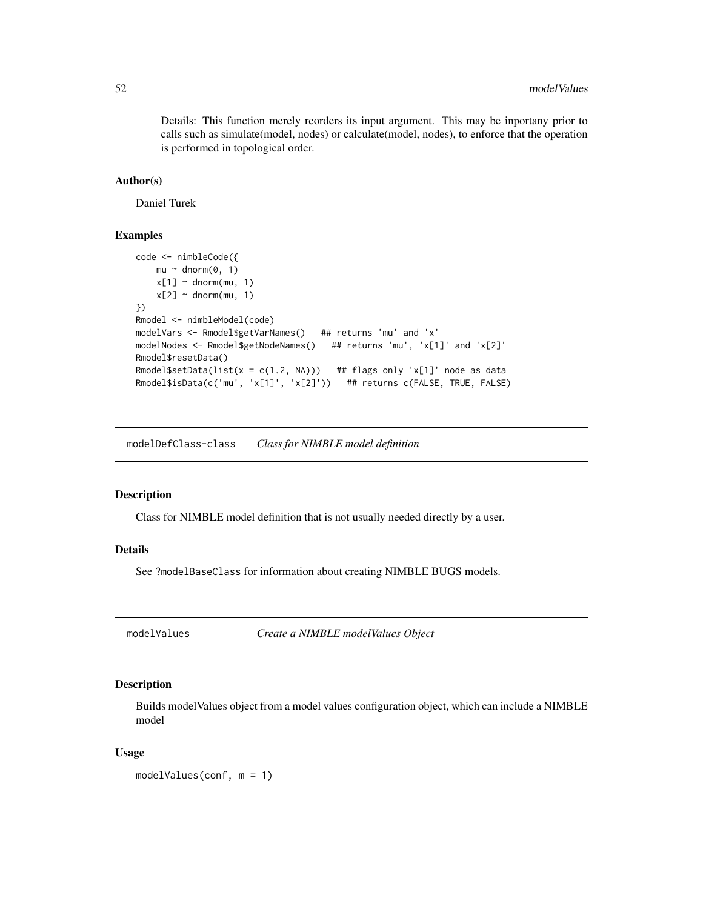Details: This function merely reorders its input argument. This may be inportany prior to calls such as simulate(model, nodes) or calculate(model, nodes), to enforce that the operation is performed in topological order.

# Author(s)

Daniel Turek

### Examples

```
code <- nimbleCode({
   mu ~ ~ dnorm(0, 1)
   x[1] ~ dnorm(mu, 1)
   x[2] \sim \text{dnorm}(\text{mu}, 1)})
Rmodel <- nimbleModel(code)
modelVars <- Rmodel$getVarNames() ## returns 'mu' and 'x'
modelNodes <- Rmodel$getNodeNames() ## returns 'mu', 'x[1]' and 'x[2]'
Rmodel$resetData()
Rmodel$setData(list(x = c(1.2, NA))) ## flags only 'x[1]' node as data
Rmodel$isData(c('mu', 'x[1]', 'x[2]')) ## returns c(FALSE, TRUE, FALSE)
```
modelDefClass-class *Class for NIMBLE model definition*

## Description

Class for NIMBLE model definition that is not usually needed directly by a user.

### Details

See ?modelBaseClass for information about creating NIMBLE BUGS models.

modelValues *Create a NIMBLE modelValues Object*

# **Description**

Builds modelValues object from a model values configuration object, which can include a NIMBLE model

### Usage

modelValues(conf, m = 1)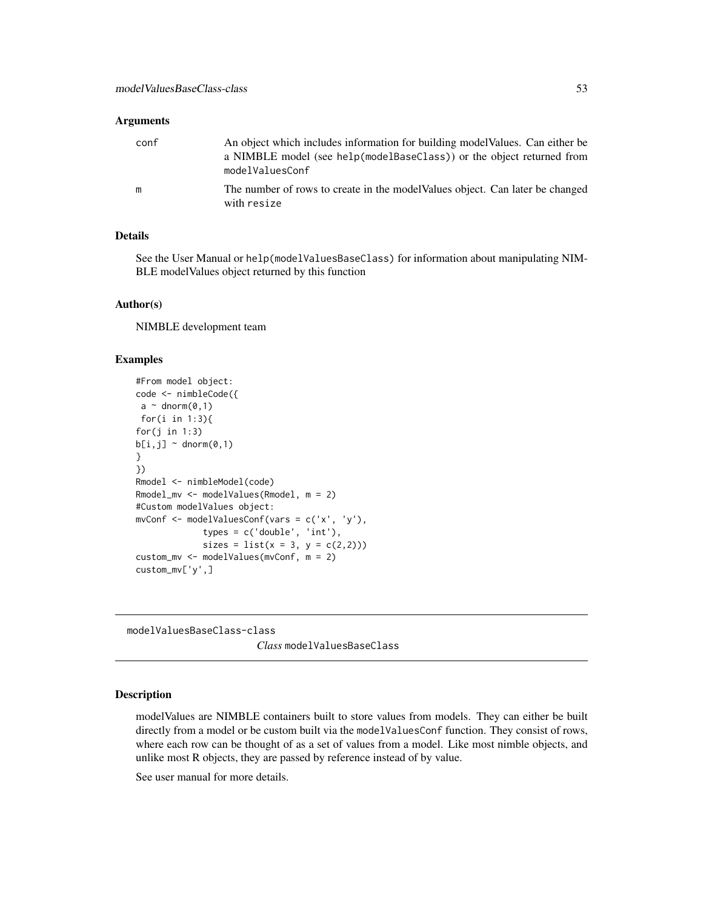#### Arguments

| conf | An object which includes information for building model Values. Can either be<br>a NIMBLE model (see help(modelBaseClass)) or the object returned from<br>modelValuesConf |
|------|---------------------------------------------------------------------------------------------------------------------------------------------------------------------------|
| m    | The number of rows to create in the model Values object. Can later be changed<br>with resize                                                                              |

### Details

See the User Manual or help(modelValuesBaseClass) for information about manipulating NIM-BLE modelValues object returned by this function

# Author(s)

NIMBLE development team

# Examples

```
#From model object:
code <- nimbleCode({
 a \sim dnorm(0,1)
 for(i in 1:3){
for(j in 1:3)b[i,j] ~ dnorm(0,1)}
})
Rmodel <- nimbleModel(code)
Rmodel_mv <- modelValues(Rmodel, m = 2)
#Custom modelValues object:
mvConf \leq mode1ValuesConf(vars = c('x', 'y'),types = c('double', 'int'),
             sizes = list(x = 3, y = c(2,2)))custom_mv <- modelValues(mvConf, m = 2)
custom_mv['y',]
```
modelValuesBaseClass-class *Class* modelValuesBaseClass

# Description

modelValues are NIMBLE containers built to store values from models. They can either be built directly from a model or be custom built via the modelValuesConf function. They consist of rows, where each row can be thought of as a set of values from a model. Like most nimble objects, and unlike most R objects, they are passed by reference instead of by value.

See user manual for more details.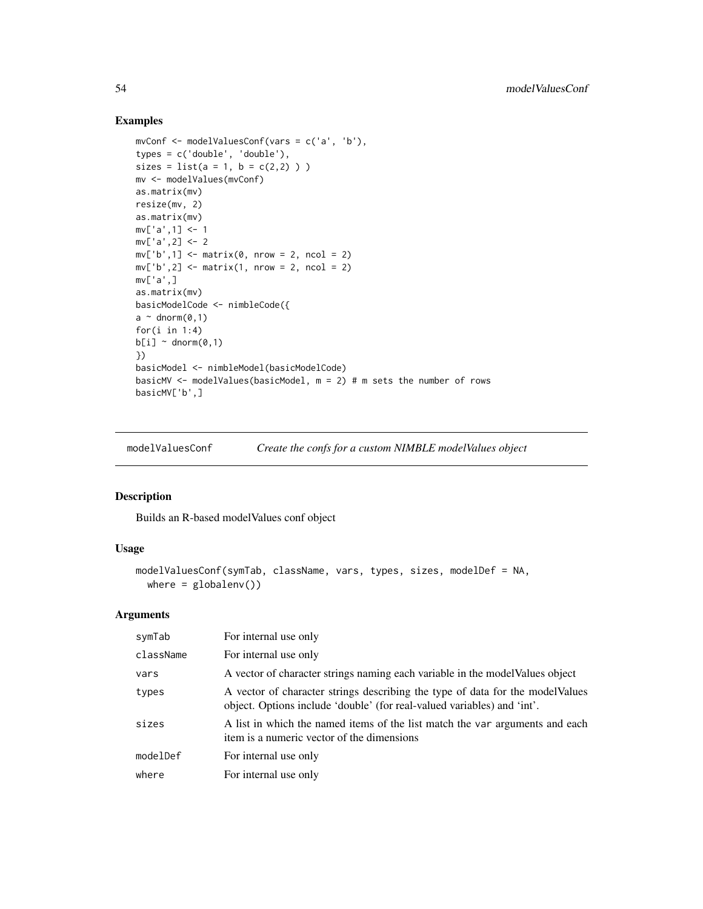## Examples

```
mvConf <- modelValuesConf(vars = c('a', 'b'),
types = c('double', 'double'),
sizes = list(a = 1, b = c(2,2)) )mv <- modelValues(mvConf)
as.matrix(mv)
resize(mv, 2)
as.matrix(mv)
mv['a', 1] <- 1
mv['a',2] <- 2
mv['b', 1] \leq matrix(0, nrow = 2, ncol = 2)mv['b', 2] \leq matrix \cdot m + m(x), nrow = 2, ncol = 2)
mv['a',]
as.matrix(mv)
basicModelCode <- nimbleCode({
a \sim dnorm(0,1)for(i in 1:4)b[i] ~ dnorm(0,1)})
basicModel <- nimbleModel(basicModelCode)
basicMV <- modelValues(basicModel, m = 2) # m sets the number of rows
basicMV['b',]
```
modelValuesConf *Create the confs for a custom NIMBLE modelValues object*

## Description

Builds an R-based modelValues conf object

# Usage

```
modelValuesConf(symTab, className, vars, types, sizes, modelDef = NA,
 where = globalenv()
```
#### Arguments

| symTab    | For internal use only                                                                                                                                     |  |
|-----------|-----------------------------------------------------------------------------------------------------------------------------------------------------------|--|
| className | For internal use only                                                                                                                                     |  |
| vars      | A vector of character strings naming each variable in the model Values object                                                                             |  |
| types     | A vector of character strings describing the type of data for the model Values<br>object. Options include 'double' (for real-valued variables) and 'int'. |  |
| sizes     | A list in which the named items of the list match the var arguments and each<br>item is a numeric vector of the dimensions                                |  |
| modelDef  | For internal use only                                                                                                                                     |  |
| where     | For internal use only                                                                                                                                     |  |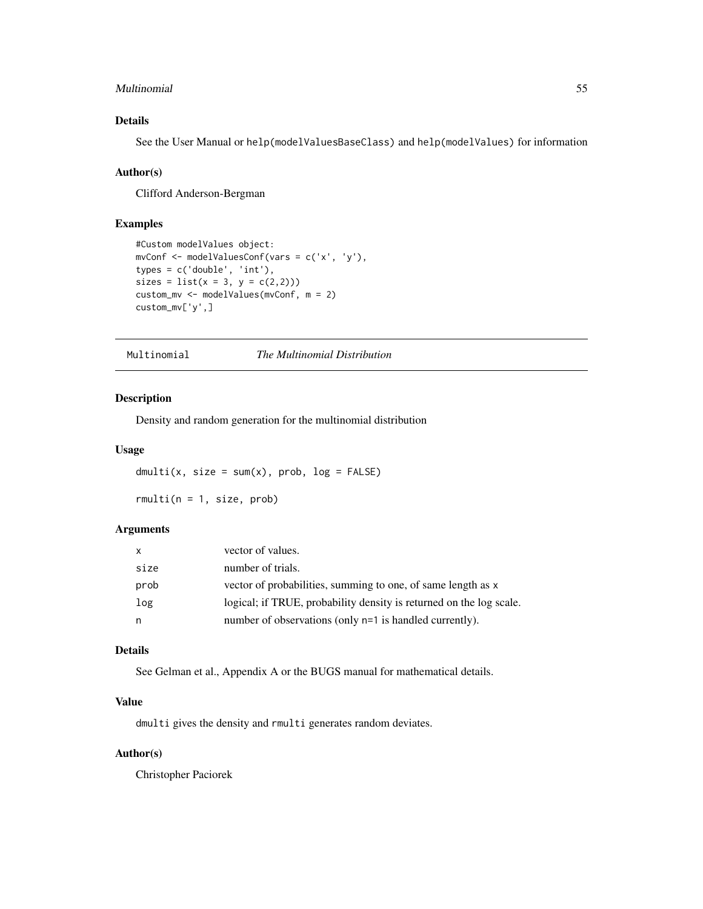#### Multinomial 55

# Details

See the User Manual or help(modelValuesBaseClass) and help(modelValues) for information

### Author(s)

Clifford Anderson-Bergman

## Examples

```
#Custom modelValues object:
mvConf \leq mode1ValuesConf(vars = c('x', 'y'),types = c('double', 'int'),
sizes = list(x = 3, y = c(2,2)))custom_mv <- modelValues(mvConf, m = 2)
custom_mv['y',]
```
Multinomial *The Multinomial Distribution*

## Description

Density and random generation for the multinomial distribution

## Usage

```
dmulti(x, size = sum(x), prob, log = FALSE)
```
 $rmulti(n = 1, size, prob)$ 

## Arguments

| $\mathsf{x}$ | vector of values.                                                   |  |
|--------------|---------------------------------------------------------------------|--|
| size         | number of trials.                                                   |  |
| prob         | vector of probabilities, summing to one, of same length as x        |  |
| log          | logical; if TRUE, probability density is returned on the log scale. |  |
| n.           | number of observations (only n=1 is handled currently).             |  |

# Details

See Gelman et al., Appendix A or the BUGS manual for mathematical details.

## Value

dmulti gives the density and rmulti generates random deviates.

# Author(s)

Christopher Paciorek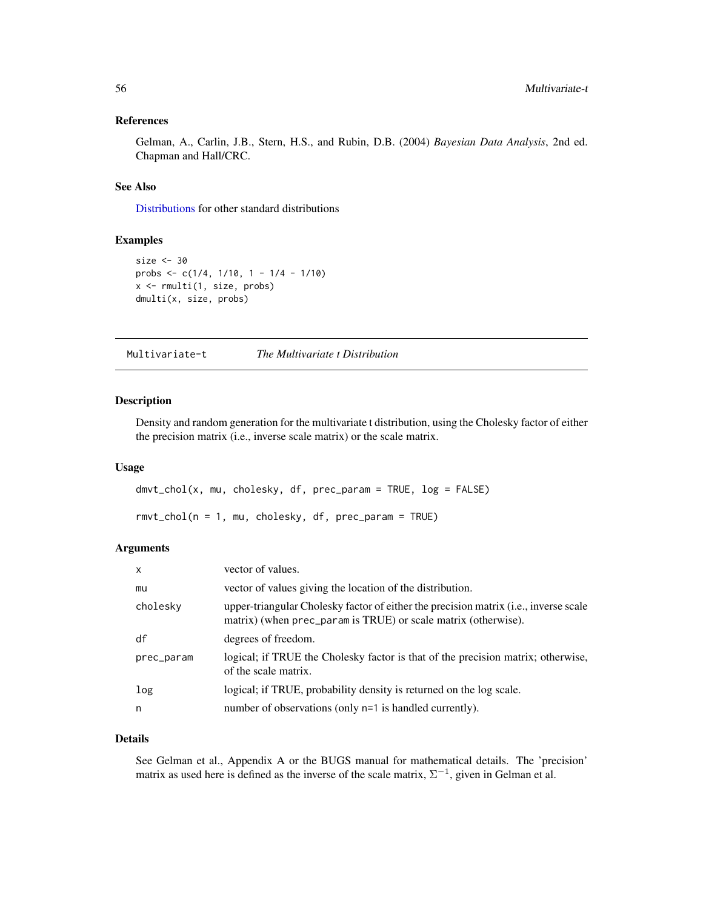### References

Gelman, A., Carlin, J.B., Stern, H.S., and Rubin, D.B. (2004) *Bayesian Data Analysis*, 2nd ed. Chapman and Hall/CRC.

### See Also

[Distributions](#page-0-0) for other standard distributions

# Examples

```
size <- 30
probs <- c(1/4, 1/10, 1 - 1/4 - 1/10)
x <- rmulti(1, size, probs)
dmulti(x, size, probs)
```
Multivariate-t *The Multivariate t Distribution*

# Description

Density and random generation for the multivariate t distribution, using the Cholesky factor of either the precision matrix (i.e., inverse scale matrix) or the scale matrix.

# Usage

```
dmvt_chol(x, mu, cholesky, df, prec_param = TRUE, log = FALSE)
rmvt_chol(n = 1, mu, cholesky, df, prec_param = TRUE)
```
### Arguments

| $\mathsf{x}$ | vector of values.                                                                                                                                      |  |
|--------------|--------------------------------------------------------------------------------------------------------------------------------------------------------|--|
| mu           | vector of values giving the location of the distribution.                                                                                              |  |
| cholesky     | upper-triangular Cholesky factor of either the precision matrix (i.e., inverse scale<br>matrix) (when prec_param is TRUE) or scale matrix (otherwise). |  |
| df           | degrees of freedom.                                                                                                                                    |  |
| prec_param   | logical; if TRUE the Cholesky factor is that of the precision matrix; otherwise,<br>of the scale matrix.                                               |  |
| log          | logical; if TRUE, probability density is returned on the log scale.                                                                                    |  |
| n            | number of observations (only n=1 is handled currently).                                                                                                |  |

# Details

See Gelman et al., Appendix A or the BUGS manual for mathematical details. The 'precision' matrix as used here is defined as the inverse of the scale matrix,  $\Sigma^{-1}$ , given in Gelman et al.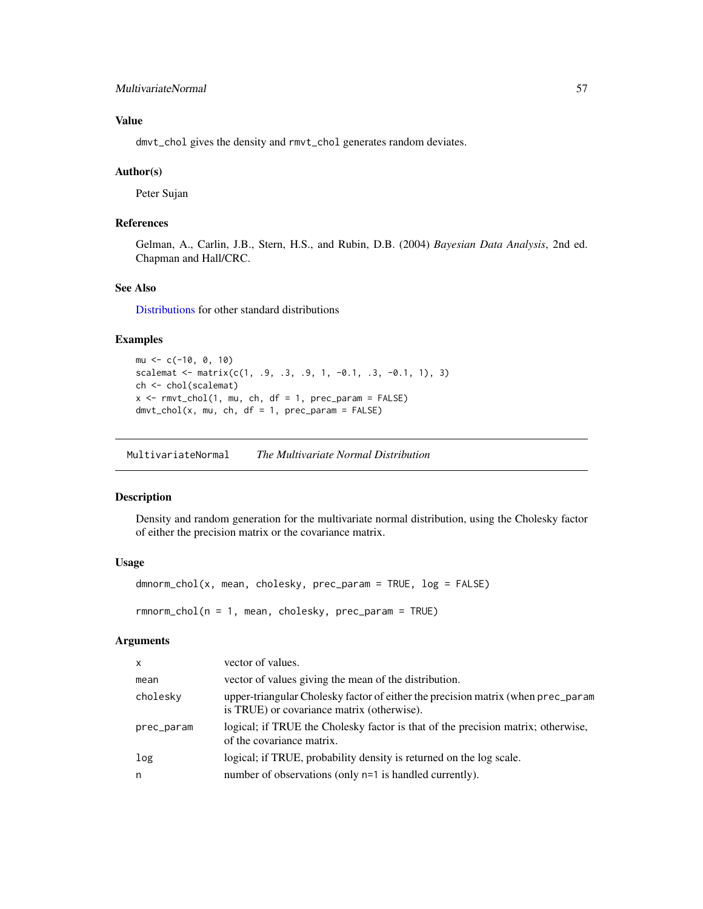# Value

dmvt\_chol gives the density and rmvt\_chol generates random deviates.

#### Author(s)

Peter Sujan

## References

Gelman, A., Carlin, J.B., Stern, H.S., and Rubin, D.B. (2004) *Bayesian Data Analysis*, 2nd ed. Chapman and Hall/CRC.

### See Also

[Distributions](#page-0-0) for other standard distributions

# Examples

```
mu <- c(-10, 0, 10)
scalemat <- matrix(c(1, .9, .3, .9, 1, -0.1, .3, -0.1, 1), 3)
ch <- chol(scalemat)
x \leq r mvt_chol(1, mu, ch, df = 1, prec_param = FALSE)
dmvt_chol(x, mu, ch, df = 1, prec_param = FALSE)
```
MultivariateNormal *The Multivariate Normal Distribution*

### Description

Density and random generation for the multivariate normal distribution, using the Cholesky factor of either the precision matrix or the covariance matrix.

### Usage

```
dmnorm_chol(x, mean, cholesky, prec_param = TRUE, log = FALSE)
```
rmnorm\_chol(n = 1, mean, cholesky, prec\_param = TRUE)

### Arguments

| $\mathsf{x}$ | vector of values.                                                                                                              |  |
|--------------|--------------------------------------------------------------------------------------------------------------------------------|--|
| mean         | vector of values giving the mean of the distribution.                                                                          |  |
| cholesky     | upper-triangular Cholesky factor of either the precision matrix (when prec_param<br>is TRUE) or covariance matrix (otherwise). |  |
| prec_param   | logical; if TRUE the Cholesky factor is that of the precision matrix; otherwise,<br>of the covariance matrix.                  |  |
| log          | logical; if TRUE, probability density is returned on the log scale.                                                            |  |
| n            | number of observations (only n=1 is handled currently).                                                                        |  |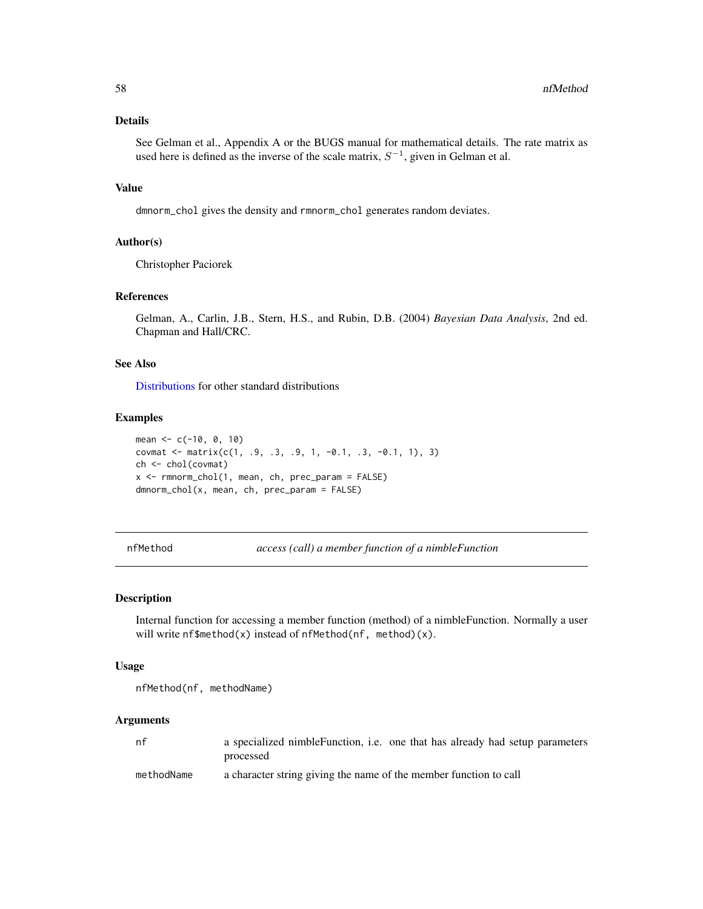# Details

See Gelman et al., Appendix A or the BUGS manual for mathematical details. The rate matrix as used here is defined as the inverse of the scale matrix,  $S^{-1}$ , given in Gelman et al.

## Value

dmnorm\_chol gives the density and rmnorm\_chol generates random deviates.

#### Author(s)

Christopher Paciorek

#### References

Gelman, A., Carlin, J.B., Stern, H.S., and Rubin, D.B. (2004) *Bayesian Data Analysis*, 2nd ed. Chapman and Hall/CRC.

### See Also

[Distributions](#page-0-0) for other standard distributions

#### Examples

```
mean <-c(-10, 0, 10)covmat <- matrix(c(1, .9, .3, .9, 1, -0.1, .3, -0.1, 1), 3)
ch <- chol(covmat)
x <- rmnorm_chol(1, mean, ch, prec_param = FALSE)
dmnorm_chol(x, mean, ch, prec_param = FALSE)
```
<span id="page-57-0"></span>nfMethod *access (call) a member function of a nimbleFunction*

#### Description

Internal function for accessing a member function (method) of a nimbleFunction. Normally a user will write nf\$method(x) instead of nfMethod(nf, method)(x).

#### Usage

```
nfMethod(nf, methodName)
```
### Arguments

| nf |           | a specialized nimble Function, i.e. one that has already had setup parameters |
|----|-----------|-------------------------------------------------------------------------------|
|    | processed |                                                                               |

methodName a character string giving the name of the member function to call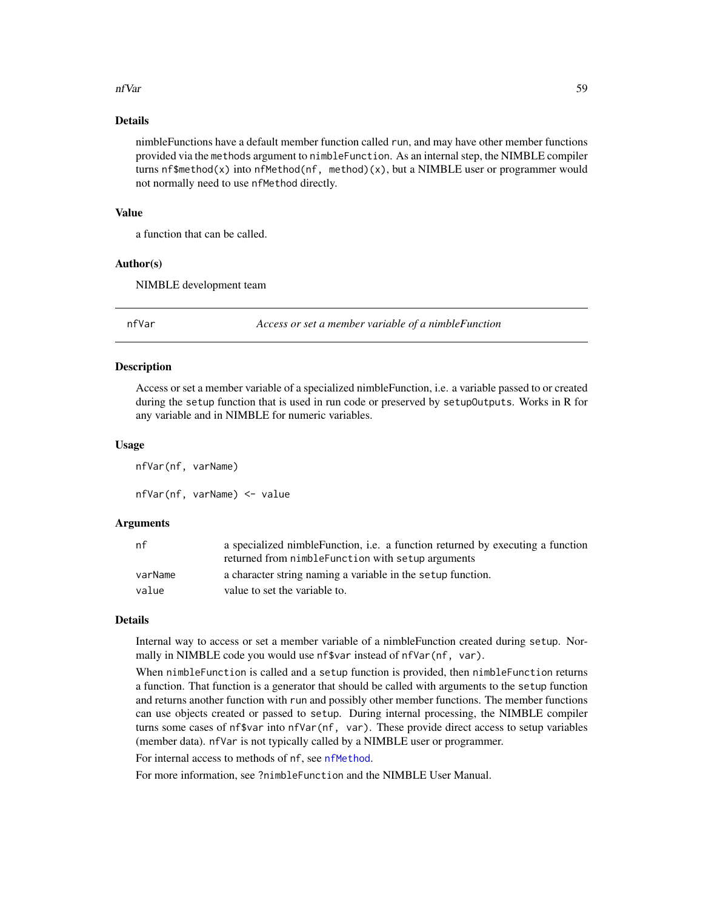#### nfVar 59

# Details

nimbleFunctions have a default member function called run, and may have other member functions provided via the methods argument to nimbleFunction. As an internal step, the NIMBLE compiler turns nf\$method(x) into nfMethod(nf, method)(x), but a NIMBLE user or programmer would not normally need to use nfMethod directly.

## Value

a function that can be called.

## Author(s)

NIMBLE development team

nfVar *Access or set a member variable of a nimbleFunction*

## Description

Access or set a member variable of a specialized nimbleFunction, i.e. a variable passed to or created during the setup function that is used in run code or preserved by setupOutputs. Works in R for any variable and in NIMBLE for numeric variables.

#### Usage

nfVar(nf, varName)

nfVar(nf, varName) <- value

#### Arguments

| nf      | a specialized nimble Function, i.e. a function returned by executing a function |
|---------|---------------------------------------------------------------------------------|
|         | returned from nimble Function with setup arguments                              |
| varName | a character string naming a variable in the setup function.                     |
| value   | value to set the variable to.                                                   |

#### Details

Internal way to access or set a member variable of a nimbleFunction created during setup. Normally in NIMBLE code you would use nf\$var instead of nfVar(nf, var).

When nimbleFunction is called and a setup function is provided, then nimbleFunction returns a function. That function is a generator that should be called with arguments to the setup function and returns another function with run and possibly other member functions. The member functions can use objects created or passed to setup. During internal processing, the NIMBLE compiler turns some cases of nf\$var into nfVar(nf, var). These provide direct access to setup variables (member data). nfVar is not typically called by a NIMBLE user or programmer.

For internal access to methods of nf, see [nfMethod](#page-57-0).

For more information, see ?nimbleFunction and the NIMBLE User Manual.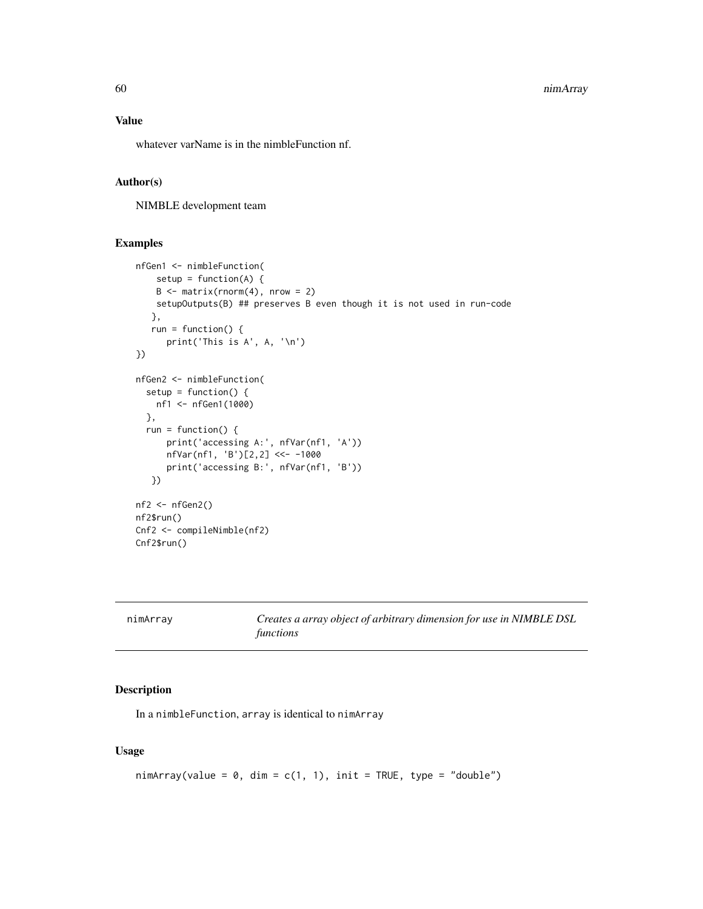60 nimArray

# Value

whatever varName is in the nimbleFunction nf.

# Author(s)

NIMBLE development team

# Examples

```
nfGen1 <- nimbleFunction(
   setup = function(A) {
   B \le - matrix(rnorm(4), nrow = 2)
   setupOutputs(B) ## preserves B even though it is not used in run-code
   },
  run = function() {
      print('This is A', A, '\n')
})
nfGen2 <- nimbleFunction(
  setup = function() {
   nf1 <- nfGen1(1000)
  },
  run = function() {
      print('accessing A:', nfVar(nf1, 'A'))
      nfVar(nf1, 'B')[2,2] <<- -1000
      print('accessing B:', nfVar(nf1, 'B'))
  })
nf2 <- nfGen2()
nf2$run()
Cnf2 <- compileNimble(nf2)
Cnf2$run()
```

| nimArray | Creates a array object of arbitrary dimension for use in NIMBLE DSL |
|----------|---------------------------------------------------------------------|
|          | functions                                                           |

## <span id="page-59-0"></span>Description

In a nimbleFunction, array is identical to nimArray

# Usage

```
nimArray(value = 0, dim = c(1, 1), init = TRUE, type = "double")
```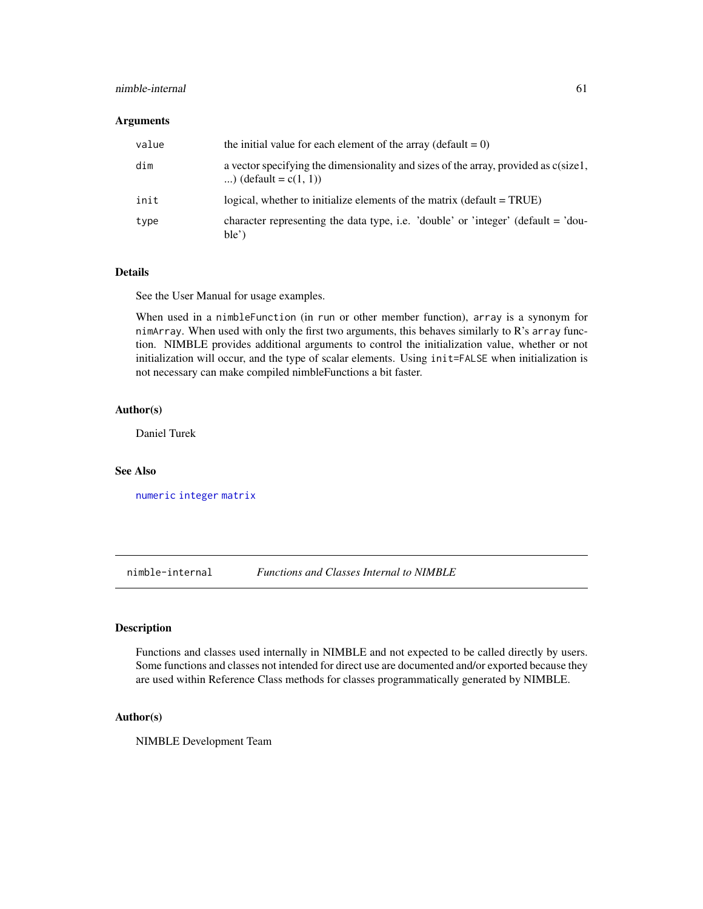# nimble-internal 61

## Arguments

| value | the initial value for each element of the array (default $= 0$ )                                                |
|-------|-----------------------------------------------------------------------------------------------------------------|
| dim   | a vector specifying the dimensionality and sizes of the array, provided as c(size1,<br>) (default = $c(1, 1)$ ) |
| init  | logical, whether to initialize elements of the matrix (default $= TRUE$ )                                       |
| type  | character representing the data type, i.e. 'double' or 'integer' (default $=$ 'dou-<br>ble')                    |

## Details

See the User Manual for usage examples.

When used in a nimble Function (in run or other member function), array is a synonym for nimArray. When used with only the first two arguments, this behaves similarly to R's array function. NIMBLE provides additional arguments to control the initialization value, whether or not initialization will occur, and the type of scalar elements. Using init=FALSE when initialization is not necessary can make compiled nimbleFunctions a bit faster.

# Author(s)

Daniel Turek

## See Also

[numeric](#page-72-0) [integer](#page-70-0) [matrix](#page-71-0)

nimble-internal *Functions and Classes Internal to NIMBLE*

#### Description

Functions and classes used internally in NIMBLE and not expected to be called directly by users. Some functions and classes not intended for direct use are documented and/or exported because they are used within Reference Class methods for classes programmatically generated by NIMBLE.

### Author(s)

NIMBLE Development Team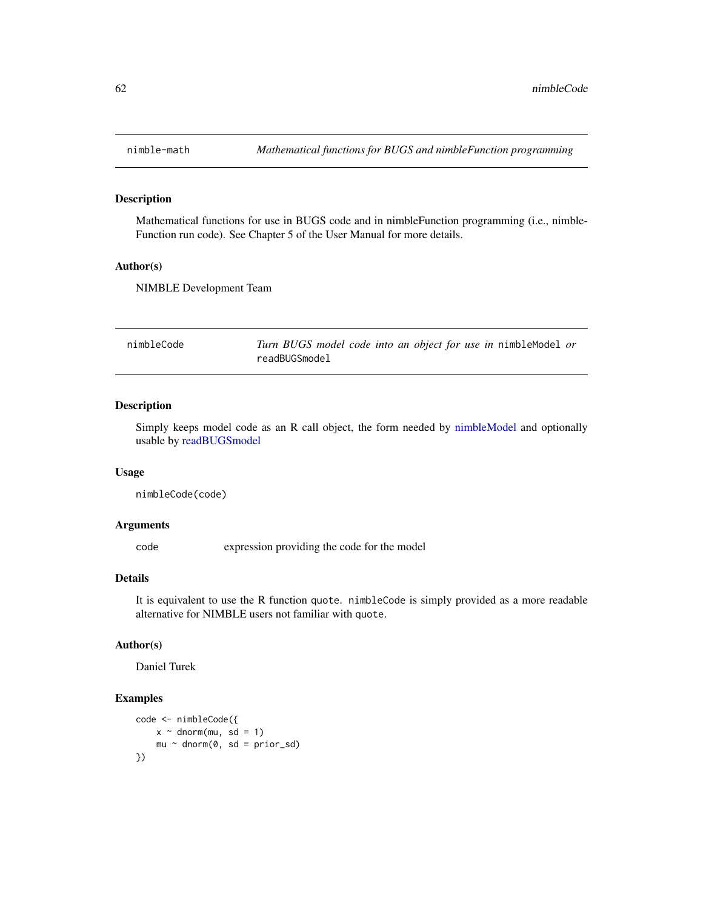### Description

Mathematical functions for use in BUGS code and in nimbleFunction programming (i.e., nimble-Function run code). See Chapter 5 of the User Manual for more details.

#### Author(s)

NIMBLE Development Team

<span id="page-61-0"></span>

| nimbleCode | Turn BUGS model code into an object for use in nimbleModel or |
|------------|---------------------------------------------------------------|
|            | readBUGSmodel                                                 |

## Description

Simply keeps model code as an R call object, the form needed by [nimbleModel](#page-64-0) and optionally usable by [readBUGSmodel](#page-76-0)

### Usage

nimbleCode(code)

## Arguments

code expression providing the code for the model

### Details

It is equivalent to use the R function quote. nimbleCode is simply provided as a more readable alternative for NIMBLE users not familiar with quote.

#### Author(s)

Daniel Turek

### Examples

```
code <- nimbleCode({
    x \sim dnorm(mu, sd = 1)
    mu ~ ~ ~ dnorm(0, sd = prior_sd)
})
```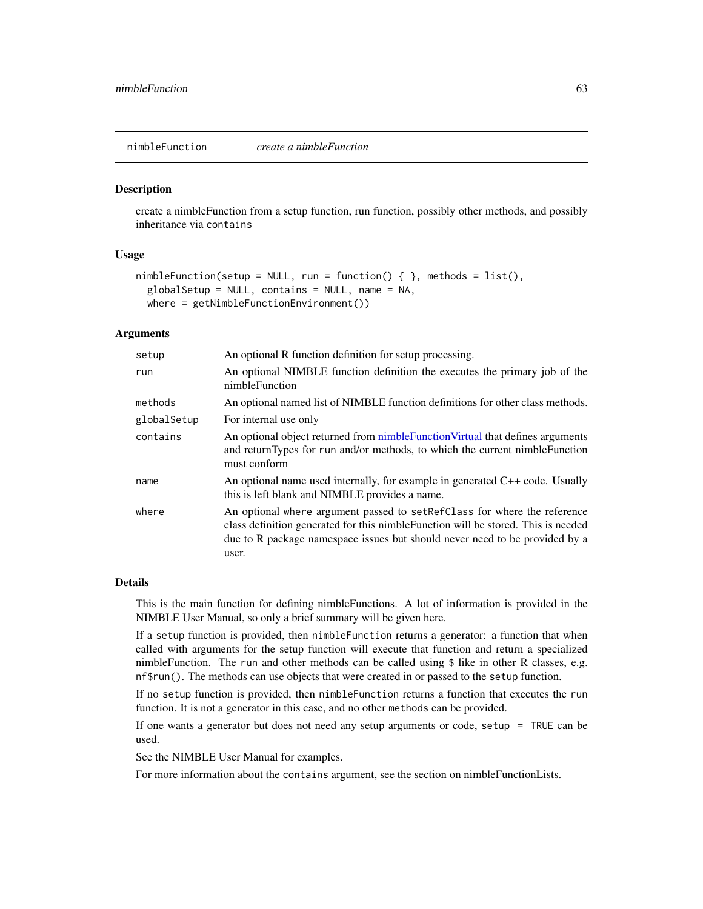<span id="page-62-0"></span>nimbleFunction *create a nimbleFunction*

### **Description**

create a nimbleFunction from a setup function, run function, possibly other methods, and possibly inheritance via contains

#### Usage

```
nimbleFunction(setup = NULL, run = function() { }, methods = list(),
  globalSetup = NULL, contains = NULL, name = NA,
 where = getNimbleFunctionEnvironment())
```
# Arguments

| setup       | An optional R function definition for setup processing.                                                                                                                                                                                                |
|-------------|--------------------------------------------------------------------------------------------------------------------------------------------------------------------------------------------------------------------------------------------------------|
| run         | An optional NIMBLE function definition the executes the primary job of the<br>nimbleFunction                                                                                                                                                           |
| methods     | An optional named list of NIMBLE function definitions for other class methods.                                                                                                                                                                         |
| globalSetup | For internal use only                                                                                                                                                                                                                                  |
| contains    | An optional object returned from nimble Function Virtual that defines arguments<br>and returnTypes for run and/or methods, to which the current nimble Function<br>must conform                                                                        |
| name        | An optional name used internally, for example in generated $C++$ code. Usually<br>this is left blank and NIMBLE provides a name.                                                                                                                       |
| where       | An optional where argument passed to setRefClass for where the reference<br>class definition generated for this nimble Function will be stored. This is needed<br>due to R package namespace issues but should never need to be provided by a<br>user. |

## Details

This is the main function for defining nimbleFunctions. A lot of information is provided in the NIMBLE User Manual, so only a brief summary will be given here.

If a setup function is provided, then nimbleFunction returns a generator: a function that when called with arguments for the setup function will execute that function and return a specialized nimbleFunction. The run and other methods can be called using \$ like in other R classes, e.g. nf\$run(). The methods can use objects that were created in or passed to the setup function.

If no setup function is provided, then nimbleFunction returns a function that executes the run function. It is not a generator in this case, and no other methods can be provided.

If one wants a generator but does not need any setup arguments or code, setup = TRUE can be used.

See the NIMBLE User Manual for examples.

For more information about the contains argument, see the section on nimbleFunctionLists.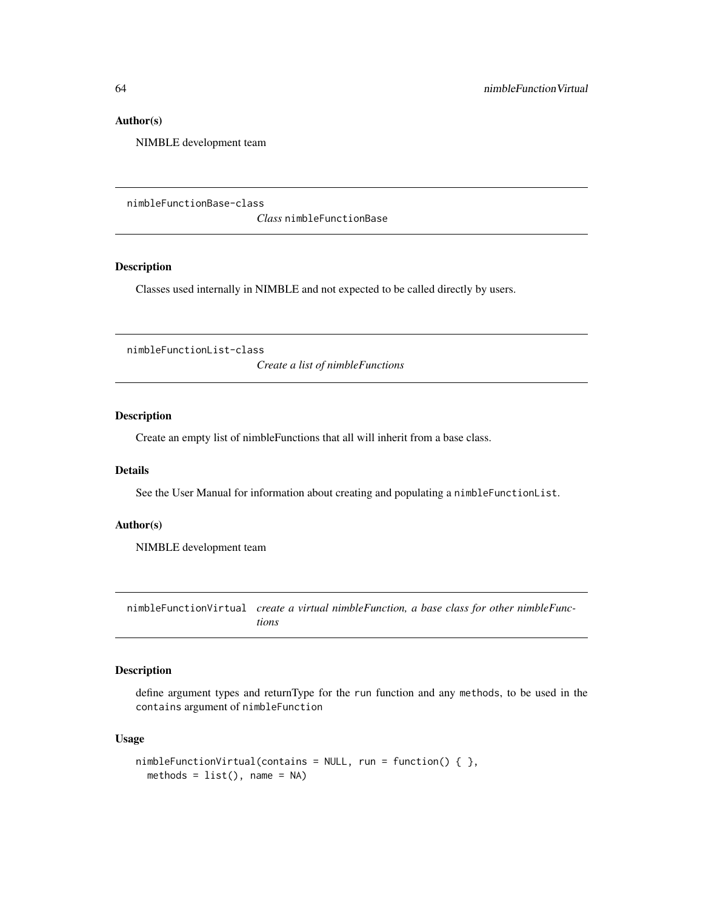## Author(s)

NIMBLE development team

nimbleFunctionBase-class

*Class* nimbleFunctionBase

## Description

Classes used internally in NIMBLE and not expected to be called directly by users.

nimbleFunctionList-class

*Create a list of nimbleFunctions*

# Description

Create an empty list of nimbleFunctions that all will inherit from a base class.

# Details

See the User Manual for information about creating and populating a nimbleFunctionList.

# Author(s)

NIMBLE development team

<span id="page-63-0"></span>nimbleFunctionVirtual *create a virtual nimbleFunction, a base class for other nimbleFunctions*

# Description

define argument types and returnType for the run function and any methods, to be used in the contains argument of nimbleFunction

# Usage

```
nimbleFunctionVirtual(contains = NULL, run = function() { },
 methods = list(), name = NA)
```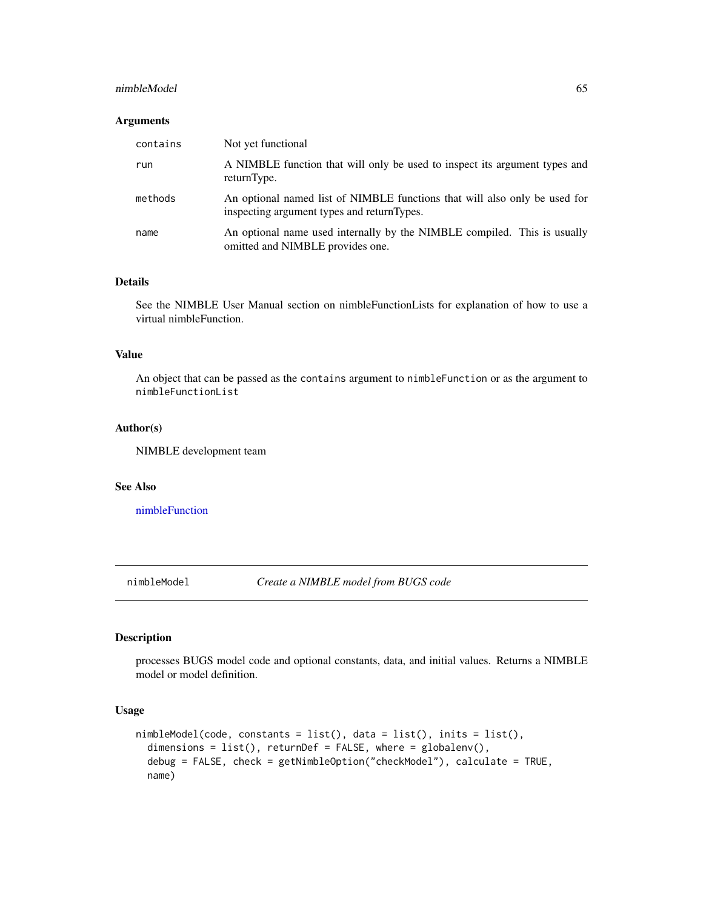#### nimbleModel 65

#### Arguments

| contains | Not yet functional                                                                                                       |
|----------|--------------------------------------------------------------------------------------------------------------------------|
| run      | A NIMBLE function that will only be used to inspect its argument types and<br>returnType.                                |
| methods  | An optional named list of NIMBLE functions that will also only be used for<br>inspecting argument types and returnTypes. |
| name     | An optional name used internally by the NIMBLE compiled. This is usually<br>omitted and NIMBLE provides one.             |

### Details

See the NIMBLE User Manual section on nimbleFunctionLists for explanation of how to use a virtual nimbleFunction.

## Value

An object that can be passed as the contains argument to nimbleFunction or as the argument to nimbleFunctionList

### Author(s)

NIMBLE development team

## See Also

[nimbleFunction](#page-62-0)

<span id="page-64-0"></span>nimbleModel *Create a NIMBLE model from BUGS code*

# Description

processes BUGS model code and optional constants, data, and initial values. Returns a NIMBLE model or model definition.

## Usage

```
nimbleModel(code, constants = list(), data = list(), inits = list(),
  dimensions = list(), returnDef = FALSE, where = globalenv(),
  debug = FALSE, check = getNimbleOption("checkModel"), calculate = TRUE,
  name)
```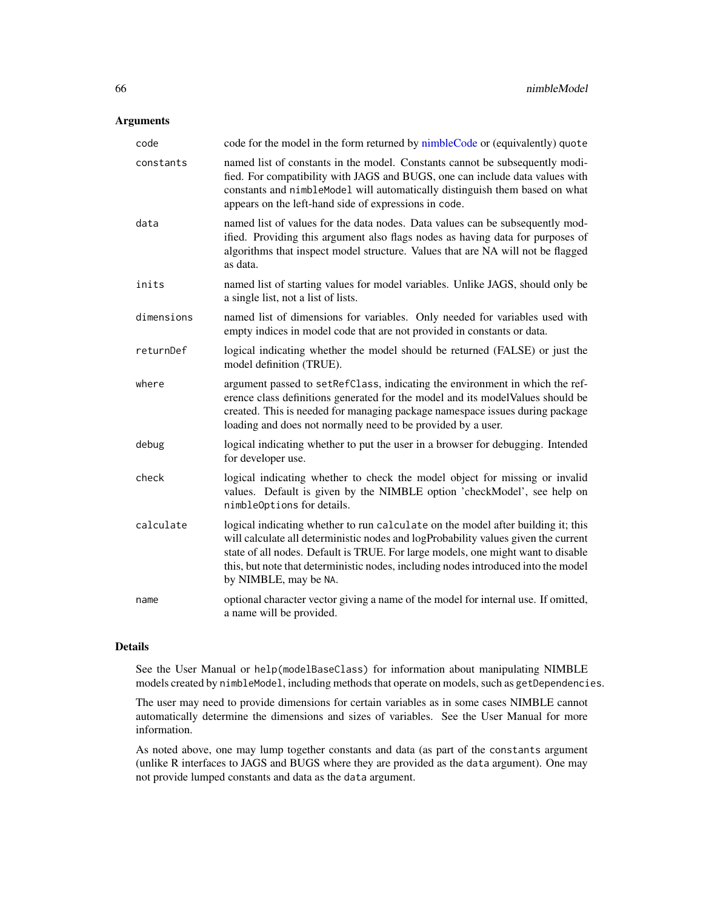## Arguments

| code       | code for the model in the form returned by nimbleCode or (equivalently) quote                                                                                                                                                                                                                                                                                             |
|------------|---------------------------------------------------------------------------------------------------------------------------------------------------------------------------------------------------------------------------------------------------------------------------------------------------------------------------------------------------------------------------|
| constants  | named list of constants in the model. Constants cannot be subsequently modi-<br>fied. For compatibility with JAGS and BUGS, one can include data values with<br>constants and nimbleModel will automatically distinguish them based on what<br>appears on the left-hand side of expressions in code.                                                                      |
| data       | named list of values for the data nodes. Data values can be subsequently mod-<br>ified. Providing this argument also flags nodes as having data for purposes of<br>algorithms that inspect model structure. Values that are NA will not be flagged<br>as data.                                                                                                            |
| inits      | named list of starting values for model variables. Unlike JAGS, should only be<br>a single list, not a list of lists.                                                                                                                                                                                                                                                     |
| dimensions | named list of dimensions for variables. Only needed for variables used with<br>empty indices in model code that are not provided in constants or data.                                                                                                                                                                                                                    |
| returnDef  | logical indicating whether the model should be returned (FALSE) or just the<br>model definition (TRUE).                                                                                                                                                                                                                                                                   |
| where      | argument passed to setRefClass, indicating the environment in which the ref-<br>erence class definitions generated for the model and its modelValues should be<br>created. This is needed for managing package namespace issues during package<br>loading and does not normally need to be provided by a user.                                                            |
| debug      | logical indicating whether to put the user in a browser for debugging. Intended<br>for developer use.                                                                                                                                                                                                                                                                     |
| check      | logical indicating whether to check the model object for missing or invalid<br>values. Default is given by the NIMBLE option 'checkModel', see help on<br>nimbleOptions for details.                                                                                                                                                                                      |
| calculate  | logical indicating whether to run calculate on the model after building it; this<br>will calculate all deterministic nodes and logProbability values given the current<br>state of all nodes. Default is TRUE. For large models, one might want to disable<br>this, but note that deterministic nodes, including nodes introduced into the model<br>by NIMBLE, may be NA. |
| name       | optional character vector giving a name of the model for internal use. If omitted,<br>a name will be provided.                                                                                                                                                                                                                                                            |

## Details

See the User Manual or help(modelBaseClass) for information about manipulating NIMBLE models created by nimbleModel, including methods that operate on models, such as getDependencies.

The user may need to provide dimensions for certain variables as in some cases NIMBLE cannot automatically determine the dimensions and sizes of variables. See the User Manual for more information.

As noted above, one may lump together constants and data (as part of the constants argument (unlike R interfaces to JAGS and BUGS where they are provided as the data argument). One may not provide lumped constants and data as the data argument.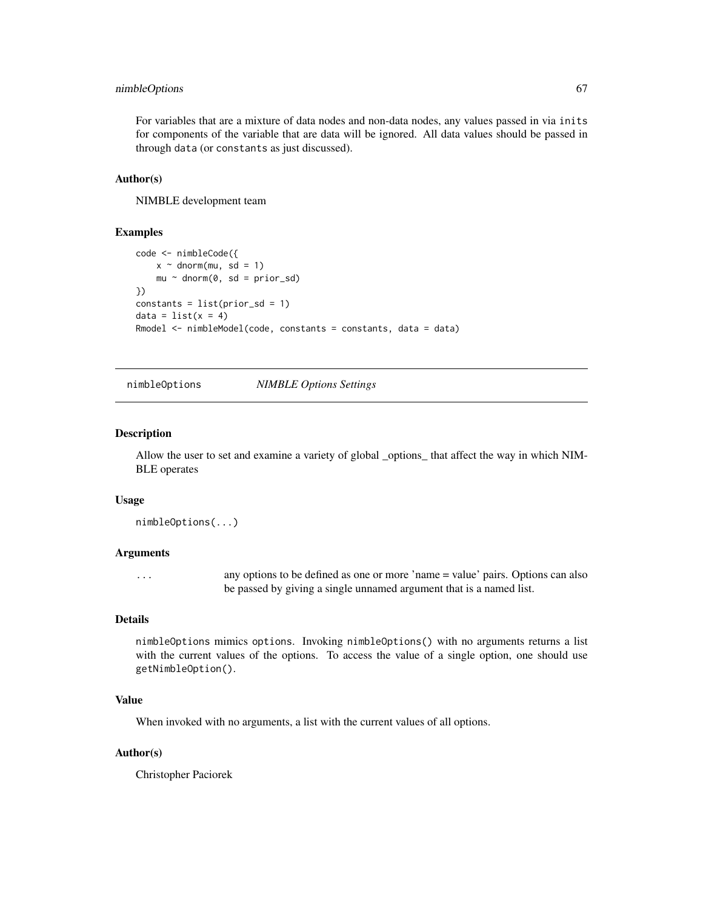# nimbleOptions 67

For variables that are a mixture of data nodes and non-data nodes, any values passed in via inits for components of the variable that are data will be ignored. All data values should be passed in through data (or constants as just discussed).

### Author(s)

NIMBLE development team

### Examples

```
code <- nimbleCode({
   x \sim dnorm(mu, sd = 1)
   mu ~ ~ dnorm(0, sd = prior_sd)
})
constants = list(prior_s d = 1)data = list(x = 4)Rmodel <- nimbleModel(code, constants = constants, data = data)
```
nimbleOptions *NIMBLE Options Settings*

#### Description

Allow the user to set and examine a variety of global \_options\_ that affect the way in which NIM-BLE operates

#### Usage

nimbleOptions(...)

#### Arguments

... any options to be defined as one or more 'name = value' pairs. Options can also be passed by giving a single unnamed argument that is a named list.

## Details

nimbleOptions mimics options. Invoking nimbleOptions() with no arguments returns a list with the current values of the options. To access the value of a single option, one should use getNimbleOption().

# Value

When invoked with no arguments, a list with the current values of all options.

#### Author(s)

Christopher Paciorek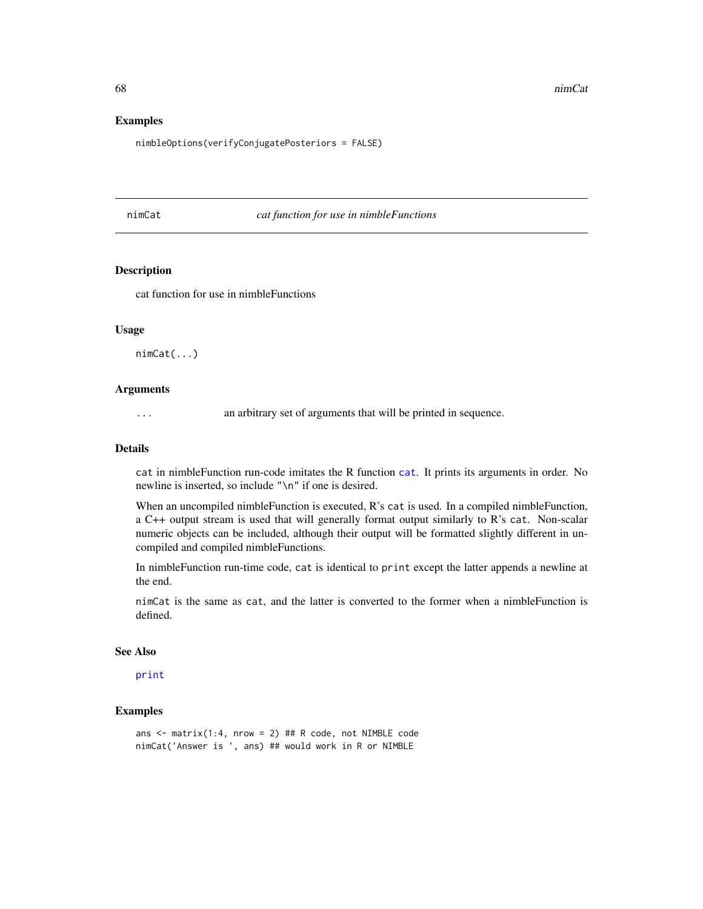#### Examples

nimbleOptions(verifyConjugatePosteriors = FALSE)

nimCat *cat function for use in nimbleFunctions*

# Description

cat function for use in nimbleFunctions

#### Usage

nimCat(...)

## Arguments

... an arbitrary set of arguments that will be printed in sequence.

### Details

cat in nimbleFunction run-code imitates the R function [cat](#page-0-0). It prints its arguments in order. No newline is inserted, so include "\n" if one is desired.

When an uncompiled nimbleFunction is executed, R's cat is used. In a compiled nimbleFunction, a C++ output stream is used that will generally format output similarly to R's cat. Non-scalar numeric objects can be included, although their output will be formatted slightly different in uncompiled and compiled nimbleFunctions.

In nimbleFunction run-time code, cat is identical to print except the latter appends a newline at the end.

nimCat is the same as cat, and the latter is converted to the former when a nimbleFunction is defined.

## See Also

[print](#page-0-0)

# Examples

ans  $\le$  matrix(1:4, nrow = 2) ## R code, not NIMBLE code nimCat('Answer is ', ans) ## would work in R or NIMBLE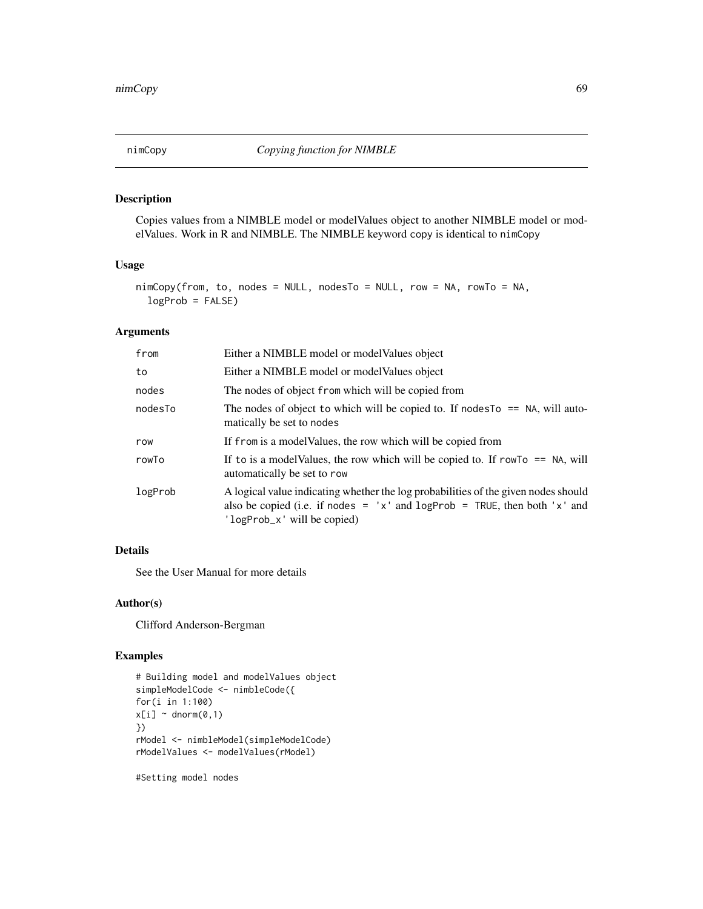# Description

Copies values from a NIMBLE model or modelValues object to another NIMBLE model or modelValues. Work in R and NIMBLE. The NIMBLE keyword copy is identical to nimCopy

# Usage

```
nimCopy(from, to, nodes = NULL, nodesTo = NULL, row = NA, rowTo = NA,
  logProb = FALSE)
```
## Arguments

| from    | Either a NIMBLE model or model Values object                                                                                                                                                    |
|---------|-------------------------------------------------------------------------------------------------------------------------------------------------------------------------------------------------|
| to      | Either a NIMBLE model or model Values object                                                                                                                                                    |
| nodes   | The nodes of object from which will be copied from                                                                                                                                              |
| nodesTo | The nodes of object to which will be copied to. If nodes To $==$ NA, will auto-<br>matically be set to nodes                                                                                    |
| row     | If from is a model Values, the row which will be copied from                                                                                                                                    |
| rowTo   | If to is a model Values, the row which will be copied to. If row To $==$ NA, will<br>automatically be set to row                                                                                |
| logProb | A logical value indicating whether the log probabilities of the given nodes should<br>also be copied (i.e. if nodes = $x'$ and logProb = TRUE, then both 'x' and<br>'logProb_x' will be copied) |

# Details

See the User Manual for more details

### Author(s)

Clifford Anderson-Bergman

# Examples

```
# Building model and modelValues object
simpleModelCode <- nimbleCode({
for(i in 1:100)
x[i] ~ dnorm(0,1)})
rModel <- nimbleModel(simpleModelCode)
rModelValues <- modelValues(rModel)
```
#Setting model nodes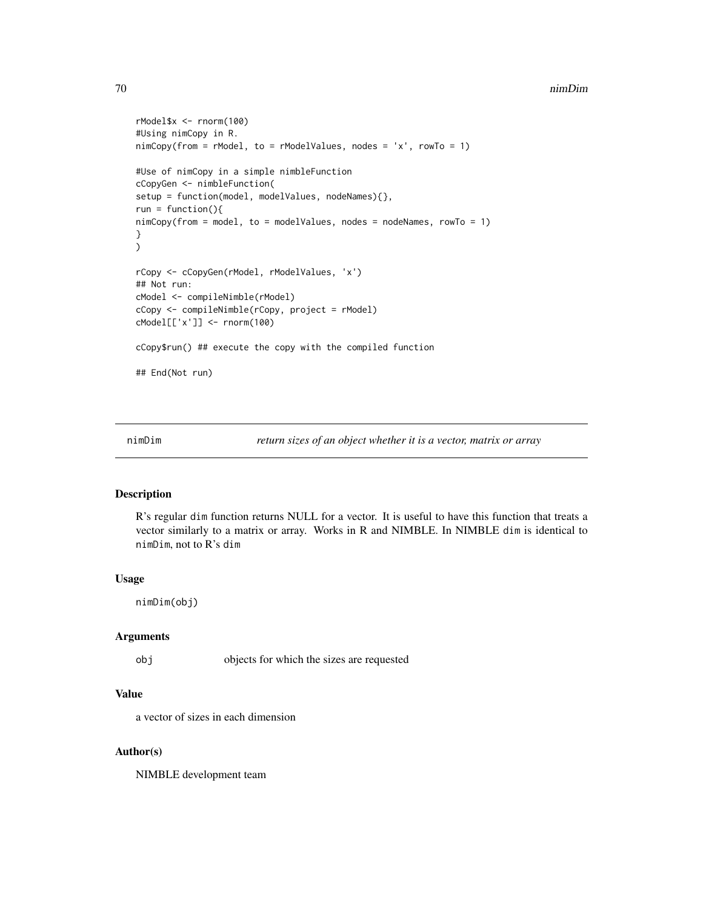#### 70 nimDim

```
rModel$x <- rnorm(100)
#Using nimCopy in R.
nimCopy(from = rModel, to = rModelValues, nodes = 'x', rowTo = 1)#Use of nimCopy in a simple nimbleFunction
cCopyGen <- nimbleFunction(
setup = function(model, modelValues, nodeNames){},
run = function(){
nimCopy(from = model, to = modelValues, nodes = nodeNames, rowTo = 1)}
)
rCopy <- cCopyGen(rModel, rModelValues, 'x')
## Not run:
cModel <- compileNimble(rModel)
cCopy <- compileNimble(rCopy, project = rModel)
cModel[['x']] <- rnorm(100)
cCopy$run() ## execute the copy with the compiled function
## End(Not run)
```
nimDim *return sizes of an object whether it is a vector, matrix or array*

#### Description

R's regular dim function returns NULL for a vector. It is useful to have this function that treats a vector similarly to a matrix or array. Works in R and NIMBLE. In NIMBLE dim is identical to nimDim, not to R's dim

#### Usage

nimDim(obj)

# Arguments

obj objects for which the sizes are requested

# Value

a vector of sizes in each dimension

## Author(s)

NIMBLE development team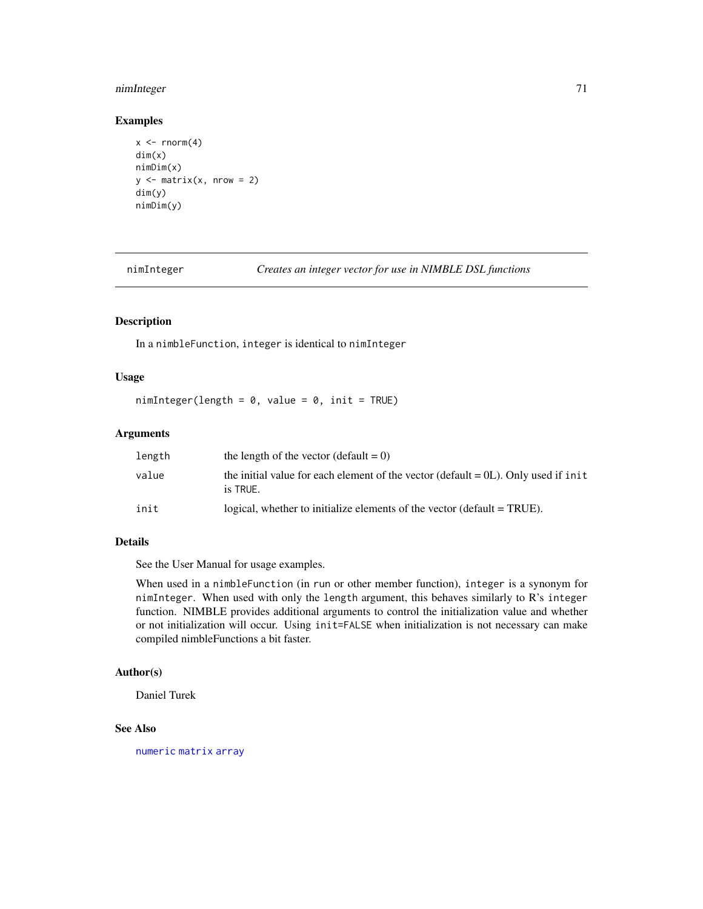# nimInteger 71

## Examples

```
x \leq -rnorm(4)dim(x)
nimDim(x)
y \leftarrow matrix(x, nrow = 2)dim(y)
nimDim(y)
```
nimInteger *Creates an integer vector for use in NIMBLE DSL functions*

# <span id="page-70-0"></span>Description

In a nimbleFunction, integer is identical to nimInteger

# Usage

```
nimInteger(length = 0, value = 0, init = TRUE)
```
## Arguments

| length | the length of the vector (default $= 0$ )                                                         |
|--------|---------------------------------------------------------------------------------------------------|
| value  | the initial value for each element of the vector (default $= 0L$ ). Only used if init<br>is TRUE. |
| init   | logical, whether to initialize elements of the vector (default $= TRUE$ ).                        |

# Details

See the User Manual for usage examples.

When used in a nimbleFunction (in run or other member function), integer is a synonym for nimInteger. When used with only the length argument, this behaves similarly to R's integer function. NIMBLE provides additional arguments to control the initialization value and whether or not initialization will occur. Using init=FALSE when initialization is not necessary can make compiled nimbleFunctions a bit faster.

## Author(s)

Daniel Turek

# See Also

[numeric](#page-72-0) [matrix](#page-71-0) [array](#page-59-0)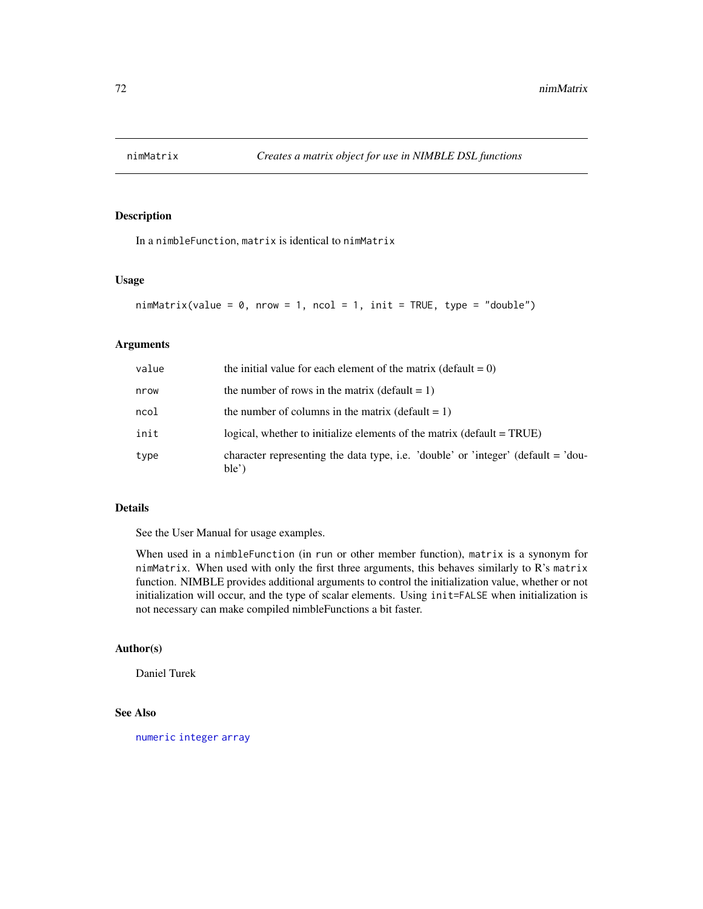# <span id="page-71-0"></span>Description

In a nimbleFunction, matrix is identical to nimMatrix

# Usage

```
nimMatrix(value = 0, nrow = 1, ncol = 1, init = TRUE, type = "double")
```
## Arguments

| value | the initial value for each element of the matrix (default $= 0$ )                            |
|-------|----------------------------------------------------------------------------------------------|
| nrow  | the number of rows in the matrix (default $= 1$ )                                            |
| ncol  | the number of columns in the matrix (default $= 1$ )                                         |
| init  | logical, whether to initialize elements of the matrix (default $= TRUE$ )                    |
| type  | character representing the data type, i.e. 'double' or 'integer' (default $=$ 'dou-<br>ble') |

# Details

See the User Manual for usage examples.

When used in a nimbleFunction (in run or other member function), matrix is a synonym for nimMatrix. When used with only the first three arguments, this behaves similarly to R's matrix function. NIMBLE provides additional arguments to control the initialization value, whether or not initialization will occur, and the type of scalar elements. Using init=FALSE when initialization is not necessary can make compiled nimbleFunctions a bit faster.

#### Author(s)

Daniel Turek

# See Also

[numeric](#page-72-0) [integer](#page-70-0) [array](#page-59-0)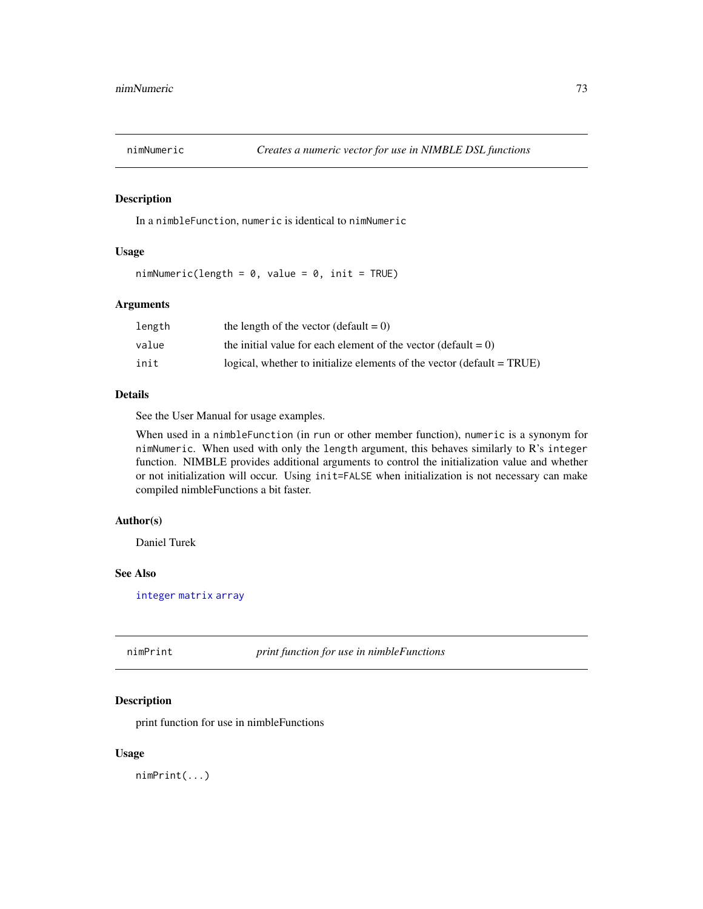<span id="page-72-0"></span>

#### Description

In a nimbleFunction, numeric is identical to nimNumeric

# Usage

 $nimNumberic(length = 0, value = 0, init = TRUE)$ 

# Arguments

| length | the length of the vector (default $= 0$ )                                |
|--------|--------------------------------------------------------------------------|
| value  | the initial value for each element of the vector (default $= 0$ )        |
| init   | logical, whether to initialize elements of the vector $(default = TRUE)$ |

# Details

See the User Manual for usage examples.

When used in a nimbleFunction (in run or other member function), numeric is a synonym for nimNumeric. When used with only the length argument, this behaves similarly to R's integer function. NIMBLE provides additional arguments to control the initialization value and whether or not initialization will occur. Using init=FALSE when initialization is not necessary can make compiled nimbleFunctions a bit faster.

### Author(s)

Daniel Turek

# See Also

[integer](#page-70-0) [matrix](#page-71-0) [array](#page-59-0)

nimPrint *print function for use in nimbleFunctions*

# Description

print function for use in nimbleFunctions

# Usage

nimPrint(...)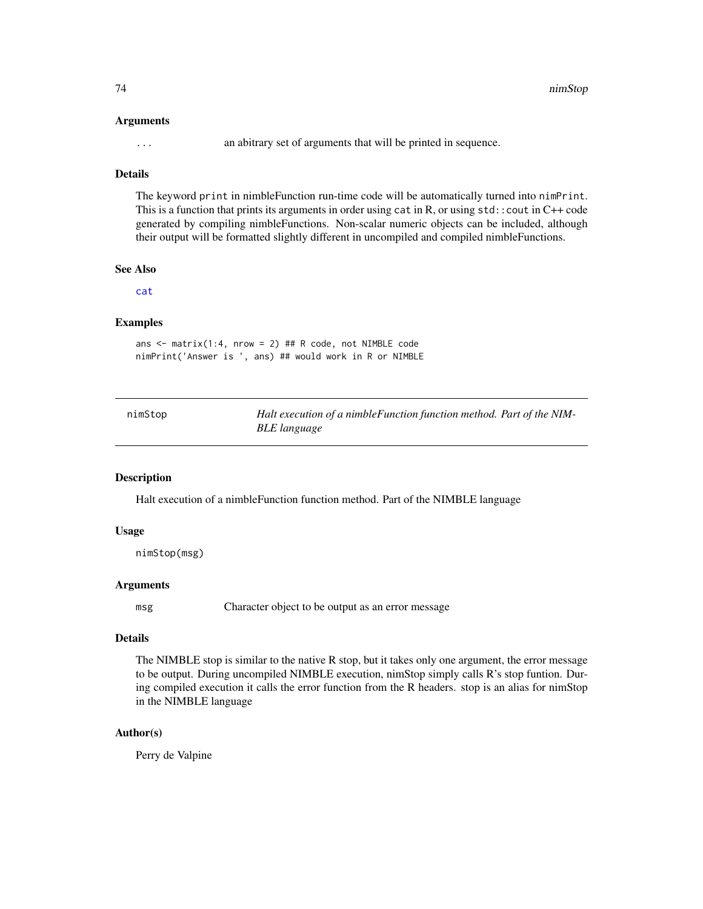#### Arguments

... an abitrary set of arguments that will be printed in sequence.

# Details

The keyword print in nimbleFunction run-time code will be automatically turned into nimPrint. This is a function that prints its arguments in order using  $cat$  in R, or using  $std$ : cout in  $C++$  code generated by compiling nimbleFunctions. Non-scalar numeric objects can be included, although their output will be formatted slightly different in uncompiled and compiled nimbleFunctions.

# See Also

[cat](#page-0-0)

# Examples

ans  $\le$  matrix(1:4, nrow = 2) ## R code, not NIMBLE code nimPrint('Answer is ', ans) ## would work in R or NIMBLE

| nimStop | Halt execution of a nimble Function function method. Part of the NIM- |
|---------|-----------------------------------------------------------------------|
|         | BLE language                                                          |

### Description

Halt execution of a nimbleFunction function method. Part of the NIMBLE language

#### Usage

nimStop(msg)

#### Arguments

msg Character object to be output as an error message

# Details

The NIMBLE stop is similar to the native R stop, but it takes only one argument, the error message to be output. During uncompiled NIMBLE execution, nimStop simply calls R's stop funtion. During compiled execution it calls the error function from the R headers. stop is an alias for nimStop in the NIMBLE language

### Author(s)

Perry de Valpine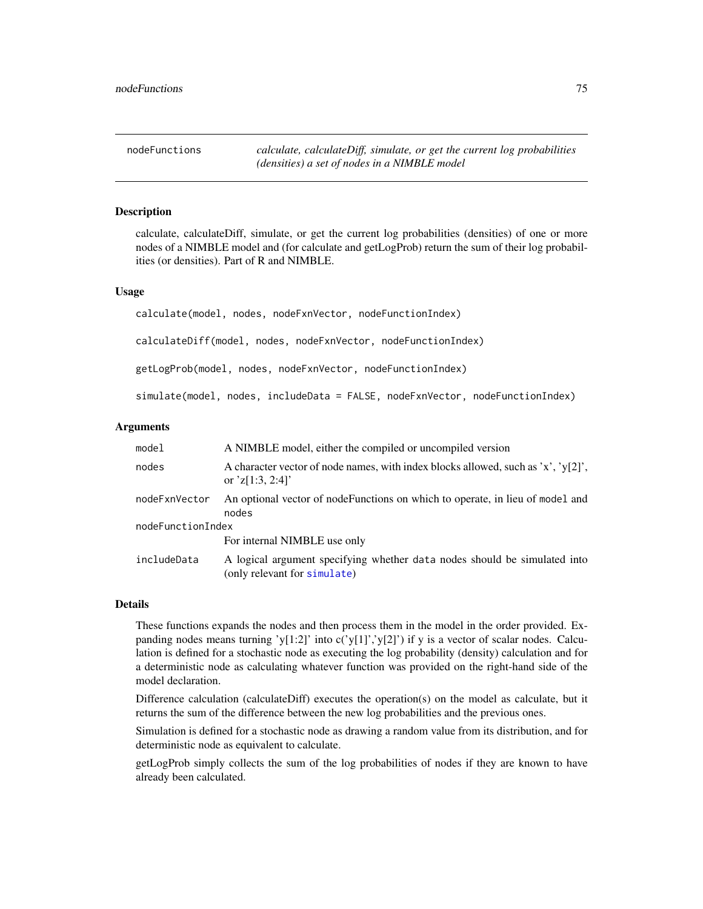nodeFunctions *calculate, calculateDiff, simulate, or get the current log probabilities (densities) a set of nodes in a NIMBLE model*

### <span id="page-74-0"></span>Description

calculate, calculateDiff, simulate, or get the current log probabilities (densities) of one or more nodes of a NIMBLE model and (for calculate and getLogProb) return the sum of their log probabilities (or densities). Part of R and NIMBLE.

#### Usage

calculate(model, nodes, nodeFxnVector, nodeFunctionIndex) calculateDiff(model, nodes, nodeFxnVector, nodeFunctionIndex) getLogProb(model, nodes, nodeFxnVector, nodeFunctionIndex) simulate(model, nodes, includeData = FALSE, nodeFxnVector, nodeFunctionIndex)

#### Arguments

| model             | A NIMBLE model, either the compiled or uncompiled version                                                 |  |
|-------------------|-----------------------------------------------------------------------------------------------------------|--|
| nodes             | A character vector of node names, with index blocks allowed, such as 'x', 'y[2]',<br>or $z[1:3, 2:4]$     |  |
| nodeFxnVector     | An optional vector of nodeFunctions on which to operate, in lieu of model and<br>nodes                    |  |
| nodeFunctionIndex |                                                                                                           |  |
|                   | For internal NIMBLE use only                                                                              |  |
| includeData       | A logical argument specifying whether data nodes should be simulated into<br>(only relevant for simulate) |  |

#### Details

These functions expands the nodes and then process them in the model in the order provided. Expanding nodes means turning 'y[1:2]' into c('y[1]','y[2]') if y is a vector of scalar nodes. Calculation is defined for a stochastic node as executing the log probability (density) calculation and for a deterministic node as calculating whatever function was provided on the right-hand side of the model declaration.

Difference calculation (calculateDiff) executes the operation(s) on the model as calculate, but it returns the sum of the difference between the new log probabilities and the previous ones.

Simulation is defined for a stochastic node as drawing a random value from its distribution, and for deterministic node as equivalent to calculate.

getLogProb simply collects the sum of the log probabilities of nodes if they are known to have already been calculated.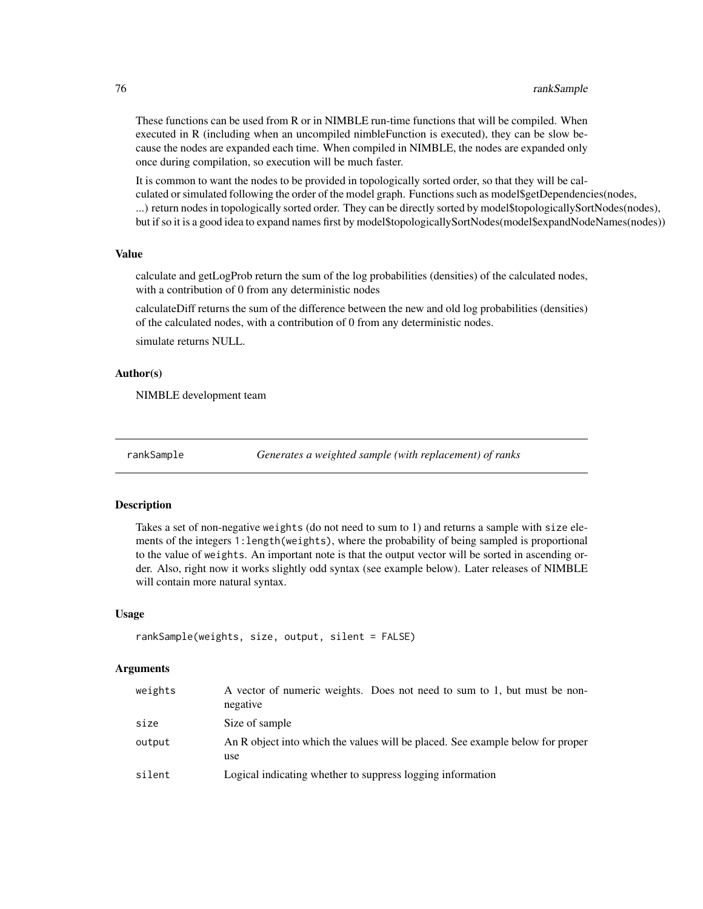These functions can be used from R or in NIMBLE run-time functions that will be compiled. When executed in R (including when an uncompiled nimbleFunction is executed), they can be slow because the nodes are expanded each time. When compiled in NIMBLE, the nodes are expanded only once during compilation, so execution will be much faster.

It is common to want the nodes to be provided in topologically sorted order, so that they will be calculated or simulated following the order of the model graph. Functions such as model\$getDependencies(nodes, ...) return nodes in topologically sorted order. They can be directly sorted by model\$topologicallySortNodes(nodes), but if so it is a good idea to expand names first by model\$topologicallySortNodes(model\$expandNodeNames(nodes))

# Value

calculate and getLogProb return the sum of the log probabilities (densities) of the calculated nodes, with a contribution of 0 from any deterministic nodes

calculateDiff returns the sum of the difference between the new and old log probabilities (densities) of the calculated nodes, with a contribution of 0 from any deterministic nodes.

simulate returns NULL.

# Author(s)

NIMBLE development team

rankSample *Generates a weighted sample (with replacement) of ranks*

#### Description

Takes a set of non-negative weights (do not need to sum to 1) and returns a sample with size elements of the integers 1:length(weights), where the probability of being sampled is proportional to the value of weights. An important note is that the output vector will be sorted in ascending order. Also, right now it works slightly odd syntax (see example below). Later releases of NIMBLE will contain more natural syntax.

#### Usage

```
rankSample(weights, size, output, silent = FALSE)
```
#### Arguments

| weights | A vector of numeric weights. Does not need to sum to 1, but must be non-<br>negative  |
|---------|---------------------------------------------------------------------------------------|
| size    | Size of sample                                                                        |
| output  | An R object into which the values will be placed. See example below for proper<br>use |
| silent  | Logical indicating whether to suppress logging information                            |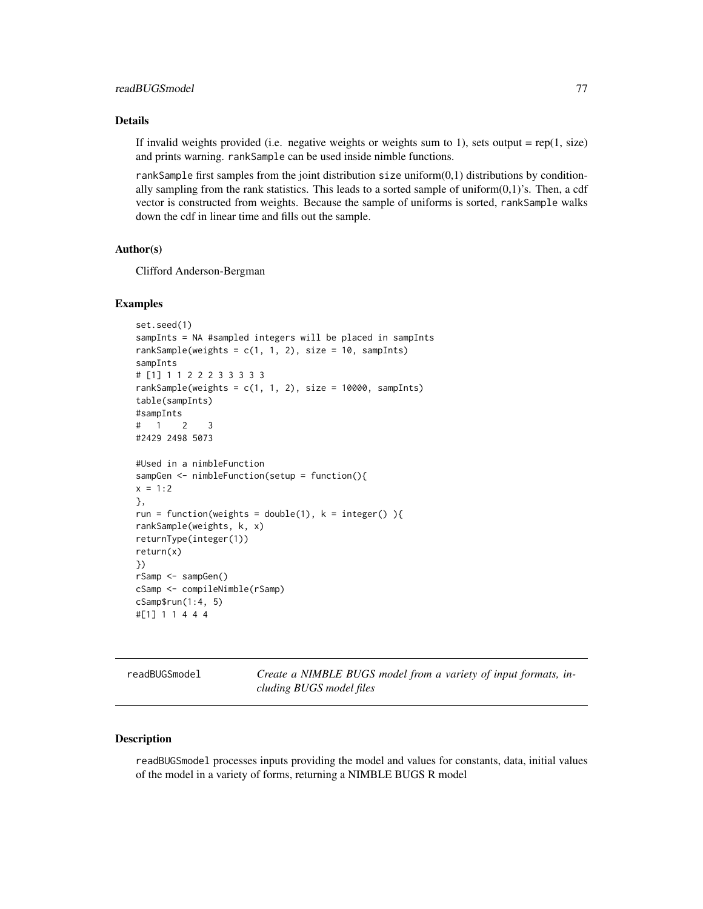#### Details

If invalid weights provided (i.e. negative weights or weights sum to 1), sets output =  $rep(1, size)$ and prints warning. rankSample can be used inside nimble functions.

rankSample first samples from the joint distribution size uniform $(0,1)$  distributions by conditionally sampling from the rank statistics. This leads to a sorted sample of uniform $(0,1)$ 's. Then, a cdf vector is constructed from weights. Because the sample of uniforms is sorted, rankSample walks down the cdf in linear time and fills out the sample.

# Author(s)

Clifford Anderson-Bergman

#### Examples

```
set.seed(1)
sampInts = NA #sampled integers will be placed in sampInts
rankSample(weights = c(1, 1, 2), size = 10, sampInts)
sampInts
# [1] 1 1 2 2 2 3 3 3 3 3
rankSample(weights = c(1, 1, 2), size = 10000, sampInts)
table(sampInts)
#sampInts
# 1 2 3#2429 2498 5073
#Used in a nimbleFunction
sampGen <- nimbleFunction(setup = function(){
x = 1:2},
run = function(weights = double(1), k = integer() ){
rankSample(weights, k, x)
returnType(integer(1))
return(x)
})
rSamp <- sampGen()
cSamp <- compileNimble(rSamp)
cSamp$run(1:4, 5)
#[1] 1 1 4 4 4
```
readBUGSmodel *Create a NIMBLE BUGS model from a variety of input formats, including BUGS model files*

#### Description

readBUGSmodel processes inputs providing the model and values for constants, data, initial values of the model in a variety of forms, returning a NIMBLE BUGS R model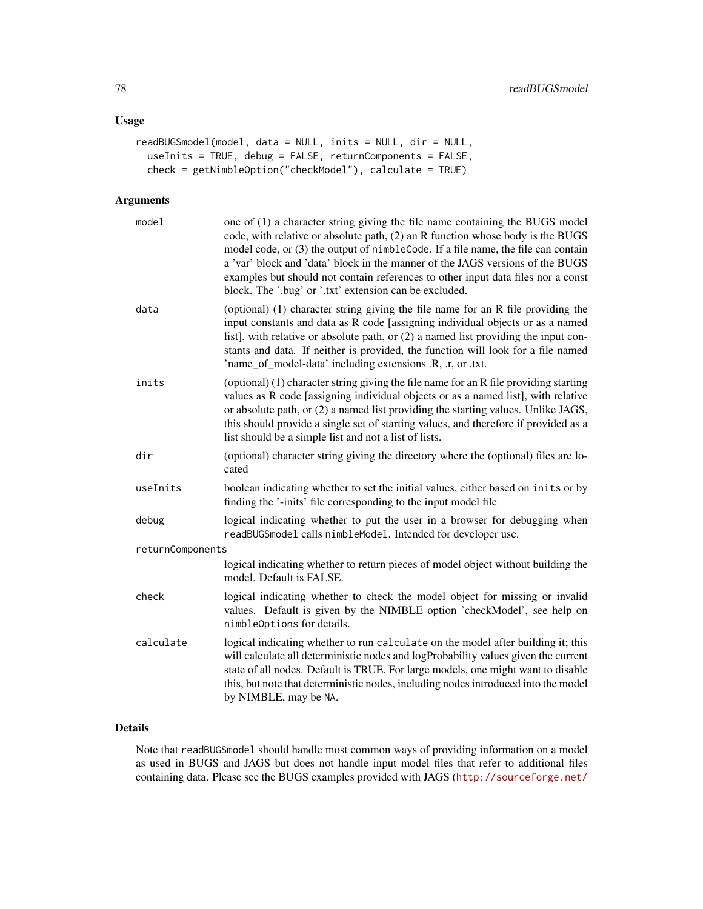# Usage

```
readBUGSmodel(model, data = NULL, inits = NULL, dir = NULL,
 useInits = TRUE, debug = FALSE, returnComponents = FALSE,
 check = getNimbleOption("checkModel"), calculate = TRUE)
```
# Arguments

| model            | one of (1) a character string giving the file name containing the BUGS model<br>code, with relative or absolute path, (2) an R function whose body is the BUGS<br>model code, or (3) the output of nimbleCode. If a file name, the file can contain<br>a 'var' block and 'data' block in the manner of the JAGS versions of the BUGS<br>examples but should not contain references to other input data files nor a const<br>block. The '.bug' or '.txt' extension can be excluded. |
|------------------|------------------------------------------------------------------------------------------------------------------------------------------------------------------------------------------------------------------------------------------------------------------------------------------------------------------------------------------------------------------------------------------------------------------------------------------------------------------------------------|
| data             | (optional) (1) character string giving the file name for an R file providing the<br>input constants and data as R code [assigning individual objects or as a named<br>list], with relative or absolute path, or (2) a named list providing the input con-<br>stants and data. If neither is provided, the function will look for a file named<br>'name_of_model-data' including extensions .R, .r, or .txt.                                                                        |
| inits            | $($ optional $)$ $(1)$ character string giving the file name for an R file providing starting<br>values as R code [assigning individual objects or as a named list], with relative<br>or absolute path, or (2) a named list providing the starting values. Unlike JAGS,<br>this should provide a single set of starting values, and therefore if provided as a<br>list should be a simple list and not a list of lists.                                                            |
| dir              | (optional) character string giving the directory where the (optional) files are lo-<br>cated                                                                                                                                                                                                                                                                                                                                                                                       |
| useInits         | boolean indicating whether to set the initial values, either based on inits or by<br>finding the '-inits' file corresponding to the input model file                                                                                                                                                                                                                                                                                                                               |
| debug            | logical indicating whether to put the user in a browser for debugging when<br>readBUGSmodel calls nimbleModel. Intended for developer use.                                                                                                                                                                                                                                                                                                                                         |
| returnComponents |                                                                                                                                                                                                                                                                                                                                                                                                                                                                                    |
|                  | logical indicating whether to return pieces of model object without building the<br>model. Default is FALSE.                                                                                                                                                                                                                                                                                                                                                                       |
| check            | logical indicating whether to check the model object for missing or invalid<br>values. Default is given by the NIMBLE option 'checkModel', see help on<br>nimbleOptions for details.                                                                                                                                                                                                                                                                                               |
| calculate        | logical indicating whether to run calculate on the model after building it; this<br>will calculate all deterministic nodes and logProbability values given the current<br>state of all nodes. Default is TRUE. For large models, one might want to disable<br>this, but note that deterministic nodes, including nodes introduced into the model<br>by NIMBLE, may be NA.                                                                                                          |

# Details

Note that readBUGSmodel should handle most common ways of providing information on a model as used in BUGS and JAGS but does not handle input model files that refer to additional files containing data. Please see the BUGS examples provided with JAGS ([http://sourceforge.net/](http://sourceforge.net/projects/mcmc-jags/files/Examples/)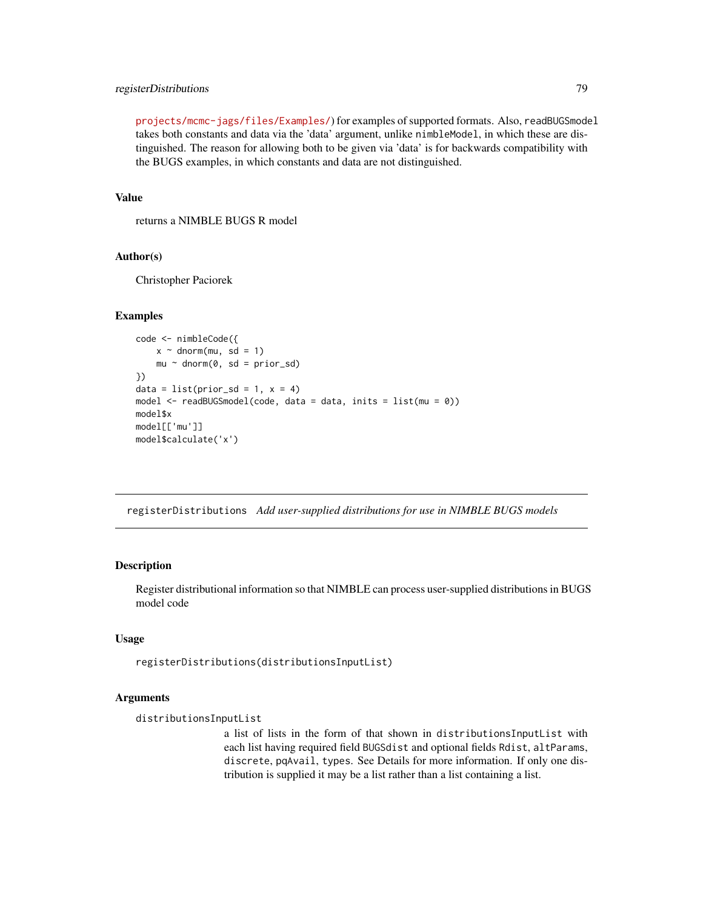# [registerDistributions](http://sourceforge.net/projects/mcmc-jags/files/Examples/) 79

[projects/mcmc-jags/files/Examples/](http://sourceforge.net/projects/mcmc-jags/files/Examples/)) for examples of supported formats. Also, readBUGSmodel takes both constants and data via the 'data' argument, unlike nimbleModel, in which these are distinguished. The reason for allowing both to be given via 'data' is for backwards compatibility with the BUGS examples, in which constants and data are not distinguished.

# Value

returns a NIMBLE BUGS R model

#### Author(s)

Christopher Paciorek

# Examples

```
code <- nimbleCode({
    x \sim dnorm(mu, sd = 1)
    mu ~ ~ dnorm(0, sd = prior_sd)
})
data = list(prior_s d = 1, x = 4)model <- readBUGSmodel(code, data = data, inits = list(mu = 0))
model$x
model[['mu']]
model$calculate('x')
```
registerDistributions *Add user-supplied distributions for use in NIMBLE BUGS models*

#### Description

Register distributional information so that NIMBLE can process user-supplied distributions in BUGS model code

#### Usage

```
registerDistributions(distributionsInputList)
```
#### Arguments

distributionsInputList

a list of lists in the form of that shown in distributionsInputList with each list having required field BUGSdist and optional fields Rdist, altParams, discrete, pqAvail, types. See Details for more information. If only one distribution is supplied it may be a list rather than a list containing a list.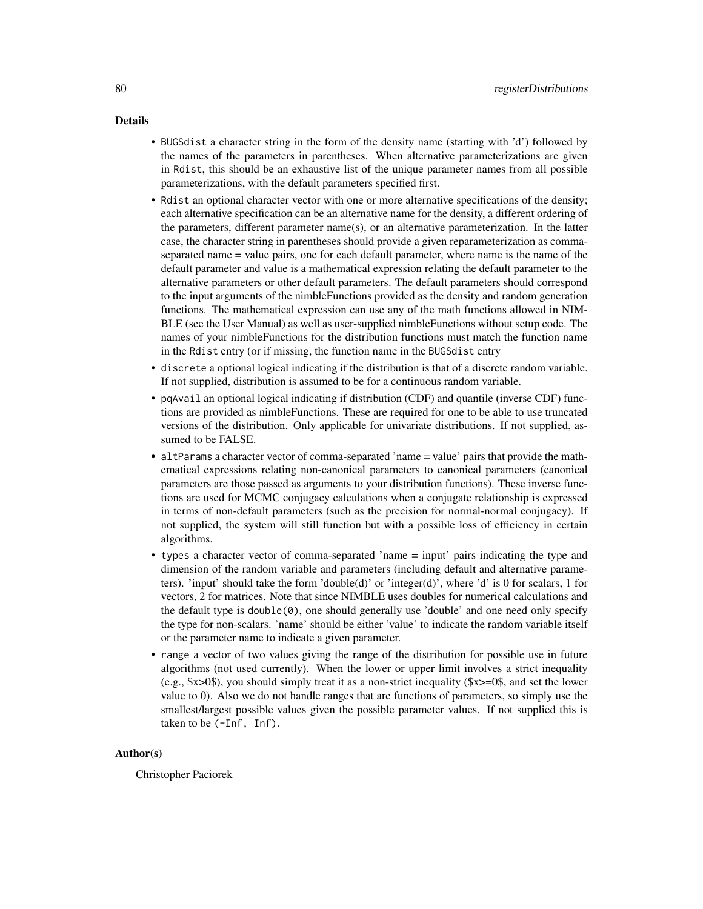#### Details

- BUGSdist a character string in the form of the density name (starting with 'd') followed by the names of the parameters in parentheses. When alternative parameterizations are given in Rdist, this should be an exhaustive list of the unique parameter names from all possible parameterizations, with the default parameters specified first.
- Rdist an optional character vector with one or more alternative specifications of the density; each alternative specification can be an alternative name for the density, a different ordering of the parameters, different parameter name(s), or an alternative parameterization. In the latter case, the character string in parentheses should provide a given reparameterization as commaseparated name = value pairs, one for each default parameter, where name is the name of the default parameter and value is a mathematical expression relating the default parameter to the alternative parameters or other default parameters. The default parameters should correspond to the input arguments of the nimbleFunctions provided as the density and random generation functions. The mathematical expression can use any of the math functions allowed in NIM-BLE (see the User Manual) as well as user-supplied nimbleFunctions without setup code. The names of your nimbleFunctions for the distribution functions must match the function name in the Rdist entry (or if missing, the function name in the BUGSdist entry
- discrete a optional logical indicating if the distribution is that of a discrete random variable. If not supplied, distribution is assumed to be for a continuous random variable.
- pqAvail an optional logical indicating if distribution (CDF) and quantile (inverse CDF) functions are provided as nimbleFunctions. These are required for one to be able to use truncated versions of the distribution. Only applicable for univariate distributions. If not supplied, assumed to be FALSE.
- altParams a character vector of comma-separated 'name = value' pairs that provide the mathematical expressions relating non-canonical parameters to canonical parameters (canonical parameters are those passed as arguments to your distribution functions). These inverse functions are used for MCMC conjugacy calculations when a conjugate relationship is expressed in terms of non-default parameters (such as the precision for normal-normal conjugacy). If not supplied, the system will still function but with a possible loss of efficiency in certain algorithms.
- types a character vector of comma-separated 'name = input' pairs indicating the type and dimension of the random variable and parameters (including default and alternative parameters). 'input' should take the form 'double(d)' or 'integer(d)', where 'd' is 0 for scalars, 1 for vectors, 2 for matrices. Note that since NIMBLE uses doubles for numerical calculations and the default type is double $(0)$ , one should generally use 'double' and one need only specify the type for non-scalars. 'name' should be either 'value' to indicate the random variable itself or the parameter name to indicate a given parameter.
- range a vector of two values giving the range of the distribution for possible use in future algorithms (not used currently). When the lower or upper limit involves a strict inequality (e.g., \$x>0\$), you should simply treat it as a non-strict inequality (\$x>=0\$, and set the lower value to 0). Also we do not handle ranges that are functions of parameters, so simply use the smallest/largest possible values given the possible parameter values. If not supplied this is taken to be (-Inf, Inf).

#### Author(s)

Christopher Paciorek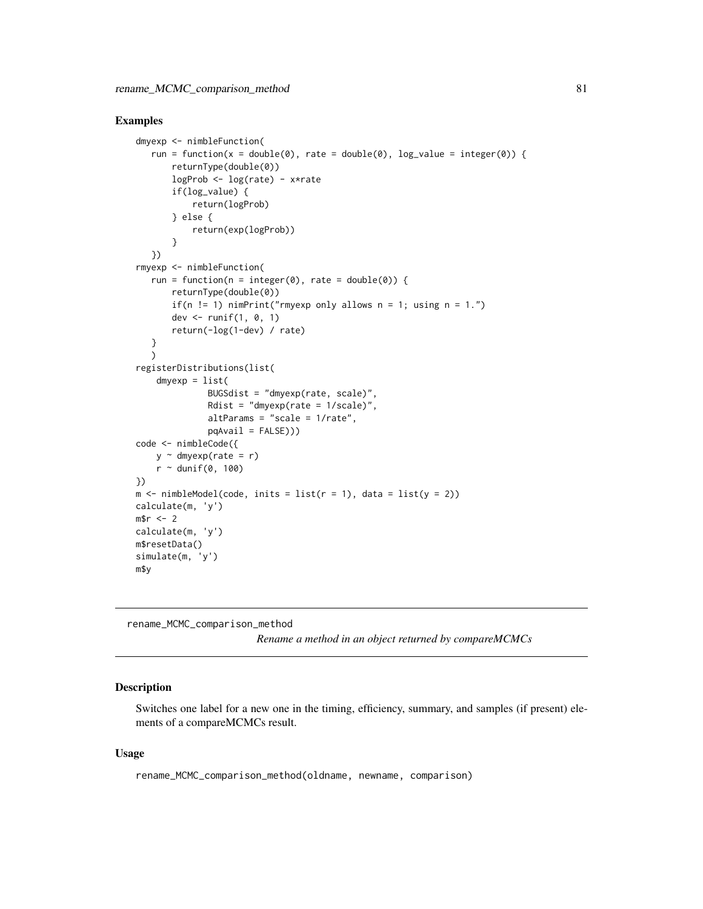#### Examples

```
dmyexp <- nimbleFunction(
   run = function(x = double(0), rate = double(0), log_value = integer(0)) {
       returnType(double(0))
       logProb <- log(rate) - x*rate
       if(log_value) {
            return(logProb)
       } else {
            return(exp(logProb))
       }
   })
rmyexp <- nimbleFunction(
   run = function(n = integer(0), rate = double(0)) {
       returnType(double(0))
       if(n != 1) nimPrint("rmyexp only allows n = 1; using n = 1.")
       dev \le runif(1, 0, 1)
       return(-log(1-dev) / rate)
   }
   )
registerDistributions(list(
    dmyexp = list(BUGSdist = "dmyexp(rate, scale)",
               Rdist = "dmyexp(<math>\theta</math> = 1/scale)",
               altParams = "scale = 1/rate",
               pqAvail = FALSE()code <- nimbleCode({
    y \sim dmyexp(rate = r)
    r \sim dunif(0, 100)
})
m \le - \text{nimbleModel}(\text{code}, \text{inits} = \text{list}(r = 1), \text{data} = \text{list}(y = 2))calculate(m, 'y')
m$r < -2calculate(m, 'y')
m$resetData()
simulate(m, 'y')
m$y
```
<span id="page-80-0"></span>rename\_MCMC\_comparison\_method

*Rename a method in an object returned by compareMCMCs*

# Description

Switches one label for a new one in the timing, efficiency, summary, and samples (if present) elements of a compareMCMCs result.

#### Usage

rename\_MCMC\_comparison\_method(oldname, newname, comparison)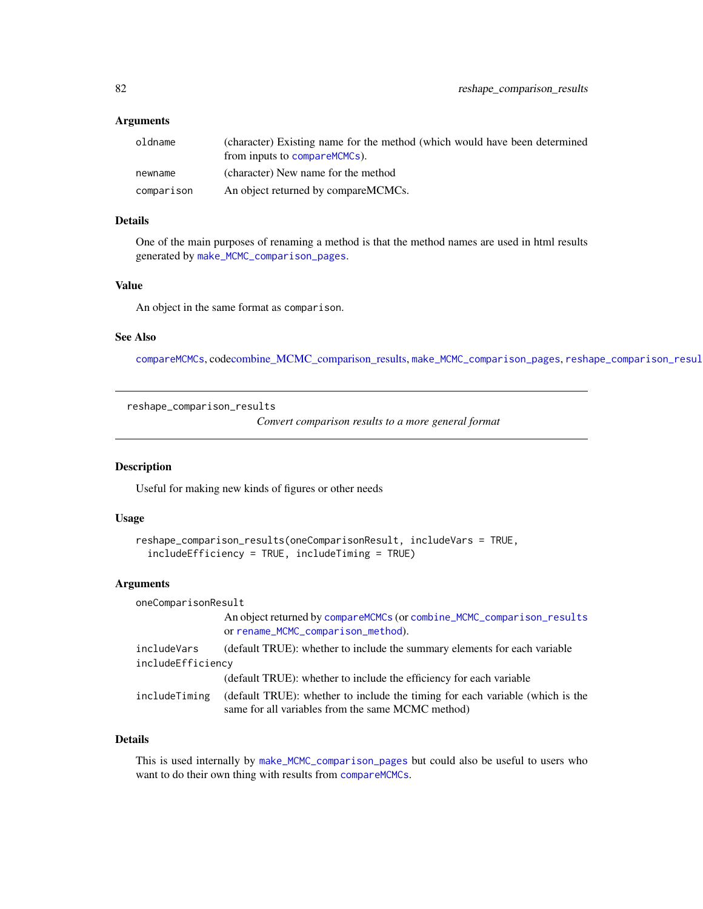### Arguments

| oldname    | (character) Existing name for the method (which would have been determined |
|------------|----------------------------------------------------------------------------|
|            | from inputs to compareMCMCs).                                              |
| newname    | (character) New name for the method                                        |
| comparison | An object returned by compareMCMCs.                                        |

# Details

One of the main purposes of renaming a method is that the method names are used in html results generated by [make\\_MCMC\\_comparison\\_pages](#page-37-0).

# Value

An object in the same format as comparison.

# See Also

[compareMCMCs](#page-18-0), cod[ecombine\\_MCMC\\_comparison\\_results,](#page-17-0) [make\\_MCMC\\_comparison\\_pages](#page-37-0), [reshape\\_comparison\\_results](#page-81-0).

<span id="page-81-0"></span>reshape\_comparison\_results

*Convert comparison results to a more general format*

# Description

Useful for making new kinds of figures or other needs

# Usage

```
reshape_comparison_results(oneComparisonResult, includeVars = TRUE,
  includeEfficiency = TRUE, includeTiming = TRUE)
```
#### Arguments

| oneComparisonResult |                                                                                                                                    |  |
|---------------------|------------------------------------------------------------------------------------------------------------------------------------|--|
|                     | An object returned by compareMCMCs (or combine_MCMC_comparison_results<br>or rename_MCMC_comparison_method).                       |  |
| includeVars         | (default TRUE): whether to include the summary elements for each variable                                                          |  |
| includeEfficiency   |                                                                                                                                    |  |
|                     | (default TRUE): whether to include the efficiency for each variable                                                                |  |
| includeTiming       | (default TRUE): whether to include the timing for each variable (which is the<br>same for all variables from the same MCMC method) |  |

# Details

This is used internally by [make\\_MCMC\\_comparison\\_pages](#page-37-0) but could also be useful to users who want to do their own thing with results from [compareMCMCs](#page-18-0).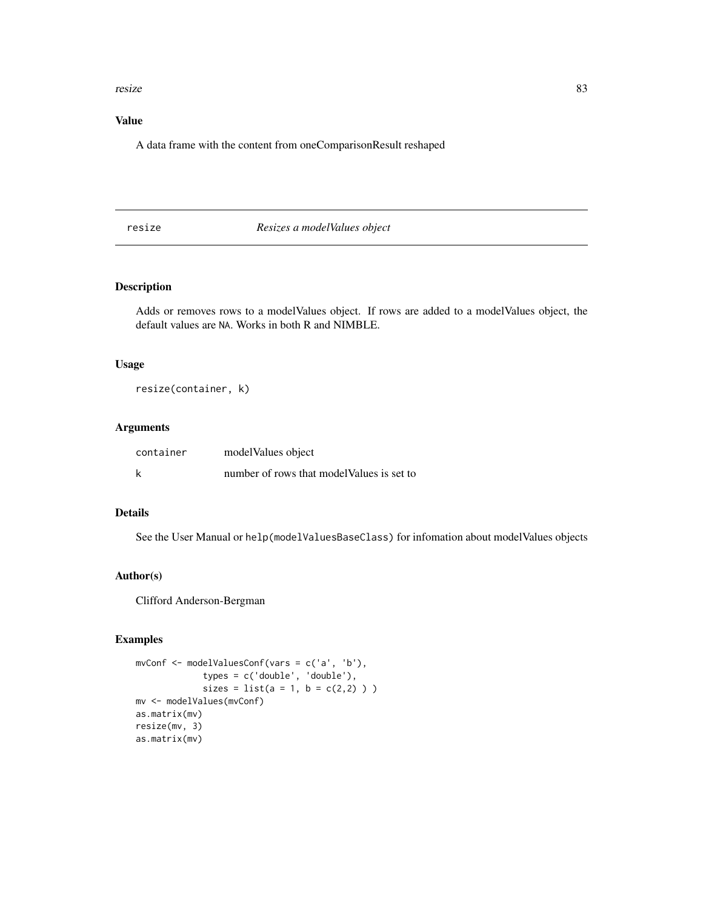#### resize and the set of the set of the set of the set of the set of the set of the set of the set of the set of the set of the set of the set of the set of the set of the set of the set of the set of the set of the set of th

# Value

A data frame with the content from oneComparisonResult reshaped

| ٠ | ۰, | ۰, |  |  |
|---|----|----|--|--|

# resize *Resizes a modelValues object*

# Description

Adds or removes rows to a modelValues object. If rows are added to a modelValues object, the default values are NA. Works in both R and NIMBLE.

#### Usage

resize(container, k)

### Arguments

| container | model Values object                        |
|-----------|--------------------------------------------|
| k         | number of rows that model Values is set to |

# Details

See the User Manual or help(modelValuesBaseClass) for infomation about modelValues objects

# Author(s)

Clifford Anderson-Bergman

# Examples

```
mvConf <- modelValuesConf(vars = c('a', 'b'),
            types = c('double', 'double'),
             sizes = list(a = 1, b = c(2,2)) )mv <- modelValues(mvConf)
as.matrix(mv)
resize(mv, 3)
as.matrix(mv)
```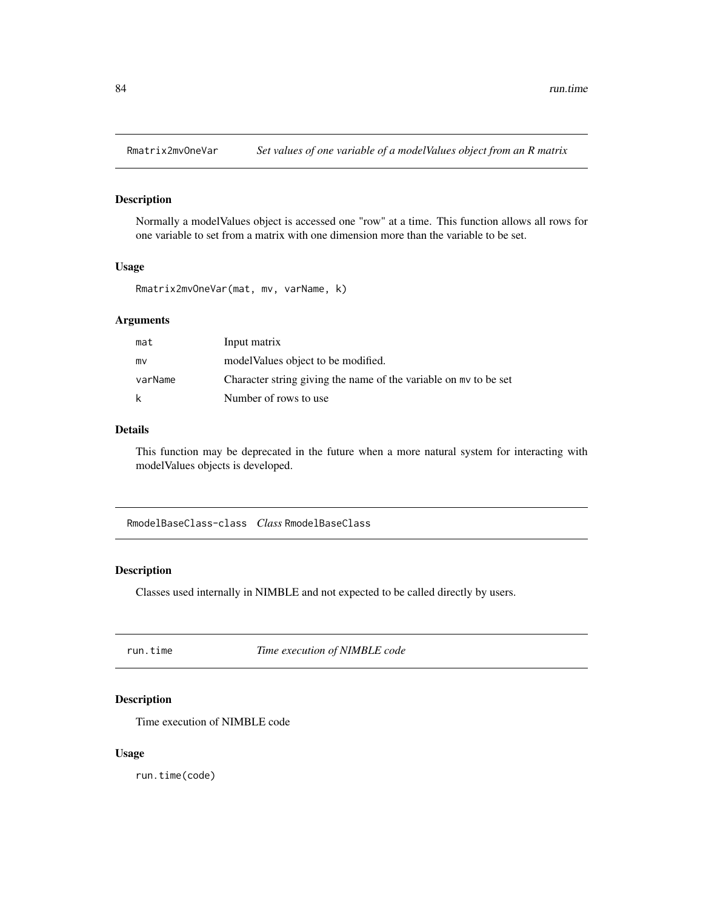#### Description

Normally a modelValues object is accessed one "row" at a time. This function allows all rows for one variable to set from a matrix with one dimension more than the variable to be set.

#### Usage

Rmatrix2mvOneVar(mat, mv, varName, k)

# Arguments

| mat     | Input matrix                                                     |
|---------|------------------------------------------------------------------|
| mv      | model Values object to be modified.                              |
| varName | Character string giving the name of the variable on my to be set |
| k       | Number of rows to use                                            |

# Details

This function may be deprecated in the future when a more natural system for interacting with modelValues objects is developed.

RmodelBaseClass-class *Class* RmodelBaseClass

#### Description

Classes used internally in NIMBLE and not expected to be called directly by users.

run.time *Time execution of NIMBLE code*

# Description

Time execution of NIMBLE code

# Usage

run.time(code)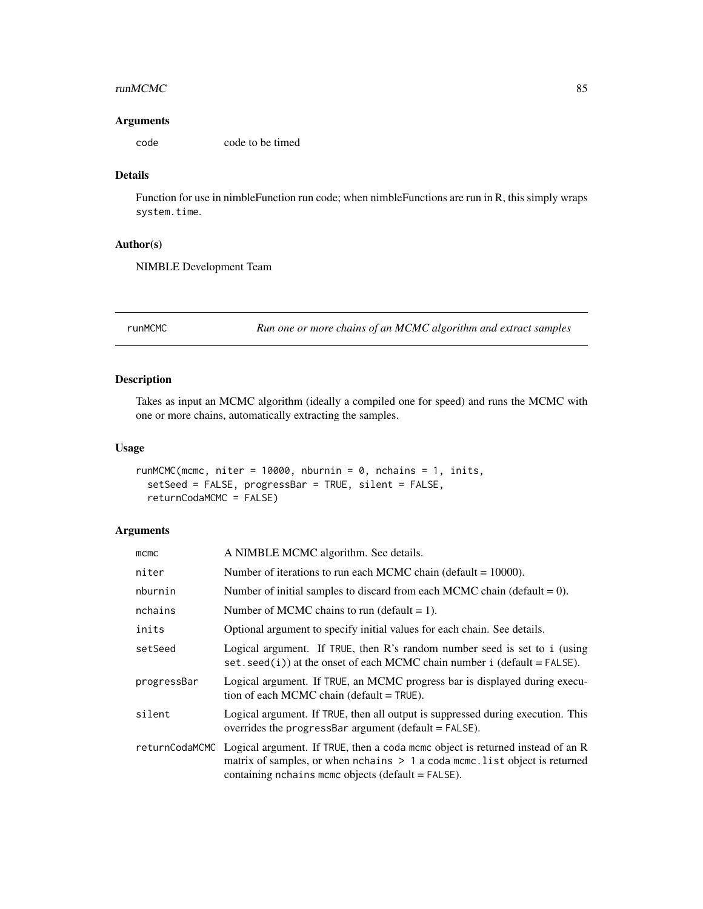#### runMCMC 85

# Arguments

code code to be timed

# Details

Function for use in nimbleFunction run code; when nimbleFunctions are run in R, this simply wraps system.time.

#### Author(s)

NIMBLE Development Team

<span id="page-84-0"></span>runMCMC *Run one or more chains of an MCMC algorithm and extract samples*

# Description

Takes as input an MCMC algorithm (ideally a compiled one for speed) and runs the MCMC with one or more chains, automatically extracting the samples.

#### Usage

```
runMCMC(mcmc, niter = 10000, nburnin = 0, nchains = 1, inits,
 setSeed = FALSE, progressBar = TRUE, silent = FALSE,
 returnCodaMCMC = FALSE)
```
# Arguments

| mcmc        | A NIMBLE MCMC algorithm. See details.                                                                                                                                                                                                |
|-------------|--------------------------------------------------------------------------------------------------------------------------------------------------------------------------------------------------------------------------------------|
| niter       | Number of iterations to run each MCMC chain (default $= 10000$ ).                                                                                                                                                                    |
| nburnin     | Number of initial samples to discard from each MCMC chain (default $= 0$ ).                                                                                                                                                          |
| nchains     | Number of MCMC chains to run (default $= 1$ ).                                                                                                                                                                                       |
| inits       | Optional argument to specify initial values for each chain. See details.                                                                                                                                                             |
| setSeed     | Logical argument. If TRUE, then R's random number seed is set to i (using<br>$set. seed(i)$ at the onset of each MCMC chain number $i$ (default = FALSE).                                                                            |
| progressBar | Logical argument. If TRUE, an MCMC progress bar is displayed during execu-<br>tion of each MCMC chain (default $=$ TRUE).                                                                                                            |
| silent      | Logical argument. If TRUE, then all output is suppressed during execution. This<br>overrides the progress Bar argument ( $\text{default} = \text{FALSE}$ ).                                                                          |
|             | returnCodaMCMC Logical argument. If TRUE, then a coda mcmc object is returned instead of an R<br>matrix of samples, or when nchains $> 1$ a codam come list object is returned<br>containing nchains mcmc objects (default = FALSE). |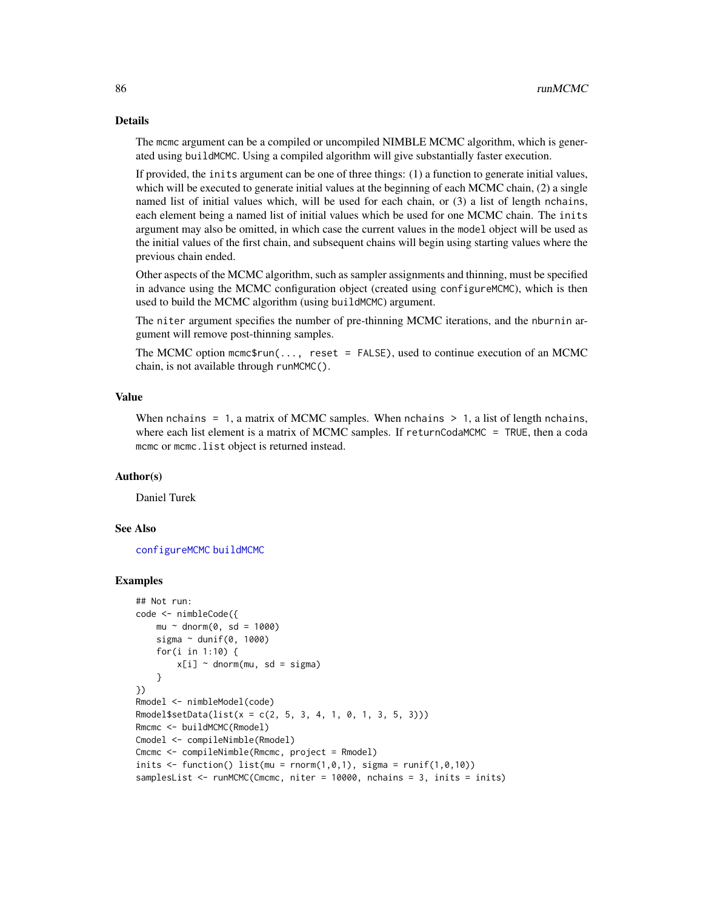#### Details

The mcmc argument can be a compiled or uncompiled NIMBLE MCMC algorithm, which is generated using buildMCMC. Using a compiled algorithm will give substantially faster execution.

If provided, the inits argument can be one of three things: (1) a function to generate initial values, which will be executed to generate initial values at the beginning of each MCMC chain, (2) a single named list of initial values which, will be used for each chain, or (3) a list of length nchains, each element being a named list of initial values which be used for one MCMC chain. The inits argument may also be omitted, in which case the current values in the model object will be used as the initial values of the first chain, and subsequent chains will begin using starting values where the previous chain ended.

Other aspects of the MCMC algorithm, such as sampler assignments and thinning, must be specified in advance using the MCMC configuration object (created using configureMCMC), which is then used to build the MCMC algorithm (using buildMCMC) argument.

The niter argument specifies the number of pre-thinning MCMC iterations, and the nburnin argument will remove post-thinning samples.

The MCMC option mcmc\$run( $\ldots$ , reset = FALSE), used to continue execution of an MCMC chain, is not available through runMCMC().

# Value

When nchains  $= 1$ , a matrix of MCMC samples. When nchains  $> 1$ , a list of length nchains, where each list element is a matrix of MCMC samples. If returnCodaMCMC = TRUE, then a coda mcmc or mcmc.list object is returned instead.

#### Author(s)

Daniel Turek

# See Also

[configureMCMC](#page-21-0) [buildMCMC](#page-14-0)

#### Examples

```
## Not run:
code <- nimbleCode({
   mu ~ dnorm(0, sd = 1000)sigma \sim dunif(0, 1000)
    for(i in 1:10) {
        x[i] ~ dnorm(mu, sd = sigma)
    }
})
Rmodel <- nimbleModel(code)
Rmodel$setData(list(x = c(2, 5, 3, 4, 1, 0, 1, 3, 5, 3)))Rmcmc <- buildMCMC(Rmodel)
Cmodel <- compileNimble(Rmodel)
Cmcmc <- compileNimble(Rmcmc, project = Rmodel)
inits \leq function() list(mu = rnorm(1,0,1), sigma = runif(1,0,10))
samplesList <- runMCMC(Cmcmc, niter = 10000, nchains = 3, inits = inits)
```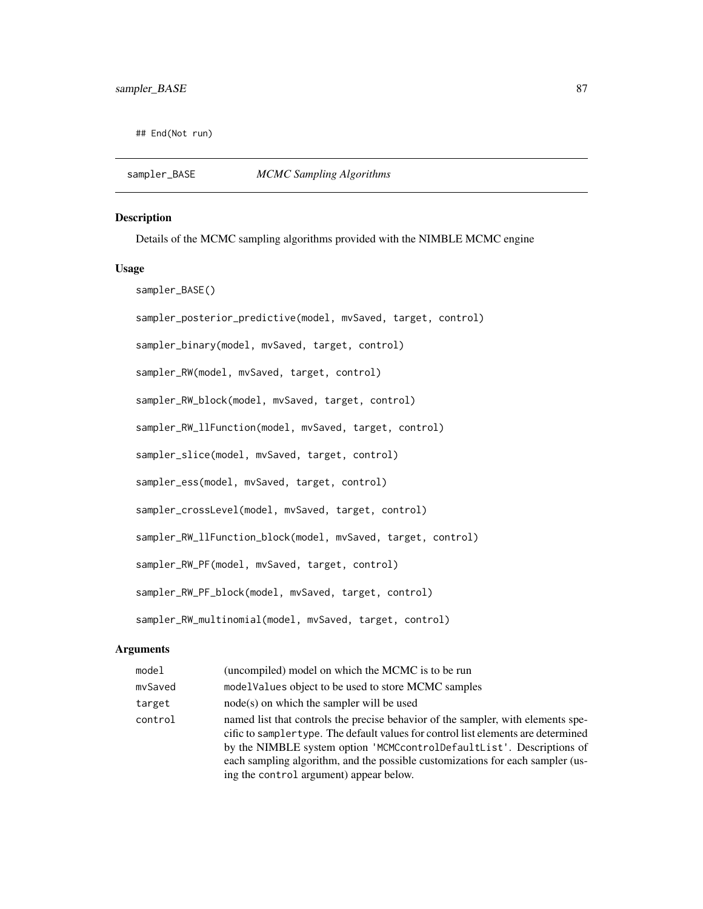## End(Not run)

sampler\_BASE *MCMC Sampling Algorithms*

#### Description

Details of the MCMC sampling algorithms provided with the NIMBLE MCMC engine

#### Usage

```
sampler_BASE()
sampler_posterior_predictive(model, mvSaved, target, control)
sampler_binary(model, mvSaved, target, control)
sampler_RW(model, mvSaved, target, control)
sampler_RW_block(model, mvSaved, target, control)
sampler_RW_llFunction(model, mvSaved, target, control)
sampler_slice(model, mvSaved, target, control)
sampler_ess(model, mvSaved, target, control)
sampler_crossLevel(model, mvSaved, target, control)
sampler_RW_llFunction_block(model, mvSaved, target, control)
sampler_RW_PF(model, mvSaved, target, control)
sampler_RW_PF_block(model, mvSaved, target, control)
sampler_RW_multinomial(model, mvSaved, target, control)
```
### **Arguments**

| model   | (uncompiled) model on which the MCMC is to be run                                                                                                                                                                                                                                                                                                                            |
|---------|------------------------------------------------------------------------------------------------------------------------------------------------------------------------------------------------------------------------------------------------------------------------------------------------------------------------------------------------------------------------------|
| mvSaved | modelValues object to be used to store MCMC samples                                                                                                                                                                                                                                                                                                                          |
| target  | $node(s)$ on which the sampler will be used                                                                                                                                                                                                                                                                                                                                  |
| control | named list that controls the precise behavior of the sampler, with elements spe-<br>cific to sampler type. The default values for control list elements are determined<br>by the NIMBLE system option 'MCMCcontrolDefaultList'. Descriptions of<br>each sampling algorithm, and the possible customizations for each sampler (us-<br>ing the control argument) appear below. |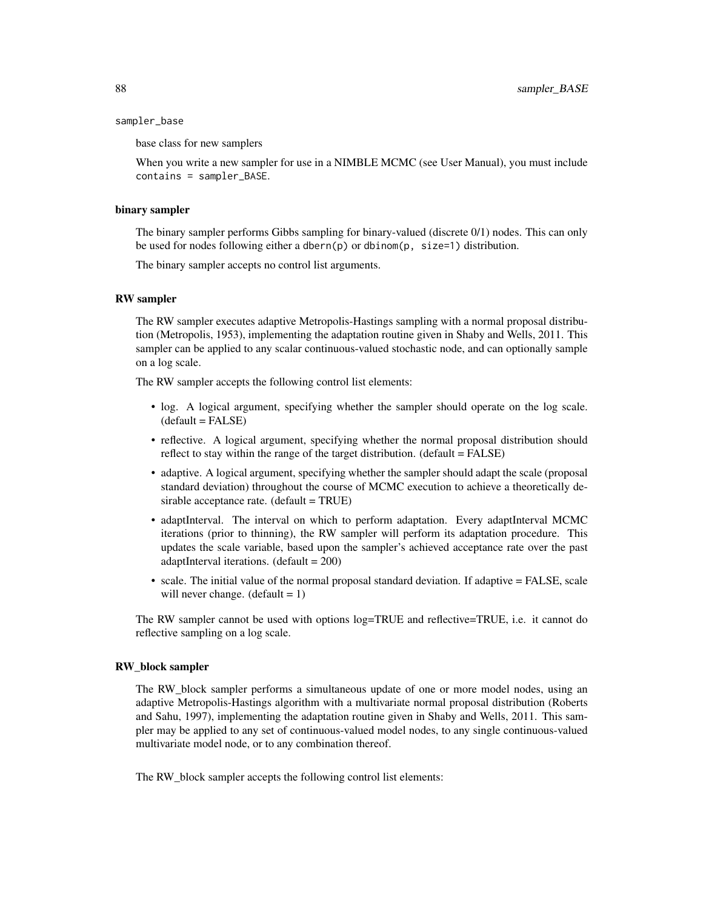#### sampler\_base

base class for new samplers

When you write a new sampler for use in a NIMBLE MCMC (see User Manual), you must include contains = sampler BASE.

#### binary sampler

The binary sampler performs Gibbs sampling for binary-valued (discrete 0/1) nodes. This can only be used for nodes following either a dbern(p) or dbinom(p, size=1) distribution.

The binary sampler accepts no control list arguments.

#### RW sampler

The RW sampler executes adaptive Metropolis-Hastings sampling with a normal proposal distribution (Metropolis, 1953), implementing the adaptation routine given in Shaby and Wells, 2011. This sampler can be applied to any scalar continuous-valued stochastic node, and can optionally sample on a log scale.

The RW sampler accepts the following control list elements:

- log. A logical argument, specifying whether the sampler should operate on the log scale.  $(default = FALSE)$
- reflective. A logical argument, specifying whether the normal proposal distribution should reflect to stay within the range of the target distribution. (default = FALSE)
- adaptive. A logical argument, specifying whether the sampler should adapt the scale (proposal standard deviation) throughout the course of MCMC execution to achieve a theoretically desirable acceptance rate. (default = TRUE)
- adaptInterval. The interval on which to perform adaptation. Every adaptInterval MCMC iterations (prior to thinning), the RW sampler will perform its adaptation procedure. This updates the scale variable, based upon the sampler's achieved acceptance rate over the past adaptInterval iterations. (default =  $200$ )
- scale. The initial value of the normal proposal standard deviation. If adaptive = FALSE, scale will never change.  $(\text{default} = 1)$

The RW sampler cannot be used with options log=TRUE and reflective=TRUE, i.e. it cannot do reflective sampling on a log scale.

#### RW\_block sampler

The RW block sampler performs a simultaneous update of one or more model nodes, using an adaptive Metropolis-Hastings algorithm with a multivariate normal proposal distribution (Roberts and Sahu, 1997), implementing the adaptation routine given in Shaby and Wells, 2011. This sampler may be applied to any set of continuous-valued model nodes, to any single continuous-valued multivariate model node, or to any combination thereof.

The RW\_block sampler accepts the following control list elements: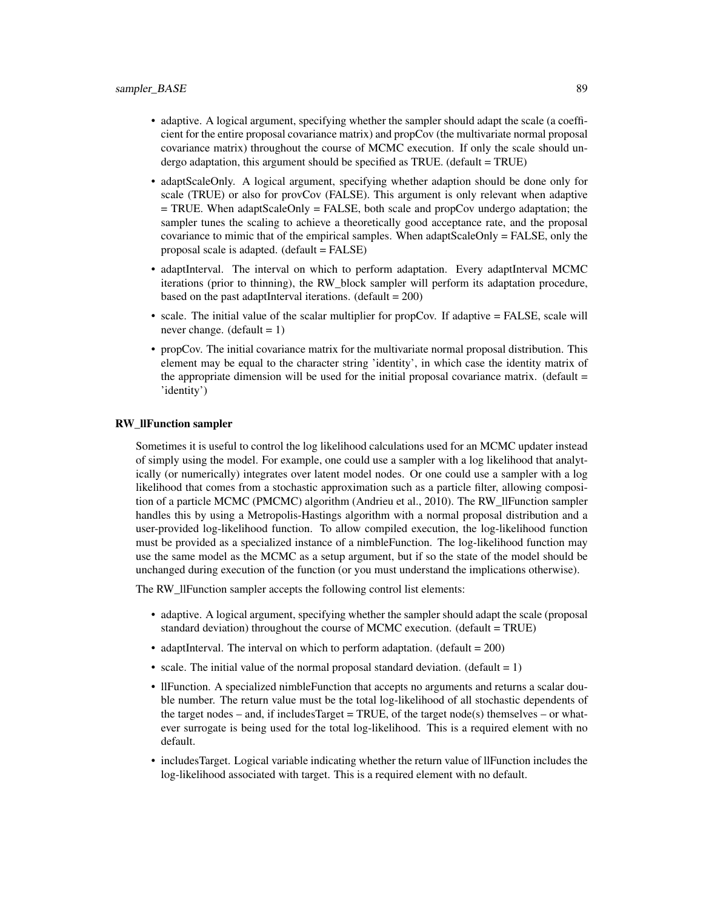- adaptive. A logical argument, specifying whether the sampler should adapt the scale (a coefficient for the entire proposal covariance matrix) and propCov (the multivariate normal proposal covariance matrix) throughout the course of MCMC execution. If only the scale should undergo adaptation, this argument should be specified as TRUE. (default = TRUE)
- adaptScaleOnly. A logical argument, specifying whether adaption should be done only for scale (TRUE) or also for provCov (FALSE). This argument is only relevant when adaptive = TRUE. When adaptScaleOnly = FALSE, both scale and propCov undergo adaptation; the sampler tunes the scaling to achieve a theoretically good acceptance rate, and the proposal covariance to mimic that of the empirical samples. When adaptScaleOnly = FALSE, only the proposal scale is adapted. (default = FALSE)
- adaptInterval. The interval on which to perform adaptation. Every adaptInterval MCMC iterations (prior to thinning), the RW\_block sampler will perform its adaptation procedure, based on the past adaptInterval iterations. (default  $= 200$ )
- scale. The initial value of the scalar multiplier for propCov. If adaptive = FALSE, scale will never change. (default  $= 1$ )
- propCov. The initial covariance matrix for the multivariate normal proposal distribution. This element may be equal to the character string 'identity', in which case the identity matrix of the appropriate dimension will be used for the initial proposal covariance matrix. (default  $=$ 'identity')

#### RW\_llFunction sampler

Sometimes it is useful to control the log likelihood calculations used for an MCMC updater instead of simply using the model. For example, one could use a sampler with a log likelihood that analytically (or numerically) integrates over latent model nodes. Or one could use a sampler with a log likelihood that comes from a stochastic approximation such as a particle filter, allowing composition of a particle MCMC (PMCMC) algorithm (Andrieu et al., 2010). The RW\_llFunction sampler handles this by using a Metropolis-Hastings algorithm with a normal proposal distribution and a user-provided log-likelihood function. To allow compiled execution, the log-likelihood function must be provided as a specialized instance of a nimbleFunction. The log-likelihood function may use the same model as the MCMC as a setup argument, but if so the state of the model should be unchanged during execution of the function (or you must understand the implications otherwise).

The RW llFunction sampler accepts the following control list elements:

- adaptive. A logical argument, specifying whether the sampler should adapt the scale (proposal standard deviation) throughout the course of MCMC execution. (default = TRUE)
- adaptInterval. The interval on which to perform adaptation. (default  $= 200$ )
- scale. The initial value of the normal proposal standard deviation. (default  $= 1$ )
- llFunction. A specialized nimbleFunction that accepts no arguments and returns a scalar double number. The return value must be the total log-likelihood of all stochastic dependents of the target nodes – and, if includesTarget = TRUE, of the target node(s) themselves – or whatever surrogate is being used for the total log-likelihood. This is a required element with no default.
- includesTarget. Logical variable indicating whether the return value of llFunction includes the log-likelihood associated with target. This is a required element with no default.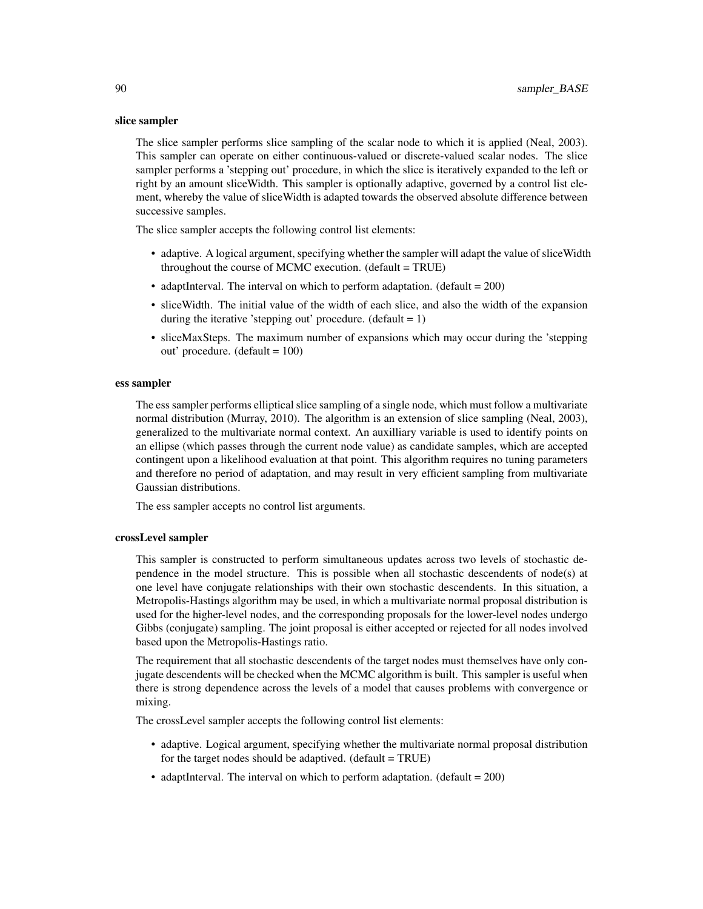#### slice sampler

The slice sampler performs slice sampling of the scalar node to which it is applied (Neal, 2003). This sampler can operate on either continuous-valued or discrete-valued scalar nodes. The slice sampler performs a 'stepping out' procedure, in which the slice is iteratively expanded to the left or right by an amount sliceWidth. This sampler is optionally adaptive, governed by a control list element, whereby the value of sliceWidth is adapted towards the observed absolute difference between successive samples.

The slice sampler accepts the following control list elements:

- adaptive. A logical argument, specifying whether the sampler will adapt the value of sliceWidth throughout the course of MCMC execution. (default = TRUE)
- adaptInterval. The interval on which to perform adaptation. (default  $= 200$ )
- sliceWidth. The initial value of the width of each slice, and also the width of the expansion during the iterative 'stepping out' procedure. (default  $= 1$ )
- sliceMaxSteps. The maximum number of expansions which may occur during the 'stepping out' procedure. (default = 100)

#### ess sampler

The ess sampler performs elliptical slice sampling of a single node, which must follow a multivariate normal distribution (Murray, 2010). The algorithm is an extension of slice sampling (Neal, 2003), generalized to the multivariate normal context. An auxilliary variable is used to identify points on an ellipse (which passes through the current node value) as candidate samples, which are accepted contingent upon a likelihood evaluation at that point. This algorithm requires no tuning parameters and therefore no period of adaptation, and may result in very efficient sampling from multivariate Gaussian distributions.

The ess sampler accepts no control list arguments.

# crossLevel sampler

This sampler is constructed to perform simultaneous updates across two levels of stochastic dependence in the model structure. This is possible when all stochastic descendents of node(s) at one level have conjugate relationships with their own stochastic descendents. In this situation, a Metropolis-Hastings algorithm may be used, in which a multivariate normal proposal distribution is used for the higher-level nodes, and the corresponding proposals for the lower-level nodes undergo Gibbs (conjugate) sampling. The joint proposal is either accepted or rejected for all nodes involved based upon the Metropolis-Hastings ratio.

The requirement that all stochastic descendents of the target nodes must themselves have only conjugate descendents will be checked when the MCMC algorithm is built. This sampler is useful when there is strong dependence across the levels of a model that causes problems with convergence or mixing.

The crossLevel sampler accepts the following control list elements:

- adaptive. Logical argument, specifying whether the multivariate normal proposal distribution for the target nodes should be adaptived. (default = TRUE)
- adaptInterval. The interval on which to perform adaptation. (default  $= 200$ )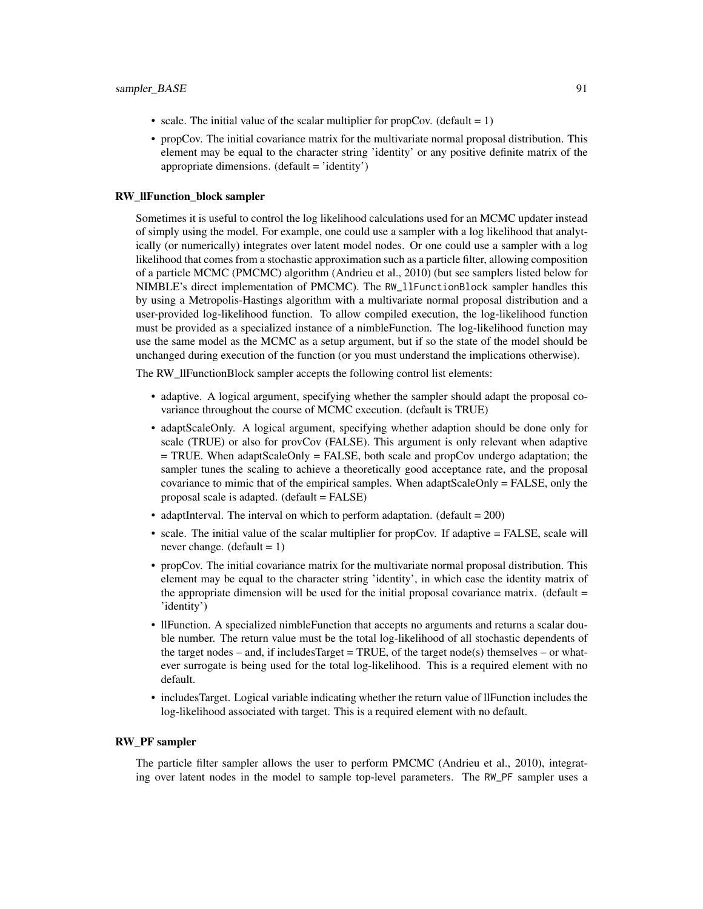- scale. The initial value of the scalar multiplier for propCov. (default  $= 1$ )
- propCov. The initial covariance matrix for the multivariate normal proposal distribution. This element may be equal to the character string 'identity' or any positive definite matrix of the appropriate dimensions. (default = 'identity')

#### RW\_llFunction\_block sampler

Sometimes it is useful to control the log likelihood calculations used for an MCMC updater instead of simply using the model. For example, one could use a sampler with a log likelihood that analytically (or numerically) integrates over latent model nodes. Or one could use a sampler with a log likelihood that comes from a stochastic approximation such as a particle filter, allowing composition of a particle MCMC (PMCMC) algorithm (Andrieu et al., 2010) (but see samplers listed below for NIMBLE's direct implementation of PMCMC). The RW\_llFunctionBlock sampler handles this by using a Metropolis-Hastings algorithm with a multivariate normal proposal distribution and a user-provided log-likelihood function. To allow compiled execution, the log-likelihood function must be provided as a specialized instance of a nimbleFunction. The log-likelihood function may use the same model as the MCMC as a setup argument, but if so the state of the model should be unchanged during execution of the function (or you must understand the implications otherwise).

The RW\_llFunctionBlock sampler accepts the following control list elements:

- adaptive. A logical argument, specifying whether the sampler should adapt the proposal covariance throughout the course of MCMC execution. (default is TRUE)
- adaptScaleOnly. A logical argument, specifying whether adaption should be done only for scale (TRUE) or also for provCov (FALSE). This argument is only relevant when adaptive  $=$  TRUE. When adaptScaleOnly  $=$  FALSE, both scale and propCov undergo adaptation; the sampler tunes the scaling to achieve a theoretically good acceptance rate, and the proposal covariance to mimic that of the empirical samples. When adaptScaleOnly = FALSE, only the proposal scale is adapted. (default = FALSE)
- adaptInterval. The interval on which to perform adaptation. (default  $= 200$ )
- scale. The initial value of the scalar multiplier for propCov. If adaptive = FALSE, scale will never change.  $(detault = 1)$
- propCov. The initial covariance matrix for the multivariate normal proposal distribution. This element may be equal to the character string 'identity', in which case the identity matrix of the appropriate dimension will be used for the initial proposal covariance matrix. (default = 'identity')
- llFunction. A specialized nimbleFunction that accepts no arguments and returns a scalar double number. The return value must be the total log-likelihood of all stochastic dependents of the target nodes – and, if includesTarget  $= TRUE$ , of the target node(s) themselves – or whatever surrogate is being used for the total log-likelihood. This is a required element with no default.
- includesTarget. Logical variable indicating whether the return value of llFunction includes the log-likelihood associated with target. This is a required element with no default.

#### RW\_PF sampler

The particle filter sampler allows the user to perform PMCMC (Andrieu et al., 2010), integrating over latent nodes in the model to sample top-level parameters. The RW\_PF sampler uses a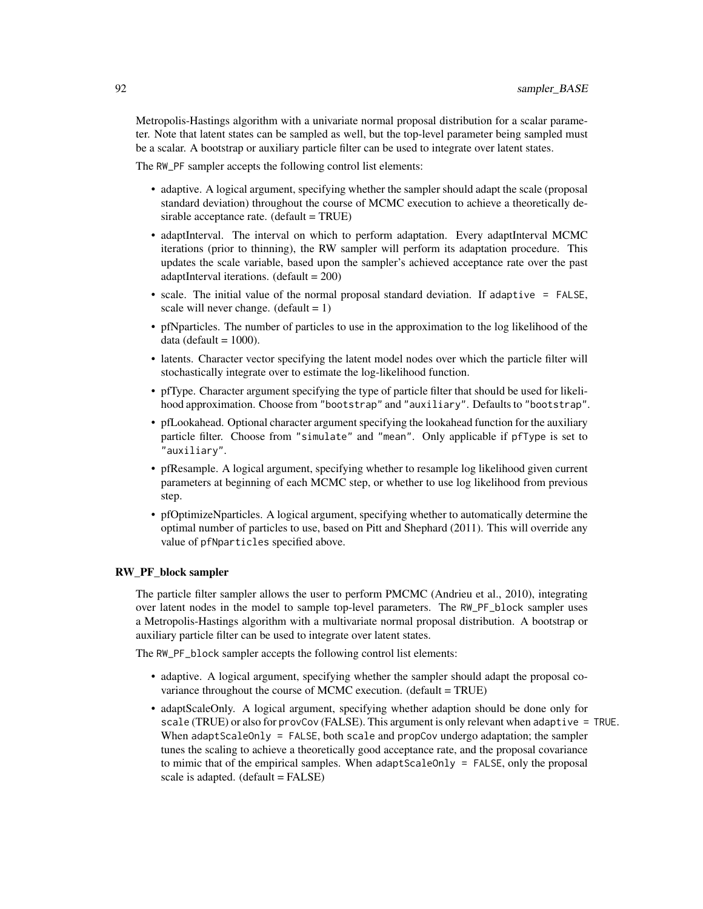Metropolis-Hastings algorithm with a univariate normal proposal distribution for a scalar parameter. Note that latent states can be sampled as well, but the top-level parameter being sampled must be a scalar. A bootstrap or auxiliary particle filter can be used to integrate over latent states.

The RW\_PF sampler accepts the following control list elements:

- adaptive. A logical argument, specifying whether the sampler should adapt the scale (proposal standard deviation) throughout the course of MCMC execution to achieve a theoretically desirable acceptance rate. (default = TRUE)
- adaptInterval. The interval on which to perform adaptation. Every adaptInterval MCMC iterations (prior to thinning), the RW sampler will perform its adaptation procedure. This updates the scale variable, based upon the sampler's achieved acceptance rate over the past adaptInterval iterations.  $(detault = 200)$
- scale. The initial value of the normal proposal standard deviation. If adaptive = FALSE, scale will never change.  $(detault = 1)$
- pfNparticles. The number of particles to use in the approximation to the log likelihood of the data (default  $= 1000$ ).
- latents. Character vector specifying the latent model nodes over which the particle filter will stochastically integrate over to estimate the log-likelihood function.
- pfType. Character argument specifying the type of particle filter that should be used for likelihood approximation. Choose from "bootstrap" and "auxiliary". Defaults to "bootstrap".
- pfLookahead. Optional character argument specifying the lookahead function for the auxiliary particle filter. Choose from "simulate" and "mean". Only applicable if pfType is set to "auxiliary".
- pfResample. A logical argument, specifying whether to resample log likelihood given current parameters at beginning of each MCMC step, or whether to use log likelihood from previous step.
- pfOptimizeNparticles. A logical argument, specifying whether to automatically determine the optimal number of particles to use, based on Pitt and Shephard (2011). This will override any value of pfNparticles specified above.

#### RW\_PF\_block sampler

The particle filter sampler allows the user to perform PMCMC (Andrieu et al., 2010), integrating over latent nodes in the model to sample top-level parameters. The RW\_PF\_block sampler uses a Metropolis-Hastings algorithm with a multivariate normal proposal distribution. A bootstrap or auxiliary particle filter can be used to integrate over latent states.

The RW\_PF\_block sampler accepts the following control list elements:

- adaptive. A logical argument, specifying whether the sampler should adapt the proposal covariance throughout the course of MCMC execution. (default = TRUE)
- adaptScaleOnly. A logical argument, specifying whether adaption should be done only for scale (TRUE) or also for provCov (FALSE). This argument is only relevant when adaptive = TRUE. When adaptScaleOnly = FALSE, both scale and propCov undergo adaptation; the sampler tunes the scaling to achieve a theoretically good acceptance rate, and the proposal covariance to mimic that of the empirical samples. When adaptScaleOnly = FALSE, only the proposal scale is adapted. (default = FALSE)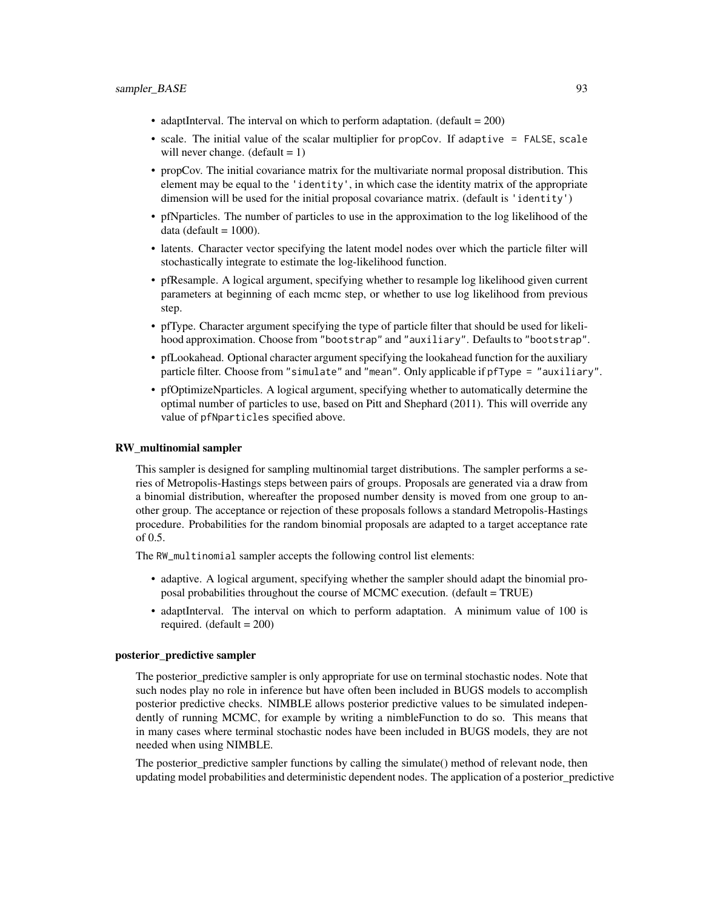- adaptInterval. The interval on which to perform adaptation. (default  $= 200$ )
- scale. The initial value of the scalar multiplier for propCov. If adaptive = FALSE, scale will never change.  $(\text{default} = 1)$
- propCov. The initial covariance matrix for the multivariate normal proposal distribution. This element may be equal to the 'identity', in which case the identity matrix of the appropriate dimension will be used for the initial proposal covariance matrix. (default is 'identity')
- pfNparticles. The number of particles to use in the approximation to the log likelihood of the  $data$  (default = 1000).
- latents. Character vector specifying the latent model nodes over which the particle filter will stochastically integrate to estimate the log-likelihood function.
- pfResample. A logical argument, specifying whether to resample log likelihood given current parameters at beginning of each mcmc step, or whether to use log likelihood from previous step.
- pfType. Character argument specifying the type of particle filter that should be used for likelihood approximation. Choose from "bootstrap" and "auxiliary". Defaults to "bootstrap".
- pfLookahead. Optional character argument specifying the lookahead function for the auxiliary particle filter. Choose from "simulate" and "mean". Only applicable if pfType = "auxiliary".
- pfOptimizeNparticles. A logical argument, specifying whether to automatically determine the optimal number of particles to use, based on Pitt and Shephard (2011). This will override any value of pfNparticles specified above.

#### RW\_multinomial sampler

This sampler is designed for sampling multinomial target distributions. The sampler performs a series of Metropolis-Hastings steps between pairs of groups. Proposals are generated via a draw from a binomial distribution, whereafter the proposed number density is moved from one group to another group. The acceptance or rejection of these proposals follows a standard Metropolis-Hastings procedure. Probabilities for the random binomial proposals are adapted to a target acceptance rate of 0.5.

The RW\_multinomial sampler accepts the following control list elements:

- adaptive. A logical argument, specifying whether the sampler should adapt the binomial proposal probabilities throughout the course of MCMC execution. (default = TRUE)
- adaptInterval. The interval on which to perform adaptation. A minimum value of 100 is required. (default  $= 200$ )

#### posterior\_predictive sampler

The posterior\_predictive sampler is only appropriate for use on terminal stochastic nodes. Note that such nodes play no role in inference but have often been included in BUGS models to accomplish posterior predictive checks. NIMBLE allows posterior predictive values to be simulated independently of running MCMC, for example by writing a nimbleFunction to do so. This means that in many cases where terminal stochastic nodes have been included in BUGS models, they are not needed when using NIMBLE.

The posterior predictive sampler functions by calling the simulate() method of relevant node, then updating model probabilities and deterministic dependent nodes. The application of a posterior\_predictive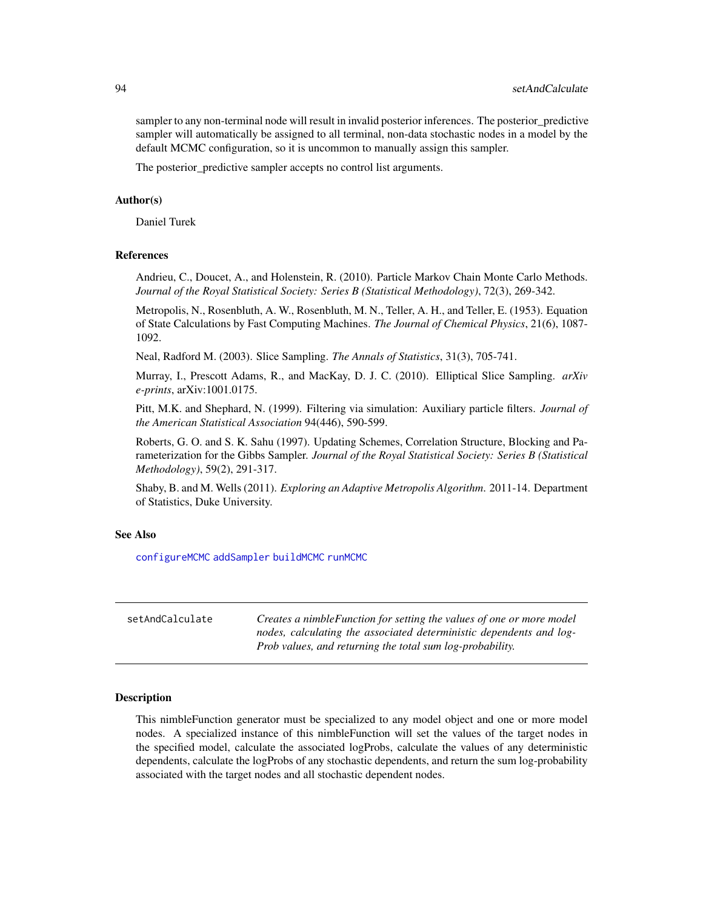<span id="page-93-0"></span>sampler to any non-terminal node will result in invalid posterior inferences. The posterior\_predictive sampler will automatically be assigned to all terminal, non-data stochastic nodes in a model by the default MCMC configuration, so it is uncommon to manually assign this sampler.

The posterior\_predictive sampler accepts no control list arguments.

#### Author(s)

Daniel Turek

#### References

Andrieu, C., Doucet, A., and Holenstein, R. (2010). Particle Markov Chain Monte Carlo Methods. *Journal of the Royal Statistical Society: Series B (Statistical Methodology)*, 72(3), 269-342.

Metropolis, N., Rosenbluth, A. W., Rosenbluth, M. N., Teller, A. H., and Teller, E. (1953). Equation of State Calculations by Fast Computing Machines. *The Journal of Chemical Physics*, 21(6), 1087- 1092.

Neal, Radford M. (2003). Slice Sampling. *The Annals of Statistics*, 31(3), 705-741.

Murray, I., Prescott Adams, R., and MacKay, D. J. C. (2010). Elliptical Slice Sampling. *arXiv e-prints*, arXiv:1001.0175.

Pitt, M.K. and Shephard, N. (1999). Filtering via simulation: Auxiliary particle filters. *Journal of the American Statistical Association* 94(446), 590-599.

Roberts, G. O. and S. K. Sahu (1997). Updating Schemes, Correlation Structure, Blocking and Parameterization for the Gibbs Sampler. *Journal of the Royal Statistical Society: Series B (Statistical Methodology)*, 59(2), 291-317.

Shaby, B. and M. Wells (2011). *Exploring an Adaptive Metropolis Algorithm*. 2011-14. Department of Statistics, Duke University.

#### See Also

[configureMCMC](#page-21-0) [addSampler](#page-38-0) [buildMCMC](#page-14-0) [runMCMC](#page-84-0)

| setAndCalculate | Creates a nimble Function for setting the values of one or more model |
|-----------------|-----------------------------------------------------------------------|
|                 | nodes, calculating the associated deterministic dependents and log-   |
|                 | Prob values, and returning the total sum log-probability.             |

#### Description

This nimbleFunction generator must be specialized to any model object and one or more model nodes. A specialized instance of this nimbleFunction will set the values of the target nodes in the specified model, calculate the associated logProbs, calculate the values of any deterministic dependents, calculate the logProbs of any stochastic dependents, and return the sum log-probability associated with the target nodes and all stochastic dependent nodes.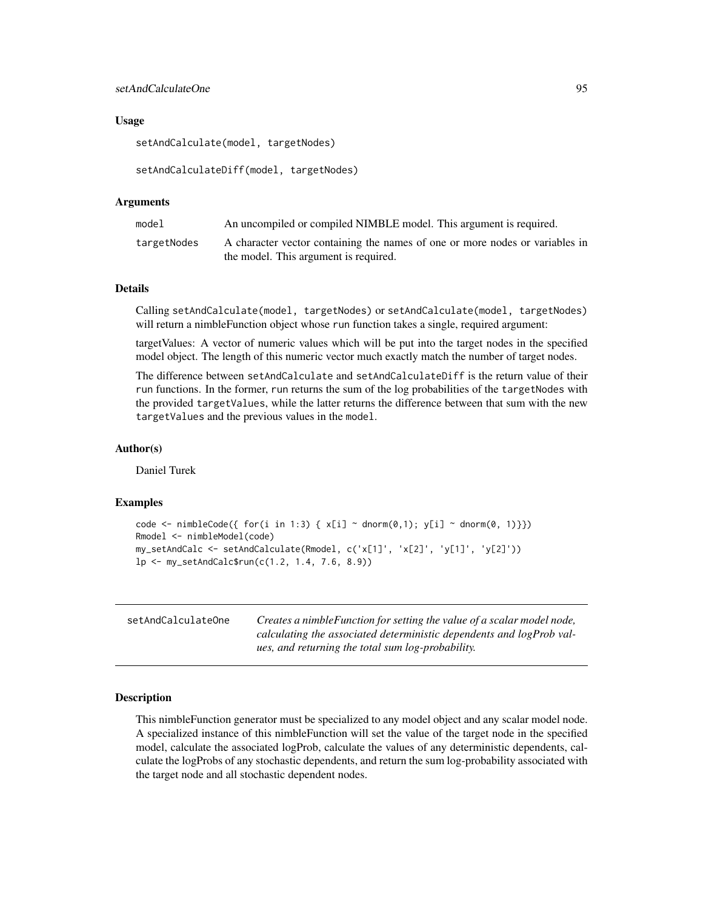# setAndCalculateOne 95

#### Usage

setAndCalculate(model, targetNodes)

setAndCalculateDiff(model, targetNodes)

#### Arguments

| model       | An uncompiled or compiled NIMBLE model. This argument is required.           |
|-------------|------------------------------------------------------------------------------|
| targetNodes | A character vector containing the names of one or more nodes or variables in |
|             | the model. This argument is required.                                        |

# Details

Calling setAndCalculate(model, targetNodes) or setAndCalculate(model, targetNodes) will return a nimbleFunction object whose run function takes a single, required argument:

targetValues: A vector of numeric values which will be put into the target nodes in the specified model object. The length of this numeric vector much exactly match the number of target nodes.

The difference between setAndCalculate and setAndCalculateDiff is the return value of their run functions. In the former, run returns the sum of the log probabilities of the targetNodes with the provided targetValues, while the latter returns the difference between that sum with the new targetValues and the previous values in the model.

# Author(s)

Daniel Turek

#### Examples

```
code <- nimbleCode({ for(i in 1:3) { x[i] ~ dnorm(0,1); y[i] ~ dnorm(0, 1)}})
Rmodel <- nimbleModel(code)
my_setAndCalc <- setAndCalculate(Rmodel, c('x[1]', 'x[2]', 'y[1]', 'y[2]'))
lp <- my_setAndCalc$run(c(1.2, 1.4, 7.6, 8.9))
```

| setAndCalculateOne | Creates a nimble Function for setting the value of a scalar model node, |
|--------------------|-------------------------------------------------------------------------|
|                    | calculating the associated deterministic dependents and logProb val-    |
|                    | ues, and returning the total sum log-probability.                       |

#### Description

This nimbleFunction generator must be specialized to any model object and any scalar model node. A specialized instance of this nimbleFunction will set the value of the target node in the specified model, calculate the associated logProb, calculate the values of any deterministic dependents, calculate the logProbs of any stochastic dependents, and return the sum log-probability associated with the target node and all stochastic dependent nodes.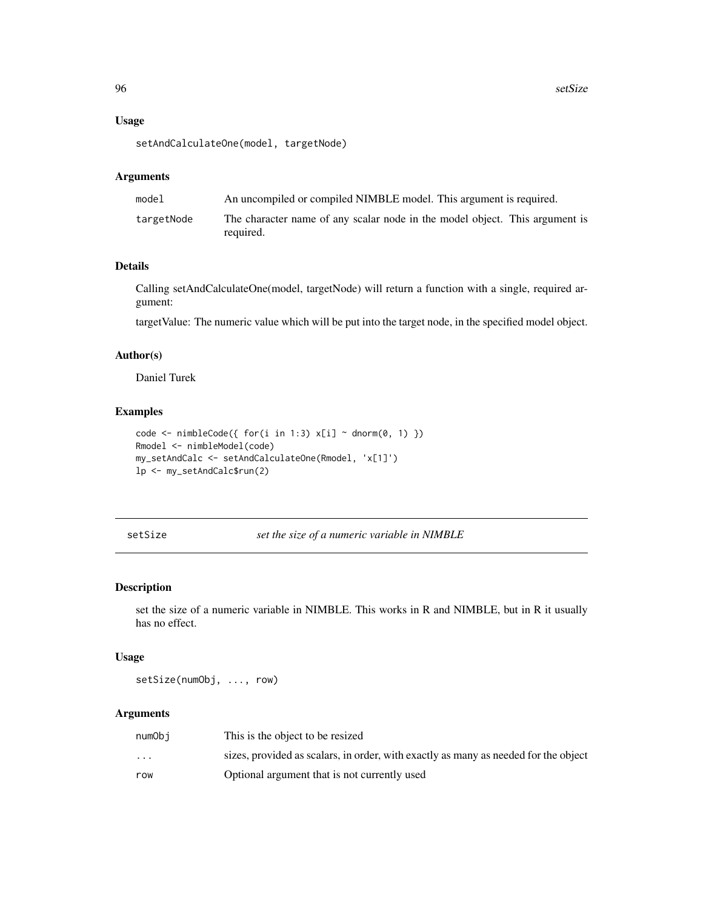#### Usage

setAndCalculateOne(model, targetNode)

# Arguments

| model      | An uncompiled or compiled NIMBLE model. This argument is required.                       |
|------------|------------------------------------------------------------------------------------------|
| targetNode | The character name of any scalar node in the model object. This argument is<br>required. |

# Details

Calling setAndCalculateOne(model, targetNode) will return a function with a single, required argument:

targetValue: The numeric value which will be put into the target node, in the specified model object.

# Author(s)

Daniel Turek

# Examples

```
code <- nimbleCode({ for(i in 1:3) x[i] ~ dnorm(0, 1) })
Rmodel <- nimbleModel(code)
my_setAndCalc <- setAndCalculateOne(Rmodel, 'x[1]')
lp <- my_setAndCalc$run(2)
```
setSize *set the size of a numeric variable in NIMBLE*

# Description

set the size of a numeric variable in NIMBLE. This works in R and NIMBLE, but in R it usually has no effect.

#### Usage

setSize(numObj, ..., row)

# Arguments

| numObi                  | This is the object to be resized                                                    |
|-------------------------|-------------------------------------------------------------------------------------|
| $\cdot$ $\cdot$ $\cdot$ | sizes, provided as scalars, in order, with exactly as many as needed for the object |
| row                     | Optional argument that is not currently used                                        |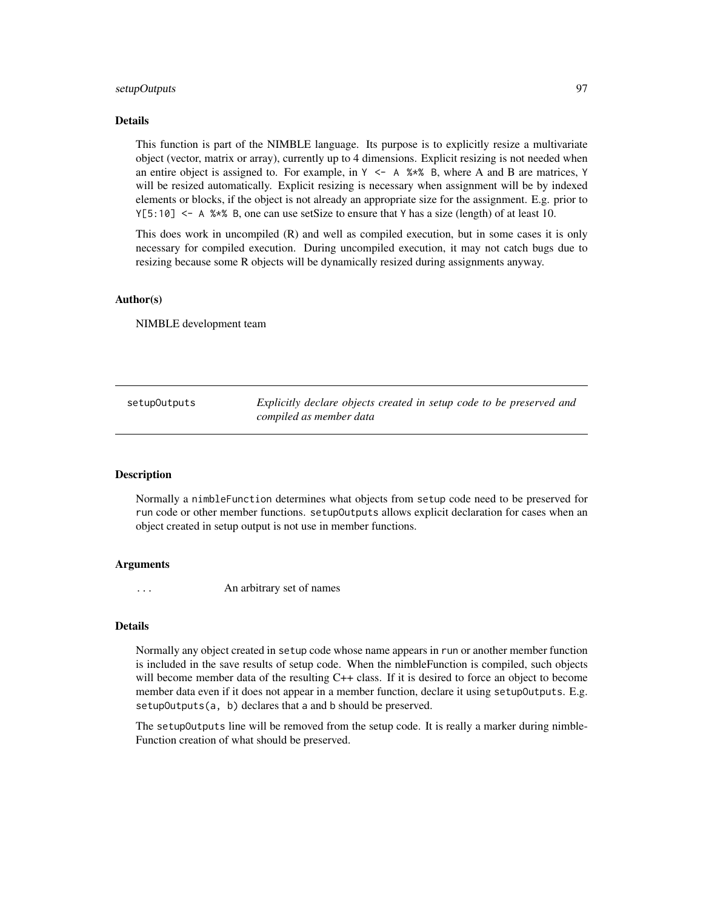# setupOutputs 97

# Details

This function is part of the NIMBLE language. Its purpose is to explicitly resize a multivariate object (vector, matrix or array), currently up to 4 dimensions. Explicit resizing is not needed when an entire object is assigned to. For example, in Y <- A %\*% B, where A and B are matrices, Y will be resized automatically. Explicit resizing is necessary when assignment will be by indexed elements or blocks, if the object is not already an appropriate size for the assignment. E.g. prior to  $Y[5:10]$  <- A %<sup>\*</sup>% B, one can use set Size to ensure that Y has a size (length) of at least 10.

This does work in uncompiled (R) and well as compiled execution, but in some cases it is only necessary for compiled execution. During uncompiled execution, it may not catch bugs due to resizing because some R objects will be dynamically resized during assignments anyway.

### Author(s)

NIMBLE development team

setupOutputs *Explicitly declare objects created in setup code to be preserved and compiled as member data*

#### **Description**

Normally a nimbleFunction determines what objects from setup code need to be preserved for run code or other member functions. setupOutputs allows explicit declaration for cases when an object created in setup output is not use in member functions.

#### Arguments

... An arbitrary set of names

#### Details

Normally any object created in setup code whose name appears in run or another member function is included in the save results of setup code. When the nimbleFunction is compiled, such objects will become member data of the resulting C++ class. If it is desired to force an object to become member data even if it does not appear in a member function, declare it using setupOutputs. E.g. setupOutputs(a, b) declares that a and b should be preserved.

The setupOutputs line will be removed from the setup code. It is really a marker during nimble-Function creation of what should be preserved.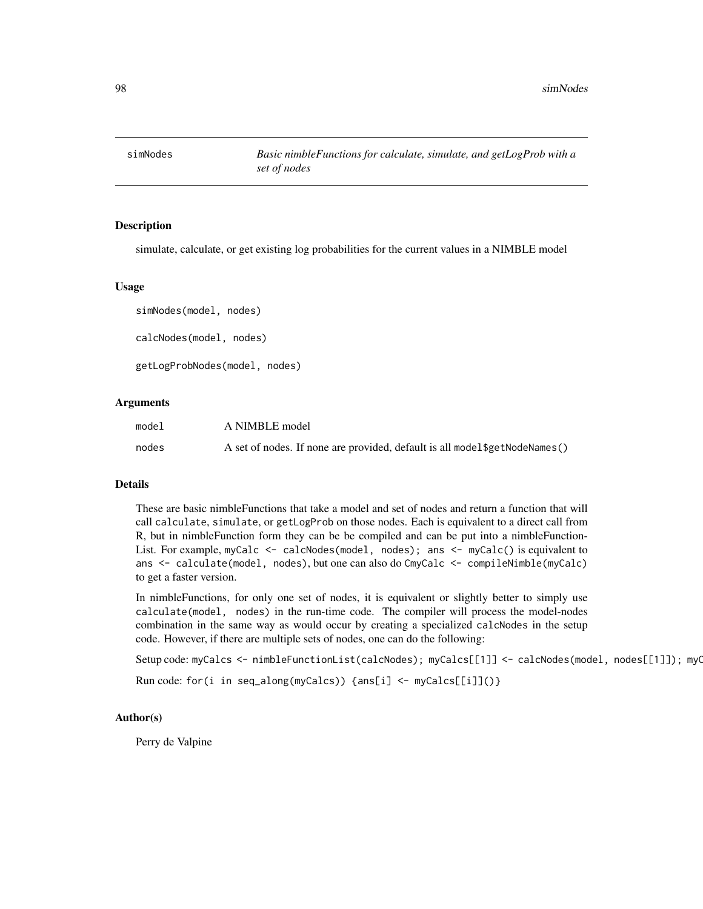# Description

simulate, calculate, or get existing log probabilities for the current values in a NIMBLE model

#### Usage

simNodes(model, nodes) calcNodes(model, nodes) getLogProbNodes(model, nodes)

# Arguments

| model | A NIMBLE model                                                              |
|-------|-----------------------------------------------------------------------------|
| nodes | A set of nodes. If none are provided, default is all model \$getNodeNames() |

#### Details

These are basic nimbleFunctions that take a model and set of nodes and return a function that will call calculate, simulate, or getLogProb on those nodes. Each is equivalent to a direct call from R, but in nimbleFunction form they can be be compiled and can be put into a nimbleFunction-List. For example, myCalc <- calcNodes(model, nodes); ans <- myCalc() is equivalent to ans <- calculate(model, nodes), but one can also do CmyCalc <- compileNimble(myCalc) to get a faster version.

In nimbleFunctions, for only one set of nodes, it is equivalent or slightly better to simply use calculate(model, nodes) in the run-time code. The compiler will process the model-nodes combination in the same way as would occur by creating a specialized calcNodes in the setup code. However, if there are multiple sets of nodes, one can do the following:

```
Setup code: myCalcs <- nimbleFunctionList(calcNodes); myCalcs[[1]] <- calcNodes(model, nodes[[1]]); myC
Run code: for(i in seq_along(myCalcs)) {ans[i] <- myCalcs[[i]]()}
```
# Author(s)

Perry de Valpine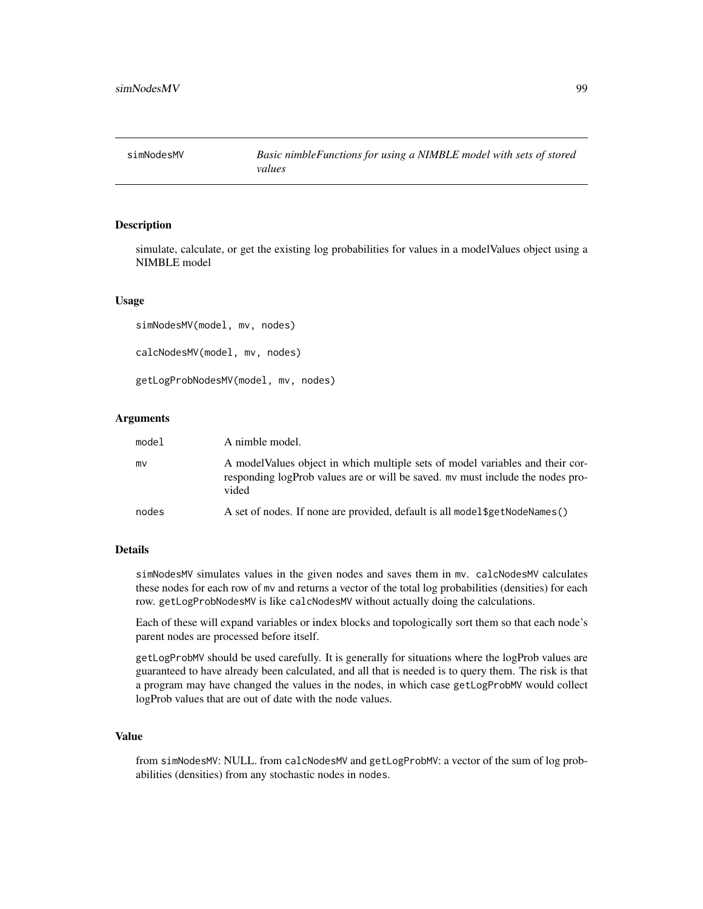#### Description

simulate, calculate, or get the existing log probabilities for values in a modelValues object using a NIMBLE model

#### Usage

```
simNodesMV(model, mv, nodes)
calcNodesMV(model, mv, nodes)
getLogProbNodesMV(model, mv, nodes)
```
#### Arguments

| model | A nimble model.                                                                                                                                                           |
|-------|---------------------------------------------------------------------------------------------------------------------------------------------------------------------------|
| mv    | A model Values object in which multiple sets of model variables and their cor-<br>responding logProb values are or will be saved, my must include the nodes pro-<br>vided |
| nodes | A set of nodes. If none are provided, default is all model \$getNodeNames()                                                                                               |

# Details

simNodesMV simulates values in the given nodes and saves them in mv. calcNodesMV calculates these nodes for each row of mv and returns a vector of the total log probabilities (densities) for each row. getLogProbNodesMV is like calcNodesMV without actually doing the calculations.

Each of these will expand variables or index blocks and topologically sort them so that each node's parent nodes are processed before itself.

getLogProbMV should be used carefully. It is generally for situations where the logProb values are guaranteed to have already been calculated, and all that is needed is to query them. The risk is that a program may have changed the values in the nodes, in which case getLogProbMV would collect logProb values that are out of date with the node values.

# Value

from simNodesMV: NULL. from calcNodesMV and getLogProbMV: a vector of the sum of log probabilities (densities) from any stochastic nodes in nodes.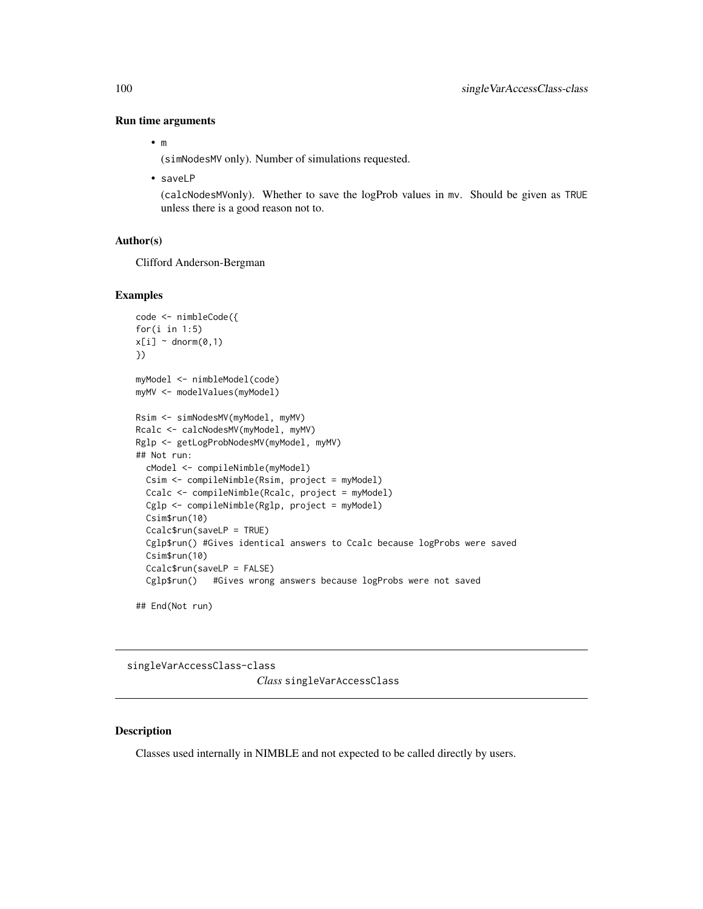#### Run time arguments

```
• m
```
(simNodesMV only). Number of simulations requested.

• saveLP

(calcNodesMVonly). Whether to save the logProb values in mv. Should be given as TRUE unless there is a good reason not to.

# Author(s)

Clifford Anderson-Bergman

#### Examples

```
code <- nimbleCode({
for(i in 1:5)
x[i] ~ dnorm(0,1)})
myModel <- nimbleModel(code)
myMV <- modelValues(myModel)
Rsim <- simNodesMV(myModel, myMV)
Rcalc <- calcNodesMV(myModel, myMV)
Rglp <- getLogProbNodesMV(myModel, myMV)
## Not run:
  cModel <- compileNimble(myModel)
  Csim <- compileNimble(Rsim, project = myModel)
  Ccalc <- compileNimble(Rcalc, project = myModel)
  Cglp <- compileNimble(Rglp, project = myModel)
  Csim$run(10)
  Ccalc$run(saveLP = TRUE)
  Cglp$run() #Gives identical answers to Ccalc because logProbs were saved
  Csim$run(10)
  Ccalc$run(saveLP = FALSE)
  Cglp$run() #Gives wrong answers because logProbs were not saved
```

```
## End(Not run)
```
singleVarAccessClass-class *Class* singleVarAccessClass

# Description

Classes used internally in NIMBLE and not expected to be called directly by users.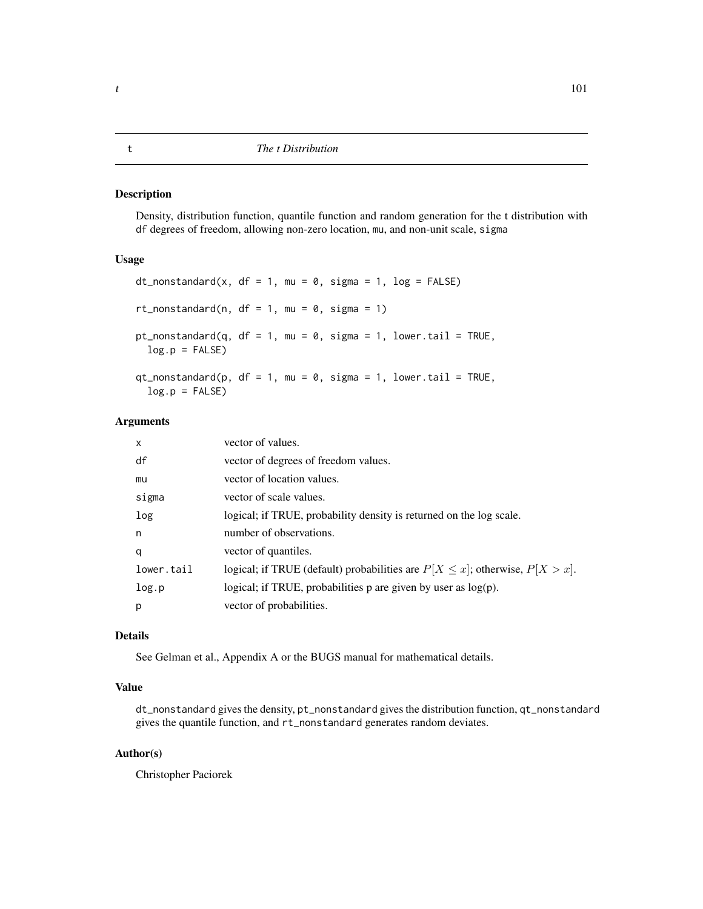#### Description

Density, distribution function, quantile function and random generation for the t distribution with df degrees of freedom, allowing non-zero location, mu, and non-unit scale, sigma

# Usage

```
dt_nonstandard(x, df = 1, mu = 0, sigma = 1, log = FALSE)
rt_nonstandard(n, df = 1, mu = 0, sigma = 1)
pt_nonstandard(q, df = 1, mu = 0, sigma = 1, lower.tail = TRUE,
  log.p = FALSE)
qt\_nonstandard(p, df = 1, mu = 0, sigma = 1, lower.tail = TRUE,log.p = FALSE)
```
#### Arguments

| X          | vector of values.                                                                    |
|------------|--------------------------------------------------------------------------------------|
| df         | vector of degrees of freedom values.                                                 |
| mu         | vector of location values.                                                           |
| sigma      | vector of scale values.                                                              |
| log        | logical; if TRUE, probability density is returned on the log scale.                  |
| n          | number of observations.                                                              |
| q          | vector of quantiles.                                                                 |
| lower.tail | logical; if TRUE (default) probabilities are $P[X \leq x]$ ; otherwise, $P[X > x]$ . |
| log.p      | logical; if TRUE, probabilities $p$ are given by user as $log(p)$ .                  |
| p          | vector of probabilities.                                                             |

# Details

See Gelman et al., Appendix A or the BUGS manual for mathematical details.

# Value

dt\_nonstandard gives the density, pt\_nonstandard gives the distribution function, qt\_nonstandard gives the quantile function, and rt\_nonstandard generates random deviates.

# Author(s)

Christopher Paciorek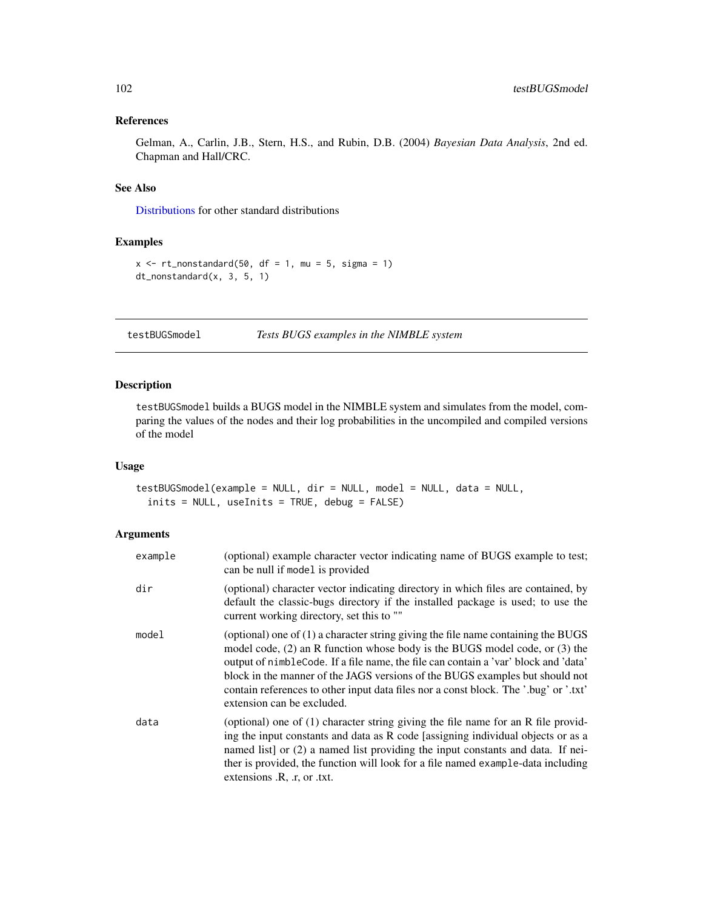# References

Gelman, A., Carlin, J.B., Stern, H.S., and Rubin, D.B. (2004) *Bayesian Data Analysis*, 2nd ed. Chapman and Hall/CRC.

### See Also

[Distributions](#page-0-0) for other standard distributions

#### Examples

```
x \leq -rt\_nonstandard(50, df = 1, mu = 5, sigma = 1)dt_nonstandard(x, 3, 5, 1)
```
testBUGSmodel *Tests BUGS examples in the NIMBLE system*

# Description

testBUGSmodel builds a BUGS model in the NIMBLE system and simulates from the model, comparing the values of the nodes and their log probabilities in the uncompiled and compiled versions of the model

# Usage

```
testBUGSmodel(example = NULL, dir = NULL, model = NULL, data = NULL,
  inits = NULL, useInits = TRUE, debug = FALSE)
```
# Arguments

| example | (optional) example character vector indicating name of BUGS example to test;<br>can be null if model is provided                                                                                                                                                                                                                                                                                                                                                |
|---------|-----------------------------------------------------------------------------------------------------------------------------------------------------------------------------------------------------------------------------------------------------------------------------------------------------------------------------------------------------------------------------------------------------------------------------------------------------------------|
| dir     | (optional) character vector indicating directory in which files are contained, by<br>default the classic-bugs directory if the installed package is used; to use the<br>current working directory, set this to ""                                                                                                                                                                                                                                               |
| model   | (optional) one of $(1)$ a character string giving the file name containing the BUGS<br>model code, (2) an R function whose body is the BUGS model code, or (3) the<br>output of nimbleCode. If a file name, the file can contain a 'var' block and 'data'<br>block in the manner of the JAGS versions of the BUGS examples but should not<br>contain references to other input data files nor a const block. The '.bug' or '.txt'<br>extension can be excluded. |
| data    | (optional) one of $(1)$ character string giving the file name for an R file provid-<br>ing the input constants and data as R code [assigning individual objects or as a<br>named list or (2) a named list providing the input constants and data. If nei-<br>ther is provided, the function will look for a file named example-data including<br>extensions $.R, r, or .txt.$                                                                                   |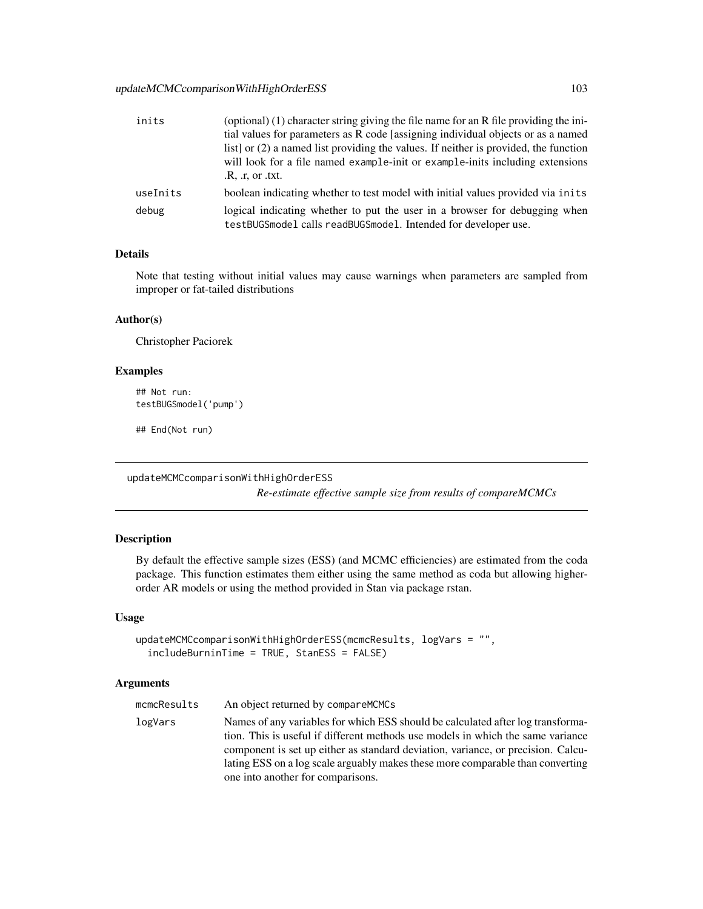| inits    | (optional) (1) character string giving the file name for an R file providing the ini-                                                        |
|----------|----------------------------------------------------------------------------------------------------------------------------------------------|
|          | tial values for parameters as R code [assigning individual objects or as a named                                                             |
|          | list] or $(2)$ a named list providing the values. If neither is provided, the function                                                       |
|          | will look for a file named example-init or example-inits including extensions                                                                |
|          | $R, r,$ or $.txt.$                                                                                                                           |
| useInits | boolean indicating whether to test model with initial values provided via inits                                                              |
| debug    | logical indicating whether to put the user in a browser for debugging when<br>testBUGSmodel calls readBUGSmodel. Intended for developer use. |

# Details

Note that testing without initial values may cause warnings when parameters are sampled from improper or fat-tailed distributions

#### Author(s)

Christopher Paciorek

# Examples

## Not run: testBUGSmodel('pump')

## End(Not run)

updateMCMCcomparisonWithHighOrderESS

*Re-estimate effective sample size from results of compareMCMCs*

# Description

By default the effective sample sizes (ESS) (and MCMC efficiencies) are estimated from the coda package. This function estimates them either using the same method as coda but allowing higherorder AR models or using the method provided in Stan via package rstan.

# Usage

```
updateMCMCcomparisonWithHighOrderESS(mcmcResults, logVars = "",
  includeBurninTime = TRUE, StanESS = FALSE)
```
# Arguments

| mcmcResults | An object returned by compareMCMCs                                                                                                                                                                                                                                                                                                                                            |
|-------------|-------------------------------------------------------------------------------------------------------------------------------------------------------------------------------------------------------------------------------------------------------------------------------------------------------------------------------------------------------------------------------|
| logVars     | Names of any variables for which ESS should be calculated after log transforma-<br>tion. This is useful if different methods use models in which the same variance<br>component is set up either as standard deviation, variance, or precision. Calcu-<br>lating ESS on a log scale arguably makes these more comparable than converting<br>one into another for comparisons. |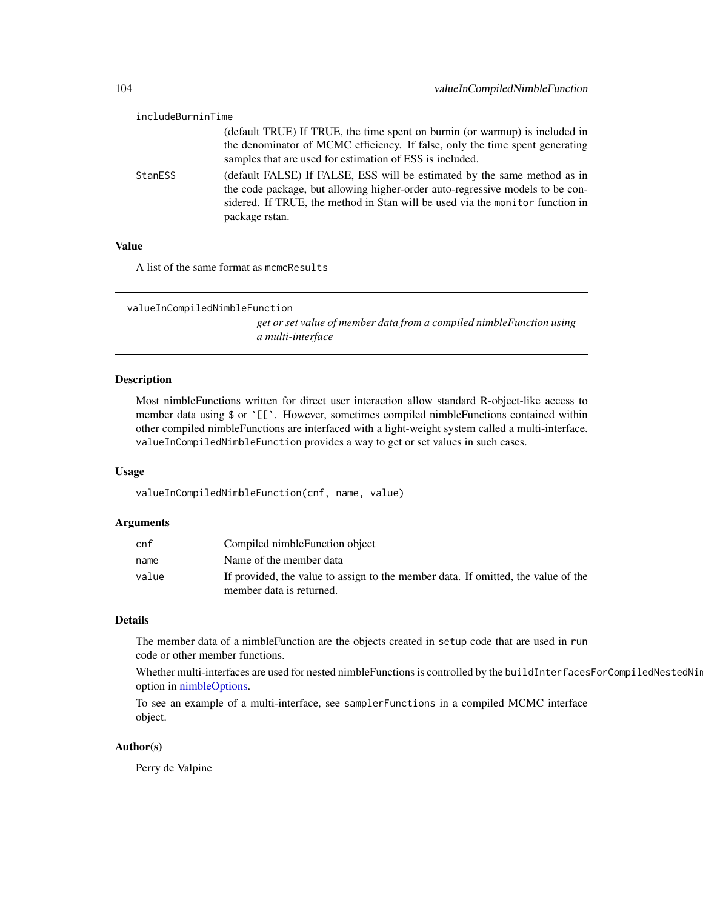| includeBurninTime |                                                                                                                                                                                                                                                              |
|-------------------|--------------------------------------------------------------------------------------------------------------------------------------------------------------------------------------------------------------------------------------------------------------|
|                   | (default TRUE) If TRUE, the time spent on burnin (or warmup) is included in<br>the denominator of MCMC efficiency. If false, only the time spent generating<br>samples that are used for estimation of ESS is included.                                      |
| <b>StanESS</b>    | (default FALSE) If FALSE, ESS will be estimated by the same method as in<br>the code package, but allowing higher-order auto-regressive models to be con-<br>sidered. If TRUE, the method in Stan will be used via the monitor function in<br>package rstan. |

# Value

A list of the same format as mcmcResults

```
valueInCompiledNimbleFunction
```
*get or set value of member data from a compiled nimbleFunction using a multi-interface*

# Description

Most nimbleFunctions written for direct user interaction allow standard R-object-like access to member data using \$ or `[[`. However, sometimes compiled nimbleFunctions contained within other compiled nimbleFunctions are interfaced with a light-weight system called a multi-interface. valueInCompiledNimbleFunction provides a way to get or set values in such cases.

#### Usage

valueInCompiledNimbleFunction(cnf, name, value)

#### **Arguments**

| cnf   | Compiled nimble Function object                                                                               |
|-------|---------------------------------------------------------------------------------------------------------------|
| name  | Name of the member data                                                                                       |
| value | If provided, the value to assign to the member data. If omitted, the value of the<br>member data is returned. |

### Details

The member data of a nimbleFunction are the objects created in setup code that are used in run code or other member functions.

Whether multi-interfaces are used for nested nimbleFunctions is controlled by the buildInterfacesForCompiledNestedNim option in [nimbleOptions.](#page-66-0)

To see an example of a multi-interface, see samplerFunctions in a compiled MCMC interface object.

### Author(s)

Perry de Valpine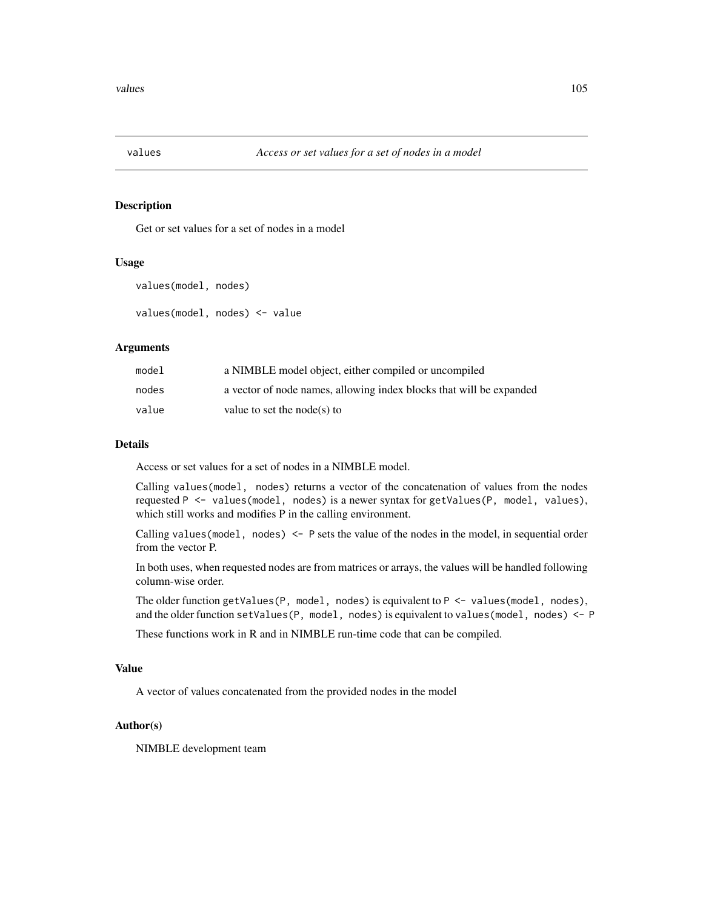# Description

Get or set values for a set of nodes in a model

#### Usage

```
values(model, nodes)
values(model, nodes) <- value
```
# Arguments

| model | a NIMBLE model object, either compiled or uncompiled                |
|-------|---------------------------------------------------------------------|
| nodes | a vector of node names, allowing index blocks that will be expanded |
| value | value to set the node(s) to                                         |

# Details

Access or set values for a set of nodes in a NIMBLE model.

Calling values(model, nodes) returns a vector of the concatenation of values from the nodes requested P <- values(model, nodes) is a newer syntax for getValues(P, model, values), which still works and modifies P in the calling environment.

Calling values (model, nodes)  $\leq -P$  sets the value of the nodes in the model, in sequential order from the vector P.

In both uses, when requested nodes are from matrices or arrays, the values will be handled following column-wise order.

The older function getValues(P, model, nodes) is equivalent to  $P \leq$  values(model, nodes), and the older function setValues(P, model, nodes) is equivalent to values(model, nodes)  $\leq$ -P

These functions work in R and in NIMBLE run-time code that can be compiled.

# Value

A vector of values concatenated from the provided nodes in the model

# Author(s)

NIMBLE development team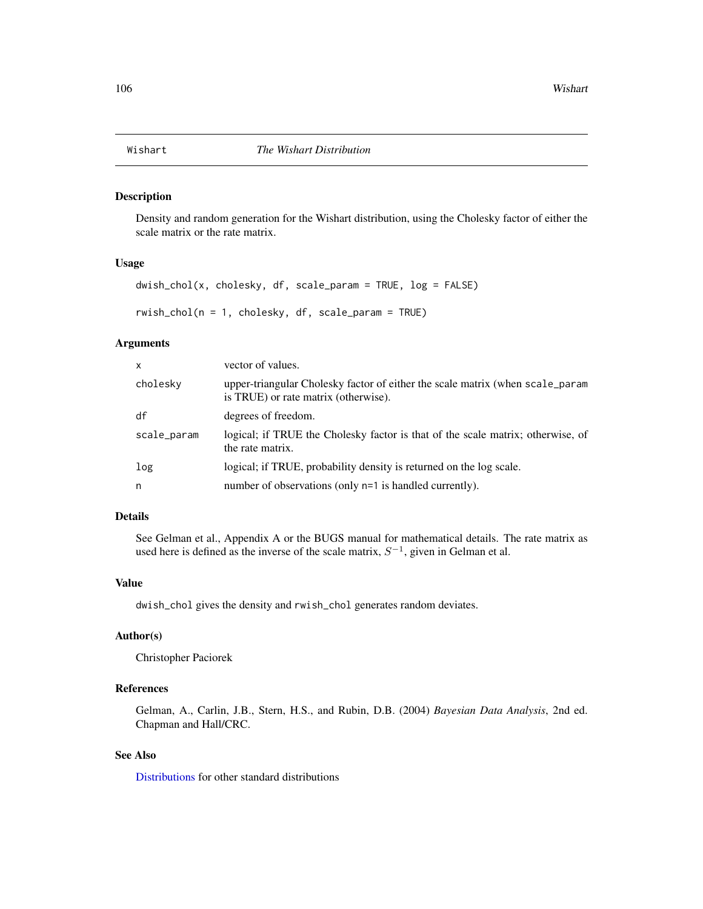#### Description

Density and random generation for the Wishart distribution, using the Cholesky factor of either the scale matrix or the rate matrix.

#### Usage

```
d wish\_chol(x, cholesky, df, scale\_param = TRUE, log = FALSE)rwish_chol(n = 1, cholesky, df, scale_param = TRUE)
```
# Arguments

| $\mathsf{x}$ | vector of values.                                                                                                     |
|--------------|-----------------------------------------------------------------------------------------------------------------------|
| cholesky     | upper-triangular Cholesky factor of either the scale matrix (when scale_param<br>is TRUE) or rate matrix (otherwise). |
| df           | degrees of freedom.                                                                                                   |
| scale_param  | logical; if TRUE the Cholesky factor is that of the scale matrix; otherwise, of<br>the rate matrix.                   |
| log          | logical; if TRUE, probability density is returned on the log scale.                                                   |
| n            | number of observations (only n=1 is handled currently).                                                               |

# Details

See Gelman et al., Appendix A or the BUGS manual for mathematical details. The rate matrix as used here is defined as the inverse of the scale matrix,  $S^{-1}$ , given in Gelman et al.

# Value

dwish\_chol gives the density and rwish\_chol generates random deviates.

# Author(s)

Christopher Paciorek

# References

Gelman, A., Carlin, J.B., Stern, H.S., and Rubin, D.B. (2004) *Bayesian Data Analysis*, 2nd ed. Chapman and Hall/CRC.

# See Also

[Distributions](#page-0-0) for other standard distributions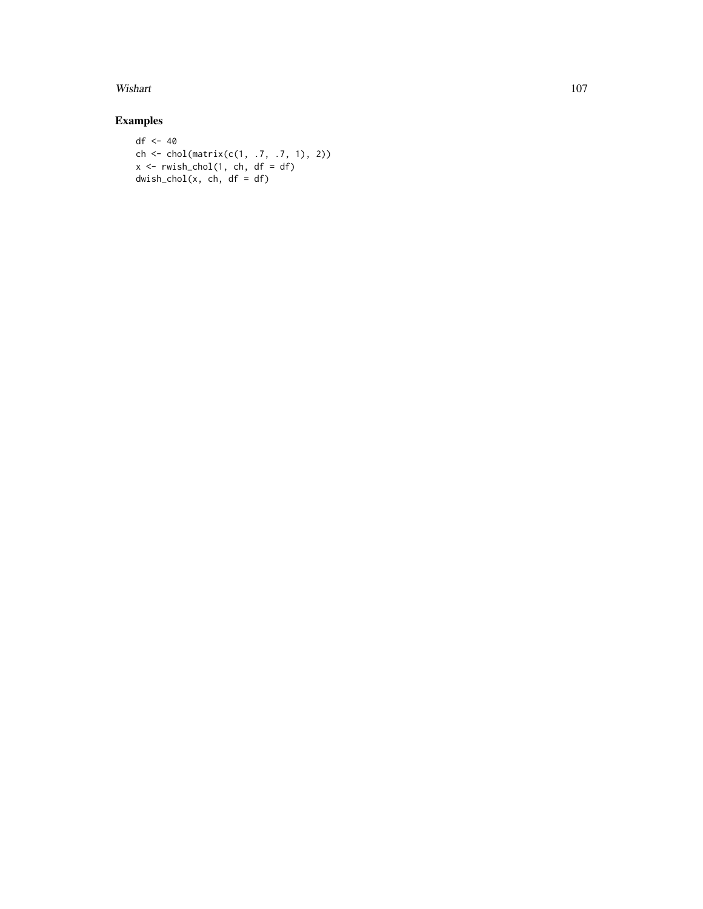#### Wishart 107

# Examples

```
df <- 40
ch <- chol(matrix(c(1, .7, .7, 1), 2))
x <- rwish_chol(1, ch, df = df)
dwish_chol(x, ch, df = df)
```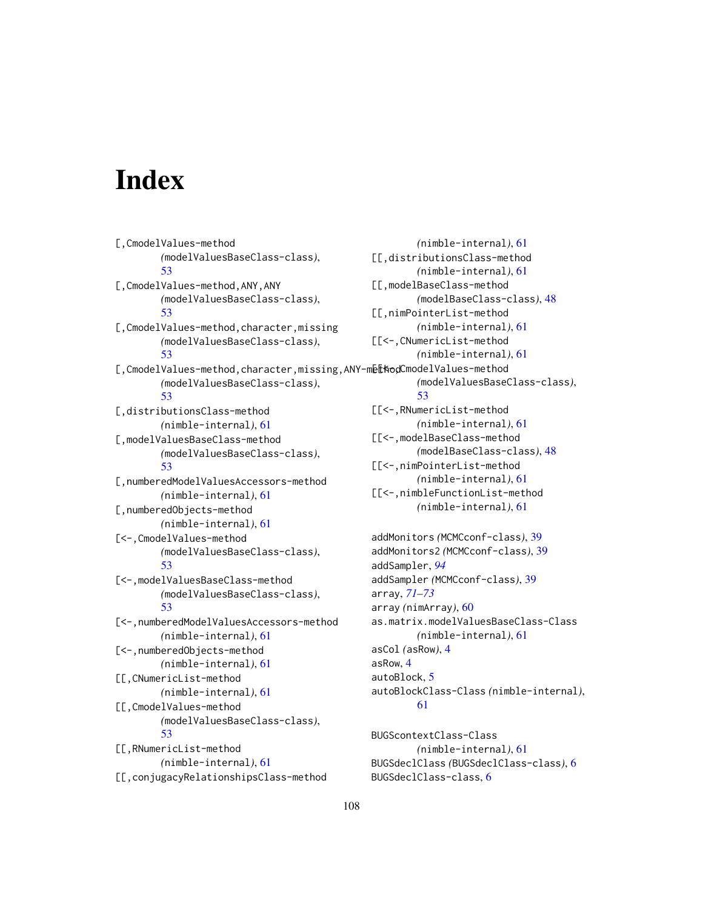# **Index**

```
[,CmodelValues-method
        (modelValuesBaseClass-class),
        53
[,CmodelValues-method,ANY,ANY
        (modelValuesBaseClass-class),
        53
[, CmodelValues-method, character, missing
        (modelValuesBaseClass-class),
        53
[, CmodelValues-method, character, missing, ANY-mEthodCmodelValues-method
        (modelValuesBaseClass-class),
        53
[,distributionsClass-method
        (nimble-internal), 61
[,modelValuesBaseClass-method
        (modelValuesBaseClass-class),
        53
[,numberedModelValuesAccessors-method
        (nimble-internal), 61
[,numberedObjects-method
        (nimble-internal), 61
[<-,CmodelValues-method
        (modelValuesBaseClass-class),
        53
[<-,modelValuesBaseClass-method
        (modelValuesBaseClass-class),
        53
[<-,numberedModelValuesAccessors-method
        (nimble-internal), 61
[<-,numberedObjects-method
        (nimble-internal), 61
[[,CNumericList-method
        (nimble-internal), 61
[[,CmodelValues-method
        (modelValuesBaseClass-class),
        53
[[,RNumericList-method
        (nimble-internal), 61
[[,conjugacyRelationshipsClass-method
                                                       53
                                               array, 71–73
                                               asRow, 4
                                                       61
```

```
(nimble-internal), 61
[[,distributionsClass-method
        (nimble-internal), 61
[[,modelBaseClass-method
        (modelBaseClass-class), 48
[[,nimPointerList-method
        (nimble-internal), 61
[[<-,CNumericList-method
        (nimble-internal), 61
        (modelValuesBaseClass-class),
[[<-,RNumericList-method
        (nimble-internal), 61
[[<-,modelBaseClass-method
        (modelBaseClass-class), 48
[[<-,nimPointerList-method
        (nimble-internal), 61
[[<-,nimbleFunctionList-method
        (nimble-internal), 61
```

```
addMonitors (MCMCconf-class), 39
addMonitors2 (MCMCconf-class), 39
addSampler, 94
addSampler (MCMCconf-class), 39
array (nimArray), 60
as.matrix.modelValuesBaseClass-Class
        (nimble-internal), 61
asCol (asRow), 4
autoBlock, 5
autoBlockClass-Class (nimble-internal),
```

```
BUGScontextClass-Class
        (nimble-internal), 61
BUGSdeclClass (BUGSdeclClass-class), 6
BUGSdeclClass-class, 6
```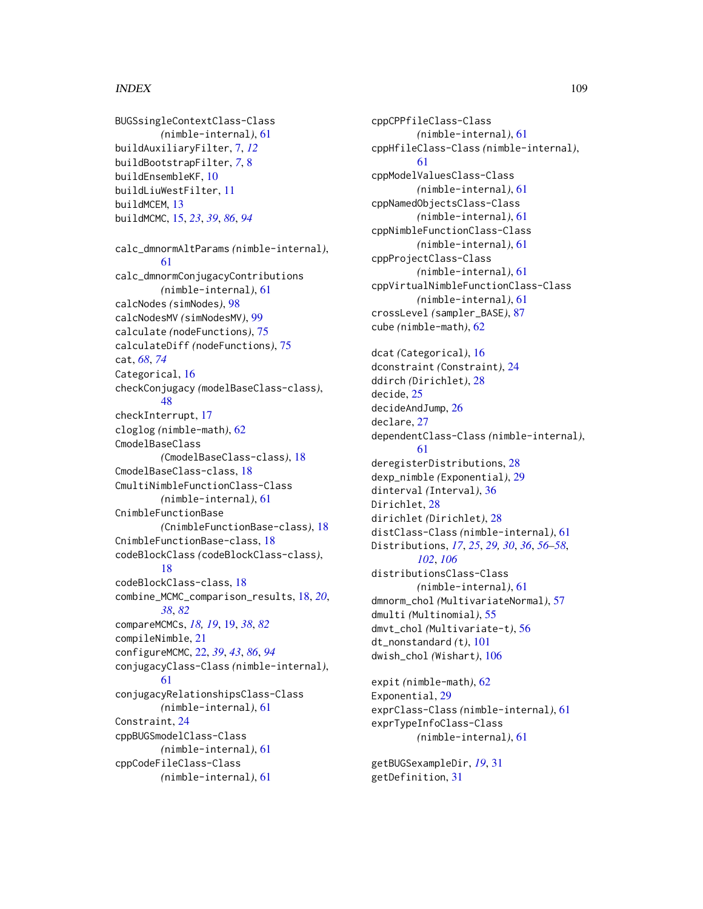## INDEX 109

BUGSsingleContextClass-Class *(*nimble-internal*)*, [61](#page-60-0) buildAuxiliaryFilter, [7,](#page-6-0) *[12](#page-11-0)* buildBootstrapFilter, *[7](#page-6-0)*, [8](#page-7-0) buildEnsembleKF, [10](#page-9-0) buildLiuWestFilter, [11](#page-10-0) buildMCEM, [13](#page-12-0) buildMCMC, [15,](#page-14-0) *[23](#page-22-0)*, *[39](#page-38-0)*, *[86](#page-85-0)*, *[94](#page-93-0)* calc\_dmnormAltParams *(*nimble-internal*)*, [61](#page-60-0) calc\_dmnormConjugacyContributions *(*nimble-internal*)*, [61](#page-60-0) calcNodes *(*simNodes*)*, [98](#page-97-0) calcNodesMV *(*simNodesMV*)*, [99](#page-98-0) calculate *(*nodeFunctions*)*, [75](#page-74-0) calculateDiff *(*nodeFunctions*)*, [75](#page-74-0) cat, *[68](#page-67-0)*, *[74](#page-73-0)* Categorical, [16](#page-15-0) checkConjugacy *(*modelBaseClass-class*)*, [48](#page-47-0) checkInterrupt, [17](#page-16-0) cloglog *(*nimble-math*)*, [62](#page-61-0) CmodelBaseClass *(*CmodelBaseClass-class*)*, [18](#page-17-0) CmodelBaseClass-class, [18](#page-17-0) CmultiNimbleFunctionClass-Class *(*nimble-internal*)*, [61](#page-60-0) CnimbleFunctionBase *(*CnimbleFunctionBase-class*)*, [18](#page-17-0) CnimbleFunctionBase-class, [18](#page-17-0) codeBlockClass *(*codeBlockClass-class*)*, [18](#page-17-0) codeBlockClass-class, [18](#page-17-0) combine\_MCMC\_comparison\_results, [18,](#page-17-0) *[20](#page-19-0)*, *[38](#page-37-0)*, *[82](#page-81-0)* compareMCMCs, *[18,](#page-17-0) [19](#page-18-0)*, [19,](#page-18-0) *[38](#page-37-0)*, *[82](#page-81-0)* compileNimble, [21](#page-20-0) configureMCMC, [22,](#page-21-0) *[39](#page-38-0)*, *[43](#page-42-0)*, *[86](#page-85-0)*, *[94](#page-93-0)* conjugacyClass-Class *(*nimble-internal*)*, [61](#page-60-0) conjugacyRelationshipsClass-Class *(*nimble-internal*)*, [61](#page-60-0) Constraint, [24](#page-23-0) cppBUGSmodelClass-Class *(*nimble-internal*)*, [61](#page-60-0) cppCodeFileClass-Class *(*nimble-internal*)*, [61](#page-60-0)

cppCPPfileClass-Class *(*nimble-internal*)*, [61](#page-60-0) cppHfileClass-Class *(*nimble-internal*)*, [61](#page-60-0) cppModelValuesClass-Class *(*nimble-internal*)*, [61](#page-60-0) cppNamedObjectsClass-Class *(*nimble-internal*)*, [61](#page-60-0) cppNimbleFunctionClass-Class *(*nimble-internal*)*, [61](#page-60-0) cppProjectClass-Class *(*nimble-internal*)*, [61](#page-60-0) cppVirtualNimbleFunctionClass-Class *(*nimble-internal*)*, [61](#page-60-0) crossLevel *(*sampler\_BASE*)*, [87](#page-86-0) cube *(*nimble-math*)*, [62](#page-61-0) dcat *(*Categorical*)*, [16](#page-15-0) dconstraint *(*Constraint*)*, [24](#page-23-0) ddirch *(*Dirichlet*)*, [28](#page-27-0) decide, [25](#page-24-0) decideAndJump, [26](#page-25-0) declare, [27](#page-26-0) dependentClass-Class *(*nimble-internal*)*, [61](#page-60-0) deregisterDistributions, [28](#page-27-0) dexp\_nimble *(*Exponential*)*, [29](#page-28-0) dinterval *(*Interval*)*, [36](#page-35-0) Dirichlet, [28](#page-27-0) dirichlet *(*Dirichlet*)*, [28](#page-27-0) distClass-Class *(*nimble-internal*)*, [61](#page-60-0) Distributions, *[17](#page-16-0)*, *[25](#page-24-0)*, *[29,](#page-28-0) [30](#page-29-0)*, *[36](#page-35-0)*, *[56](#page-55-0)[–58](#page-57-0)*, *[102](#page-101-0)*, *[106](#page-105-0)* distributionsClass-Class *(*nimble-internal*)*, [61](#page-60-0) dmnorm\_chol *(*MultivariateNormal*)*, [57](#page-56-0) dmulti *(*Multinomial*)*, [55](#page-54-0) dmvt\_chol *(*Multivariate-t*)*, [56](#page-55-0) dt\_nonstandard *(*t*)*, [101](#page-100-0) dwish\_chol *(*Wishart*)*, [106](#page-105-0) expit *(*nimble-math*)*, [62](#page-61-0)

Exponential, [29](#page-28-0) exprClass-Class *(*nimble-internal*)*, [61](#page-60-0) exprTypeInfoClass-Class *(*nimble-internal*)*, [61](#page-60-0)

getBUGSexampleDir, *[19](#page-18-0)*, [31](#page-30-0) getDefinition, [31](#page-30-0)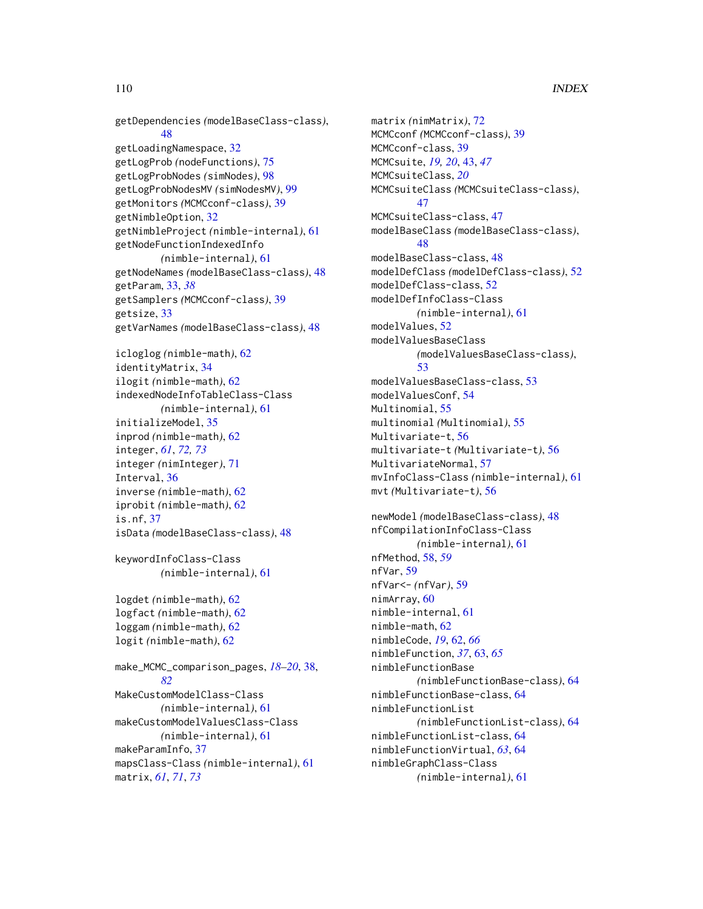getDependencies *(*modelBaseClass-class*)*, [48](#page-47-0) getLoadingNamespace, [32](#page-31-0) getLogProb *(*nodeFunctions*)*, [75](#page-74-0) getLogProbNodes *(*simNodes*)*, [98](#page-97-0)

getLogProbNodesMV *(*simNodesMV*)*, [99](#page-98-0) getMonitors *(*MCMCconf-class*)*, [39](#page-38-0) getNimbleOption, [32](#page-31-0) getNimbleProject *(*nimble-internal*)*, [61](#page-60-0) getNodeFunctionIndexedInfo *(*nimble-internal*)*, [61](#page-60-0) getNodeNames *(*modelBaseClass-class*)*, [48](#page-47-0) getParam, [33,](#page-32-0) *[38](#page-37-0)* getSamplers *(*MCMCconf-class*)*, [39](#page-38-0) getsize, [33](#page-32-0) getVarNames *(*modelBaseClass-class*)*, [48](#page-47-0)

icloglog *(*nimble-math*)*, [62](#page-61-0) identityMatrix, [34](#page-33-0) ilogit *(*nimble-math*)*, [62](#page-61-0) indexedNodeInfoTableClass-Class *(*nimble-internal*)*, [61](#page-60-0) initializeModel, [35](#page-34-0) inprod *(*nimble-math*)*, [62](#page-61-0) integer, *[61](#page-60-0)*, *[72,](#page-71-0) [73](#page-72-0)* integer *(*nimInteger*)*, [71](#page-70-0) Interval, [36](#page-35-0) inverse *(*nimble-math*)*, [62](#page-61-0) iprobit *(*nimble-math*)*, [62](#page-61-0) is.nf, [37](#page-36-0) isData *(*modelBaseClass-class*)*, [48](#page-47-0)

```
keywordInfoClass-Class
        (nimble-internal), 61
```
logdet *(*nimble-math*)*, [62](#page-61-0) logfact *(*nimble-math*)*, [62](#page-61-0) loggam *(*nimble-math*)*, [62](#page-61-0) logit *(*nimble-math*)*, [62](#page-61-0)

make\_MCMC\_comparison\_pages, *[18–](#page-17-0)[20](#page-19-0)*, [38,](#page-37-0) *[82](#page-81-0)* MakeCustomModelClass-Class *(*nimble-internal*)*, [61](#page-60-0) makeCustomModelValuesClass-Class *(*nimble-internal*)*, [61](#page-60-0) makeParamInfo, [37](#page-36-0) mapsClass-Class *(*nimble-internal*)*, [61](#page-60-0) matrix, *[61](#page-60-0)*, *[71](#page-70-0)*, *[73](#page-72-0)*

matrix *(*nimMatrix*)*, [72](#page-71-0) MCMCconf *(*MCMCconf-class*)*, [39](#page-38-0) MCMCconf-class, [39](#page-38-0) MCMCsuite, *[19,](#page-18-0) [20](#page-19-0)*, [43,](#page-42-0) *[47](#page-46-0)* MCMCsuiteClass, *[20](#page-19-0)* MCMCsuiteClass *(*MCMCsuiteClass-class*)*, [47](#page-46-0) MCMCsuiteClass-class, [47](#page-46-0) modelBaseClass *(*modelBaseClass-class*)*, [48](#page-47-0) modelBaseClass-class, [48](#page-47-0) modelDefClass *(*modelDefClass-class*)*, [52](#page-51-0) modelDefClass-class, [52](#page-51-0) modelDefInfoClass-Class *(*nimble-internal*)*, [61](#page-60-0) modelValues, [52](#page-51-0) modelValuesBaseClass *(*modelValuesBaseClass-class*)*, [53](#page-52-0) modelValuesBaseClass-class, [53](#page-52-0) modelValuesConf, [54](#page-53-0) Multinomial, [55](#page-54-0) multinomial *(*Multinomial*)*, [55](#page-54-0) Multivariate-t, [56](#page-55-0) multivariate-t *(*Multivariate-t*)*, [56](#page-55-0) MultivariateNormal, [57](#page-56-0) mvInfoClass-Class *(*nimble-internal*)*, [61](#page-60-0) mvt *(*Multivariate-t*)*, [56](#page-55-0) newModel *(*modelBaseClass-class*)*, [48](#page-47-0) nfCompilationInfoClass-Class *(*nimble-internal*)*, [61](#page-60-0) nfMethod, [58,](#page-57-0) *[59](#page-58-0)* nfVar, [59](#page-58-0) nfVar<- *(*nfVar*)*, [59](#page-58-0) nimArray, [60](#page-59-0) nimble-internal, [61](#page-60-0) nimble-math, [62](#page-61-0) nimbleCode, *[19](#page-18-0)*, [62,](#page-61-0) *[66](#page-65-0)* nimbleFunction, *[37](#page-36-0)*, [63,](#page-62-0) *[65](#page-64-0)* nimbleFunctionBase *(*nimbleFunctionBase-class*)*, [64](#page-63-0) nimbleFunctionBase-class, [64](#page-63-0) nimbleFunctionList *(*nimbleFunctionList-class*)*, [64](#page-63-0) nimbleFunctionList-class, [64](#page-63-0) nimbleFunctionVirtual, *[63](#page-62-0)*, [64](#page-63-0) nimbleGraphClass-Class *(*nimble-internal*)*, [61](#page-60-0)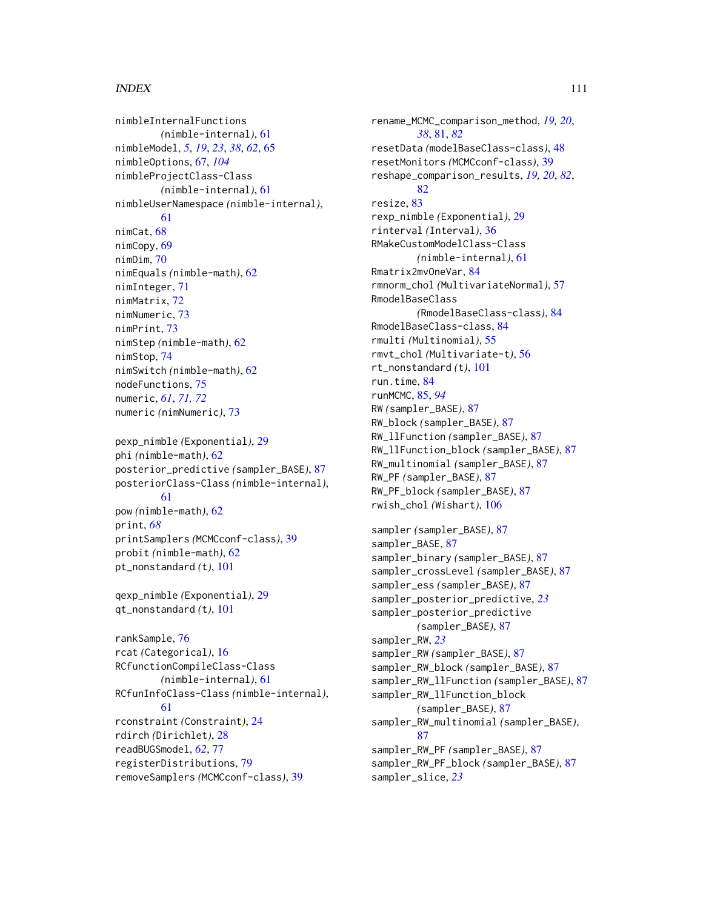## INDEX 111

nimbleInternalFunctions *(*nimble-internal*)*, [61](#page-60-0) nimbleModel, *[5](#page-4-0)*, *[19](#page-18-0)*, *[23](#page-22-0)*, *[38](#page-37-0)*, *[62](#page-61-0)*, [65](#page-64-0) nimbleOptions, [67,](#page-66-0) *[104](#page-103-0)* nimbleProjectClass-Class *(*nimble-internal*)*, [61](#page-60-0) nimbleUserNamespace *(*nimble-internal*)*, [61](#page-60-0) nimCat, [68](#page-67-0) nimCopy, [69](#page-68-0) nimDim, [70](#page-69-0) nimEquals *(*nimble-math*)*, [62](#page-61-0) nimInteger, [71](#page-70-0) nimMatrix, [72](#page-71-0) nimNumeric, [73](#page-72-0) nimPrint, [73](#page-72-0) nimStep *(*nimble-math*)*, [62](#page-61-0) nimStop, [74](#page-73-0) nimSwitch *(*nimble-math*)*, [62](#page-61-0) nodeFunctions, [75](#page-74-0) numeric, *[61](#page-60-0)*, *[71,](#page-70-0) [72](#page-71-0)* numeric *(*nimNumeric*)*, [73](#page-72-0)

pexp\_nimble *(*Exponential*)*, [29](#page-28-0) phi *(*nimble-math*)*, [62](#page-61-0) posterior\_predictive *(*sampler\_BASE*)*, [87](#page-86-0) posteriorClass-Class *(*nimble-internal*)*, [61](#page-60-0) pow *(*nimble-math*)*, [62](#page-61-0) print, *[68](#page-67-0)* printSamplers *(*MCMCconf-class*)*, [39](#page-38-0) probit *(*nimble-math*)*, [62](#page-61-0) pt\_nonstandard *(*t*)*, [101](#page-100-0)

qexp\_nimble *(*Exponential*)*, [29](#page-28-0) qt\_nonstandard *(*t*)*, [101](#page-100-0)

rankSample, [76](#page-75-0) rcat *(*Categorical*)*, [16](#page-15-0) RCfunctionCompileClass-Class *(*nimble-internal*)*, [61](#page-60-0) RCfunInfoClass-Class *(*nimble-internal*)*, [61](#page-60-0) rconstraint *(*Constraint*)*, [24](#page-23-0) rdirch *(*Dirichlet*)*, [28](#page-27-0) readBUGSmodel, *[62](#page-61-0)*, [77](#page-76-0) registerDistributions, [79](#page-78-0) removeSamplers *(*MCMCconf-class*)*, [39](#page-38-0)

rename\_MCMC\_comparison\_method, *[19,](#page-18-0) [20](#page-19-0)*, *[38](#page-37-0)*, [81,](#page-80-0) *[82](#page-81-0)* resetData *(*modelBaseClass-class*)*, [48](#page-47-0) resetMonitors *(*MCMCconf-class*)*, [39](#page-38-0) reshape\_comparison\_results, *[19,](#page-18-0) [20](#page-19-0)*, *[82](#page-81-0)*, [82](#page-81-0) resize, [83](#page-82-0) rexp\_nimble *(*Exponential*)*, [29](#page-28-0) rinterval *(*Interval*)*, [36](#page-35-0) RMakeCustomModelClass-Class *(*nimble-internal*)*, [61](#page-60-0) Rmatrix2mvOneVar, [84](#page-83-0) rmnorm\_chol *(*MultivariateNormal*)*, [57](#page-56-0) RmodelBaseClass *(*RmodelBaseClass-class*)*, [84](#page-83-0) RmodelBaseClass-class, [84](#page-83-0) rmulti *(*Multinomial*)*, [55](#page-54-0) rmvt\_chol *(*Multivariate-t*)*, [56](#page-55-0) rt\_nonstandard *(*t*)*, [101](#page-100-0) run.time, [84](#page-83-0) runMCMC, [85,](#page-84-0) *[94](#page-93-0)* RW *(*sampler\_BASE*)*, [87](#page-86-0) RW\_block *(*sampler\_BASE*)*, [87](#page-86-0) RW\_llFunction *(*sampler\_BASE*)*, [87](#page-86-0) RW\_llFunction\_block *(*sampler\_BASE*)*, [87](#page-86-0) RW\_multinomial *(*sampler\_BASE*)*, [87](#page-86-0) RW\_PF *(*sampler\_BASE*)*, [87](#page-86-0) RW\_PF\_block *(*sampler\_BASE*)*, [87](#page-86-0) rwish\_chol *(*Wishart*)*, [106](#page-105-0) sampler *(*sampler\_BASE*)*, [87](#page-86-0) sampler\_BASE, [87](#page-86-0) sampler\_binary *(*sampler\_BASE*)*, [87](#page-86-0)

sampler\_crossLevel *(*sampler\_BASE*)*, [87](#page-86-0) sampler\_ess *(*sampler\_BASE*)*, [87](#page-86-0) sampler\_posterior\_predictive, *[23](#page-22-0)* sampler\_posterior\_predictive *(*sampler\_BASE*)*, [87](#page-86-0) sampler\_RW, *[23](#page-22-0)* sampler\_RW *(*sampler\_BASE*)*, [87](#page-86-0) sampler\_RW\_block *(*sampler\_BASE*)*, [87](#page-86-0) sampler\_RW\_llFunction *(*sampler\_BASE*)*, [87](#page-86-0) sampler\_RW\_llFunction\_block *(*sampler\_BASE*)*, [87](#page-86-0) sampler\_RW\_multinomial *(*sampler\_BASE*)*, [87](#page-86-0) sampler\_RW\_PF *(*sampler\_BASE*)*, [87](#page-86-0) sampler\_RW\_PF\_block *(*sampler\_BASE*)*, [87](#page-86-0)

sampler\_slice, *[23](#page-22-0)*